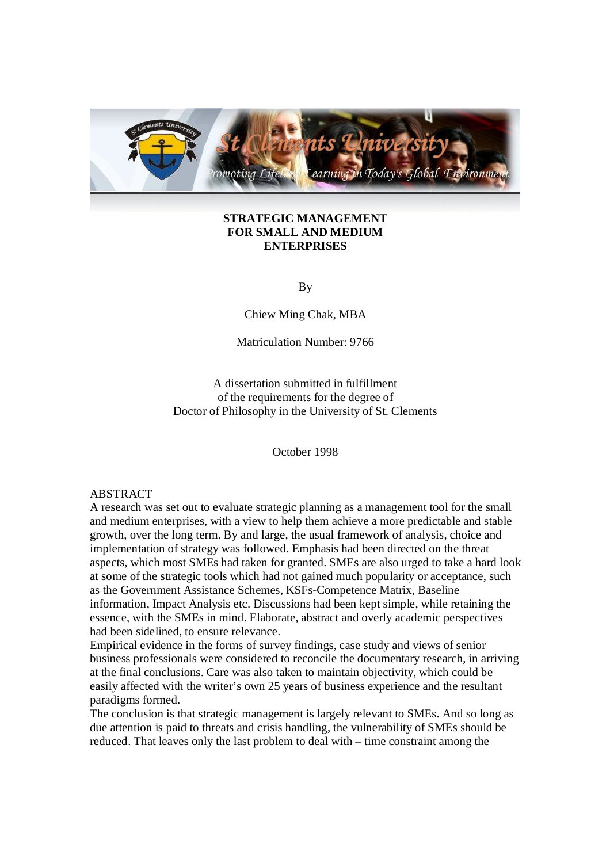

# **STRATEGIC MANAGEMENT FOR SMALL AND MEDIUM ENTERPRISES**

By

Chiew Ming Chak, MBA

Matriculation Number: 9766

A dissertation submitted in fulfillment of the requirements for the degree of Doctor of Philosophy in the University of St. Clements

October 1998

# ABSTRACT

A research was set out to evaluate strategic planning as a management tool for the small and medium enterprises, with a view to help them achieve a more predictable and stable growth, over the long term. By and large, the usual framework of analysis, choice and implementation of strategy was followed. Emphasis had been directed on the threat aspects, which most SMEs had taken for granted. SMEs are also urged to take a hard look at some of the strategic tools which had not gained much popularity or acceptance, such as the Government Assistance Schemes, KSFs-Competence Matrix, Baseline information, Impact Analysis etc. Discussions had been kept simple, while retaining the essence, with the SMEs in mind. Elaborate, abstract and overly academic perspectives had been sidelined, to ensure relevance.

Empirical evidence in the forms of survey findings, case study and views of senior business professionals were considered to reconcile the documentary research, in arriving at the final conclusions. Care was also taken to maintain objectivity, which could be easily affected with the writer's own 25 years of business experience and the resultant paradigms formed.

The conclusion is that strategic management is largely relevant to SMEs. And so long as due attention is paid to threats and crisis handling, the vulnerability of SMEs should be reduced. That leaves only the last problem to deal with – time constraint among the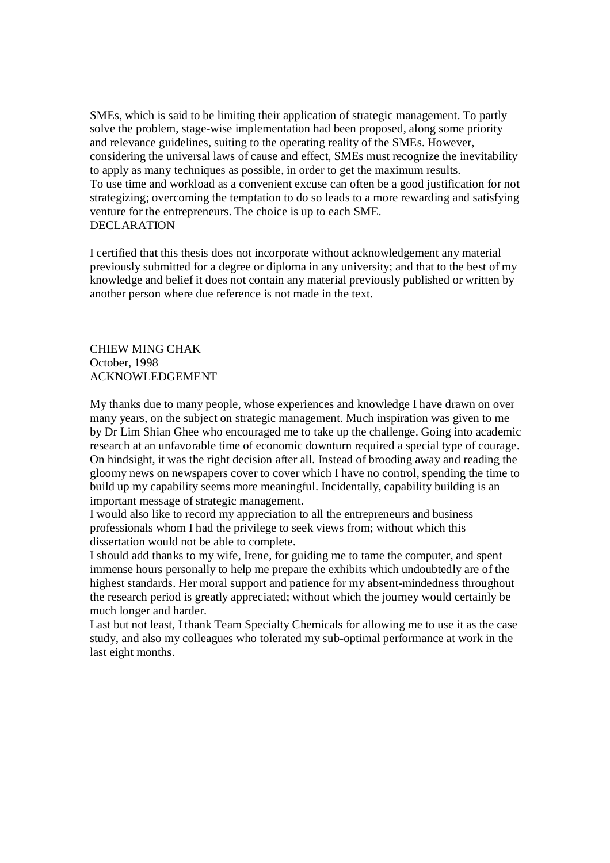SMEs, which is said to be limiting their application of strategic management. To partly solve the problem, stage-wise implementation had been proposed, along some priority and relevance guidelines, suiting to the operating reality of the SMEs. However, considering the universal laws of cause and effect, SMEs must recognize the inevitability to apply as many techniques as possible, in order to get the maximum results. To use time and workload as a convenient excuse can often be a good justification for not strategizing; overcoming the temptation to do so leads to a more rewarding and satisfying venture for the entrepreneurs. The choice is up to each SME. DECLARATION

I certified that this thesis does not incorporate without acknowledgement any material previously submitted for a degree or diploma in any university; and that to the best of my knowledge and belief it does not contain any material previously published or written by another person where due reference is not made in the text.

CHIEW MING CHAK October, 1998 ACKNOWLEDGEMENT

My thanks due to many people, whose experiences and knowledge I have drawn on over many years, on the subject on strategic management. Much inspiration was given to me by Dr Lim Shian Ghee who encouraged me to take up the challenge. Going into academic research at an unfavorable time of economic downturn required a special type of courage. On hindsight, it was the right decision after all. Instead of brooding away and reading the gloomy news on newspapers cover to cover which I have no control, spending the time to build up my capability seems more meaningful. Incidentally, capability building is an important message of strategic management.

I would also like to record my appreciation to all the entrepreneurs and business professionals whom I had the privilege to seek views from; without which this dissertation would not be able to complete.

I should add thanks to my wife, Irene, for guiding me to tame the computer, and spent immense hours personally to help me prepare the exhibits which undoubtedly are of the highest standards. Her moral support and patience for my absent-mindedness throughout the research period is greatly appreciated; without which the journey would certainly be much longer and harder.

Last but not least, I thank Team Specialty Chemicals for allowing me to use it as the case study, and also my colleagues who tolerated my sub-optimal performance at work in the last eight months.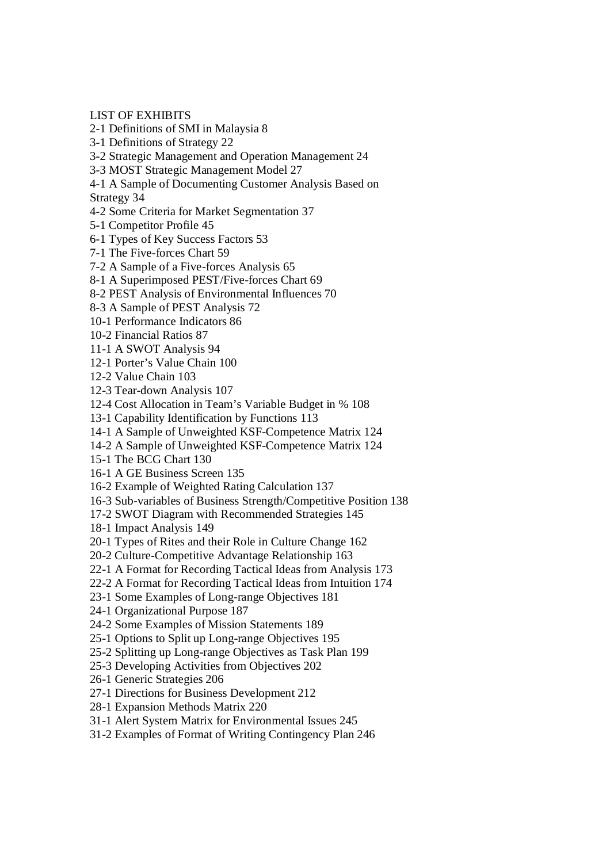LIST OF EXHIBITS

- 2-1 Definitions of SMI in Malaysia 8
- 3-1 Definitions of Strategy 22
- 3-2 Strategic Management and Operation Management 24
- 3-3 MOST Strategic Management Model 27
- 4-1 A Sample of Documenting Customer Analysis Based on

Strategy 34

- 4-2 Some Criteria for Market Segmentation 37
- 5-1 Competitor Profile 45
- 6-1 Types of Key Success Factors 53
- 7-1 The Five-forces Chart 59
- 7-2 A Sample of a Five-forces Analysis 65
- 8-1 A Superimposed PEST/Five-forces Chart 69
- 8-2 PEST Analysis of Environmental Influences 70
- 8-3 A Sample of PEST Analysis 72
- 10-1 Performance Indicators 86
- 10-2 Financial Ratios 87
- 11-1 A SWOT Analysis 94
- 12-1 Porter's Value Chain 100
- 12-2 Value Chain 103
- 12-3 Tear-down Analysis 107
- 12-4 Cost Allocation in Team's Variable Budget in % 108
- 13-1 Capability Identification by Functions 113
- 14-1 A Sample of Unweighted KSF-Competence Matrix 124
- 14-2 A Sample of Unweighted KSF-Competence Matrix 124
- 15-1 The BCG Chart 130
- 16-1 A GE Business Screen 135
- 16-2 Example of Weighted Rating Calculation 137
- 16-3 Sub-variables of Business Strength/Competitive Position 138
- 17-2 SWOT Diagram with Recommended Strategies 145
- 18-1 Impact Analysis 149
- 20-1 Types of Rites and their Role in Culture Change 162
- 20-2 Culture-Competitive Advantage Relationship 163
- 22-1 A Format for Recording Tactical Ideas from Analysis 173
- 22-2 A Format for Recording Tactical Ideas from Intuition 174
- 23-1 Some Examples of Long-range Objectives 181
- 24-1 Organizational Purpose 187
- 24-2 Some Examples of Mission Statements 189
- 25-1 Options to Split up Long-range Objectives 195
- 25-2 Splitting up Long-range Objectives as Task Plan 199
- 25-3 Developing Activities from Objectives 202
- 26-1 Generic Strategies 206
- 27-1 Directions for Business Development 212
- 28-1 Expansion Methods Matrix 220
- 31-1 Alert System Matrix for Environmental Issues 245
- 31-2 Examples of Format of Writing Contingency Plan 246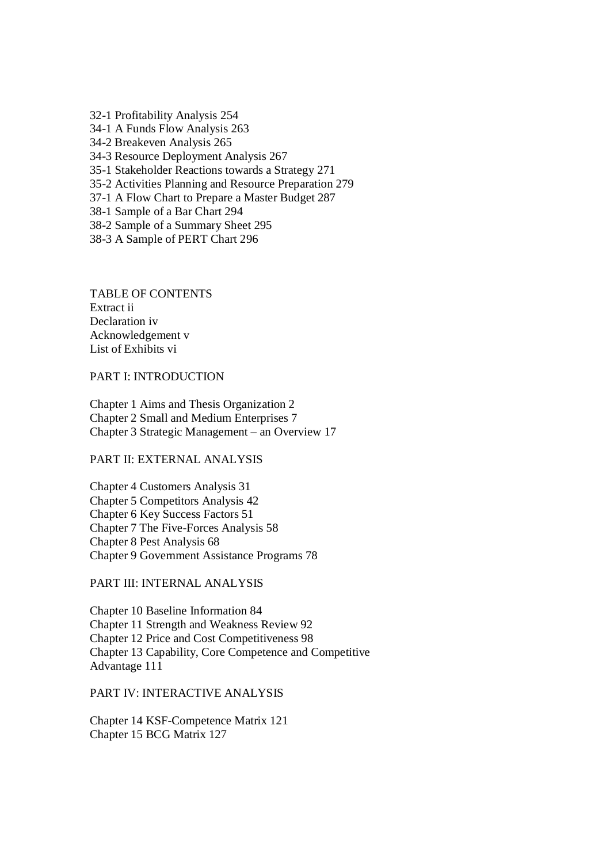32-1 Profitability Analysis 254 34-1 A Funds Flow Analysis 263 34-2 Breakeven Analysis 265 34-3 Resource Deployment Analysis 267 35-1 Stakeholder Reactions towards a Strategy 271 35-2 Activities Planning and Resource Preparation 279 37-1 A Flow Chart to Prepare a Master Budget 287 38-1 Sample of a Bar Chart 294 38-2 Sample of a Summary Sheet 295

38-3 A Sample of PERT Chart 296

TABLE OF CONTENTS Extract ii Declaration iv Acknowledgement v List of Exhibits vi

PART I: INTRODUCTION

Chapter 1 Aims and Thesis Organization 2 Chapter 2 Small and Medium Enterprises 7 Chapter 3 Strategic Management – an Overview 17

# PART II: EXTERNAL ANALYSIS

Chapter 4 Customers Analysis 31 Chapter 5 Competitors Analysis 42 Chapter 6 Key Success Factors 51 Chapter 7 The Five-Forces Analysis 58 Chapter 8 Pest Analysis 68 Chapter 9 Government Assistance Programs 78

PART III: INTERNAL ANALYSIS

Chapter 10 Baseline Information 84 Chapter 11 Strength and Weakness Review 92 Chapter 12 Price and Cost Competitiveness 98 Chapter 13 Capability, Core Competence and Competitive Advantage 111

PART IV: INTERACTIVE ANALYSIS

Chapter 14 KSF-Competence Matrix 121 Chapter 15 BCG Matrix 127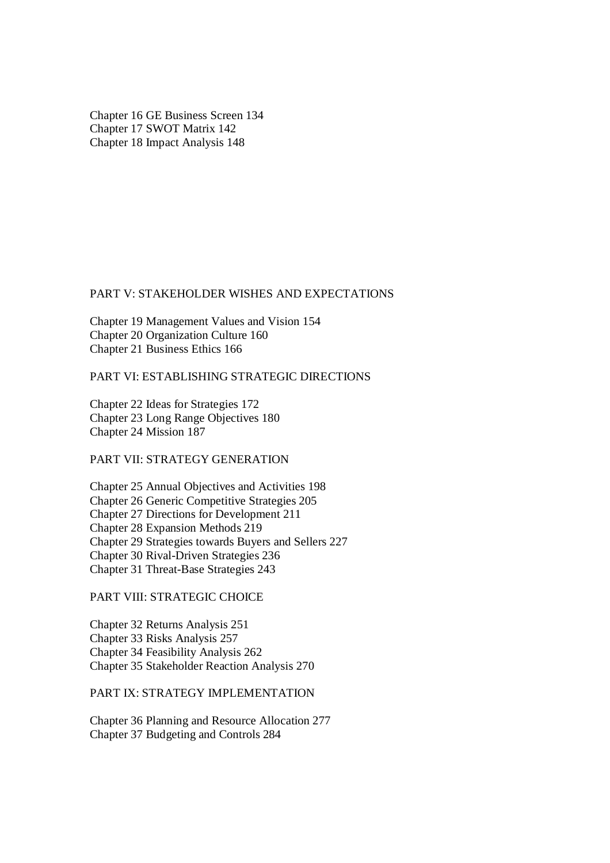Chapter 16 GE Business Screen 134 Chapter 17 SWOT Matrix 142 Chapter 18 Impact Analysis 148

#### PART V: STAKEHOLDER WISHES AND EXPECTATIONS

Chapter 19 Management Values and Vision 154 Chapter 20 Organization Culture 160 Chapter 21 Business Ethics 166

# PART VI: ESTABLISHING STRATEGIC DIRECTIONS

Chapter 22 Ideas for Strategies 172 Chapter 23 Long Range Objectives 180 Chapter 24 Mission 187

PART VII: STRATEGY GENERATION

Chapter 25 Annual Objectives and Activities 198 Chapter 26 Generic Competitive Strategies 205 Chapter 27 Directions for Development 211 Chapter 28 Expansion Methods 219 Chapter 29 Strategies towards Buyers and Sellers 227 Chapter 30 Rival-Driven Strategies 236 Chapter 31 Threat-Base Strategies 243

# PART VIII: STRATEGIC CHOICE

Chapter 32 Returns Analysis 251 Chapter 33 Risks Analysis 257 Chapter 34 Feasibility Analysis 262 Chapter 35 Stakeholder Reaction Analysis 270

PART IX: STRATEGY IMPLEMENTATION

Chapter 36 Planning and Resource Allocation 277 Chapter 37 Budgeting and Controls 284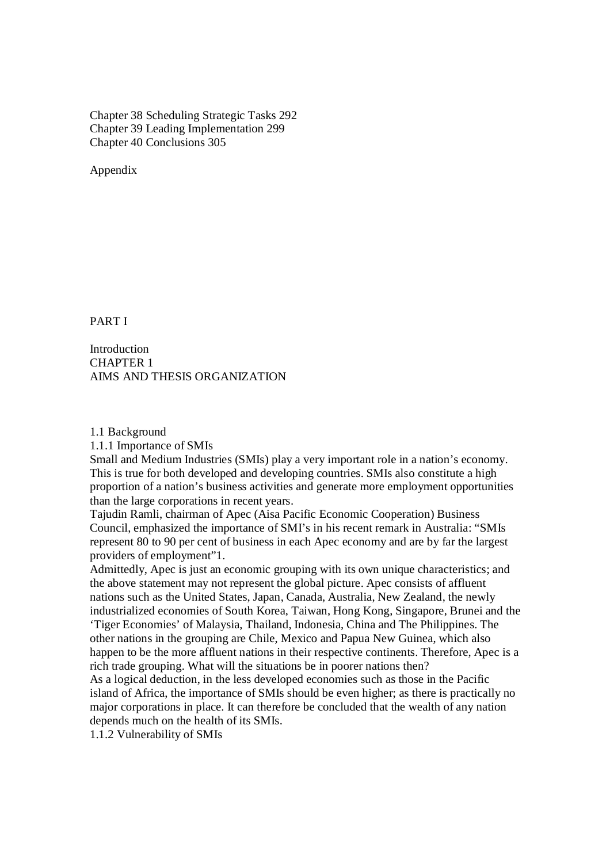Chapter 38 Scheduling Strategic Tasks 292 Chapter 39 Leading Implementation 299 Chapter 40 Conclusions 305

Appendix

PART I

**Introduction** CHAPTER 1 AIMS AND THESIS ORGANIZATION

1.1 Background

1.1.1 Importance of SMIs

Small and Medium Industries (SMIs) play a very important role in a nation's economy. This is true for both developed and developing countries. SMIs also constitute a high proportion of a nation's business activities and generate more employment opportunities than the large corporations in recent years.

Tajudin Ramli, chairman of Apec (Aisa Pacific Economic Cooperation) Business Council, emphasized the importance of SMI's in his recent remark in Australia: "SMIs represent 80 to 90 per cent of business in each Apec economy and are by far the largest providers of employment"1.

Admittedly, Apec is just an economic grouping with its own unique characteristics; and the above statement may not represent the global picture. Apec consists of affluent nations such as the United States, Japan, Canada, Australia, New Zealand, the newly industrialized economies of South Korea, Taiwan, Hong Kong, Singapore, Brunei and the 'Tiger Economies' of Malaysia, Thailand, Indonesia, China and The Philippines. The other nations in the grouping are Chile, Mexico and Papua New Guinea, which also happen to be the more affluent nations in their respective continents. Therefore, Apec is a rich trade grouping. What will the situations be in poorer nations then?

As a logical deduction, in the less developed economies such as those in the Pacific island of Africa, the importance of SMIs should be even higher; as there is practically no major corporations in place. It can therefore be concluded that the wealth of any nation depends much on the health of its SMIs.

1.1.2 Vulnerability of SMIs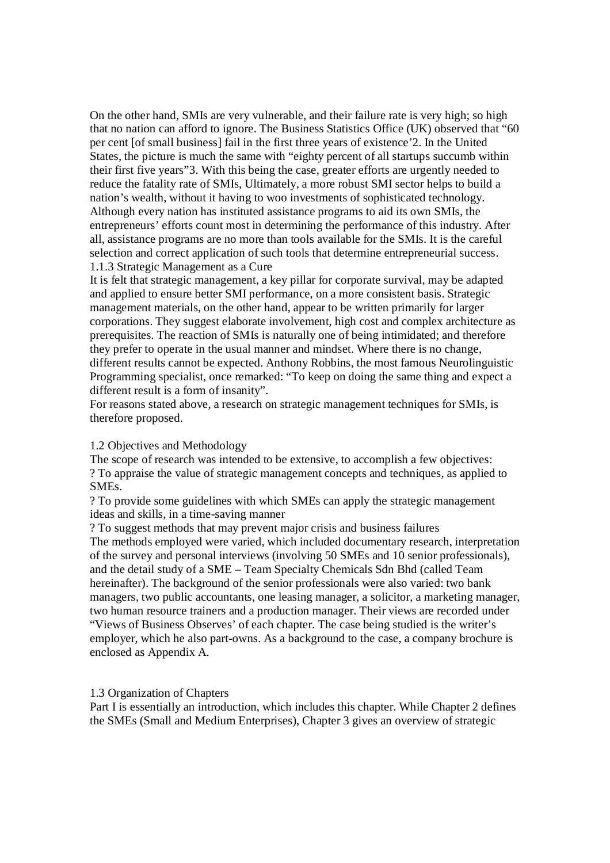On the other hand, SMIs are very vulnerable, and their failure rate is very high; so high that no nation can afford to ignore. The Business Statistics Office (UK) observed that "60 per cent [of small business] fail in the first three years of existence'2. In the United States, the picture is much the same with "eighty percent of all startups succumb within their first five years"3. With this being the case, greater efforts are urgently needed to reduce the fatality rate of SMIs, Ultimately, a more robust SMI sector helps to build a nation's wealth, without it having to woo investments of sophisticated technology. Although every nation has instituted assistance programs to aid its own SMIs, the entrepreneurs' efforts count most in determining the performance of this industry. After all, assistance programs are no more than tools available for the SMIs. It is the careful selection and correct application of such tools that determine entrepreneurial success. 1.1.3 Strategic Management as a Cure

It is felt that strategic management, a key pillar for corporate survival, may be adapted and applied to ensure better SMI performance, on a more consistent basis. Strategic management materials, on the other hand, appear to be written primarily for larger corporations. They suggest elaborate involvement, high cost and complex architecture as prerequisites. The reaction of SMIs is naturally one of being intimidated; and therefore they prefer to operate in the usual manner and mindset. Where there is no change, different results cannot be expected. Anthony Robbins, the most famous Neurolinguistic Programming specialist, once remarked: "To keep on doing the same thing and expect a different result is a form of insanity".

For reasons stated above, a research on strategic management techniques for SMIs, is therefore proposed.

### 1.2 Objectives and Methodology

The scope of research was intended to be extensive, to accomplish a few objectives: ? To appraise the value of strategic management concepts and techniques, as applied to SMEs.

? To provide some guidelines with which SMEs can apply the strategic management ideas and skills, in a time-saving manner

? To suggest methods that may prevent major crisis and business failures The methods employed were varied, which included documentary research, interpretation of the survey and personal interviews (involving 50 SMEs and 10 senior professionals), and the detail study of a SME – Team Specialty Chemicals Sdn Bhd (called Team hereinafter). The background of the senior professionals were also varied: two bank managers, two public accountants, one leasing manager, a solicitor, a marketing manager, two human resource trainers and a production manager. Their views are recorded under "Views of Business Observes' of each chapter. The case being studied is the writer's employer, which he also part-owns. As a background to the case, a company brochure is enclosed as Appendix A.

#### 1.3 Organization of Chapters

Part I is essentially an introduction, which includes this chapter. While Chapter 2 defines the SMEs (Small and Medium Enterprises), Chapter 3 gives an overview of strategic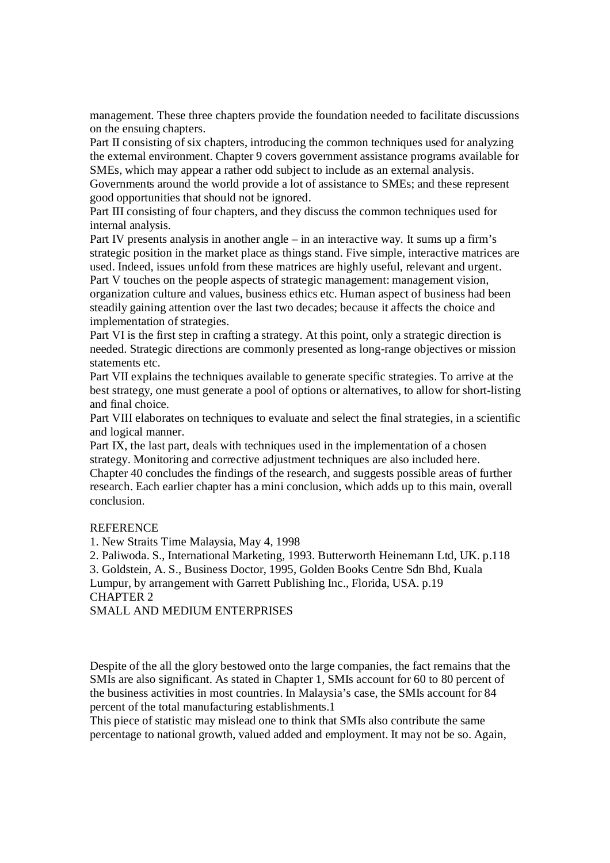management. These three chapters provide the foundation needed to facilitate discussions on the ensuing chapters.

Part II consisting of six chapters, introducing the common techniques used for analyzing the external environment. Chapter 9 covers government assistance programs available for SMEs, which may appear a rather odd subject to include as an external analysis.

Governments around the world provide a lot of assistance to SMEs; and these represent good opportunities that should not be ignored.

Part III consisting of four chapters, and they discuss the common techniques used for internal analysis.

Part IV presents analysis in another angle – in an interactive way. It sums up a firm's strategic position in the market place as things stand. Five simple, interactive matrices are used. Indeed, issues unfold from these matrices are highly useful, relevant and urgent. Part V touches on the people aspects of strategic management: management vision,

organization culture and values, business ethics etc. Human aspect of business had been steadily gaining attention over the last two decades; because it affects the choice and implementation of strategies.

Part VI is the first step in crafting a strategy. At this point, only a strategic direction is needed. Strategic directions are commonly presented as long-range objectives or mission statements etc.

Part VII explains the techniques available to generate specific strategies. To arrive at the best strategy, one must generate a pool of options or alternatives, to allow for short-listing and final choice.

Part VIII elaborates on techniques to evaluate and select the final strategies, in a scientific and logical manner.

Part IX, the last part, deals with techniques used in the implementation of a chosen strategy. Monitoring and corrective adjustment techniques are also included here.

Chapter 40 concludes the findings of the research, and suggests possible areas of further research. Each earlier chapter has a mini conclusion, which adds up to this main, overall conclusion.

## **REFERENCE**

1. New Straits Time Malaysia, May 4, 1998

2. Paliwoda. S., International Marketing, 1993. Butterworth Heinemann Ltd, UK. p.118

3. Goldstein, A. S., Business Doctor, 1995, Golden Books Centre Sdn Bhd, Kuala Lumpur, by arrangement with Garrett Publishing Inc., Florida, USA. p.19 CHAPTER 2

# SMALL AND MEDIUM ENTERPRISES

Despite of the all the glory bestowed onto the large companies, the fact remains that the SMIs are also significant. As stated in Chapter 1, SMIs account for 60 to 80 percent of the business activities in most countries. In Malaysia's case, the SMIs account for 84 percent of the total manufacturing establishments.1

This piece of statistic may mislead one to think that SMIs also contribute the same percentage to national growth, valued added and employment. It may not be so. Again,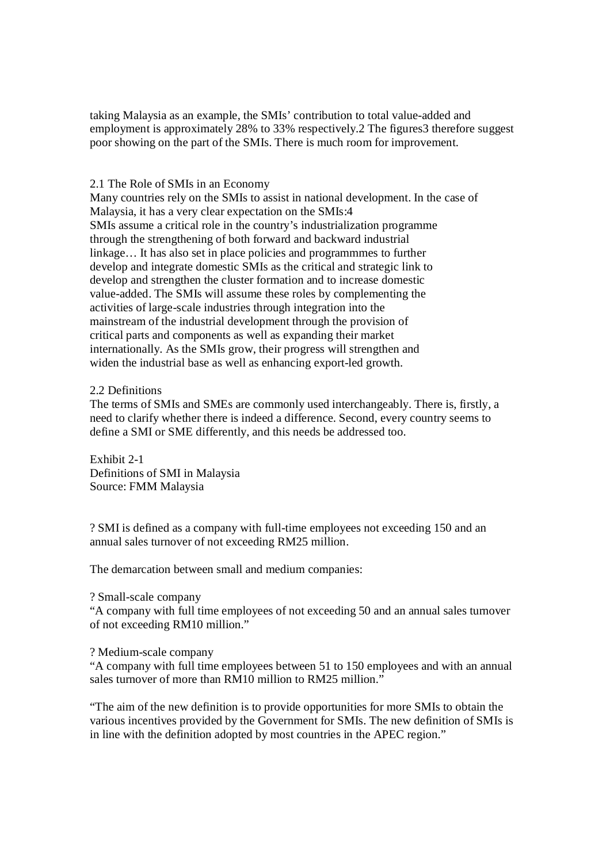taking Malaysia as an example, the SMIs' contribution to total value-added and employment is approximately 28% to 33% respectively.2 The figures3 therefore suggest poor showing on the part of the SMIs. There is much room for improvement.

# 2.1 The Role of SMIs in an Economy

Many countries rely on the SMIs to assist in national development. In the case of Malaysia, it has a very clear expectation on the SMIs:4 SMIs assume a critical role in the country's industrialization programme through the strengthening of both forward and backward industrial linkage… It has also set in place policies and programmmes to further develop and integrate domestic SMIs as the critical and strategic link to develop and strengthen the cluster formation and to increase domestic value-added. The SMIs will assume these roles by complementing the activities of large-scale industries through integration into the mainstream of the industrial development through the provision of critical parts and components as well as expanding their market internationally. As the SMIs grow, their progress will strengthen and widen the industrial base as well as enhancing export-led growth.

## 2.2 Definitions

The terms of SMIs and SMEs are commonly used interchangeably. There is, firstly, a need to clarify whether there is indeed a difference. Second, every country seems to define a SMI or SME differently, and this needs be addressed too.

Exhibit 2-1 Definitions of SMI in Malaysia Source: FMM Malaysia

? SMI is defined as a company with full-time employees not exceeding 150 and an annual sales turnover of not exceeding RM25 million.

The demarcation between small and medium companies:

#### ? Small-scale company

"A company with full time employees of not exceeding 50 and an annual sales turnover of not exceeding RM10 million."

## ? Medium-scale company

"A company with full time employees between 51 to 150 employees and with an annual sales turnover of more than RM10 million to RM25 million."

"The aim of the new definition is to provide opportunities for more SMIs to obtain the various incentives provided by the Government for SMIs. The new definition of SMIs is in line with the definition adopted by most countries in the APEC region."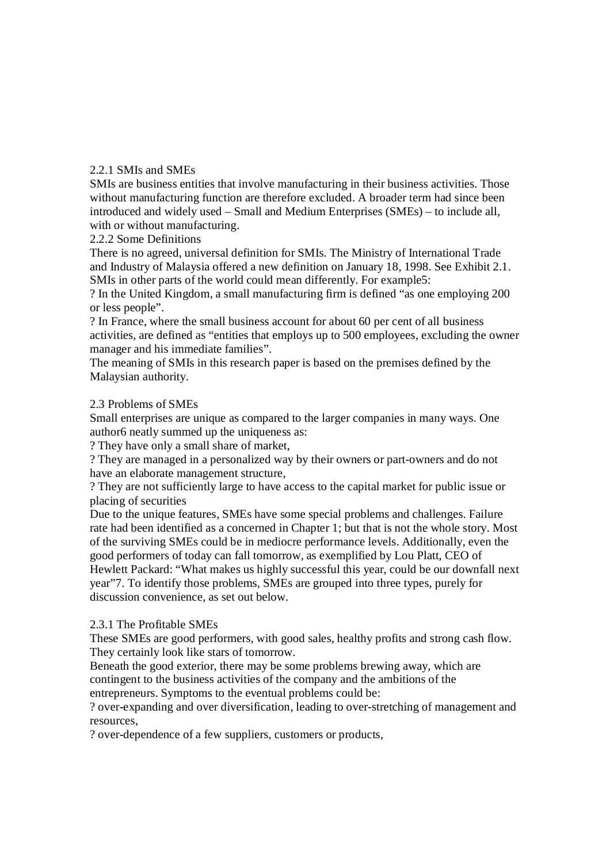# 2.2.1 SMIs and SMEs

SMIs are business entities that involve manufacturing in their business activities. Those without manufacturing function are therefore excluded. A broader term had since been introduced and widely used – Small and Medium Enterprises (SMEs) – to include all, with or without manufacturing.

2.2.2 Some Definitions

There is no agreed, universal definition for SMIs. The Ministry of International Trade and Industry of Malaysia offered a new definition on January 18, 1998. See Exhibit 2.1. SMIs in other parts of the world could mean differently. For example5:

? In the United Kingdom, a small manufacturing firm is defined "as one employing 200 or less people".

? In France, where the small business account for about 60 per cent of all business activities, are defined as "entities that employs up to 500 employees, excluding the owner manager and his immediate families".

The meaning of SMIs in this research paper is based on the premises defined by the Malaysian authority.

# 2.3 Problems of SMEs

Small enterprises are unique as compared to the larger companies in many ways. One author6 neatly summed up the uniqueness as:

? They have only a small share of market,

? They are managed in a personalized way by their owners or part-owners and do not have an elaborate management structure,

? They are not sufficiently large to have access to the capital market for public issue or placing of securities

Due to the unique features, SMEs have some special problems and challenges. Failure rate had been identified as a concerned in Chapter 1; but that is not the whole story. Most of the surviving SMEs could be in mediocre performance levels. Additionally, even the good performers of today can fall tomorrow, as exemplified by Lou Platt, CEO of Hewlett Packard: "What makes us highly successful this year, could be our downfall next year"7. To identify those problems, SMEs are grouped into three types, purely for discussion convenience, as set out below.

## 2.3.1 The Profitable SMEs

These SMEs are good performers, with good sales, healthy profits and strong cash flow. They certainly look like stars of tomorrow.

Beneath the good exterior, there may be some problems brewing away, which are contingent to the business activities of the company and the ambitions of the entrepreneurs. Symptoms to the eventual problems could be:

? over-expanding and over diversification, leading to over-stretching of management and resources,

? over-dependence of a few suppliers, customers or products,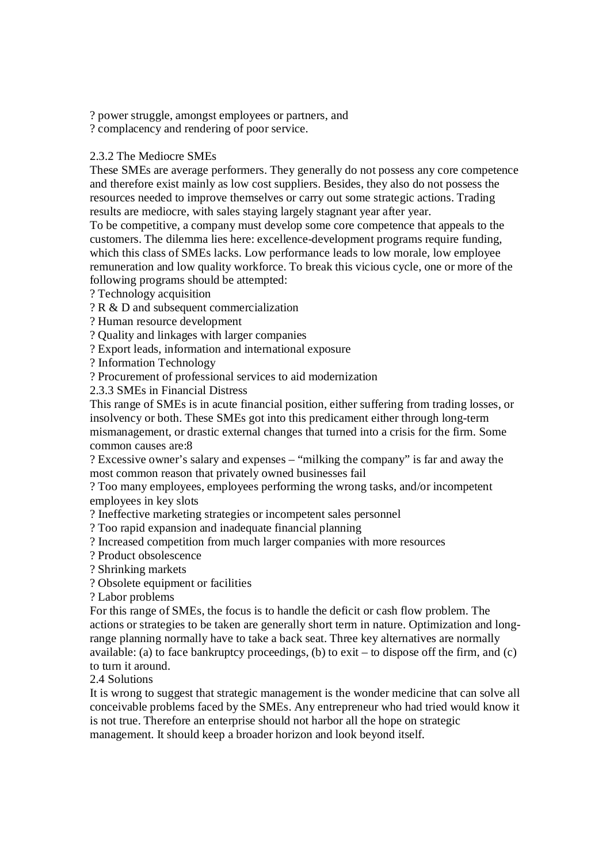? power struggle, amongst employees or partners, and

? complacency and rendering of poor service.

# 2.3.2 The Mediocre SMEs

These SMEs are average performers. They generally do not possess any core competence and therefore exist mainly as low cost suppliers. Besides, they also do not possess the resources needed to improve themselves or carry out some strategic actions. Trading results are mediocre, with sales staying largely stagnant year after year.

To be competitive, a company must develop some core competence that appeals to the customers. The dilemma lies here: excellence-development programs require funding, which this class of SMEs lacks. Low performance leads to low morale, low employee remuneration and low quality workforce. To break this vicious cycle, one or more of the following programs should be attempted:

? Technology acquisition

? R & D and subsequent commercialization

? Human resource development

? Quality and linkages with larger companies

? Export leads, information and international exposure

? Information Technology

? Procurement of professional services to aid modernization

2.3.3 SMEs in Financial Distress

This range of SMEs is in acute financial position, either suffering from trading losses, or insolvency or both. These SMEs got into this predicament either through long-term mismanagement, or drastic external changes that turned into a crisis for the firm. Some common causes are:8

? Excessive owner's salary and expenses – "milking the company" is far and away the most common reason that privately owned businesses fail

? Too many employees, employees performing the wrong tasks, and/or incompetent employees in key slots

? Ineffective marketing strategies or incompetent sales personnel

? Too rapid expansion and inadequate financial planning

? Increased competition from much larger companies with more resources

? Product obsolescence

? Shrinking markets

? Obsolete equipment or facilities

? Labor problems

For this range of SMEs, the focus is to handle the deficit or cash flow problem. The actions or strategies to be taken are generally short term in nature. Optimization and longrange planning normally have to take a back seat. Three key alternatives are normally available: (a) to face bankruptcy proceedings, (b) to  $exit - to$  dispose off the firm, and (c) to turn it around.

2.4 Solutions

It is wrong to suggest that strategic management is the wonder medicine that can solve all conceivable problems faced by the SMEs. Any entrepreneur who had tried would know it is not true. Therefore an enterprise should not harbor all the hope on strategic management. It should keep a broader horizon and look beyond itself.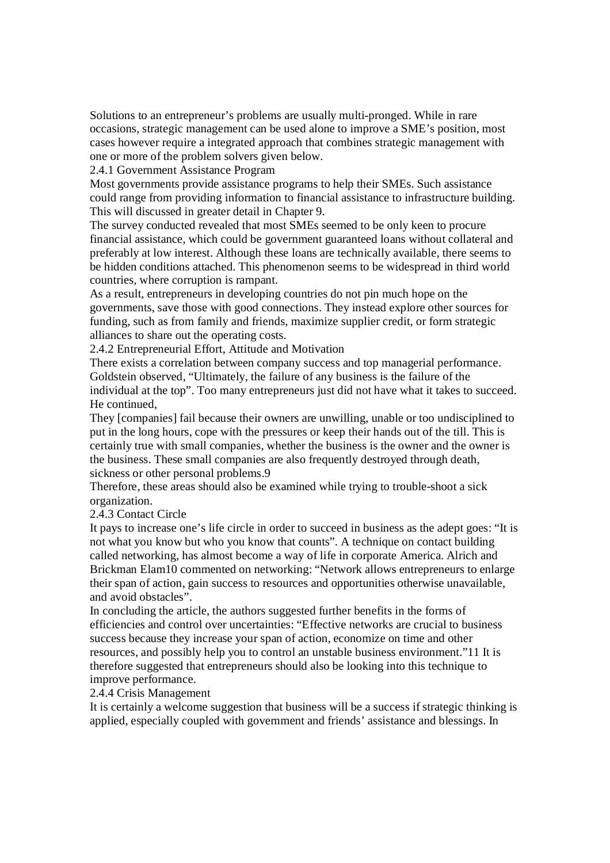Solutions to an entrepreneur's problems are usually multi-pronged. While in rare occasions, strategic management can be used alone to improve a SME's position, most cases however require a integrated approach that combines strategic management with one or more of the problem solvers given below.

2.4.1 Government Assistance Program

Most governments provide assistance programs to help their SMEs. Such assistance could range from providing information to financial assistance to infrastructure building. This will discussed in greater detail in Chapter 9.

The survey conducted revealed that most SMEs seemed to be only keen to procure financial assistance, which could be government guaranteed loans without collateral and preferably at low interest. Although these loans are technically available, there seems to be hidden conditions attached. This phenomenon seems to be widespread in third world countries, where corruption is rampant.

As a result, entrepreneurs in developing countries do not pin much hope on the governments, save those with good connections. They instead explore other sources for funding, such as from family and friends, maximize supplier credit, or form strategic alliances to share out the operating costs.

2.4.2 Entrepreneurial Effort, Attitude and Motivation

There exists a correlation between company success and top managerial performance. Goldstein observed, "Ultimately, the failure of any business is the failure of the individual at the top". Too many entrepreneurs just did not have what it takes to succeed. He continued,

They [companies] fail because their owners are unwilling, unable or too undisciplined to put in the long hours, cope with the pressures or keep their hands out of the till. This is certainly true with small companies, whether the business is the owner and the owner is the business. These small companies are also frequently destroyed through death, sickness or other personal problems.9

Therefore, these areas should also be examined while trying to trouble-shoot a sick organization.

2.4.3 Contact Circle

It pays to increase one's life circle in order to succeed in business as the adept goes: "It is not what you know but who you know that counts". A technique on contact building called networking, has almost become a way of life in corporate America. Alrich and Brickman Elam10 commented on networking: "Network allows entrepreneurs to enlarge their span of action, gain success to resources and opportunities otherwise unavailable, and avoid obstacles".

In concluding the article, the authors suggested further benefits in the forms of efficiencies and control over uncertainties: "Effective networks are crucial to business success because they increase your span of action, economize on time and other resources, and possibly help you to control an unstable business environment."11 It is therefore suggested that entrepreneurs should also be looking into this technique to improve performance.

## 2.4.4 Crisis Management

It is certainly a welcome suggestion that business will be a success if strategic thinking is applied, especially coupled with government and friends' assistance and blessings. In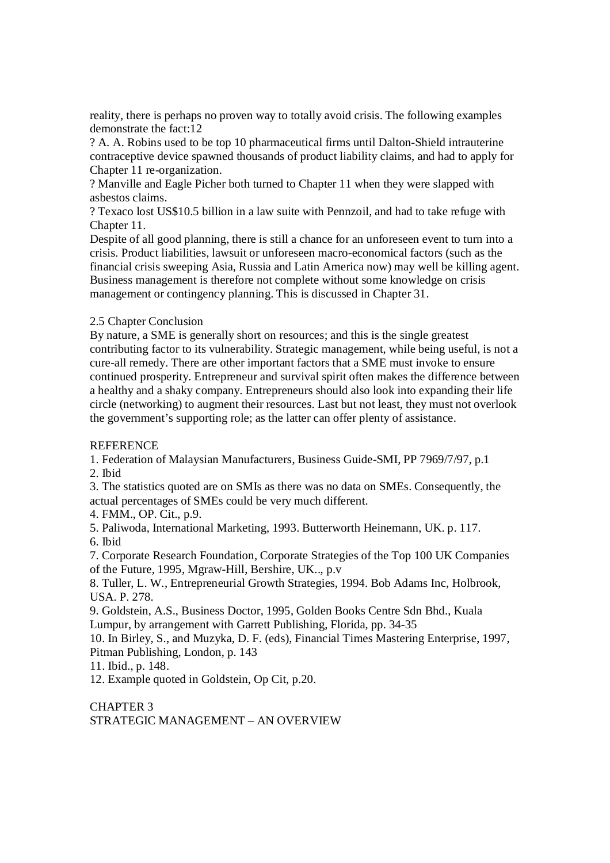reality, there is perhaps no proven way to totally avoid crisis. The following examples demonstrate the fact:12

? A. A. Robins used to be top 10 pharmaceutical firms until Dalton-Shield intrauterine contraceptive device spawned thousands of product liability claims, and had to apply for Chapter 11 re-organization.

? Manville and Eagle Picher both turned to Chapter 11 when they were slapped with asbestos claims.

? Texaco lost US\$10.5 billion in a law suite with Pennzoil, and had to take refuge with Chapter 11.

Despite of all good planning, there is still a chance for an unforeseen event to turn into a crisis. Product liabilities, lawsuit or unforeseen macro-economical factors (such as the financial crisis sweeping Asia, Russia and Latin America now) may well be killing agent. Business management is therefore not complete without some knowledge on crisis management or contingency planning. This is discussed in Chapter 31.

# 2.5 Chapter Conclusion

By nature, a SME is generally short on resources; and this is the single greatest contributing factor to its vulnerability. Strategic management, while being useful, is not a cure-all remedy. There are other important factors that a SME must invoke to ensure continued prosperity. Entrepreneur and survival spirit often makes the difference between a healthy and a shaky company. Entrepreneurs should also look into expanding their life circle (networking) to augment their resources. Last but not least, they must not overlook the government's supporting role; as the latter can offer plenty of assistance.

## **REFERENCE**

1. Federation of Malaysian Manufacturers, Business Guide-SMI, PP 7969/7/97, p.1

2. Ibid

3. The statistics quoted are on SMIs as there was no data on SMEs. Consequently, the actual percentages of SMEs could be very much different.

4. FMM., OP. Cit., p.9.

5. Paliwoda, International Marketing, 1993. Butterworth Heinemann, UK. p. 117.

6. Ibid

7. Corporate Research Foundation, Corporate Strategies of the Top 100 UK Companies of the Future, 1995, Mgraw-Hill, Bershire, UK.., p.v

8. Tuller, L. W., Entrepreneurial Growth Strategies, 1994. Bob Adams Inc, Holbrook, USA. P. 278.

9. Goldstein, A.S., Business Doctor, 1995, Golden Books Centre Sdn Bhd., Kuala Lumpur, by arrangement with Garrett Publishing, Florida, pp. 34-35

10. In Birley, S., and Muzyka, D. F. (eds), Financial Times Mastering Enterprise, 1997, Pitman Publishing, London, p. 143

11. Ibid., p. 148.

12. Example quoted in Goldstein, Op Cit, p.20.

CHAPTER 3 STRATEGIC MANAGEMENT – AN OVERVIEW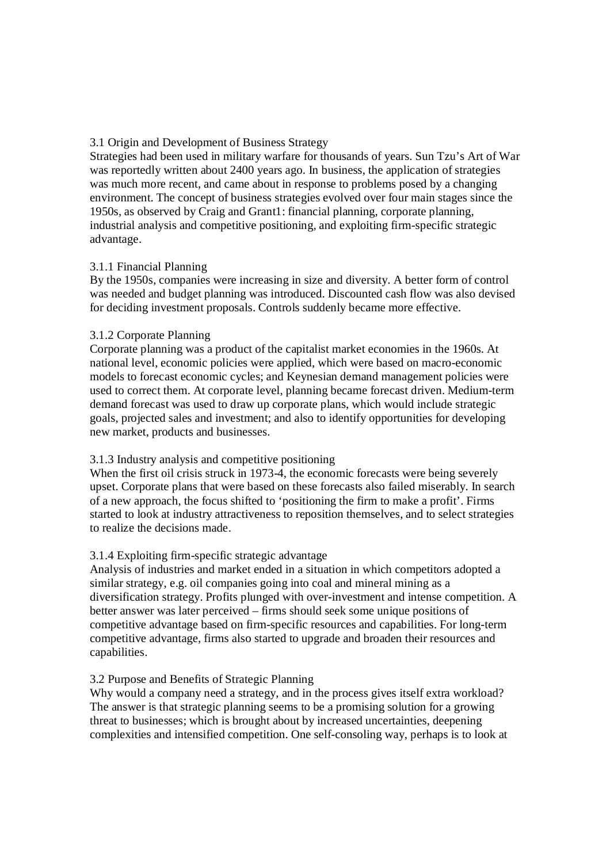# 3.1 Origin and Development of Business Strategy

Strategies had been used in military warfare for thousands of years. Sun Tzu's Art of War was reportedly written about 2400 years ago. In business, the application of strategies was much more recent, and came about in response to problems posed by a changing environment. The concept of business strategies evolved over four main stages since the 1950s, as observed by Craig and Grant1: financial planning, corporate planning, industrial analysis and competitive positioning, and exploiting firm-specific strategic advantage.

# 3.1.1 Financial Planning

By the 1950s, companies were increasing in size and diversity. A better form of control was needed and budget planning was introduced. Discounted cash flow was also devised for deciding investment proposals. Controls suddenly became more effective.

# 3.1.2 Corporate Planning

Corporate planning was a product of the capitalist market economies in the 1960s. At national level, economic policies were applied, which were based on macro-economic models to forecast economic cycles; and Keynesian demand management policies were used to correct them. At corporate level, planning became forecast driven. Medium-term demand forecast was used to draw up corporate plans, which would include strategic goals, projected sales and investment; and also to identify opportunities for developing new market, products and businesses.

# 3.1.3 Industry analysis and competitive positioning

When the first oil crisis struck in 1973-4, the economic forecasts were being severely upset. Corporate plans that were based on these forecasts also failed miserably. In search of a new approach, the focus shifted to 'positioning the firm to make a profit'. Firms started to look at industry attractiveness to reposition themselves, and to select strategies to realize the decisions made.

# 3.1.4 Exploiting firm-specific strategic advantage

Analysis of industries and market ended in a situation in which competitors adopted a similar strategy, e.g. oil companies going into coal and mineral mining as a diversification strategy. Profits plunged with over-investment and intense competition. A better answer was later perceived – firms should seek some unique positions of competitive advantage based on firm-specific resources and capabilities. For long-term competitive advantage, firms also started to upgrade and broaden their resources and capabilities.

# 3.2 Purpose and Benefits of Strategic Planning

Why would a company need a strategy, and in the process gives itself extra workload? The answer is that strategic planning seems to be a promising solution for a growing threat to businesses; which is brought about by increased uncertainties, deepening complexities and intensified competition. One self-consoling way, perhaps is to look at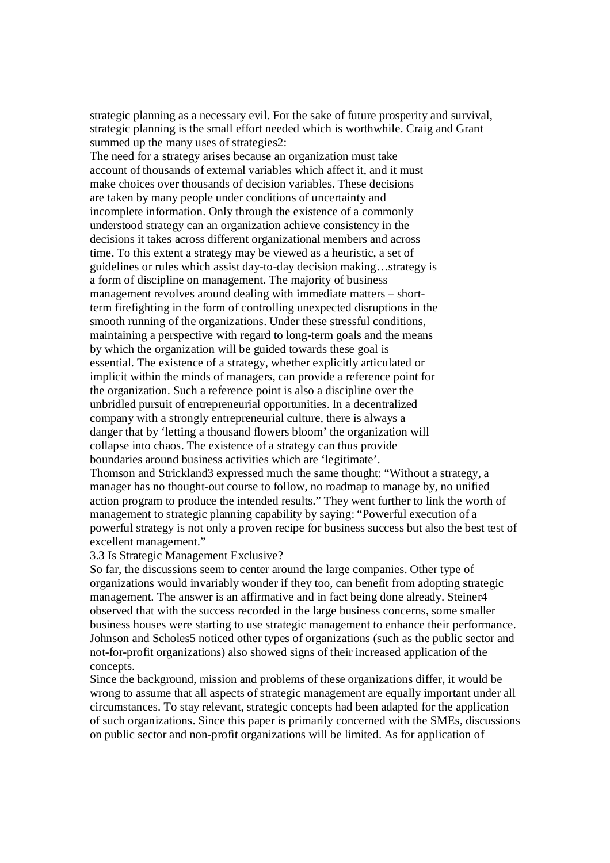strategic planning as a necessary evil. For the sake of future prosperity and survival, strategic planning is the small effort needed which is worthwhile. Craig and Grant summed up the many uses of strategies2:

The need for a strategy arises because an organization must take account of thousands of external variables which affect it, and it must make choices over thousands of decision variables. These decisions are taken by many people under conditions of uncertainty and incomplete information. Only through the existence of a commonly understood strategy can an organization achieve consistency in the decisions it takes across different organizational members and across time. To this extent a strategy may be viewed as a heuristic, a set of guidelines or rules which assist day-to-day decision making…strategy is a form of discipline on management. The majority of business management revolves around dealing with immediate matters – shortterm firefighting in the form of controlling unexpected disruptions in the smooth running of the organizations. Under these stressful conditions, maintaining a perspective with regard to long-term goals and the means by which the organization will be guided towards these goal is essential. The existence of a strategy, whether explicitly articulated or implicit within the minds of managers, can provide a reference point for the organization. Such a reference point is also a discipline over the unbridled pursuit of entrepreneurial opportunities. In a decentralized company with a strongly entrepreneurial culture, there is always a danger that by 'letting a thousand flowers bloom' the organization will collapse into chaos. The existence of a strategy can thus provide boundaries around business activities which are 'legitimate'. Thomson and Strickland3 expressed much the same thought: "Without a strategy, a manager has no thought-out course to follow, no roadmap to manage by, no unified action program to produce the intended results." They went further to link the worth of management to strategic planning capability by saying: "Powerful execution of a powerful strategy is not only a proven recipe for business success but also the best test of excellent management."

#### 3.3 Is Strategic Management Exclusive?

So far, the discussions seem to center around the large companies. Other type of organizations would invariably wonder if they too, can benefit from adopting strategic management. The answer is an affirmative and in fact being done already. Steiner4 observed that with the success recorded in the large business concerns, some smaller business houses were starting to use strategic management to enhance their performance. Johnson and Scholes5 noticed other types of organizations (such as the public sector and not-for-profit organizations) also showed signs of their increased application of the concepts.

Since the background, mission and problems of these organizations differ, it would be wrong to assume that all aspects of strategic management are equally important under all circumstances. To stay relevant, strategic concepts had been adapted for the application of such organizations. Since this paper is primarily concerned with the SMEs, discussions on public sector and non-profit organizations will be limited. As for application of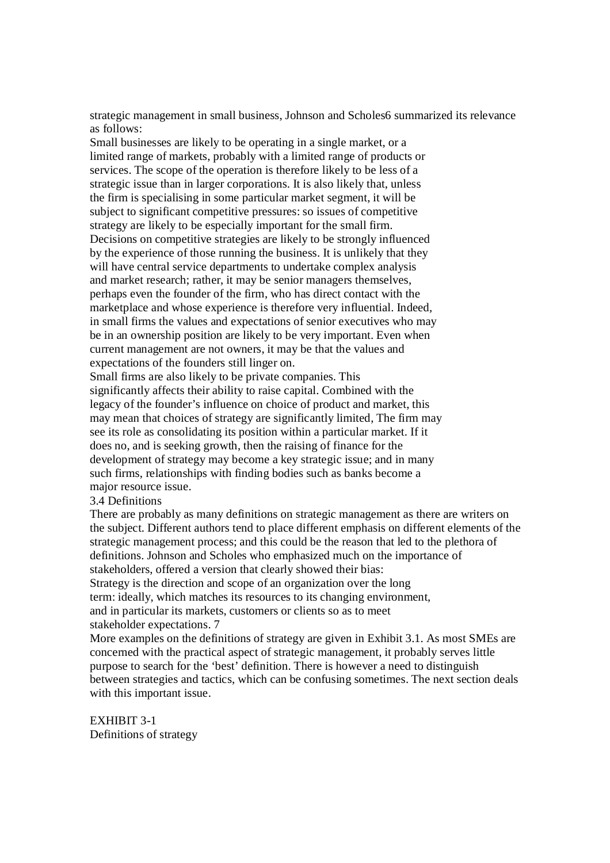strategic management in small business, Johnson and Scholes6 summarized its relevance as follows:

Small businesses are likely to be operating in a single market, or a limited range of markets, probably with a limited range of products or services. The scope of the operation is therefore likely to be less of a strategic issue than in larger corporations. It is also likely that, unless the firm is specialising in some particular market segment, it will be subject to significant competitive pressures: so issues of competitive strategy are likely to be especially important for the small firm. Decisions on competitive strategies are likely to be strongly influenced by the experience of those running the business. It is unlikely that they will have central service departments to undertake complex analysis and market research; rather, it may be senior managers themselves, perhaps even the founder of the firm, who has direct contact with the marketplace and whose experience is therefore very influential. Indeed, in small firms the values and expectations of senior executives who may be in an ownership position are likely to be very important. Even when current management are not owners, it may be that the values and expectations of the founders still linger on.

Small firms are also likely to be private companies. This significantly affects their ability to raise capital. Combined with the legacy of the founder's influence on choice of product and market, this may mean that choices of strategy are significantly limited, The firm may see its role as consolidating its position within a particular market. If it does no, and is seeking growth, then the raising of finance for the development of strategy may become a key strategic issue; and in many such firms, relationships with finding bodies such as banks become a major resource issue.

# 3.4 Definitions

There are probably as many definitions on strategic management as there are writers on the subject. Different authors tend to place different emphasis on different elements of the strategic management process; and this could be the reason that led to the plethora of definitions. Johnson and Scholes who emphasized much on the importance of stakeholders, offered a version that clearly showed their bias: Strategy is the direction and scope of an organization over the long term: ideally, which matches its resources to its changing environment, and in particular its markets, customers or clients so as to meet stakeholder expectations. 7

More examples on the definitions of strategy are given in Exhibit 3.1. As most SMEs are concerned with the practical aspect of strategic management, it probably serves little purpose to search for the 'best' definition. There is however a need to distinguish between strategies and tactics, which can be confusing sometimes. The next section deals with this important issue.

EXHIBIT 3-1 Definitions of strategy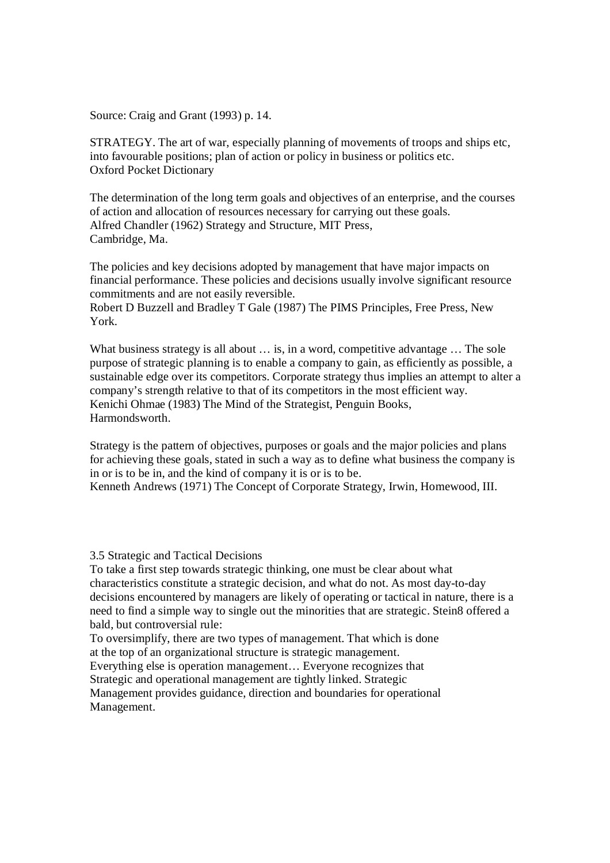Source: Craig and Grant (1993) p. 14.

STRATEGY. The art of war, especially planning of movements of troops and ships etc, into favourable positions; plan of action or policy in business or politics etc. Oxford Pocket Dictionary

The determination of the long term goals and objectives of an enterprise, and the courses of action and allocation of resources necessary for carrying out these goals. Alfred Chandler (1962) Strategy and Structure, MIT Press, Cambridge, Ma.

The policies and key decisions adopted by management that have major impacts on financial performance. These policies and decisions usually involve significant resource commitments and are not easily reversible.

Robert D Buzzell and Bradley T Gale (1987) The PIMS Principles, Free Press, New York.

What business strategy is all about  $\dots$  is, in a word, competitive advantage  $\dots$  The sole purpose of strategic planning is to enable a company to gain, as efficiently as possible, a sustainable edge over its competitors. Corporate strategy thus implies an attempt to alter a company's strength relative to that of its competitors in the most efficient way. Kenichi Ohmae (1983) The Mind of the Strategist, Penguin Books, Harmondsworth.

Strategy is the pattern of objectives, purposes or goals and the major policies and plans for achieving these goals, stated in such a way as to define what business the company is in or is to be in, and the kind of company it is or is to be.

Kenneth Andrews (1971) The Concept of Corporate Strategy, Irwin, Homewood, III.

3.5 Strategic and Tactical Decisions

To take a first step towards strategic thinking, one must be clear about what characteristics constitute a strategic decision, and what do not. As most day-to-day decisions encountered by managers are likely of operating or tactical in nature, there is a need to find a simple way to single out the minorities that are strategic. Stein8 offered a bald, but controversial rule:

To oversimplify, there are two types of management. That which is done at the top of an organizational structure is strategic management.

Everything else is operation management… Everyone recognizes that Strategic and operational management are tightly linked. Strategic Management provides guidance, direction and boundaries for operational Management.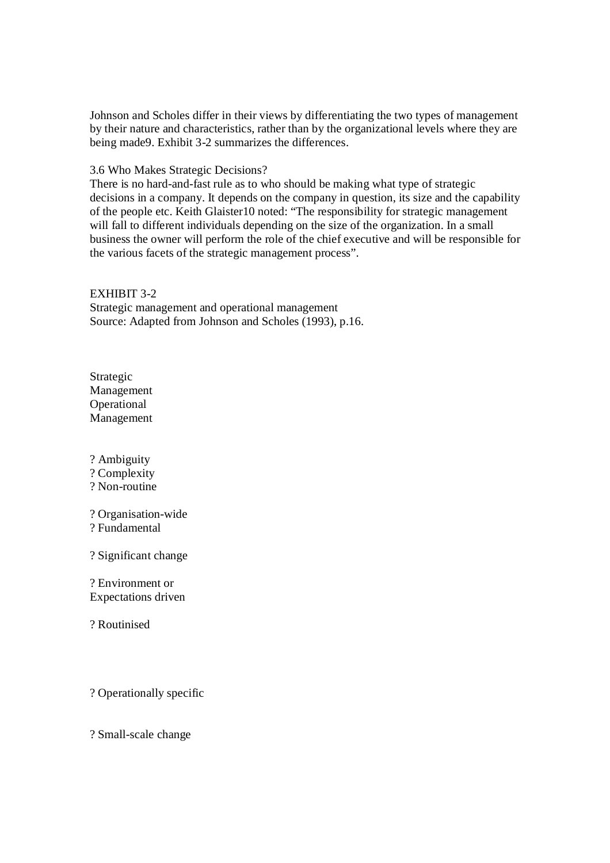Johnson and Scholes differ in their views by differentiating the two types of management by their nature and characteristics, rather than by the organizational levels where they are being made9. Exhibit 3-2 summarizes the differences.

# 3.6 Who Makes Strategic Decisions?

There is no hard-and-fast rule as to who should be making what type of strategic decisions in a company. It depends on the company in question, its size and the capability of the people etc. Keith Glaister10 noted: "The responsibility for strategic management will fall to different individuals depending on the size of the organization. In a small business the owner will perform the role of the chief executive and will be responsible for the various facets of the strategic management process".

# EXHIBIT 3-2

Strategic management and operational management Source: Adapted from Johnson and Scholes (1993), p.16.

Strategic Management Operational Management

? Ambiguity

? Complexity

? Non-routine

? Organisation-wide

? Fundamental

? Significant change

? Environment or Expectations driven

? Routinised

? Operationally specific

? Small-scale change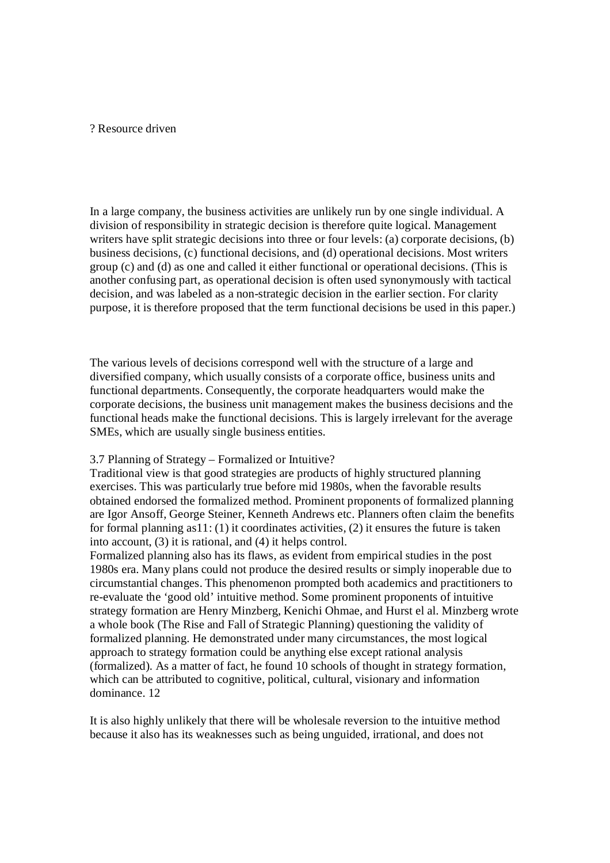# ? Resource driven

In a large company, the business activities are unlikely run by one single individual. A division of responsibility in strategic decision is therefore quite logical. Management writers have split strategic decisions into three or four levels: (a) corporate decisions, (b) business decisions, (c) functional decisions, and (d) operational decisions. Most writers group (c) and (d) as one and called it either functional or operational decisions. (This is another confusing part, as operational decision is often used synonymously with tactical decision, and was labeled as a non-strategic decision in the earlier section. For clarity purpose, it is therefore proposed that the term functional decisions be used in this paper.)

The various levels of decisions correspond well with the structure of a large and diversified company, which usually consists of a corporate office, business units and functional departments. Consequently, the corporate headquarters would make the corporate decisions, the business unit management makes the business decisions and the functional heads make the functional decisions. This is largely irrelevant for the average SMEs, which are usually single business entities.

## 3.7 Planning of Strategy – Formalized or Intuitive?

Traditional view is that good strategies are products of highly structured planning exercises. This was particularly true before mid 1980s, when the favorable results obtained endorsed the formalized method. Prominent proponents of formalized planning are Igor Ansoff, George Steiner, Kenneth Andrews etc. Planners often claim the benefits for formal planning as  $11: (1)$  it coordinates activities,  $(2)$  it ensures the future is taken into account, (3) it is rational, and (4) it helps control.

Formalized planning also has its flaws, as evident from empirical studies in the post 1980s era. Many plans could not produce the desired results or simply inoperable due to circumstantial changes. This phenomenon prompted both academics and practitioners to re-evaluate the 'good old' intuitive method. Some prominent proponents of intuitive strategy formation are Henry Minzberg, Kenichi Ohmae, and Hurst el al. Minzberg wrote a whole book (The Rise and Fall of Strategic Planning) questioning the validity of formalized planning. He demonstrated under many circumstances, the most logical approach to strategy formation could be anything else except rational analysis (formalized). As a matter of fact, he found 10 schools of thought in strategy formation, which can be attributed to cognitive, political, cultural, visionary and information dominance. 12

It is also highly unlikely that there will be wholesale reversion to the intuitive method because it also has its weaknesses such as being unguided, irrational, and does not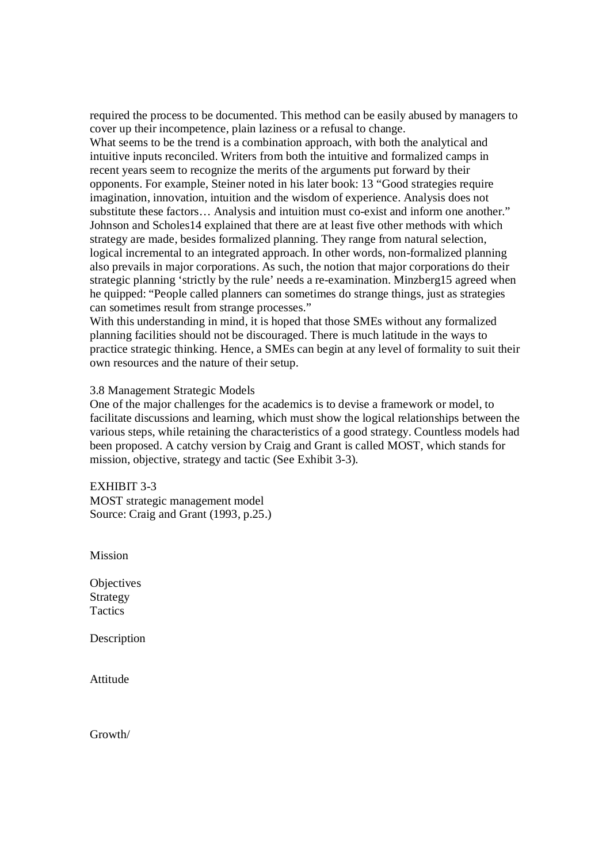required the process to be documented. This method can be easily abused by managers to cover up their incompetence, plain laziness or a refusal to change.

What seems to be the trend is a combination approach, with both the analytical and intuitive inputs reconciled. Writers from both the intuitive and formalized camps in recent years seem to recognize the merits of the arguments put forward by their opponents. For example, Steiner noted in his later book: 13 "Good strategies require imagination, innovation, intuition and the wisdom of experience. Analysis does not substitute these factors… Analysis and intuition must co-exist and inform one another." Johnson and Scholes14 explained that there are at least five other methods with which strategy are made, besides formalized planning. They range from natural selection, logical incremental to an integrated approach. In other words, non-formalized planning also prevails in major corporations. As such, the notion that major corporations do their strategic planning 'strictly by the rule' needs a re-examination. Minzberg15 agreed when he quipped: "People called planners can sometimes do strange things, just as strategies can sometimes result from strange processes."

With this understanding in mind, it is hoped that those SMEs without any formalized planning facilities should not be discouraged. There is much latitude in the ways to practice strategic thinking. Hence, a SMEs can begin at any level of formality to suit their own resources and the nature of their setup.

### 3.8 Management Strategic Models

One of the major challenges for the academics is to devise a framework or model, to facilitate discussions and learning, which must show the logical relationships between the various steps, while retaining the characteristics of a good strategy. Countless models had been proposed. A catchy version by Craig and Grant is called MOST, which stands for mission, objective, strategy and tactic (See Exhibit 3-3).

EXHIBIT 3-3 MOST strategic management model Source: Craig and Grant (1993, p.25.)

Mission

**Objectives** Strategy **Tactics** 

Description

Attitude

Growth/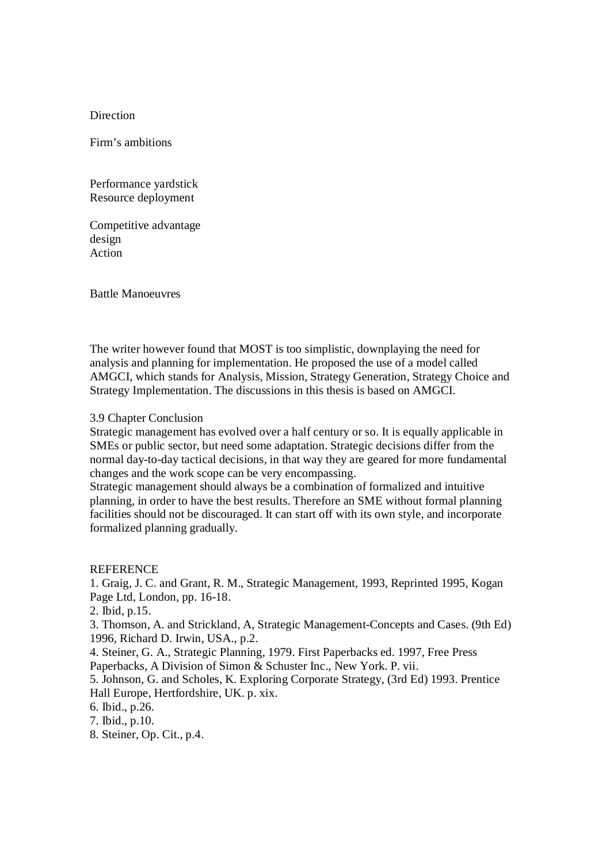## Direction

Firm's ambitions

Performance yardstick Resource deployment

Competitive advantage design Action

Battle Manoeuvres

The writer however found that MOST is too simplistic, downplaying the need for analysis and planning for implementation. He proposed the use of a model called AMGCI, which stands for Analysis, Mission, Strategy Generation, Strategy Choice and Strategy Implementation. The discussions in this thesis is based on AMGCI.

# 3.9 Chapter Conclusion

Strategic management has evolved over a half century or so. It is equally applicable in SMEs or public sector, but need some adaptation. Strategic decisions differ from the normal day-to-day tactical decisions, in that way they are geared for more fundamental changes and the work scope can be very encompassing.

Strategic management should always be a combination of formalized and intuitive planning, in order to have the best results. Therefore an SME without formal planning facilities should not be discouraged. It can start off with its own style, and incorporate formalized planning gradually.

#### **REFERENCE**

1. Graig, J. C. and Grant, R. M., Strategic Management, 1993, Reprinted 1995, Kogan Page Ltd, London, pp. 16-18.

2. Ibid, p.15.

3. Thomson, A. and Strickland, A, Strategic Management-Concepts and Cases. (9th Ed) 1996, Richard D. Irwin, USA., p.2.

4. Steiner, G. A., Strategic Planning, 1979. First Paperbacks ed. 1997, Free Press Paperbacks, A Division of Simon & Schuster Inc., New York. P. vii.

5. Johnson, G. and Scholes, K. Exploring Corporate Strategy, (3rd Ed) 1993. Prentice Hall Europe, Hertfordshire, UK. p. xix.

6. Ibid., p.26.

7. Ibid., p.10.

8. Steiner, Op. Cit., p.4.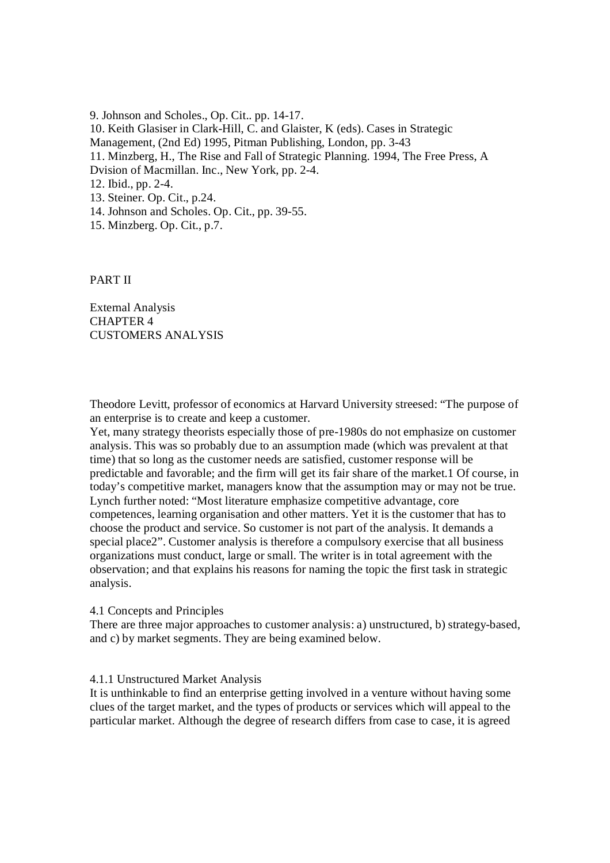9. Johnson and Scholes., Op. Cit.. pp. 14-17. 10. Keith Glasiser in Clark-Hill, C. and Glaister, K (eds). Cases in Strategic Management, (2nd Ed) 1995, Pitman Publishing, London, pp. 3-43 11. Minzberg, H., The Rise and Fall of Strategic Planning. 1994, The Free Press, A Dvision of Macmillan. Inc., New York, pp. 2-4. 12. Ibid., pp. 2-4. 13. Steiner. Op. Cit., p.24. 14. Johnson and Scholes. Op. Cit., pp. 39-55. 15. Minzberg. Op. Cit., p.7.

PART II

External Analysis CHAPTER 4 CUSTOMERS ANALYSIS

Theodore Levitt, professor of economics at Harvard University streesed: "The purpose of an enterprise is to create and keep a customer.

Yet, many strategy theorists especially those of pre-1980s do not emphasize on customer analysis. This was so probably due to an assumption made (which was prevalent at that time) that so long as the customer needs are satisfied, customer response will be predictable and favorable; and the firm will get its fair share of the market.1 Of course, in today's competitive market, managers know that the assumption may or may not be true. Lynch further noted: "Most literature emphasize competitive advantage, core competences, learning organisation and other matters. Yet it is the customer that has to choose the product and service. So customer is not part of the analysis. It demands a special place2". Customer analysis is therefore a compulsory exercise that all business organizations must conduct, large or small. The writer is in total agreement with the observation; and that explains his reasons for naming the topic the first task in strategic analysis.

4.1 Concepts and Principles

There are three major approaches to customer analysis: a) unstructured, b) strategy-based, and c) by market segments. They are being examined below.

## 4.1.1 Unstructured Market Analysis

It is unthinkable to find an enterprise getting involved in a venture without having some clues of the target market, and the types of products or services which will appeal to the particular market. Although the degree of research differs from case to case, it is agreed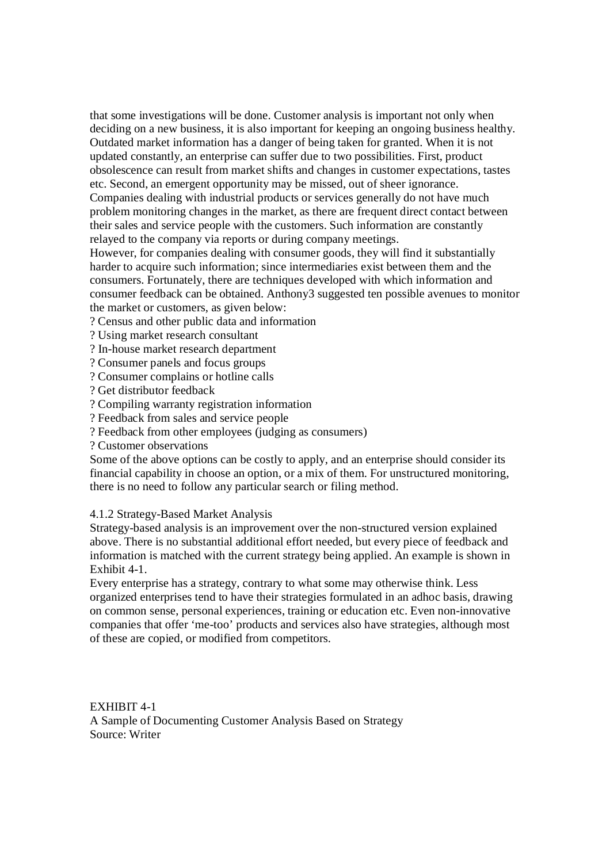that some investigations will be done. Customer analysis is important not only when deciding on a new business, it is also important for keeping an ongoing business healthy. Outdated market information has a danger of being taken for granted. When it is not updated constantly, an enterprise can suffer due to two possibilities. First, product obsolescence can result from market shifts and changes in customer expectations, tastes etc. Second, an emergent opportunity may be missed, out of sheer ignorance.

Companies dealing with industrial products or services generally do not have much problem monitoring changes in the market, as there are frequent direct contact between their sales and service people with the customers. Such information are constantly relayed to the company via reports or during company meetings.

However, for companies dealing with consumer goods, they will find it substantially harder to acquire such information; since intermediaries exist between them and the consumers. Fortunately, there are techniques developed with which information and consumer feedback can be obtained. Anthony3 suggested ten possible avenues to monitor the market or customers, as given below:

? Census and other public data and information

? Using market research consultant

? In-house market research department

? Consumer panels and focus groups

? Consumer complains or hotline calls

? Get distributor feedback

? Compiling warranty registration information

? Feedback from sales and service people

? Feedback from other employees (judging as consumers)

? Customer observations

Some of the above options can be costly to apply, and an enterprise should consider its financial capability in choose an option, or a mix of them. For unstructured monitoring, there is no need to follow any particular search or filing method.

## 4.1.2 Strategy-Based Market Analysis

Strategy-based analysis is an improvement over the non-structured version explained above. There is no substantial additional effort needed, but every piece of feedback and information is matched with the current strategy being applied. An example is shown in Exhibit 4-1.

Every enterprise has a strategy, contrary to what some may otherwise think. Less organized enterprises tend to have their strategies formulated in an adhoc basis, drawing on common sense, personal experiences, training or education etc. Even non-innovative companies that offer 'me-too' products and services also have strategies, although most of these are copied, or modified from competitors.

EXHIBIT 4-1 A Sample of Documenting Customer Analysis Based on Strategy Source: Writer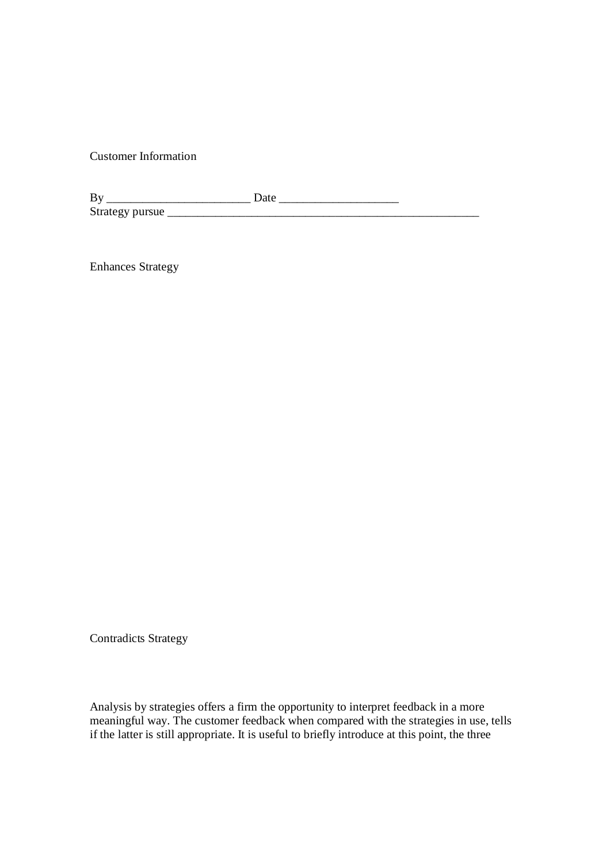Customer Information

| B <sub>1</sub>  |  |
|-----------------|--|
| Strategy pursue |  |

Enhances Strategy

Contradicts Strategy

Analysis by strategies offers a firm the opportunity to interpret feedback in a more meaningful way. The customer feedback when compared with the strategies in use, tells if the latter is still appropriate. It is useful to briefly introduce at this point, the three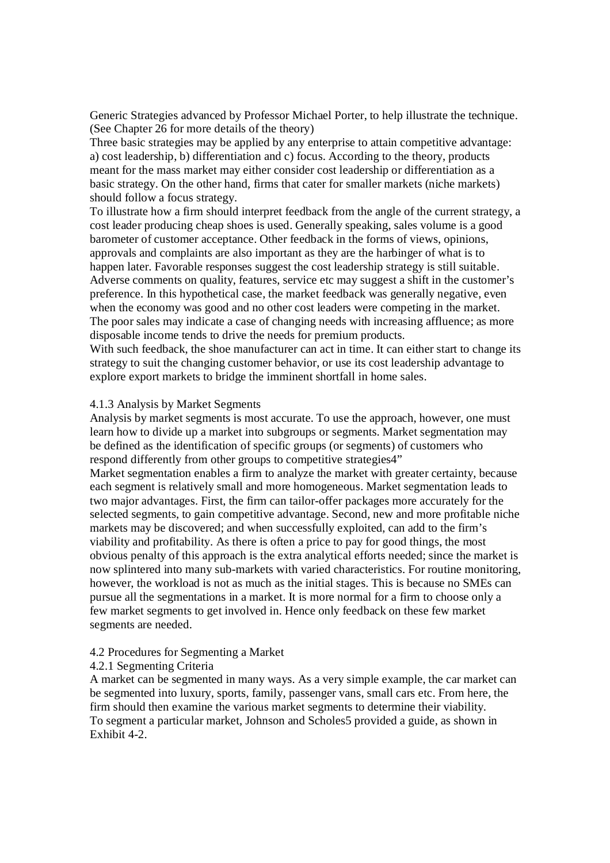Generic Strategies advanced by Professor Michael Porter, to help illustrate the technique. (See Chapter 26 for more details of the theory)

Three basic strategies may be applied by any enterprise to attain competitive advantage: a) cost leadership, b) differentiation and c) focus. According to the theory, products meant for the mass market may either consider cost leadership or differentiation as a basic strategy. On the other hand, firms that cater for smaller markets (niche markets) should follow a focus strategy.

To illustrate how a firm should interpret feedback from the angle of the current strategy, a cost leader producing cheap shoes is used. Generally speaking, sales volume is a good barometer of customer acceptance. Other feedback in the forms of views, opinions, approvals and complaints are also important as they are the harbinger of what is to happen later. Favorable responses suggest the cost leadership strategy is still suitable. Adverse comments on quality, features, service etc may suggest a shift in the customer's preference. In this hypothetical case, the market feedback was generally negative, even when the economy was good and no other cost leaders were competing in the market. The poor sales may indicate a case of changing needs with increasing affluence; as more disposable income tends to drive the needs for premium products.

With such feedback, the shoe manufacturer can act in time. It can either start to change its strategy to suit the changing customer behavior, or use its cost leadership advantage to explore export markets to bridge the imminent shortfall in home sales.

## 4.1.3 Analysis by Market Segments

Analysis by market segments is most accurate. To use the approach, however, one must learn how to divide up a market into subgroups or segments. Market segmentation may be defined as the identification of specific groups (or segments) of customers who respond differently from other groups to competitive strategies4"

Market segmentation enables a firm to analyze the market with greater certainty, because each segment is relatively small and more homogeneous. Market segmentation leads to two major advantages. First, the firm can tailor-offer packages more accurately for the selected segments, to gain competitive advantage. Second, new and more profitable niche markets may be discovered; and when successfully exploited, can add to the firm's viability and profitability. As there is often a price to pay for good things, the most obvious penalty of this approach is the extra analytical efforts needed; since the market is now splintered into many sub-markets with varied characteristics. For routine monitoring, however, the workload is not as much as the initial stages. This is because no SMEs can pursue all the segmentations in a market. It is more normal for a firm to choose only a few market segments to get involved in. Hence only feedback on these few market segments are needed.

#### 4.2 Procedures for Segmenting a Market

## 4.2.1 Segmenting Criteria

A market can be segmented in many ways. As a very simple example, the car market can be segmented into luxury, sports, family, passenger vans, small cars etc. From here, the firm should then examine the various market segments to determine their viability. To segment a particular market, Johnson and Scholes5 provided a guide, as shown in Exhibit 4-2.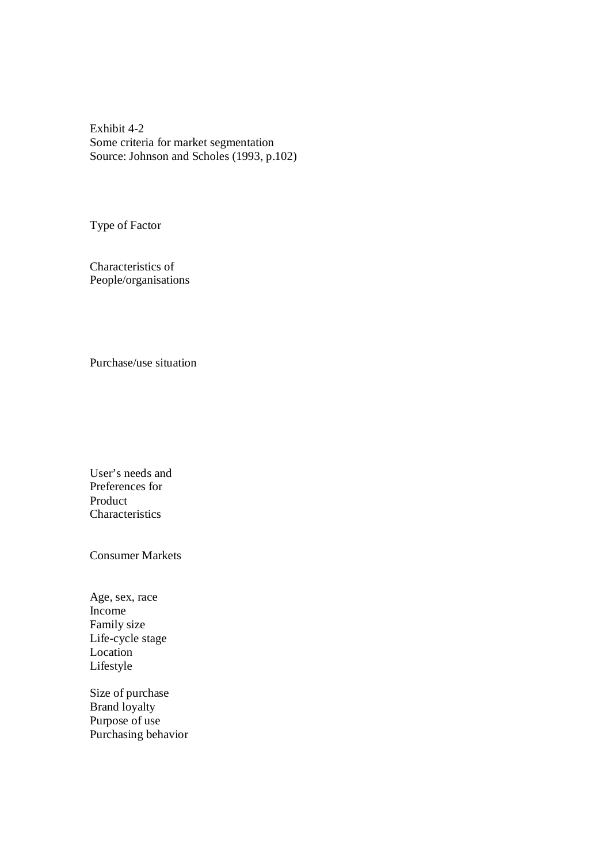Exhibit 4-2 Some criteria for market segmentation Source: Johnson and Scholes (1993, p.102)

Type of Factor

Characteristics of People/organisations

Purchase/use situation

User's needs and Preferences for Product **Characteristics** 

Consumer Markets

Age, sex, race Income Family size Life-cycle stage Location Lifestyle

Size of purchase Brand loyalty Purpose of use Purchasing behavior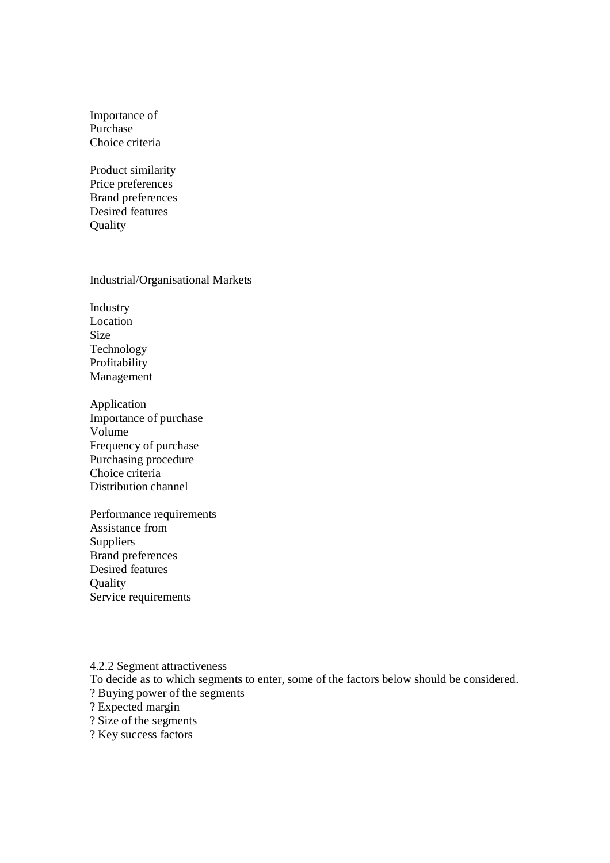Importance of Purchase Choice criteria

Product similarity Price preferences Brand preferences Desired features **Quality** 

# Industrial/Organisational Markets

Industry Location Size Technology Profitability Management

- Application Importance of purchase Volume Frequency of purchase Purchasing procedure Choice criteria Distribution channel
- Performance requirements Assistance from Suppliers Brand preferences Desired features **Ouality** Service requirements

4.2.2 Segment attractiveness To decide as to which segments to enter, some of the factors below should be considered. ? Buying power of the segments ? Expected margin ? Size of the segments ? Key success factors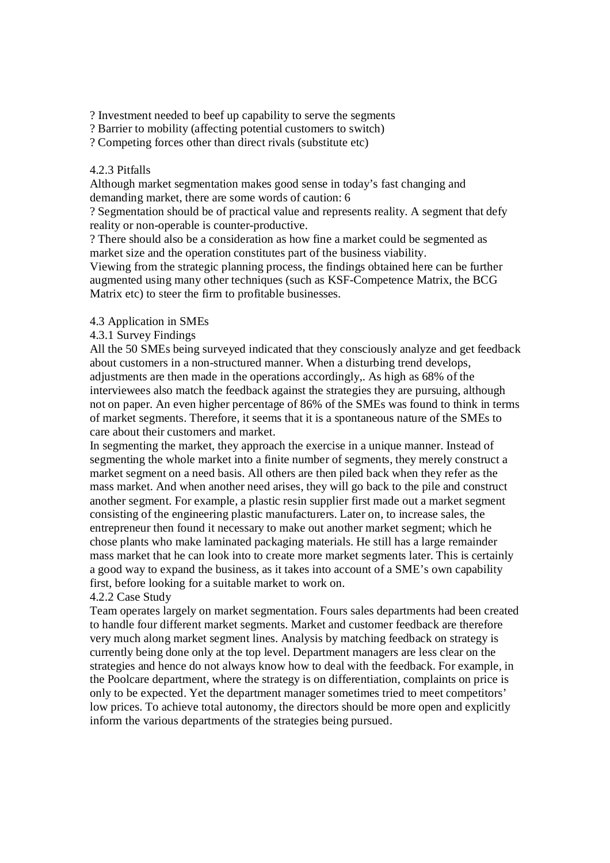? Investment needed to beef up capability to serve the segments

? Barrier to mobility (affecting potential customers to switch)

? Competing forces other than direct rivals (substitute etc)

## 4.2.3 Pitfalls

Although market segmentation makes good sense in today's fast changing and demanding market, there are some words of caution: 6

? Segmentation should be of practical value and represents reality. A segment that defy reality or non-operable is counter-productive.

? There should also be a consideration as how fine a market could be segmented as market size and the operation constitutes part of the business viability.

Viewing from the strategic planning process, the findings obtained here can be further augmented using many other techniques (such as KSF-Competence Matrix, the BCG Matrix etc) to steer the firm to profitable businesses.

# 4.3 Application in SMEs

# 4.3.1 Survey Findings

All the 50 SMEs being surveyed indicated that they consciously analyze and get feedback about customers in a non-structured manner. When a disturbing trend develops, adjustments are then made in the operations accordingly,. As high as 68% of the interviewees also match the feedback against the strategies they are pursuing, although not on paper. An even higher percentage of 86% of the SMEs was found to think in terms of market segments. Therefore, it seems that it is a spontaneous nature of the SMEs to care about their customers and market.

In segmenting the market, they approach the exercise in a unique manner. Instead of segmenting the whole market into a finite number of segments, they merely construct a market segment on a need basis. All others are then piled back when they refer as the mass market. And when another need arises, they will go back to the pile and construct another segment. For example, a plastic resin supplier first made out a market segment consisting of the engineering plastic manufacturers. Later on, to increase sales, the entrepreneur then found it necessary to make out another market segment; which he chose plants who make laminated packaging materials. He still has a large remainder mass market that he can look into to create more market segments later. This is certainly a good way to expand the business, as it takes into account of a SME's own capability first, before looking for a suitable market to work on.

# 4.2.2 Case Study

Team operates largely on market segmentation. Fours sales departments had been created to handle four different market segments. Market and customer feedback are therefore very much along market segment lines. Analysis by matching feedback on strategy is currently being done only at the top level. Department managers are less clear on the strategies and hence do not always know how to deal with the feedback. For example, in the Poolcare department, where the strategy is on differentiation, complaints on price is only to be expected. Yet the department manager sometimes tried to meet competitors' low prices. To achieve total autonomy, the directors should be more open and explicitly inform the various departments of the strategies being pursued.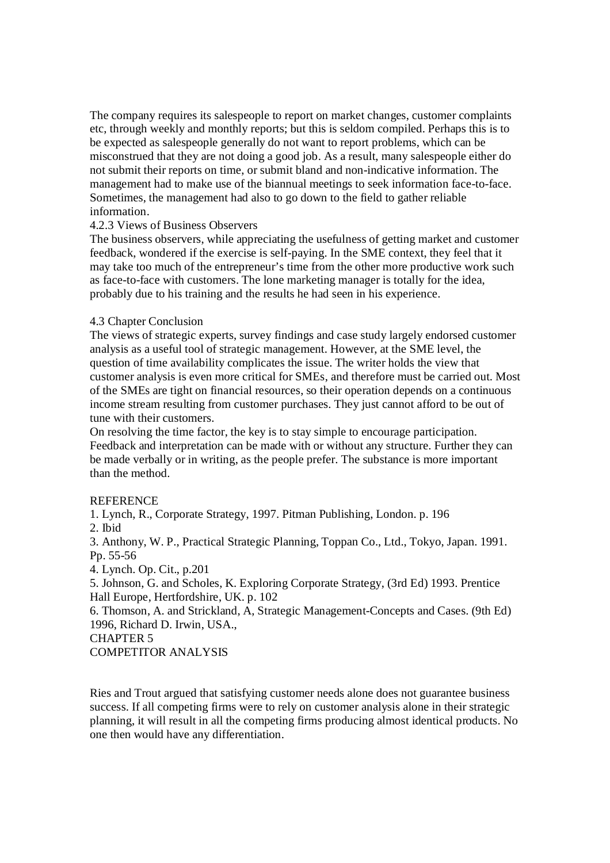The company requires its salespeople to report on market changes, customer complaints etc, through weekly and monthly reports; but this is seldom compiled. Perhaps this is to be expected as salespeople generally do not want to report problems, which can be misconstrued that they are not doing a good job. As a result, many salespeople either do not submit their reports on time, or submit bland and non-indicative information. The management had to make use of the biannual meetings to seek information face-to-face. Sometimes, the management had also to go down to the field to gather reliable information.

# 4.2.3 Views of Business Observers

The business observers, while appreciating the usefulness of getting market and customer feedback, wondered if the exercise is self-paying. In the SME context, they feel that it may take too much of the entrepreneur's time from the other more productive work such as face-to-face with customers. The lone marketing manager is totally for the idea, probably due to his training and the results he had seen in his experience.

# 4.3 Chapter Conclusion

The views of strategic experts, survey findings and case study largely endorsed customer analysis as a useful tool of strategic management. However, at the SME level, the question of time availability complicates the issue. The writer holds the view that customer analysis is even more critical for SMEs, and therefore must be carried out. Most of the SMEs are tight on financial resources, so their operation depends on a continuous income stream resulting from customer purchases. They just cannot afford to be out of tune with their customers.

On resolving the time factor, the key is to stay simple to encourage participation. Feedback and interpretation can be made with or without any structure. Further they can be made verbally or in writing, as the people prefer. The substance is more important than the method.

## **REFERENCE**

1. Lynch, R., Corporate Strategy, 1997. Pitman Publishing, London. p. 196 2. Ibid

3. Anthony, W. P., Practical Strategic Planning, Toppan Co., Ltd., Tokyo, Japan. 1991. Pp. 55-56

4. Lynch. Op. Cit., p.201

5. Johnson, G. and Scholes, K. Exploring Corporate Strategy, (3rd Ed) 1993. Prentice Hall Europe, Hertfordshire, UK. p. 102

6. Thomson, A. and Strickland, A, Strategic Management-Concepts and Cases. (9th Ed) 1996, Richard D. Irwin, USA.,

CHAPTER 5

COMPETITOR ANALYSIS

Ries and Trout argued that satisfying customer needs alone does not guarantee business success. If all competing firms were to rely on customer analysis alone in their strategic planning, it will result in all the competing firms producing almost identical products. No one then would have any differentiation.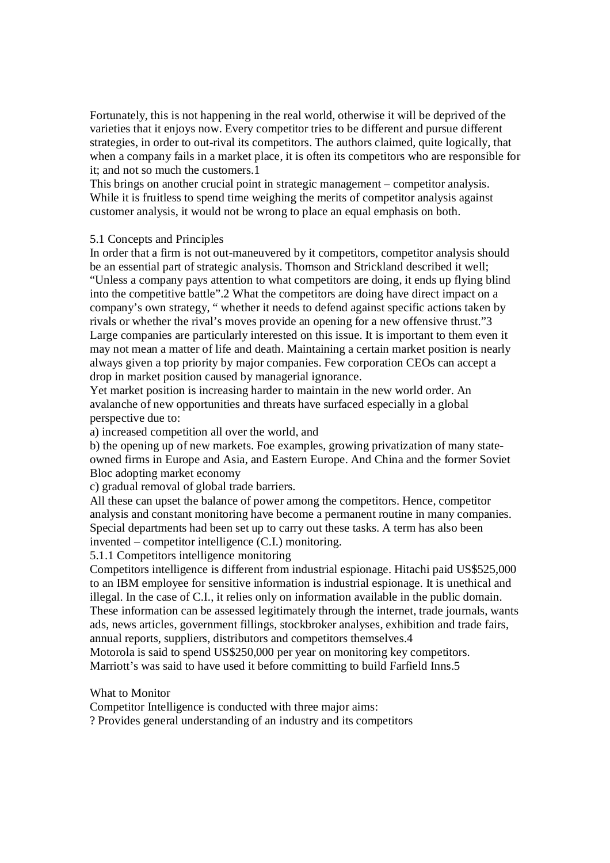Fortunately, this is not happening in the real world, otherwise it will be deprived of the varieties that it enjoys now. Every competitor tries to be different and pursue different strategies, in order to out-rival its competitors. The authors claimed, quite logically, that when a company fails in a market place, it is often its competitors who are responsible for it; and not so much the customers.1

This brings on another crucial point in strategic management – competitor analysis. While it is fruitless to spend time weighing the merits of competitor analysis against customer analysis, it would not be wrong to place an equal emphasis on both.

## 5.1 Concepts and Principles

In order that a firm is not out-maneuvered by it competitors, competitor analysis should be an essential part of strategic analysis. Thomson and Strickland described it well; "Unless a company pays attention to what competitors are doing, it ends up flying blind into the competitive battle".2 What the competitors are doing have direct impact on a company's own strategy, " whether it needs to defend against specific actions taken by rivals or whether the rival's moves provide an opening for a new offensive thrust."3 Large companies are particularly interested on this issue. It is important to them even it may not mean a matter of life and death. Maintaining a certain market position is nearly always given a top priority by major companies. Few corporation CEOs can accept a drop in market position caused by managerial ignorance.

Yet market position is increasing harder to maintain in the new world order. An avalanche of new opportunities and threats have surfaced especially in a global perspective due to:

a) increased competition all over the world, and

b) the opening up of new markets. Foe examples, growing privatization of many stateowned firms in Europe and Asia, and Eastern Europe. And China and the former Soviet Bloc adopting market economy

c) gradual removal of global trade barriers.

All these can upset the balance of power among the competitors. Hence, competitor analysis and constant monitoring have become a permanent routine in many companies. Special departments had been set up to carry out these tasks. A term has also been invented – competitor intelligence (C.I.) monitoring.

5.1.1 Competitors intelligence monitoring

Competitors intelligence is different from industrial espionage. Hitachi paid US\$525,000 to an IBM employee for sensitive information is industrial espionage. It is unethical and illegal. In the case of C.I., it relies only on information available in the public domain. These information can be assessed legitimately through the internet, trade journals, wants ads, news articles, government fillings, stockbroker analyses, exhibition and trade fairs, annual reports, suppliers, distributors and competitors themselves.4

Motorola is said to spend US\$250,000 per year on monitoring key competitors. Marriott's was said to have used it before committing to build Farfield Inns.5

# What to Monitor

Competitor Intelligence is conducted with three major aims:

? Provides general understanding of an industry and its competitors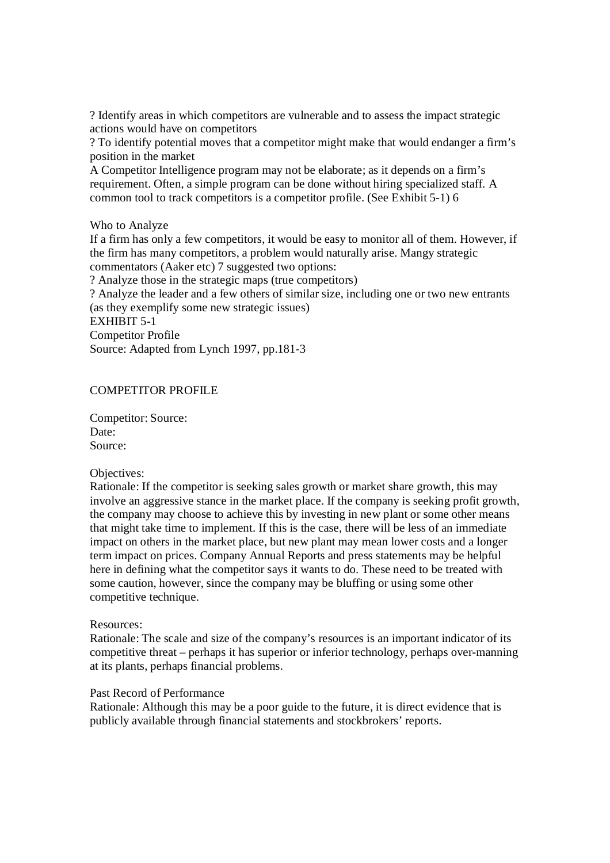? Identify areas in which competitors are vulnerable and to assess the impact strategic actions would have on competitors

? To identify potential moves that a competitor might make that would endanger a firm's position in the market

A Competitor Intelligence program may not be elaborate; as it depends on a firm's requirement. Often, a simple program can be done without hiring specialized staff. A common tool to track competitors is a competitor profile. (See Exhibit 5-1) 6

Who to Analyze

If a firm has only a few competitors, it would be easy to monitor all of them. However, if the firm has many competitors, a problem would naturally arise. Mangy strategic commentators (Aaker etc) 7 suggested two options:

? Analyze those in the strategic maps (true competitors)

? Analyze the leader and a few others of similar size, including one or two new entrants (as they exemplify some new strategic issues)

EXHIBIT 5-1

Competitor Profile

Source: Adapted from Lynch 1997, pp.181-3

# COMPETITOR PROFILE

Competitor: Source: Date: Source:

## Objectives:

Rationale: If the competitor is seeking sales growth or market share growth, this may involve an aggressive stance in the market place. If the company is seeking profit growth, the company may choose to achieve this by investing in new plant or some other means that might take time to implement. If this is the case, there will be less of an immediate impact on others in the market place, but new plant may mean lower costs and a longer term impact on prices. Company Annual Reports and press statements may be helpful here in defining what the competitor says it wants to do. These need to be treated with some caution, however, since the company may be bluffing or using some other competitive technique.

## Resources:

Rationale: The scale and size of the company's resources is an important indicator of its competitive threat – perhaps it has superior or inferior technology, perhaps over-manning at its plants, perhaps financial problems.

# Past Record of Performance

Rationale: Although this may be a poor guide to the future, it is direct evidence that is publicly available through financial statements and stockbrokers' reports.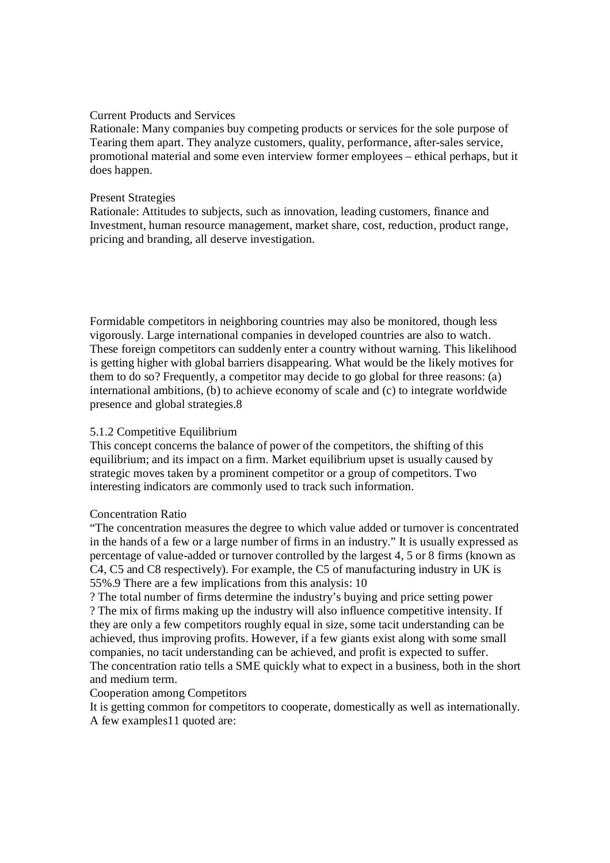## Current Products and Services

Rationale: Many companies buy competing products or services for the sole purpose of Tearing them apart. They analyze customers, quality, performance, after-sales service, promotional material and some even interview former employees – ethical perhaps, but it does happen.

# Present Strategies

Rationale: Attitudes to subjects, such as innovation, leading customers, finance and Investment, human resource management, market share, cost, reduction, product range, pricing and branding, all deserve investigation.

Formidable competitors in neighboring countries may also be monitored, though less vigorously. Large international companies in developed countries are also to watch. These foreign competitors can suddenly enter a country without warning. This likelihood is getting higher with global barriers disappearing. What would be the likely motives for them to do so? Frequently, a competitor may decide to go global for three reasons: (a) international ambitions, (b) to achieve economy of scale and (c) to integrate worldwide presence and global strategies.8

# 5.1.2 Competitive Equilibrium

This concept concerns the balance of power of the competitors, the shifting of this equilibrium; and its impact on a firm. Market equilibrium upset is usually caused by strategic moves taken by a prominent competitor or a group of competitors. Two interesting indicators are commonly used to track such information.

## Concentration Ratio

"The concentration measures the degree to which value added or turnover is concentrated in the hands of a few or a large number of firms in an industry." It is usually expressed as percentage of value-added or turnover controlled by the largest 4, 5 or 8 firms (known as C4, C5 and C8 respectively). For example, the C5 of manufacturing industry in UK is 55%.9 There are a few implications from this analysis: 10

? The total number of firms determine the industry's buying and price setting power ? The mix of firms making up the industry will also influence competitive intensity. If they are only a few competitors roughly equal in size, some tacit understanding can be achieved, thus improving profits. However, if a few giants exist along with some small companies, no tacit understanding can be achieved, and profit is expected to suffer. The concentration ratio tells a SME quickly what to expect in a business, both in the short and medium term.

## Cooperation among Competitors

It is getting common for competitors to cooperate, domestically as well as internationally. A few examples11 quoted are: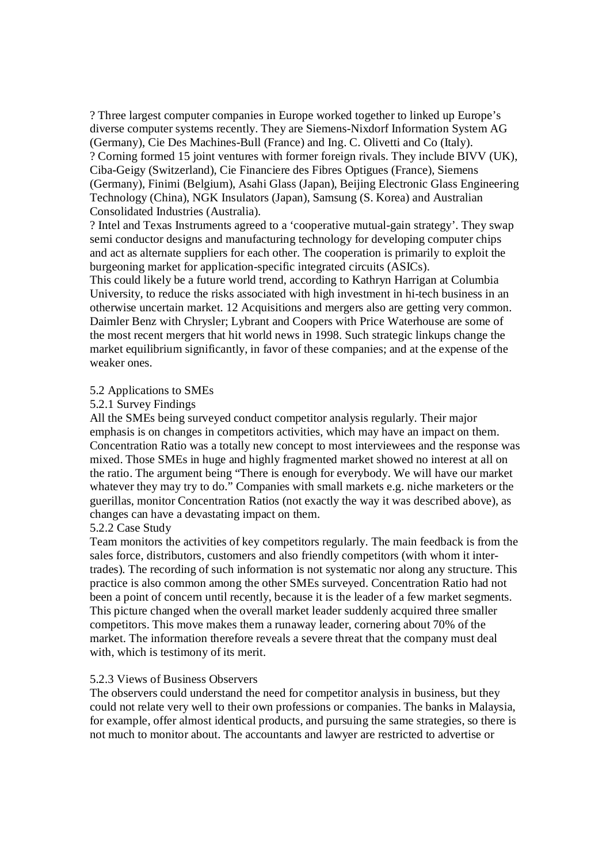? Three largest computer companies in Europe worked together to linked up Europe's diverse computer systems recently. They are Siemens-Nixdorf Information System AG (Germany), Cie Des Machines-Bull (France) and Ing. C. Olivetti and Co (Italy). ? Corning formed 15 joint ventures with former foreign rivals. They include BIVV (UK), Ciba-Geigy (Switzerland), Cie Financiere des Fibres Optigues (France), Siemens (Germany), Finimi (Belgium), Asahi Glass (Japan), Beijing Electronic Glass Engineering Technology (China), NGK Insulators (Japan), Samsung (S. Korea) and Australian Consolidated Industries (Australia).

? Intel and Texas Instruments agreed to a 'cooperative mutual-gain strategy'. They swap semi conductor designs and manufacturing technology for developing computer chips and act as alternate suppliers for each other. The cooperation is primarily to exploit the burgeoning market for application-specific integrated circuits (ASICs).

This could likely be a future world trend, according to Kathryn Harrigan at Columbia University, to reduce the risks associated with high investment in hi-tech business in an otherwise uncertain market. 12 Acquisitions and mergers also are getting very common. Daimler Benz with Chrysler; Lybrant and Coopers with Price Waterhouse are some of the most recent mergers that hit world news in 1998. Such strategic linkups change the market equilibrium significantly, in favor of these companies; and at the expense of the weaker ones.

## 5.2 Applications to SMEs

## 5.2.1 Survey Findings

All the SMEs being surveyed conduct competitor analysis regularly. Their major emphasis is on changes in competitors activities, which may have an impact on them. Concentration Ratio was a totally new concept to most interviewees and the response was mixed. Those SMEs in huge and highly fragmented market showed no interest at all on the ratio. The argument being "There is enough for everybody. We will have our market whatever they may try to do." Companies with small markets e.g. niche marketers or the guerillas, monitor Concentration Ratios (not exactly the way it was described above), as changes can have a devastating impact on them.

## 5.2.2 Case Study

Team monitors the activities of key competitors regularly. The main feedback is from the sales force, distributors, customers and also friendly competitors (with whom it intertrades). The recording of such information is not systematic nor along any structure. This practice is also common among the other SMEs surveyed. Concentration Ratio had not been a point of concern until recently, because it is the leader of a few market segments. This picture changed when the overall market leader suddenly acquired three smaller competitors. This move makes them a runaway leader, cornering about 70% of the market. The information therefore reveals a severe threat that the company must deal with, which is testimony of its merit.

#### 5.2.3 Views of Business Observers

The observers could understand the need for competitor analysis in business, but they could not relate very well to their own professions or companies. The banks in Malaysia, for example, offer almost identical products, and pursuing the same strategies, so there is not much to monitor about. The accountants and lawyer are restricted to advertise or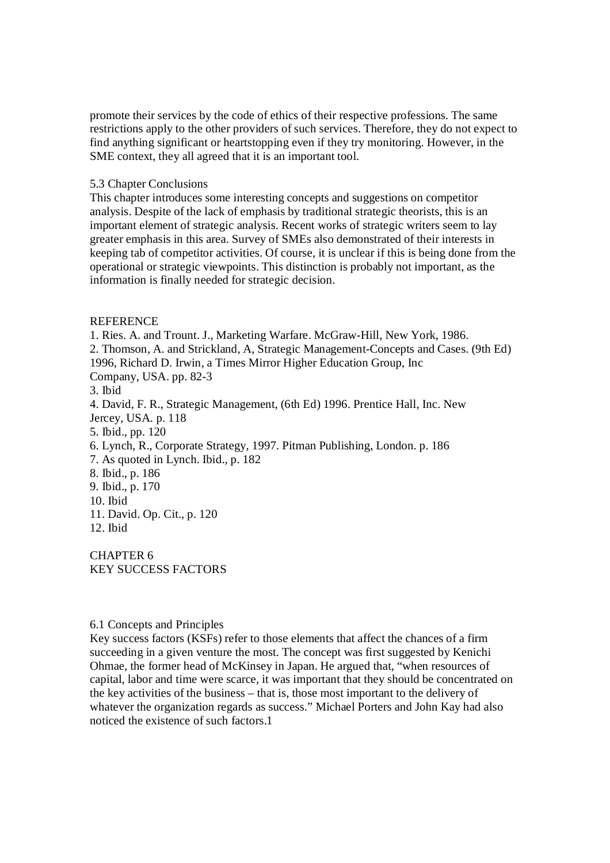promote their services by the code of ethics of their respective professions. The same restrictions apply to the other providers of such services. Therefore, they do not expect to find anything significant or heartstopping even if they try monitoring. However, in the SME context, they all agreed that it is an important tool.

### 5.3 Chapter Conclusions

This chapter introduces some interesting concepts and suggestions on competitor analysis. Despite of the lack of emphasis by traditional strategic theorists, this is an important element of strategic analysis. Recent works of strategic writers seem to lay greater emphasis in this area. Survey of SMEs also demonstrated of their interests in keeping tab of competitor activities. Of course, it is unclear if this is being done from the operational or strategic viewpoints. This distinction is probably not important, as the information is finally needed for strategic decision.

#### REFERENCE

1. Ries. A. and Trount. J., Marketing Warfare. McGraw-Hill, New York, 1986. 2. Thomson, A. and Strickland, A, Strategic Management-Concepts and Cases. (9th Ed) 1996, Richard D. Irwin, a Times Mirror Higher Education Group, Inc Company, USA. pp. 82-3 3. Ibid 4. David, F. R., Strategic Management, (6th Ed) 1996. Prentice Hall, Inc. New Jercey, USA. p. 118 5. Ibid., pp. 120 6. Lynch, R., Corporate Strategy, 1997. Pitman Publishing, London. p. 186 7. As quoted in Lynch. Ibid., p. 182 8. Ibid., p. 186 9. Ibid., p. 170 10. Ibid 11. David. Op. Cit., p. 120 12. Ibid

CHAPTER 6 KEY SUCCESS FACTORS

## 6.1 Concepts and Principles

Key success factors (KSFs) refer to those elements that affect the chances of a firm succeeding in a given venture the most. The concept was first suggested by Kenichi Ohmae, the former head of McKinsey in Japan. He argued that, "when resources of capital, labor and time were scarce, it was important that they should be concentrated on the key activities of the business – that is, those most important to the delivery of whatever the organization regards as success." Michael Porters and John Kay had also noticed the existence of such factors.1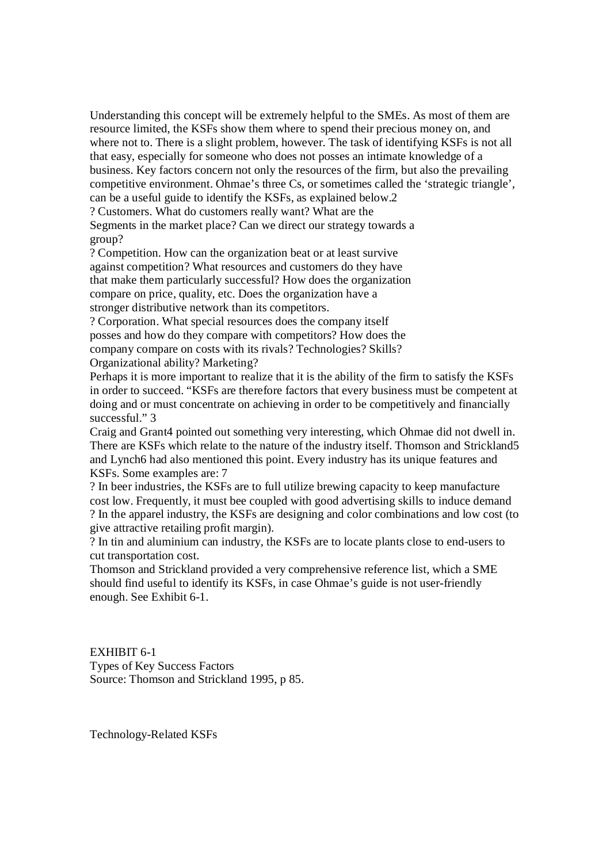Understanding this concept will be extremely helpful to the SMEs. As most of them are resource limited, the KSFs show them where to spend their precious money on, and where not to. There is a slight problem, however. The task of identifying KSFs is not all that easy, especially for someone who does not posses an intimate knowledge of a business. Key factors concern not only the resources of the firm, but also the prevailing competitive environment. Ohmae's three Cs, or sometimes called the 'strategic triangle', can be a useful guide to identify the KSFs, as explained below.2 ? Customers. What do customers really want? What are the

Segments in the market place? Can we direct our strategy towards a group?

? Competition. How can the organization beat or at least survive against competition? What resources and customers do they have that make them particularly successful? How does the organization compare on price, quality, etc. Does the organization have a stronger distributive network than its competitors.

? Corporation. What special resources does the company itself posses and how do they compare with competitors? How does the company compare on costs with its rivals? Technologies? Skills? Organizational ability? Marketing?

Perhaps it is more important to realize that it is the ability of the firm to satisfy the KSFs in order to succeed. "KSFs are therefore factors that every business must be competent at doing and or must concentrate on achieving in order to be competitively and financially successful." 3

Craig and Grant4 pointed out something very interesting, which Ohmae did not dwell in. There are KSFs which relate to the nature of the industry itself. Thomson and Strickland5 and Lynch6 had also mentioned this point. Every industry has its unique features and KSFs. Some examples are: 7

? In beer industries, the KSFs are to full utilize brewing capacity to keep manufacture cost low. Frequently, it must bee coupled with good advertising skills to induce demand ? In the apparel industry, the KSFs are designing and color combinations and low cost (to give attractive retailing profit margin).

? In tin and aluminium can industry, the KSFs are to locate plants close to end-users to cut transportation cost.

Thomson and Strickland provided a very comprehensive reference list, which a SME should find useful to identify its KSFs, in case Ohmae's guide is not user-friendly enough. See Exhibit 6-1.

EXHIBIT 6-1 Types of Key Success Factors Source: Thomson and Strickland 1995, p 85.

Technology-Related KSFs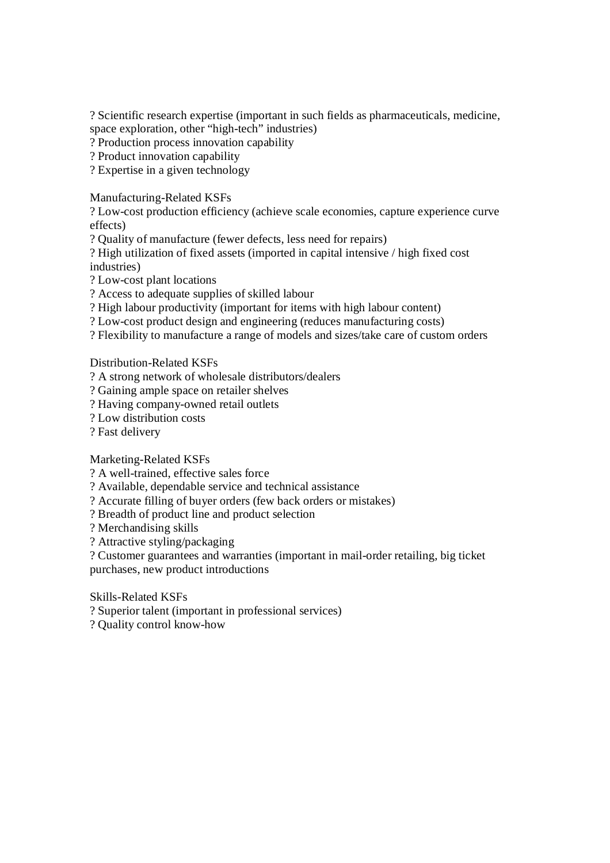? Scientific research expertise (important in such fields as pharmaceuticals, medicine, space exploration, other "high-tech" industries)

? Production process innovation capability

? Product innovation capability

? Expertise in a given technology

Manufacturing-Related KSFs

? Low-cost production efficiency (achieve scale economies, capture experience curve effects)

? Quality of manufacture (fewer defects, less need for repairs)

? High utilization of fixed assets (imported in capital intensive / high fixed cost industries)

? Low-cost plant locations

? Access to adequate supplies of skilled labour

? High labour productivity (important for items with high labour content)

? Low-cost product design and engineering (reduces manufacturing costs)

? Flexibility to manufacture a range of models and sizes/take care of custom orders

Distribution-Related KSFs

? A strong network of wholesale distributors/dealers

? Gaining ample space on retailer shelves

? Having company-owned retail outlets

? Low distribution costs

? Fast delivery

Marketing-Related KSFs

? A well-trained, effective sales force

? Available, dependable service and technical assistance

? Accurate filling of buyer orders (few back orders or mistakes)

? Breadth of product line and product selection

? Merchandising skills

? Attractive styling/packaging

? Customer guarantees and warranties (important in mail-order retailing, big ticket purchases, new product introductions

Skills-Related KSFs

? Superior talent (important in professional services)

? Quality control know-how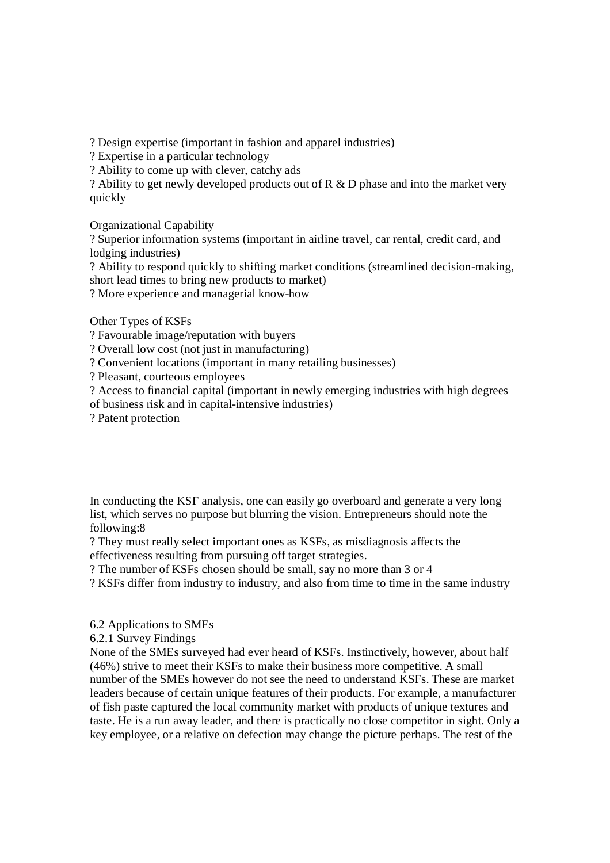? Design expertise (important in fashion and apparel industries)

? Expertise in a particular technology

? Ability to come up with clever, catchy ads

? Ability to get newly developed products out of R & D phase and into the market very quickly

Organizational Capability

? Superior information systems (important in airline travel, car rental, credit card, and lodging industries)

? Ability to respond quickly to shifting market conditions (streamlined decision-making, short lead times to bring new products to market)

? More experience and managerial know-how

Other Types of KSFs

? Favourable image/reputation with buyers

? Overall low cost (not just in manufacturing)

? Convenient locations (important in many retailing businesses)

? Pleasant, courteous employees

? Access to financial capital (important in newly emerging industries with high degrees

of business risk and in capital-intensive industries)

? Patent protection

In conducting the KSF analysis, one can easily go overboard and generate a very long list, which serves no purpose but blurring the vision. Entrepreneurs should note the following:8

? They must really select important ones as KSFs, as misdiagnosis affects the effectiveness resulting from pursuing off target strategies.

? The number of KSFs chosen should be small, say no more than 3 or 4

? KSFs differ from industry to industry, and also from time to time in the same industry

6.2 Applications to SMEs

6.2.1 Survey Findings

None of the SMEs surveyed had ever heard of KSFs. Instinctively, however, about half (46%) strive to meet their KSFs to make their business more competitive. A small number of the SMEs however do not see the need to understand KSFs. These are market leaders because of certain unique features of their products. For example, a manufacturer of fish paste captured the local community market with products of unique textures and taste. He is a run away leader, and there is practically no close competitor in sight. Only a key employee, or a relative on defection may change the picture perhaps. The rest of the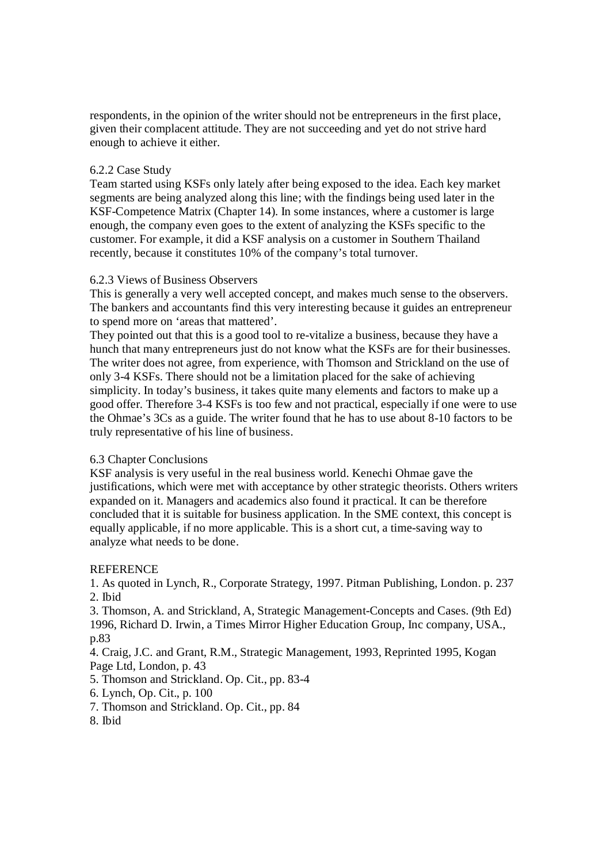respondents, in the opinion of the writer should not be entrepreneurs in the first place, given their complacent attitude. They are not succeeding and yet do not strive hard enough to achieve it either.

## 6.2.2 Case Study

Team started using KSFs only lately after being exposed to the idea. Each key market segments are being analyzed along this line; with the findings being used later in the KSF-Competence Matrix (Chapter 14). In some instances, where a customer is large enough, the company even goes to the extent of analyzing the KSFs specific to the customer. For example, it did a KSF analysis on a customer in Southern Thailand recently, because it constitutes 10% of the company's total turnover.

## 6.2.3 Views of Business Observers

This is generally a very well accepted concept, and makes much sense to the observers. The bankers and accountants find this very interesting because it guides an entrepreneur to spend more on 'areas that mattered'.

They pointed out that this is a good tool to re-vitalize a business, because they have a hunch that many entrepreneurs just do not know what the KSFs are for their businesses. The writer does not agree, from experience, with Thomson and Strickland on the use of only 3-4 KSFs. There should not be a limitation placed for the sake of achieving simplicity. In today's business, it takes quite many elements and factors to make up a good offer. Therefore 3-4 KSFs is too few and not practical, especially if one were to use the Ohmae's 3Cs as a guide. The writer found that he has to use about 8-10 factors to be truly representative of his line of business.

# 6.3 Chapter Conclusions

KSF analysis is very useful in the real business world. Kenechi Ohmae gave the justifications, which were met with acceptance by other strategic theorists. Others writers expanded on it. Managers and academics also found it practical. It can be therefore concluded that it is suitable for business application. In the SME context, this concept is equally applicable, if no more applicable. This is a short cut, a time-saving way to analyze what needs to be done.

# **REFERENCE**

1. As quoted in Lynch, R., Corporate Strategy, 1997. Pitman Publishing, London. p. 237 2. Ibid

3. Thomson, A. and Strickland, A, Strategic Management-Concepts and Cases. (9th Ed) 1996, Richard D. Irwin, a Times Mirror Higher Education Group, Inc company, USA., p.83

4. Craig, J.C. and Grant, R.M., Strategic Management, 1993, Reprinted 1995, Kogan Page Ltd, London, p. 43

5. Thomson and Strickland. Op. Cit., pp. 83-4

6. Lynch, Op. Cit., p. 100

- 7. Thomson and Strickland. Op. Cit., pp. 84
- 8. Ibid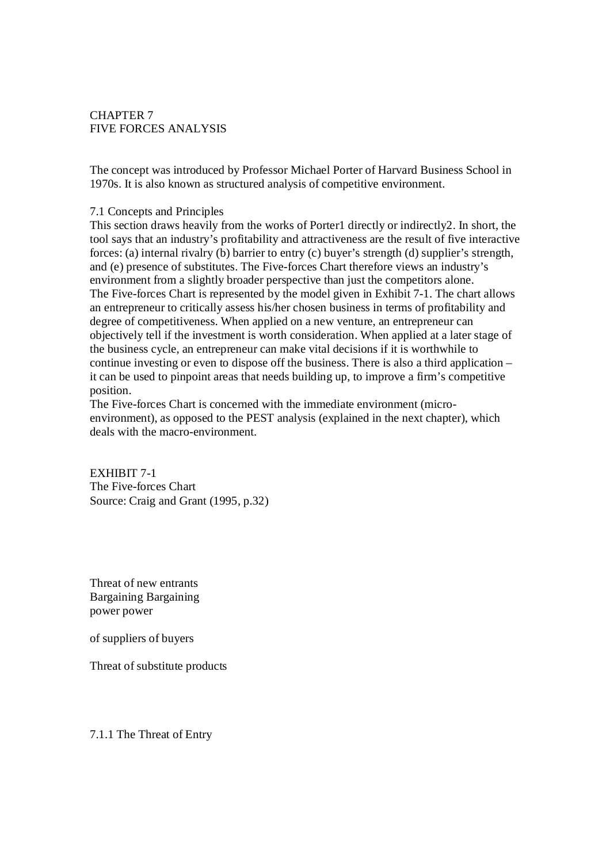# CHAPTER 7 FIVE FORCES ANALYSIS

The concept was introduced by Professor Michael Porter of Harvard Business School in 1970s. It is also known as structured analysis of competitive environment.

### 7.1 Concepts and Principles

This section draws heavily from the works of Porter1 directly or indirectly2. In short, the tool says that an industry's profitability and attractiveness are the result of five interactive forces: (a) internal rivalry (b) barrier to entry (c) buyer's strength (d) supplier's strength, and (e) presence of substitutes. The Five-forces Chart therefore views an industry's environment from a slightly broader perspective than just the competitors alone. The Five-forces Chart is represented by the model given in Exhibit 7-1. The chart allows an entrepreneur to critically assess his/her chosen business in terms of profitability and degree of competitiveness. When applied on a new venture, an entrepreneur can objectively tell if the investment is worth consideration. When applied at a later stage of the business cycle, an entrepreneur can make vital decisions if it is worthwhile to continue investing or even to dispose off the business. There is also a third application – it can be used to pinpoint areas that needs building up, to improve a firm's competitive position.

The Five-forces Chart is concerned with the immediate environment (microenvironment), as opposed to the PEST analysis (explained in the next chapter), which deals with the macro-environment.

EXHIBIT 7-1 The Five-forces Chart Source: Craig and Grant (1995, p.32)

Threat of new entrants Bargaining Bargaining power power

of suppliers of buyers

Threat of substitute products

7.1.1 The Threat of Entry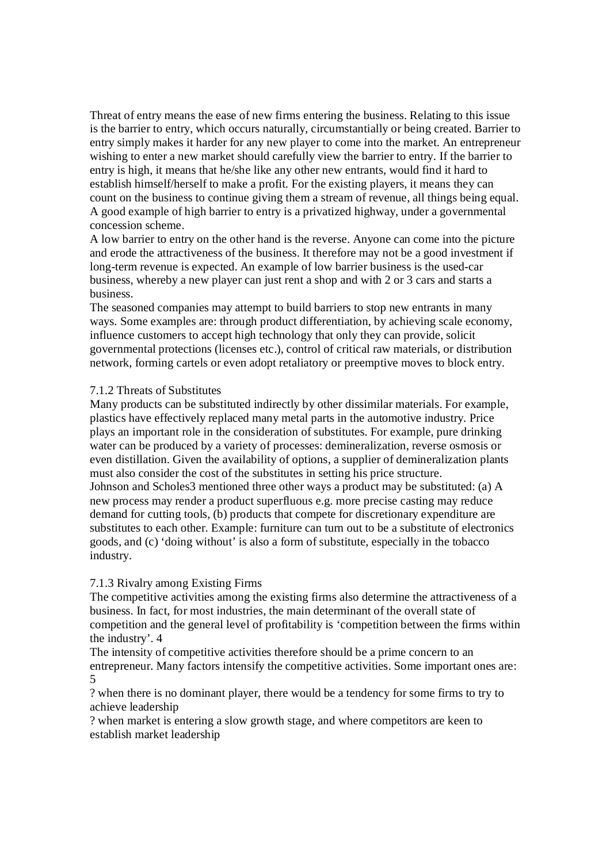Threat of entry means the ease of new firms entering the business. Relating to this issue is the barrier to entry, which occurs naturally, circumstantially or being created. Barrier to entry simply makes it harder for any new player to come into the market. An entrepreneur wishing to enter a new market should carefully view the barrier to entry. If the barrier to entry is high, it means that he/she like any other new entrants, would find it hard to establish himself/herself to make a profit. For the existing players, it means they can count on the business to continue giving them a stream of revenue, all things being equal. A good example of high barrier to entry is a privatized highway, under a governmental concession scheme.

A low barrier to entry on the other hand is the reverse. Anyone can come into the picture and erode the attractiveness of the business. It therefore may not be a good investment if long-term revenue is expected. An example of low barrier business is the used-car business, whereby a new player can just rent a shop and with 2 or 3 cars and starts a business.

The seasoned companies may attempt to build barriers to stop new entrants in many ways. Some examples are: through product differentiation, by achieving scale economy, influence customers to accept high technology that only they can provide, solicit governmental protections (licenses etc.), control of critical raw materials, or distribution network, forming cartels or even adopt retaliatory or preemptive moves to block entry.

## 7.1.2 Threats of Substitutes

Many products can be substituted indirectly by other dissimilar materials. For example, plastics have effectively replaced many metal parts in the automotive industry. Price plays an important role in the consideration of substitutes. For example, pure drinking water can be produced by a variety of processes: demineralization, reverse osmosis or even distillation. Given the availability of options, a supplier of demineralization plants must also consider the cost of the substitutes in setting his price structure. Johnson and Scholes3 mentioned three other ways a product may be substituted: (a) A new process may render a product superfluous e.g. more precise casting may reduce demand for cutting tools, (b) products that compete for discretionary expenditure are substitutes to each other. Example: furniture can turn out to be a substitute of electronics goods, and (c) 'doing without' is also a form of substitute, especially in the tobacco industry.

### 7.1.3 Rivalry among Existing Firms

The competitive activities among the existing firms also determine the attractiveness of a business. In fact, for most industries, the main determinant of the overall state of competition and the general level of profitability is 'competition between the firms within the industry'. 4

The intensity of competitive activities therefore should be a prime concern to an entrepreneur. Many factors intensify the competitive activities. Some important ones are: 5

? when there is no dominant player, there would be a tendency for some firms to try to achieve leadership

? when market is entering a slow growth stage, and where competitors are keen to establish market leadership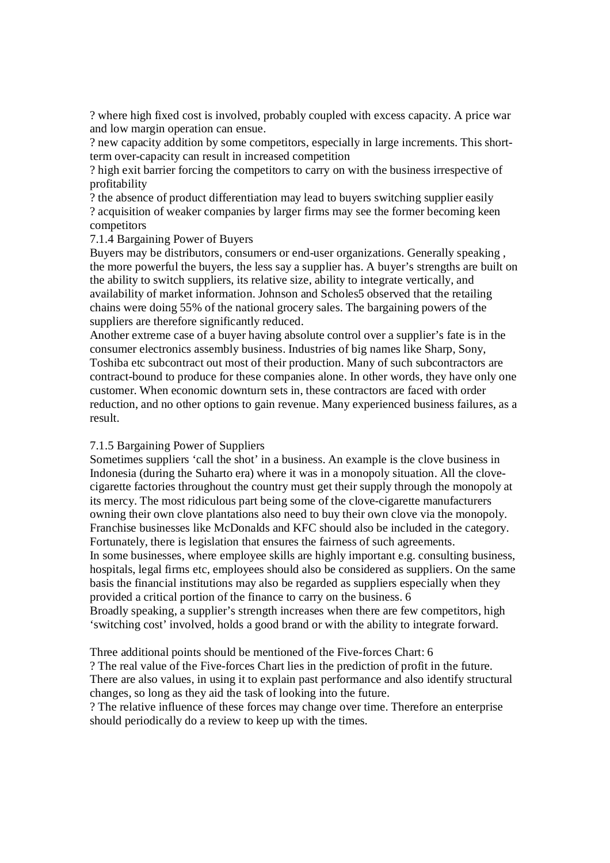? where high fixed cost is involved, probably coupled with excess capacity. A price war and low margin operation can ensue.

? new capacity addition by some competitors, especially in large increments. This shortterm over-capacity can result in increased competition

? high exit barrier forcing the competitors to carry on with the business irrespective of profitability

? the absence of product differentiation may lead to buyers switching supplier easily ? acquisition of weaker companies by larger firms may see the former becoming keen competitors

7.1.4 Bargaining Power of Buyers

Buyers may be distributors, consumers or end-user organizations. Generally speaking , the more powerful the buyers, the less say a supplier has. A buyer's strengths are built on the ability to switch suppliers, its relative size, ability to integrate vertically, and availability of market information. Johnson and Scholes5 observed that the retailing chains were doing 55% of the national grocery sales. The bargaining powers of the suppliers are therefore significantly reduced.

Another extreme case of a buyer having absolute control over a supplier's fate is in the consumer electronics assembly business. Industries of big names like Sharp, Sony, Toshiba etc subcontract out most of their production. Many of such subcontractors are contract-bound to produce for these companies alone. In other words, they have only one customer. When economic downturn sets in, these contractors are faced with order reduction, and no other options to gain revenue. Many experienced business failures, as a result.

### 7.1.5 Bargaining Power of Suppliers

Sometimes suppliers 'call the shot' in a business. An example is the clove business in Indonesia (during the Suharto era) where it was in a monopoly situation. All the clovecigarette factories throughout the country must get their supply through the monopoly at its mercy. The most ridiculous part being some of the clove-cigarette manufacturers owning their own clove plantations also need to buy their own clove via the monopoly. Franchise businesses like McDonalds and KFC should also be included in the category. Fortunately, there is legislation that ensures the fairness of such agreements. In some businesses, where employee skills are highly important e.g. consulting business, hospitals, legal firms etc, employees should also be considered as suppliers. On the same basis the financial institutions may also be regarded as suppliers especially when they provided a critical portion of the finance to carry on the business. 6 Broadly speaking, a supplier's strength increases when there are few competitors, high 'switching cost' involved, holds a good brand or with the ability to integrate forward.

Three additional points should be mentioned of the Five-forces Chart: 6

? The real value of the Five-forces Chart lies in the prediction of profit in the future. There are also values, in using it to explain past performance and also identify structural changes, so long as they aid the task of looking into the future.

? The relative influence of these forces may change over time. Therefore an enterprise should periodically do a review to keep up with the times.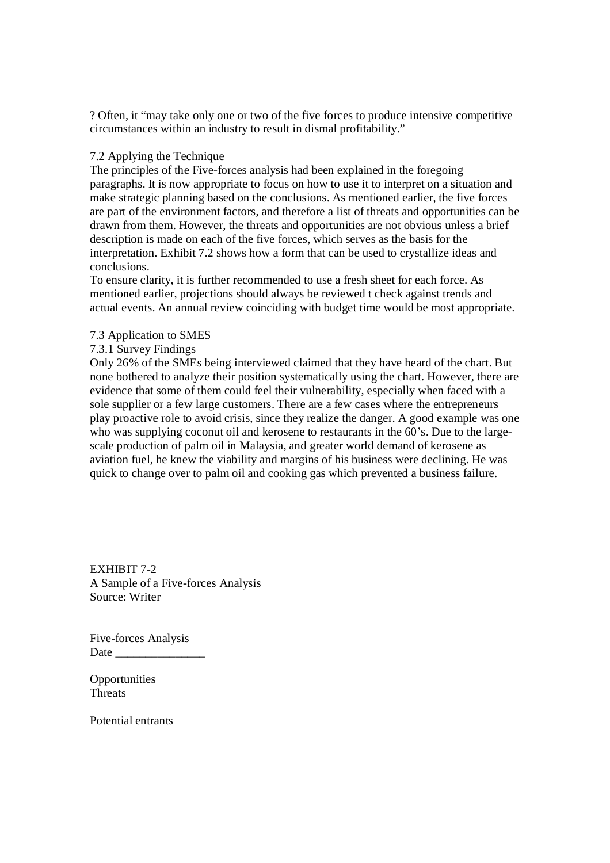? Often, it "may take only one or two of the five forces to produce intensive competitive circumstances within an industry to result in dismal profitability."

### 7.2 Applying the Technique

The principles of the Five-forces analysis had been explained in the foregoing paragraphs. It is now appropriate to focus on how to use it to interpret on a situation and make strategic planning based on the conclusions. As mentioned earlier, the five forces are part of the environment factors, and therefore a list of threats and opportunities can be drawn from them. However, the threats and opportunities are not obvious unless a brief description is made on each of the five forces, which serves as the basis for the interpretation. Exhibit 7.2 shows how a form that can be used to crystallize ideas and conclusions.

To ensure clarity, it is further recommended to use a fresh sheet for each force. As mentioned earlier, projections should always be reviewed t check against trends and actual events. An annual review coinciding with budget time would be most appropriate.

### 7.3 Application to SMES

### 7.3.1 Survey Findings

Only 26% of the SMEs being interviewed claimed that they have heard of the chart. But none bothered to analyze their position systematically using the chart. However, there are evidence that some of them could feel their vulnerability, especially when faced with a sole supplier or a few large customers. There are a few cases where the entrepreneurs play proactive role to avoid crisis, since they realize the danger. A good example was one who was supplying coconut oil and kerosene to restaurants in the 60's. Due to the largescale production of palm oil in Malaysia, and greater world demand of kerosene as aviation fuel, he knew the viability and margins of his business were declining. He was quick to change over to palm oil and cooking gas which prevented a business failure.

EXHIBIT 7-2 A Sample of a Five-forces Analysis Source: Writer

Five-forces Analysis Date  $\_\_$ 

**Opportunities** Threats

Potential entrants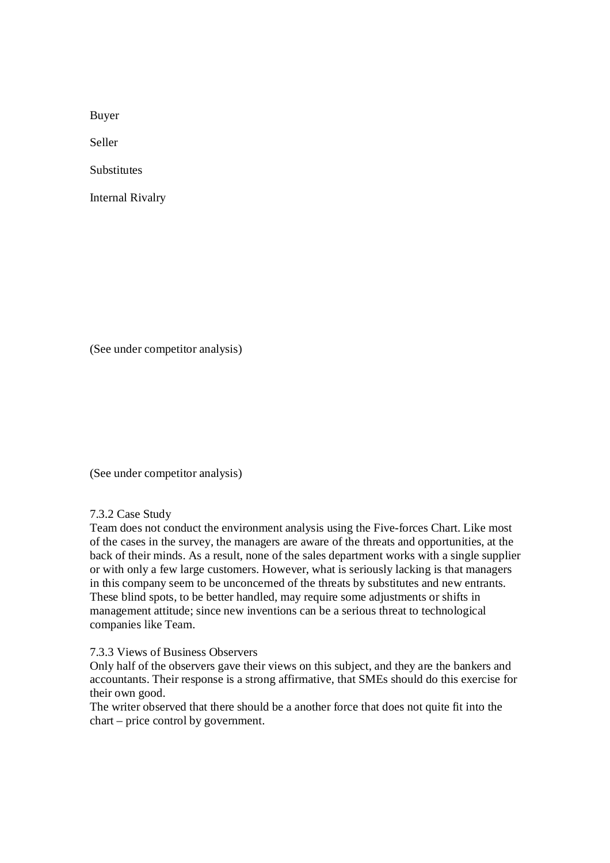Buyer

Seller

**Substitutes** 

Internal Rivalry

(See under competitor analysis)

(See under competitor analysis)

7.3.2 Case Study

Team does not conduct the environment analysis using the Five-forces Chart. Like most of the cases in the survey, the managers are aware of the threats and opportunities, at the back of their minds. As a result, none of the sales department works with a single supplier or with only a few large customers. However, what is seriously lacking is that managers in this company seem to be unconcerned of the threats by substitutes and new entrants. These blind spots, to be better handled, may require some adjustments or shifts in management attitude; since new inventions can be a serious threat to technological companies like Team.

#### 7.3.3 Views of Business Observers

Only half of the observers gave their views on this subject, and they are the bankers and accountants. Their response is a strong affirmative, that SMEs should do this exercise for their own good.

The writer observed that there should be a another force that does not quite fit into the chart – price control by government.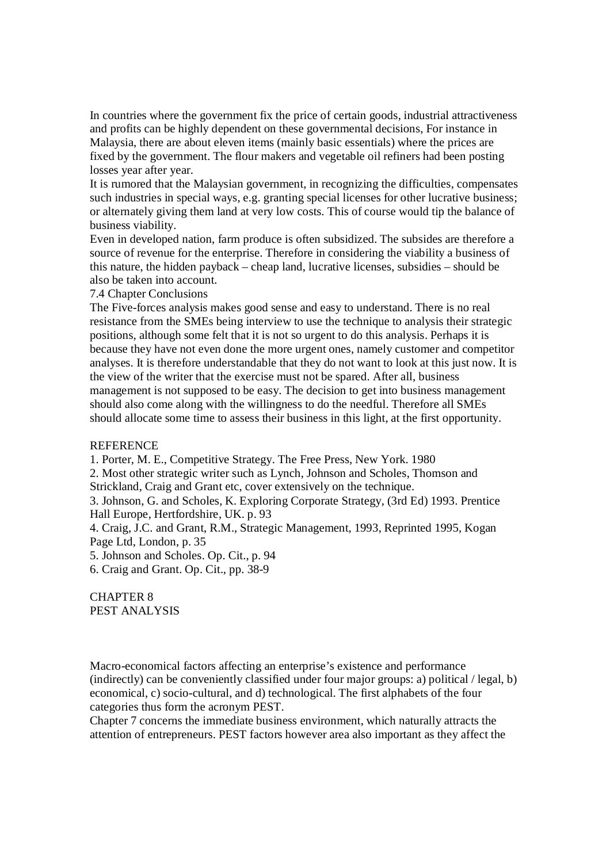In countries where the government fix the price of certain goods, industrial attractiveness and profits can be highly dependent on these governmental decisions, For instance in Malaysia, there are about eleven items (mainly basic essentials) where the prices are fixed by the government. The flour makers and vegetable oil refiners had been posting losses year after year.

It is rumored that the Malaysian government, in recognizing the difficulties, compensates such industries in special ways, e.g. granting special licenses for other lucrative business; or alternately giving them land at very low costs. This of course would tip the balance of business viability.

Even in developed nation, farm produce is often subsidized. The subsides are therefore a source of revenue for the enterprise. Therefore in considering the viability a business of this nature, the hidden payback – cheap land, lucrative licenses, subsidies – should be also be taken into account.

7.4 Chapter Conclusions

The Five-forces analysis makes good sense and easy to understand. There is no real resistance from the SMEs being interview to use the technique to analysis their strategic positions, although some felt that it is not so urgent to do this analysis. Perhaps it is because they have not even done the more urgent ones, namely customer and competitor analyses. It is therefore understandable that they do not want to look at this just now. It is the view of the writer that the exercise must not be spared. After all, business management is not supposed to be easy. The decision to get into business management should also come along with the willingness to do the needful. Therefore all SMEs should allocate some time to assess their business in this light, at the first opportunity.

### **REFERENCE**

1. Porter, M. E., Competitive Strategy. The Free Press, New York. 1980

2. Most other strategic writer such as Lynch, Johnson and Scholes, Thomson and Strickland, Craig and Grant etc, cover extensively on the technique.

3. Johnson, G. and Scholes, K. Exploring Corporate Strategy, (3rd Ed) 1993. Prentice Hall Europe, Hertfordshire, UK. p. 93

4. Craig, J.C. and Grant, R.M., Strategic Management, 1993, Reprinted 1995, Kogan Page Ltd, London, p. 35

5. Johnson and Scholes. Op. Cit., p. 94

6. Craig and Grant. Op. Cit., pp. 38-9

CHAPTER 8 PEST ANALYSIS

Macro-economical factors affecting an enterprise's existence and performance (indirectly) can be conveniently classified under four major groups: a) political / legal, b) economical, c) socio-cultural, and d) technological. The first alphabets of the four categories thus form the acronym PEST.

Chapter 7 concerns the immediate business environment, which naturally attracts the attention of entrepreneurs. PEST factors however area also important as they affect the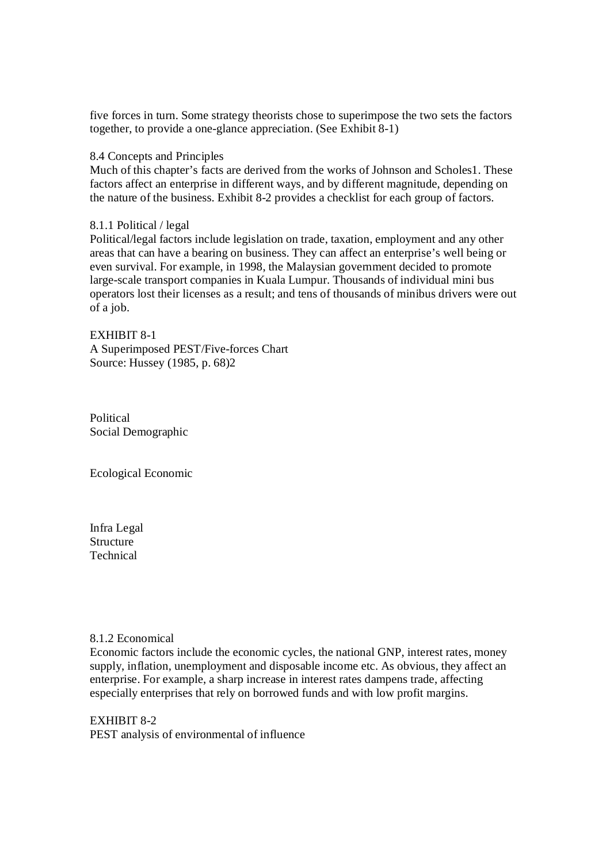five forces in turn. Some strategy theorists chose to superimpose the two sets the factors together, to provide a one-glance appreciation. (See Exhibit 8-1)

### 8.4 Concepts and Principles

Much of this chapter's facts are derived from the works of Johnson and Scholes1. These factors affect an enterprise in different ways, and by different magnitude, depending on the nature of the business. Exhibit 8-2 provides a checklist for each group of factors.

## 8.1.1 Political / legal

Political/legal factors include legislation on trade, taxation, employment and any other areas that can have a bearing on business. They can affect an enterprise's well being or even survival. For example, in 1998, the Malaysian government decided to promote large-scale transport companies in Kuala Lumpur. Thousands of individual mini bus operators lost their licenses as a result; and tens of thousands of minibus drivers were out of a job.

EXHIBIT 8-1 A Superimposed PEST/Five-forces Chart Source: Hussey (1985, p. 68)2

Political Social Demographic

Ecological Economic

Infra Legal Structure Technical

### 8.1.2 Economical

Economic factors include the economic cycles, the national GNP, interest rates, money supply, inflation, unemployment and disposable income etc. As obvious, they affect an enterprise. For example, a sharp increase in interest rates dampens trade, affecting especially enterprises that rely on borrowed funds and with low profit margins.

EXHIBIT 8-2 PEST analysis of environmental of influence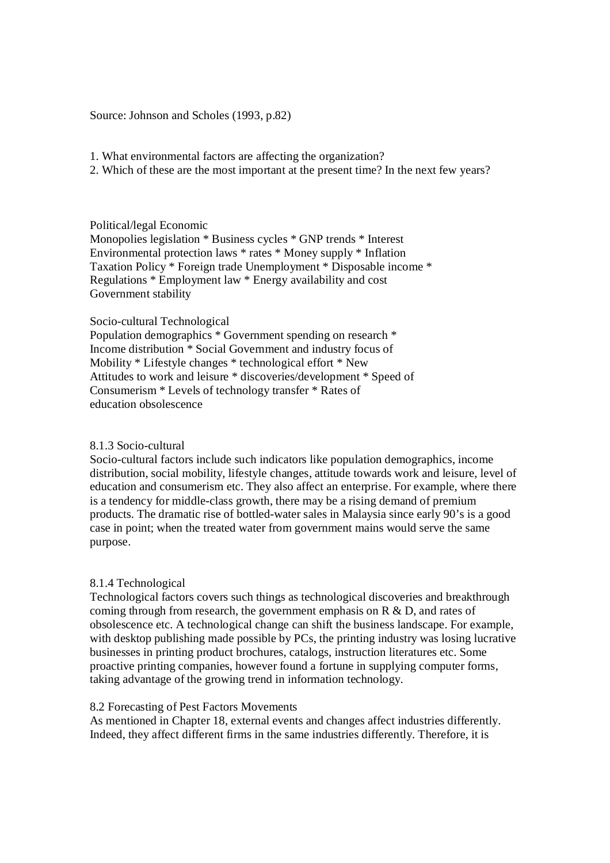Source: Johnson and Scholes (1993, p.82)

1. What environmental factors are affecting the organization?

2. Which of these are the most important at the present time? In the next few years?

## Political/legal Economic

Monopolies legislation \* Business cycles \* GNP trends \* Interest Environmental protection laws \* rates \* Money supply \* Inflation Taxation Policy \* Foreign trade Unemployment \* Disposable income \* Regulations \* Employment law \* Energy availability and cost Government stability

# Socio-cultural Technological

Population demographics \* Government spending on research \* Income distribution \* Social Government and industry focus of Mobility \* Lifestyle changes \* technological effort \* New Attitudes to work and leisure \* discoveries/development \* Speed of Consumerism \* Levels of technology transfer \* Rates of education obsolescence

# 8.1.3 Socio-cultural

Socio-cultural factors include such indicators like population demographics, income distribution, social mobility, lifestyle changes, attitude towards work and leisure, level of education and consumerism etc. They also affect an enterprise. For example, where there is a tendency for middle-class growth, there may be a rising demand of premium products. The dramatic rise of bottled-water sales in Malaysia since early 90's is a good case in point; when the treated water from government mains would serve the same purpose.

# 8.1.4 Technological

Technological factors covers such things as technological discoveries and breakthrough coming through from research, the government emphasis on R & D, and rates of obsolescence etc. A technological change can shift the business landscape. For example, with desktop publishing made possible by PCs, the printing industry was losing lucrative businesses in printing product brochures, catalogs, instruction literatures etc. Some proactive printing companies, however found a fortune in supplying computer forms, taking advantage of the growing trend in information technology.

### 8.2 Forecasting of Pest Factors Movements

As mentioned in Chapter 18, external events and changes affect industries differently. Indeed, they affect different firms in the same industries differently. Therefore, it is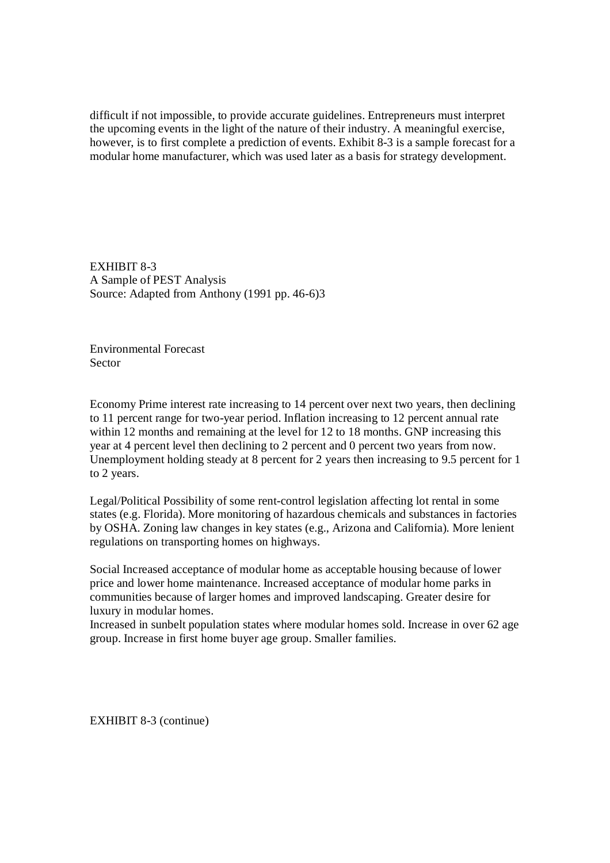difficult if not impossible, to provide accurate guidelines. Entrepreneurs must interpret the upcoming events in the light of the nature of their industry. A meaningful exercise, however, is to first complete a prediction of events. Exhibit 8-3 is a sample forecast for a modular home manufacturer, which was used later as a basis for strategy development.

EXHIBIT 8-3 A Sample of PEST Analysis Source: Adapted from Anthony (1991 pp. 46-6)3

Environmental Forecast Sector

Economy Prime interest rate increasing to 14 percent over next two years, then declining to 11 percent range for two-year period. Inflation increasing to 12 percent annual rate within 12 months and remaining at the level for 12 to 18 months. GNP increasing this year at 4 percent level then declining to 2 percent and 0 percent two years from now. Unemployment holding steady at 8 percent for 2 years then increasing to 9.5 percent for 1 to 2 years.

Legal/Political Possibility of some rent-control legislation affecting lot rental in some states (e.g. Florida). More monitoring of hazardous chemicals and substances in factories by OSHA. Zoning law changes in key states (e.g., Arizona and California). More lenient regulations on transporting homes on highways.

Social Increased acceptance of modular home as acceptable housing because of lower price and lower home maintenance. Increased acceptance of modular home parks in communities because of larger homes and improved landscaping. Greater desire for luxury in modular homes.

Increased in sunbelt population states where modular homes sold. Increase in over 62 age group. Increase in first home buyer age group. Smaller families.

EXHIBIT 8-3 (continue)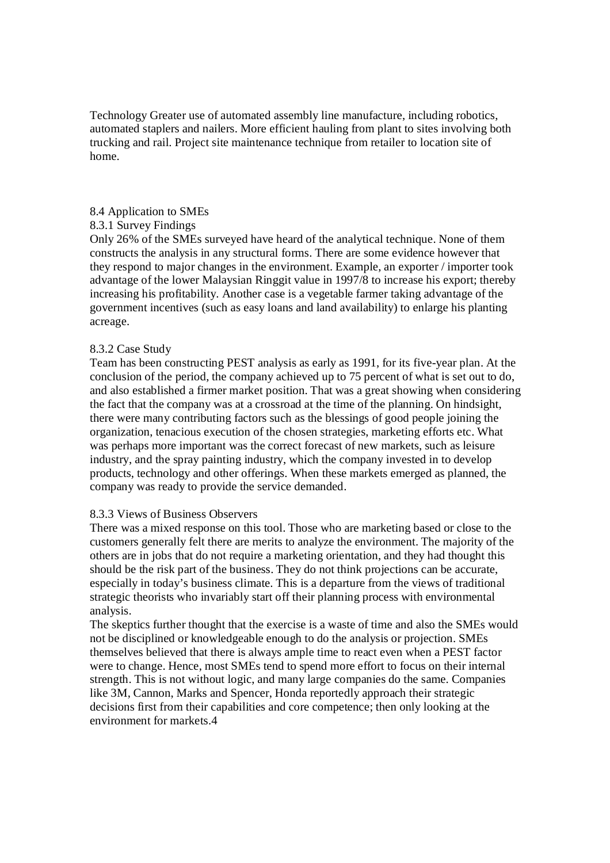Technology Greater use of automated assembly line manufacture, including robotics, automated staplers and nailers. More efficient hauling from plant to sites involving both trucking and rail. Project site maintenance technique from retailer to location site of home.

## 8.4 Application to SMEs

# 8.3.1 Survey Findings

Only 26% of the SMEs surveyed have heard of the analytical technique. None of them constructs the analysis in any structural forms. There are some evidence however that they respond to major changes in the environment. Example, an exporter / importer took advantage of the lower Malaysian Ringgit value in 1997/8 to increase his export; thereby increasing his profitability. Another case is a vegetable farmer taking advantage of the government incentives (such as easy loans and land availability) to enlarge his planting acreage.

## 8.3.2 Case Study

Team has been constructing PEST analysis as early as 1991, for its five-year plan. At the conclusion of the period, the company achieved up to 75 percent of what is set out to do, and also established a firmer market position. That was a great showing when considering the fact that the company was at a crossroad at the time of the planning. On hindsight, there were many contributing factors such as the blessings of good people joining the organization, tenacious execution of the chosen strategies, marketing efforts etc. What was perhaps more important was the correct forecast of new markets, such as leisure industry, and the spray painting industry, which the company invested in to develop products, technology and other offerings. When these markets emerged as planned, the company was ready to provide the service demanded.

### 8.3.3 Views of Business Observers

There was a mixed response on this tool. Those who are marketing based or close to the customers generally felt there are merits to analyze the environment. The majority of the others are in jobs that do not require a marketing orientation, and they had thought this should be the risk part of the business. They do not think projections can be accurate, especially in today's business climate. This is a departure from the views of traditional strategic theorists who invariably start off their planning process with environmental analysis.

The skeptics further thought that the exercise is a waste of time and also the SMEs would not be disciplined or knowledgeable enough to do the analysis or projection. SMEs themselves believed that there is always ample time to react even when a PEST factor were to change. Hence, most SMEs tend to spend more effort to focus on their internal strength. This is not without logic, and many large companies do the same. Companies like 3M, Cannon, Marks and Spencer, Honda reportedly approach their strategic decisions first from their capabilities and core competence; then only looking at the environment for markets.4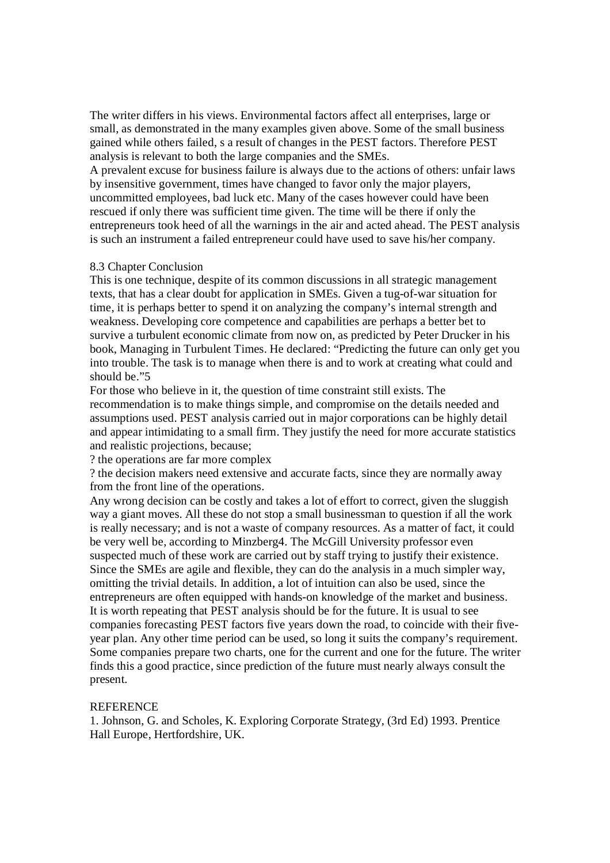The writer differs in his views. Environmental factors affect all enterprises, large or small, as demonstrated in the many examples given above. Some of the small business gained while others failed, s a result of changes in the PEST factors. Therefore PEST analysis is relevant to both the large companies and the SMEs.

A prevalent excuse for business failure is always due to the actions of others: unfair laws by insensitive government, times have changed to favor only the major players, uncommitted employees, bad luck etc. Many of the cases however could have been rescued if only there was sufficient time given. The time will be there if only the entrepreneurs took heed of all the warnings in the air and acted ahead. The PEST analysis is such an instrument a failed entrepreneur could have used to save his/her company.

### 8.3 Chapter Conclusion

This is one technique, despite of its common discussions in all strategic management texts, that has a clear doubt for application in SMEs. Given a tug-of-war situation for time, it is perhaps better to spend it on analyzing the company's internal strength and weakness. Developing core competence and capabilities are perhaps a better bet to survive a turbulent economic climate from now on, as predicted by Peter Drucker in his book, Managing in Turbulent Times. He declared: "Predicting the future can only get you into trouble. The task is to manage when there is and to work at creating what could and should be."5

For those who believe in it, the question of time constraint still exists. The recommendation is to make things simple, and compromise on the details needed and assumptions used. PEST analysis carried out in major corporations can be highly detail and appear intimidating to a small firm. They justify the need for more accurate statistics and realistic projections, because;

? the operations are far more complex

? the decision makers need extensive and accurate facts, since they are normally away from the front line of the operations.

Any wrong decision can be costly and takes a lot of effort to correct, given the sluggish way a giant moves. All these do not stop a small businessman to question if all the work is really necessary; and is not a waste of company resources. As a matter of fact, it could be very well be, according to Minzberg4. The McGill University professor even suspected much of these work are carried out by staff trying to justify their existence. Since the SMEs are agile and flexible, they can do the analysis in a much simpler way, omitting the trivial details. In addition, a lot of intuition can also be used, since the entrepreneurs are often equipped with hands-on knowledge of the market and business. It is worth repeating that PEST analysis should be for the future. It is usual to see companies forecasting PEST factors five years down the road, to coincide with their fiveyear plan. Any other time period can be used, so long it suits the company's requirement. Some companies prepare two charts, one for the current and one for the future. The writer finds this a good practice, since prediction of the future must nearly always consult the present.

### **REFERENCE**

1. Johnson, G. and Scholes, K. Exploring Corporate Strategy, (3rd Ed) 1993. Prentice Hall Europe, Hertfordshire, UK.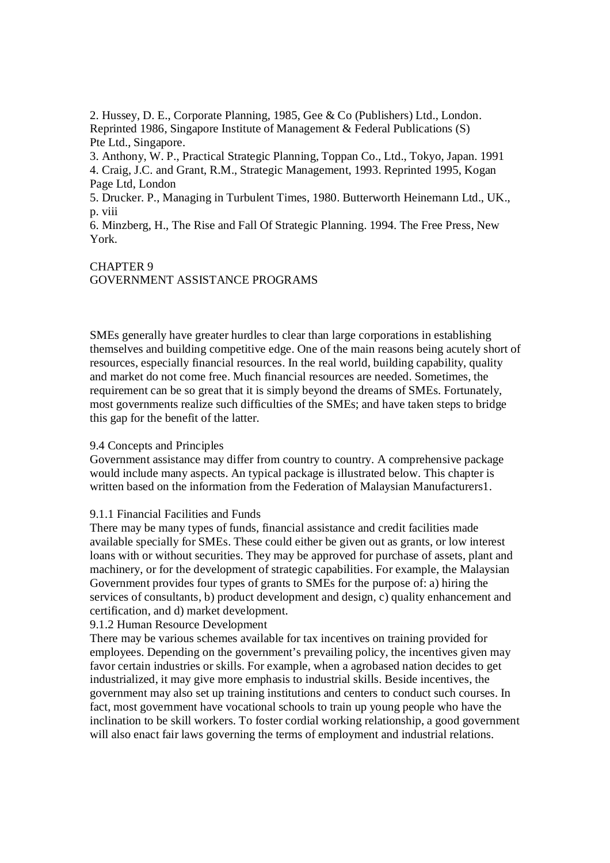2. Hussey, D. E., Corporate Planning, 1985, Gee & Co (Publishers) Ltd., London. Reprinted 1986, Singapore Institute of Management & Federal Publications (S) Pte Ltd., Singapore.

3. Anthony, W. P., Practical Strategic Planning, Toppan Co., Ltd., Tokyo, Japan. 1991 4. Craig, J.C. and Grant, R.M., Strategic Management, 1993. Reprinted 1995, Kogan Page Ltd, London

5. Drucker. P., Managing in Turbulent Times, 1980. Butterworth Heinemann Ltd., UK., p. viii

6. Minzberg, H., The Rise and Fall Of Strategic Planning. 1994. The Free Press, New York.

# CHAPTER 9

GOVERNMENT ASSISTANCE PROGRAMS

SMEs generally have greater hurdles to clear than large corporations in establishing themselves and building competitive edge. One of the main reasons being acutely short of resources, especially financial resources. In the real world, building capability, quality and market do not come free. Much financial resources are needed. Sometimes, the requirement can be so great that it is simply beyond the dreams of SMEs. Fortunately, most governments realize such difficulties of the SMEs; and have taken steps to bridge this gap for the benefit of the latter.

# 9.4 Concepts and Principles

Government assistance may differ from country to country. A comprehensive package would include many aspects. An typical package is illustrated below. This chapter is written based on the information from the Federation of Malaysian Manufacturers1.

### 9.1.1 Financial Facilities and Funds

There may be many types of funds, financial assistance and credit facilities made available specially for SMEs. These could either be given out as grants, or low interest loans with or without securities. They may be approved for purchase of assets, plant and machinery, or for the development of strategic capabilities. For example, the Malaysian Government provides four types of grants to SMEs for the purpose of: a) hiring the services of consultants, b) product development and design, c) quality enhancement and certification, and d) market development.

# 9.1.2 Human Resource Development

There may be various schemes available for tax incentives on training provided for employees. Depending on the government's prevailing policy, the incentives given may favor certain industries or skills. For example, when a agrobased nation decides to get industrialized, it may give more emphasis to industrial skills. Beside incentives, the government may also set up training institutions and centers to conduct such courses. In fact, most government have vocational schools to train up young people who have the inclination to be skill workers. To foster cordial working relationship, a good government will also enact fair laws governing the terms of employment and industrial relations.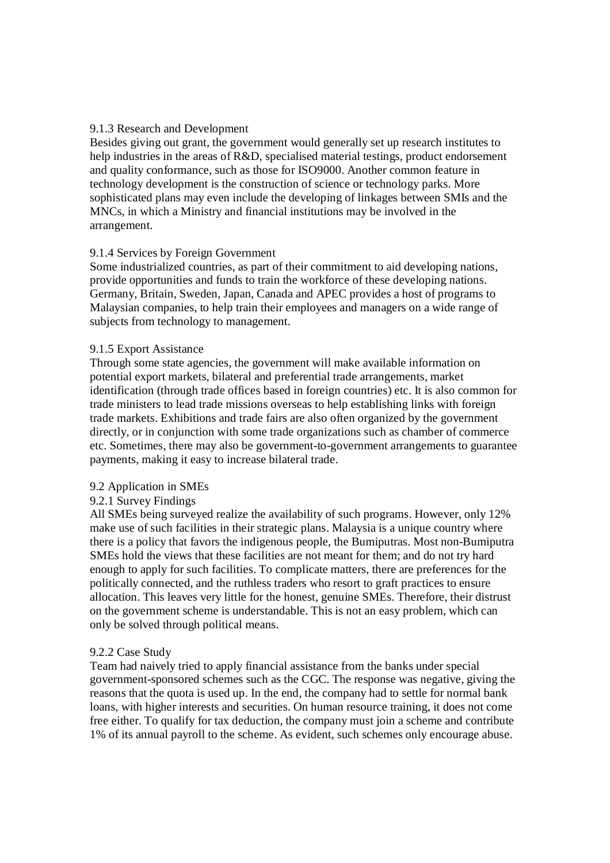## 9.1.3 Research and Development

Besides giving out grant, the government would generally set up research institutes to help industries in the areas of R&D, specialised material testings, product endorsement and quality conformance, such as those for ISO9000. Another common feature in technology development is the construction of science or technology parks. More sophisticated plans may even include the developing of linkages between SMIs and the MNCs, in which a Ministry and financial institutions may be involved in the arrangement.

## 9.1.4 Services by Foreign Government

Some industrialized countries, as part of their commitment to aid developing nations, provide opportunities and funds to train the workforce of these developing nations. Germany, Britain, Sweden, Japan, Canada and APEC provides a host of programs to Malaysian companies, to help train their employees and managers on a wide range of subjects from technology to management.

### 9.1.5 Export Assistance

Through some state agencies, the government will make available information on potential export markets, bilateral and preferential trade arrangements, market identification (through trade offices based in foreign countries) etc. It is also common for trade ministers to lead trade missions overseas to help establishing links with foreign trade markets. Exhibitions and trade fairs are also often organized by the government directly, or in conjunction with some trade organizations such as chamber of commerce etc. Sometimes, there may also be government-to-government arrangements to guarantee payments, making it easy to increase bilateral trade.

### 9.2 Application in SMEs

# 9.2.1 Survey Findings

All SMEs being surveyed realize the availability of such programs. However, only 12% make use of such facilities in their strategic plans. Malaysia is a unique country where there is a policy that favors the indigenous people, the Bumiputras. Most non-Bumiputra SMEs hold the views that these facilities are not meant for them; and do not try hard enough to apply for such facilities. To complicate matters, there are preferences for the politically connected, and the ruthless traders who resort to graft practices to ensure allocation. This leaves very little for the honest, genuine SMEs. Therefore, their distrust on the government scheme is understandable. This is not an easy problem, which can only be solved through political means.

### 9.2.2 Case Study

Team had naively tried to apply financial assistance from the banks under special government-sponsored schemes such as the CGC. The response was negative, giving the reasons that the quota is used up. In the end, the company had to settle for normal bank loans, with higher interests and securities. On human resource training, it does not come free either. To qualify for tax deduction, the company must join a scheme and contribute 1% of its annual payroll to the scheme. As evident, such schemes only encourage abuse.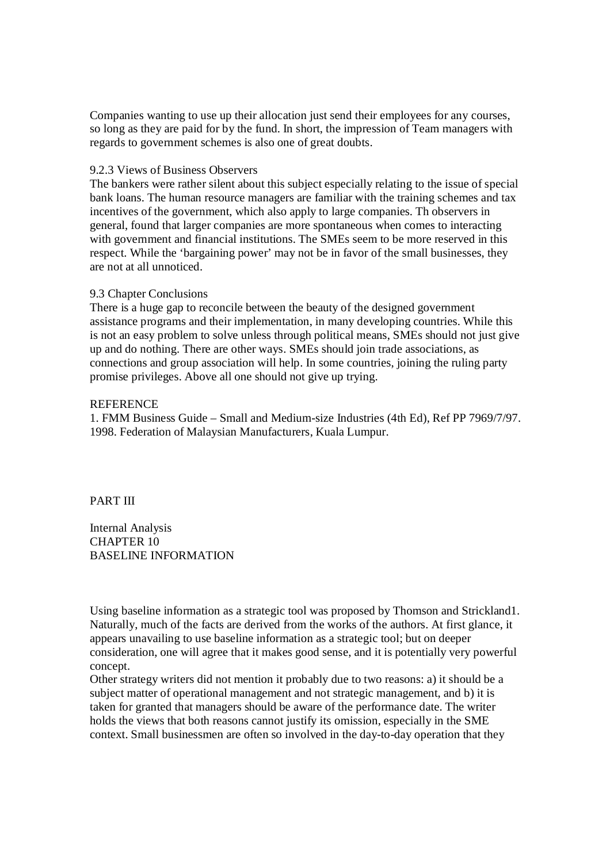Companies wanting to use up their allocation just send their employees for any courses, so long as they are paid for by the fund. In short, the impression of Team managers with regards to government schemes is also one of great doubts.

#### 9.2.3 Views of Business Observers

The bankers were rather silent about this subject especially relating to the issue of special bank loans. The human resource managers are familiar with the training schemes and tax incentives of the government, which also apply to large companies. Th observers in general, found that larger companies are more spontaneous when comes to interacting with government and financial institutions. The SMEs seem to be more reserved in this respect. While the 'bargaining power' may not be in favor of the small businesses, they are not at all unnoticed.

### 9.3 Chapter Conclusions

There is a huge gap to reconcile between the beauty of the designed government assistance programs and their implementation, in many developing countries. While this is not an easy problem to solve unless through political means, SMEs should not just give up and do nothing. There are other ways. SMEs should join trade associations, as connections and group association will help. In some countries, joining the ruling party promise privileges. Above all one should not give up trying.

#### **REFERENCE**

1. FMM Business Guide – Small and Medium-size Industries (4th Ed), Ref PP 7969/7/97. 1998. Federation of Malaysian Manufacturers, Kuala Lumpur.

#### PART III

Internal Analysis CHAPTER 10 BASELINE INFORMATION

Using baseline information as a strategic tool was proposed by Thomson and Strickland1. Naturally, much of the facts are derived from the works of the authors. At first glance, it appears unavailing to use baseline information as a strategic tool; but on deeper consideration, one will agree that it makes good sense, and it is potentially very powerful concept.

Other strategy writers did not mention it probably due to two reasons: a) it should be a subject matter of operational management and not strategic management, and b) it is taken for granted that managers should be aware of the performance date. The writer holds the views that both reasons cannot justify its omission, especially in the SME context. Small businessmen are often so involved in the day-to-day operation that they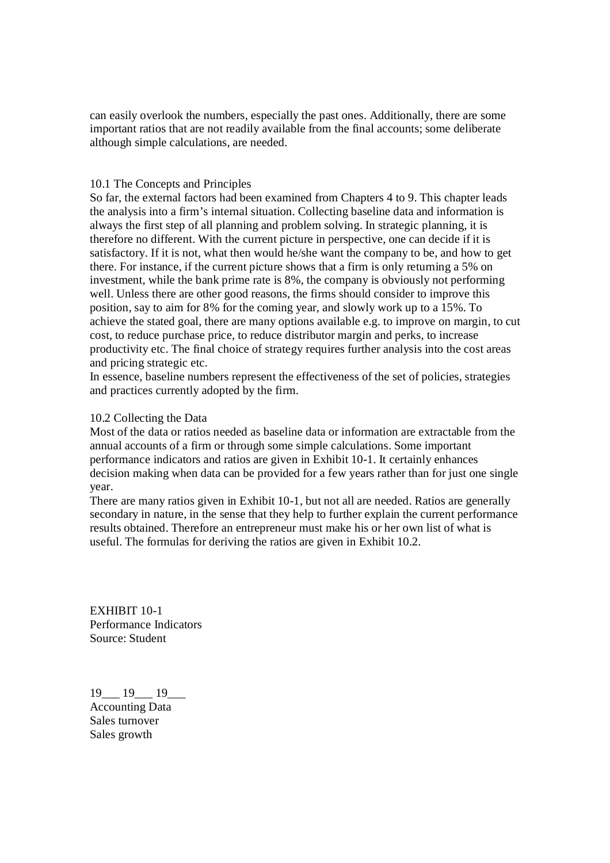can easily overlook the numbers, especially the past ones. Additionally, there are some important ratios that are not readily available from the final accounts; some deliberate although simple calculations, are needed.

### 10.1 The Concepts and Principles

So far, the external factors had been examined from Chapters 4 to 9. This chapter leads the analysis into a firm's internal situation. Collecting baseline data and information is always the first step of all planning and problem solving. In strategic planning, it is therefore no different. With the current picture in perspective, one can decide if it is satisfactory. If it is not, what then would he/she want the company to be, and how to get there. For instance, if the current picture shows that a firm is only returning a 5% on investment, while the bank prime rate is 8%, the company is obviously not performing well. Unless there are other good reasons, the firms should consider to improve this position, say to aim for 8% for the coming year, and slowly work up to a 15%. To achieve the stated goal, there are many options available e.g. to improve on margin, to cut cost, to reduce purchase price, to reduce distributor margin and perks, to increase productivity etc. The final choice of strategy requires further analysis into the cost areas and pricing strategic etc.

In essence, baseline numbers represent the effectiveness of the set of policies, strategies and practices currently adopted by the firm.

### 10.2 Collecting the Data

Most of the data or ratios needed as baseline data or information are extractable from the annual accounts of a firm or through some simple calculations. Some important performance indicators and ratios are given in Exhibit 10-1. It certainly enhances decision making when data can be provided for a few years rather than for just one single year.

There are many ratios given in Exhibit 10-1, but not all are needed. Ratios are generally secondary in nature, in the sense that they help to further explain the current performance results obtained. Therefore an entrepreneur must make his or her own list of what is useful. The formulas for deriving the ratios are given in Exhibit 10.2.

EXHIBIT 10-1 Performance Indicators Source: Student

19 19 19 Accounting Data Sales turnover Sales growth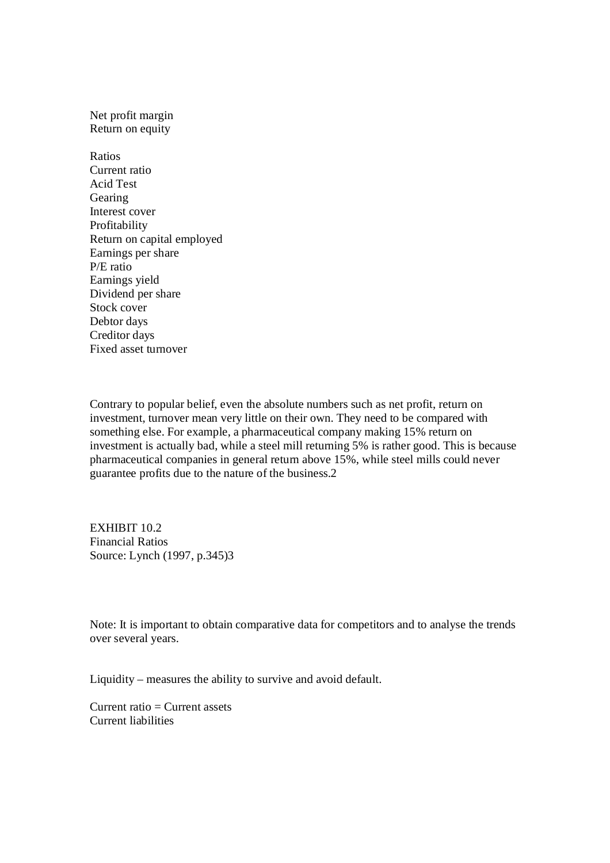## Net profit margin Return on equity

Ratios Current ratio Acid Test Gearing Interest cover Profitability Return on capital employed Earnings per share P/E ratio Earnings yield Dividend per share Stock cover Debtor days Creditor days Fixed asset turnover

Contrary to popular belief, even the absolute numbers such as net profit, return on investment, turnover mean very little on their own. They need to be compared with something else. For example, a pharmaceutical company making 15% return on investment is actually bad, while a steel mill returning 5% is rather good. This is because pharmaceutical companies in general return above 15%, while steel mills could never guarantee profits due to the nature of the business.2

EXHIBIT 10.2 Financial Ratios Source: Lynch (1997, p.345)3

Note: It is important to obtain comparative data for competitors and to analyse the trends over several years.

Liquidity – measures the ability to survive and avoid default.

Current ratio  $=$  Current assets Current liabilities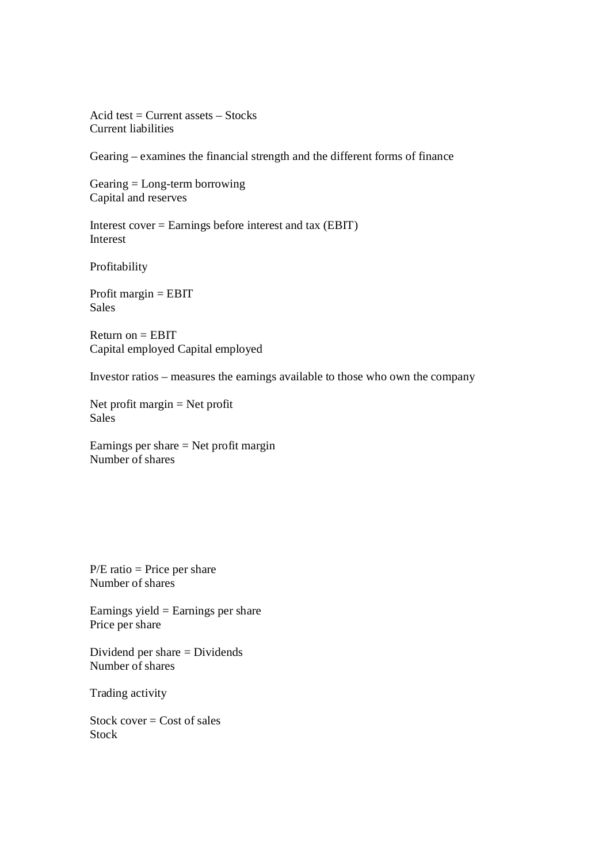Acid test  $=$  Current assets  $-$  Stocks Current liabilities

Gearing – examines the financial strength and the different forms of finance

Gearing = Long-term borrowing Capital and reserves

Interest cover = Earnings before interest and tax (EBIT) Interest

Profitability

Profit margin = EBIT Sales

Return on  $=$  EBIT Capital employed Capital employed

Investor ratios – measures the earnings available to those who own the company

Net profit margin = Net profit Sales

Earnings per share  $=$  Net profit margin Number of shares

 $P/E$  ratio = Price per share Number of shares

Earnings yield  $=$  Earnings per share Price per share

Dividend per share = Dividends Number of shares

Trading activity

Stock cover  $=$  Cost of sales Stock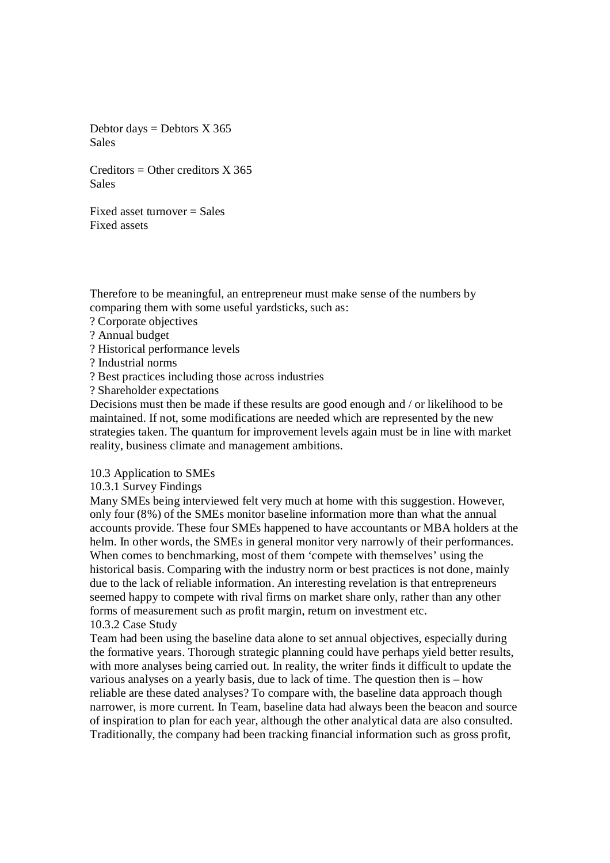Debtor days  $=$  Debtors X 365 Sales

 $C$ reditors = Other creditors  $X$  365 Sales

Fixed asset turnover  $=$  Sales Fixed assets

Therefore to be meaningful, an entrepreneur must make sense of the numbers by comparing them with some useful yardsticks, such as:

- ? Corporate objectives
- ? Annual budget
- ? Historical performance levels

? Industrial norms

? Best practices including those across industries

? Shareholder expectations

Decisions must then be made if these results are good enough and / or likelihood to be maintained. If not, some modifications are needed which are represented by the new strategies taken. The quantum for improvement levels again must be in line with market reality, business climate and management ambitions.

10.3 Application to SMEs

10.3.1 Survey Findings

Many SMEs being interviewed felt very much at home with this suggestion. However, only four (8%) of the SMEs monitor baseline information more than what the annual accounts provide. These four SMEs happened to have accountants or MBA holders at the helm. In other words, the SMEs in general monitor very narrowly of their performances. When comes to benchmarking, most of them 'compete with themselves' using the historical basis. Comparing with the industry norm or best practices is not done, mainly due to the lack of reliable information. An interesting revelation is that entrepreneurs seemed happy to compete with rival firms on market share only, rather than any other forms of measurement such as profit margin, return on investment etc. 10.3.2 Case Study

Team had been using the baseline data alone to set annual objectives, especially during the formative years. Thorough strategic planning could have perhaps yield better results, with more analyses being carried out. In reality, the writer finds it difficult to update the various analyses on a yearly basis, due to lack of time. The question then is – how reliable are these dated analyses? To compare with, the baseline data approach though narrower, is more current. In Team, baseline data had always been the beacon and source of inspiration to plan for each year, although the other analytical data are also consulted. Traditionally, the company had been tracking financial information such as gross profit,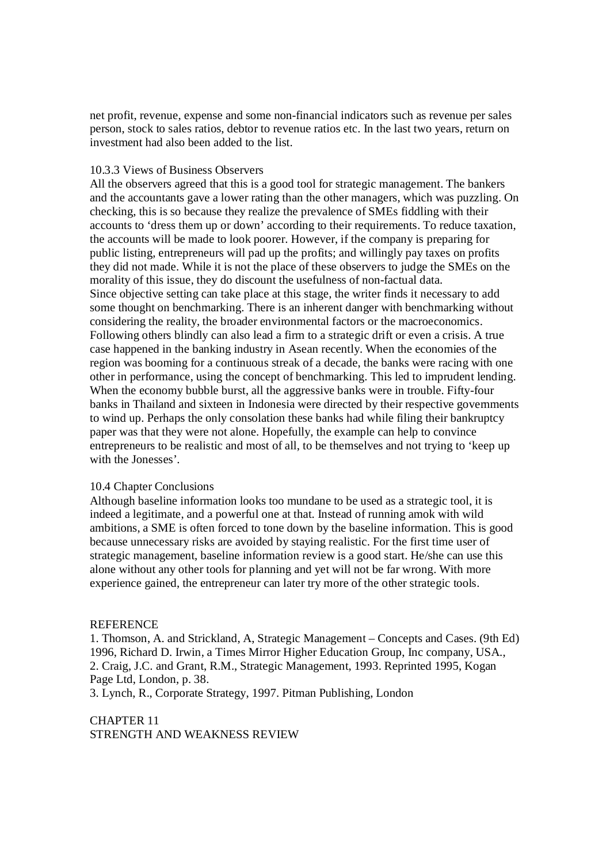net profit, revenue, expense and some non-financial indicators such as revenue per sales person, stock to sales ratios, debtor to revenue ratios etc. In the last two years, return on investment had also been added to the list.

#### 10.3.3 Views of Business Observers

All the observers agreed that this is a good tool for strategic management. The bankers and the accountants gave a lower rating than the other managers, which was puzzling. On checking, this is so because they realize the prevalence of SMEs fiddling with their accounts to 'dress them up or down' according to their requirements. To reduce taxation, the accounts will be made to look poorer. However, if the company is preparing for public listing, entrepreneurs will pad up the profits; and willingly pay taxes on profits they did not made. While it is not the place of these observers to judge the SMEs on the morality of this issue, they do discount the usefulness of non-factual data. Since objective setting can take place at this stage, the writer finds it necessary to add some thought on benchmarking. There is an inherent danger with benchmarking without considering the reality, the broader environmental factors or the macroeconomics. Following others blindly can also lead a firm to a strategic drift or even a crisis. A true case happened in the banking industry in Asean recently. When the economies of the region was booming for a continuous streak of a decade, the banks were racing with one other in performance, using the concept of benchmarking. This led to imprudent lending. When the economy bubble burst, all the aggressive banks were in trouble. Fifty-four banks in Thailand and sixteen in Indonesia were directed by their respective governments to wind up. Perhaps the only consolation these banks had while filing their bankruptcy paper was that they were not alone. Hopefully, the example can help to convince entrepreneurs to be realistic and most of all, to be themselves and not trying to 'keep up with the Jonesses'.

### 10.4 Chapter Conclusions

Although baseline information looks too mundane to be used as a strategic tool, it is indeed a legitimate, and a powerful one at that. Instead of running amok with wild ambitions, a SME is often forced to tone down by the baseline information. This is good because unnecessary risks are avoided by staying realistic. For the first time user of strategic management, baseline information review is a good start. He/she can use this alone without any other tools for planning and yet will not be far wrong. With more experience gained, the entrepreneur can later try more of the other strategic tools.

#### REFERENCE

1. Thomson, A. and Strickland, A, Strategic Management – Concepts and Cases. (9th Ed) 1996, Richard D. Irwin, a Times Mirror Higher Education Group, Inc company, USA., 2. Craig, J.C. and Grant, R.M., Strategic Management, 1993. Reprinted 1995, Kogan Page Ltd, London, p. 38.

3. Lynch, R., Corporate Strategy, 1997. Pitman Publishing, London

CHAPTER 11 STRENGTH AND WEAKNESS REVIEW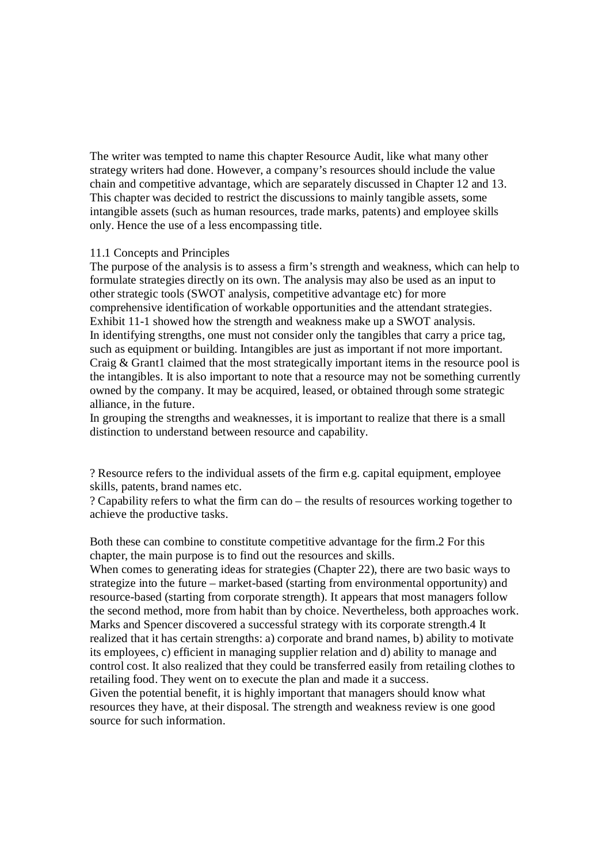The writer was tempted to name this chapter Resource Audit, like what many other strategy writers had done. However, a company's resources should include the value chain and competitive advantage, which are separately discussed in Chapter 12 and 13. This chapter was decided to restrict the discussions to mainly tangible assets, some intangible assets (such as human resources, trade marks, patents) and employee skills only. Hence the use of a less encompassing title.

### 11.1 Concepts and Principles

The purpose of the analysis is to assess a firm's strength and weakness, which can help to formulate strategies directly on its own. The analysis may also be used as an input to other strategic tools (SWOT analysis, competitive advantage etc) for more comprehensive identification of workable opportunities and the attendant strategies. Exhibit 11-1 showed how the strength and weakness make up a SWOT analysis. In identifying strengths, one must not consider only the tangibles that carry a price tag, such as equipment or building. Intangibles are just as important if not more important. Craig & Grant1 claimed that the most strategically important items in the resource pool is the intangibles. It is also important to note that a resource may not be something currently owned by the company. It may be acquired, leased, or obtained through some strategic alliance, in the future.

In grouping the strengths and weaknesses, it is important to realize that there is a small distinction to understand between resource and capability.

? Resource refers to the individual assets of the firm e.g. capital equipment, employee skills, patents, brand names etc.

? Capability refers to what the firm can do – the results of resources working together to achieve the productive tasks.

Both these can combine to constitute competitive advantage for the firm.2 For this chapter, the main purpose is to find out the resources and skills.

When comes to generating ideas for strategies (Chapter 22), there are two basic ways to strategize into the future – market-based (starting from environmental opportunity) and resource-based (starting from corporate strength). It appears that most managers follow the second method, more from habit than by choice. Nevertheless, both approaches work. Marks and Spencer discovered a successful strategy with its corporate strength.4 It realized that it has certain strengths: a) corporate and brand names, b) ability to motivate its employees, c) efficient in managing supplier relation and d) ability to manage and control cost. It also realized that they could be transferred easily from retailing clothes to retailing food. They went on to execute the plan and made it a success. Given the potential benefit, it is highly important that managers should know what resources they have, at their disposal. The strength and weakness review is one good source for such information.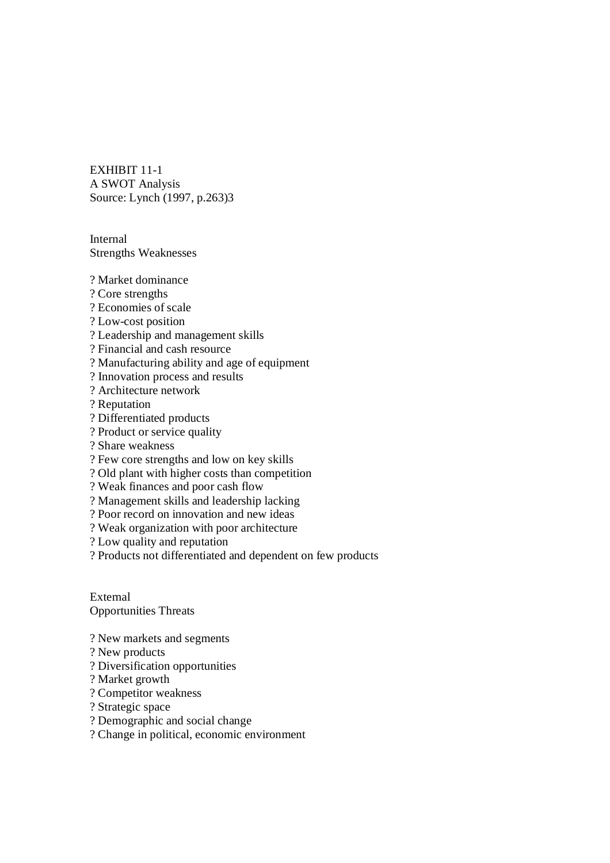EXHIBIT 11-1 A SWOT Analysis Source: Lynch (1997, p.263)3

Internal Strengths Weaknesses

? Market dominance

- ? Core strengths
- ? Economies of scale
- ? Low-cost position
- ? Leadership and management skills
- ? Financial and cash resource
- ? Manufacturing ability and age of equipment
- ? Innovation process and results
- ? Architecture network
- ? Reputation
- ? Differentiated products
- ? Product or service quality
- ? Share weakness
- ? Few core strengths and low on key skills
- ? Old plant with higher costs than competition
- ? Weak finances and poor cash flow
- ? Management skills and leadership lacking
- ? Poor record on innovation and new ideas
- ? Weak organization with poor architecture
- ? Low quality and reputation

? Products not differentiated and dependent on few products

External Opportunities Threats

- ? New markets and segments
- ? New products
- ? Diversification opportunities
- ? Market growth
- ? Competitor weakness
- ? Strategic space
- ? Demographic and social change
- ? Change in political, economic environment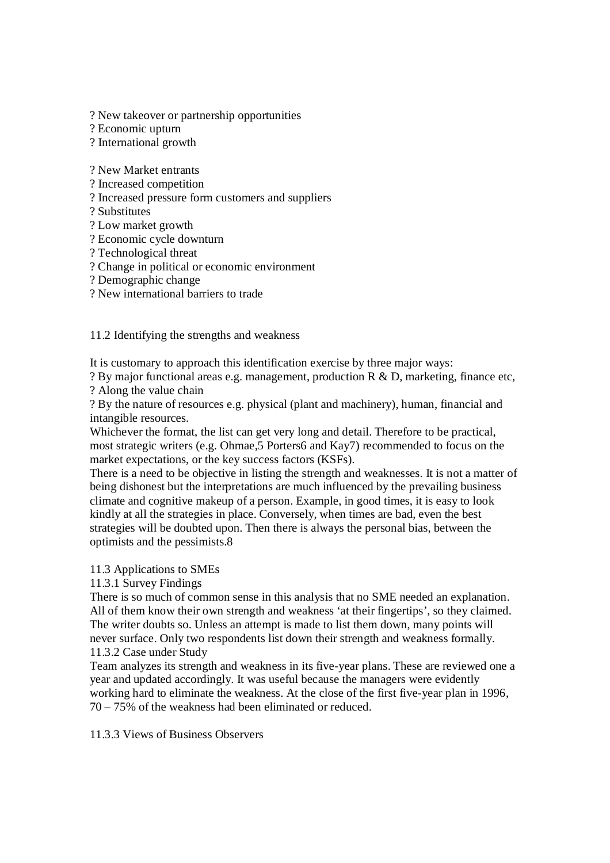? New takeover or partnership opportunities

? Economic upturn

? International growth

? New Market entrants

? Increased competition

? Increased pressure form customers and suppliers

? Substitutes

? Low market growth

? Economic cycle downturn

? Technological threat

? Change in political or economic environment

? Demographic change

? New international barriers to trade

11.2 Identifying the strengths and weakness

It is customary to approach this identification exercise by three major ways:

? By major functional areas e.g. management, production R & D, marketing, finance etc, ? Along the value chain

? By the nature of resources e.g. physical (plant and machinery), human, financial and intangible resources.

Whichever the format, the list can get very long and detail. Therefore to be practical, most strategic writers (e.g. Ohmae,5 Porters6 and Kay7) recommended to focus on the market expectations, or the key success factors (KSFs).

There is a need to be objective in listing the strength and weaknesses. It is not a matter of being dishonest but the interpretations are much influenced by the prevailing business climate and cognitive makeup of a person. Example, in good times, it is easy to look kindly at all the strategies in place. Conversely, when times are bad, even the best strategies will be doubted upon. Then there is always the personal bias, between the optimists and the pessimists.8

# 11.3 Applications to SMEs

11.3.1 Survey Findings

There is so much of common sense in this analysis that no SME needed an explanation. All of them know their own strength and weakness 'at their fingertips', so they claimed. The writer doubts so. Unless an attempt is made to list them down, many points will never surface. Only two respondents list down their strength and weakness formally. 11.3.2 Case under Study

Team analyzes its strength and weakness in its five-year plans. These are reviewed one a year and updated accordingly. It was useful because the managers were evidently working hard to eliminate the weakness. At the close of the first five-year plan in 1996, 70 – 75% of the weakness had been eliminated or reduced.

11.3.3 Views of Business Observers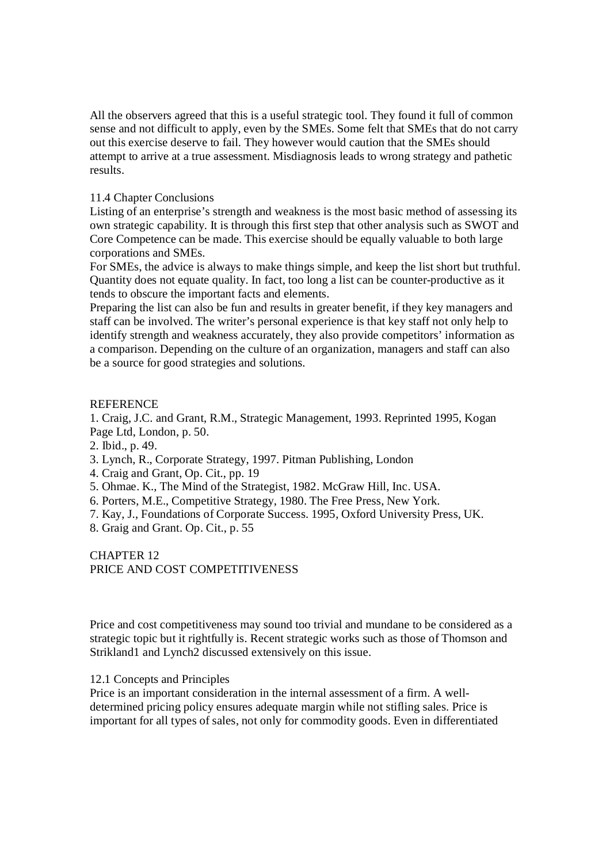All the observers agreed that this is a useful strategic tool. They found it full of common sense and not difficult to apply, even by the SMEs. Some felt that SMEs that do not carry out this exercise deserve to fail. They however would caution that the SMEs should attempt to arrive at a true assessment. Misdiagnosis leads to wrong strategy and pathetic results.

## 11.4 Chapter Conclusions

Listing of an enterprise's strength and weakness is the most basic method of assessing its own strategic capability. It is through this first step that other analysis such as SWOT and Core Competence can be made. This exercise should be equally valuable to both large corporations and SMEs.

For SMEs, the advice is always to make things simple, and keep the list short but truthful. Quantity does not equate quality. In fact, too long a list can be counter-productive as it tends to obscure the important facts and elements.

Preparing the list can also be fun and results in greater benefit, if they key managers and staff can be involved. The writer's personal experience is that key staff not only help to identify strength and weakness accurately, they also provide competitors' information as a comparison. Depending on the culture of an organization, managers and staff can also be a source for good strategies and solutions.

## **REFERENCE**

1. Craig, J.C. and Grant, R.M., Strategic Management, 1993. Reprinted 1995, Kogan Page Ltd, London, p. 50.

2. Ibid., p. 49.

- 3. Lynch, R., Corporate Strategy, 1997. Pitman Publishing, London
- 4. Craig and Grant, Op. Cit., pp. 19
- 5. Ohmae. K., The Mind of the Strategist, 1982. McGraw Hill, Inc. USA.
- 6. Porters, M.E., Competitive Strategy, 1980. The Free Press, New York.
- 7. Kay, J., Foundations of Corporate Success. 1995, Oxford University Press, UK.
- 8. Graig and Grant. Op. Cit., p. 55

CHAPTER 12 PRICE AND COST COMPETITIVENESS

Price and cost competitiveness may sound too trivial and mundane to be considered as a strategic topic but it rightfully is. Recent strategic works such as those of Thomson and Strikland1 and Lynch2 discussed extensively on this issue.

### 12.1 Concepts and Principles

Price is an important consideration in the internal assessment of a firm. A welldetermined pricing policy ensures adequate margin while not stifling sales. Price is important for all types of sales, not only for commodity goods. Even in differentiated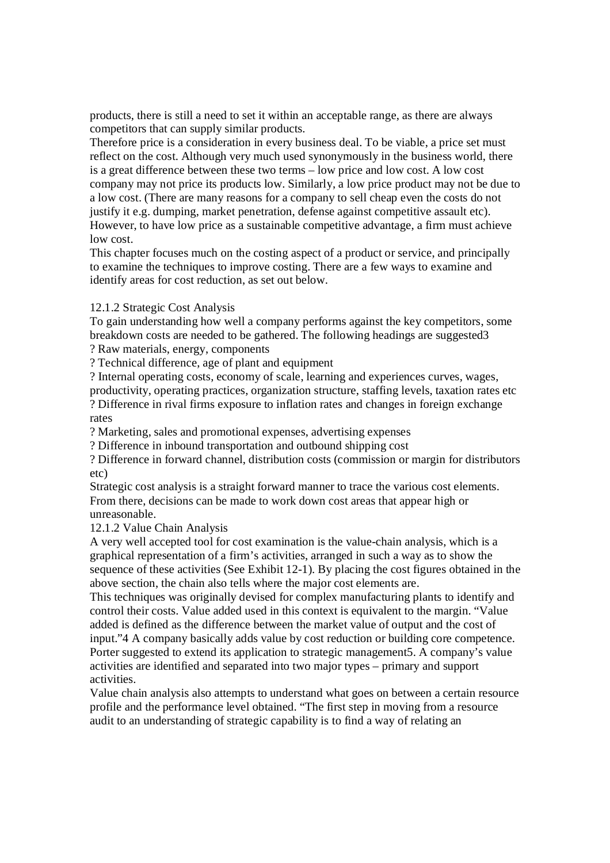products, there is still a need to set it within an acceptable range, as there are always competitors that can supply similar products.

Therefore price is a consideration in every business deal. To be viable, a price set must reflect on the cost. Although very much used synonymously in the business world, there is a great difference between these two terms – low price and low cost. A low cost company may not price its products low. Similarly, a low price product may not be due to a low cost. (There are many reasons for a company to sell cheap even the costs do not justify it e.g. dumping, market penetration, defense against competitive assault etc). However, to have low price as a sustainable competitive advantage, a firm must achieve low cost.

This chapter focuses much on the costing aspect of a product or service, and principally to examine the techniques to improve costing. There are a few ways to examine and identify areas for cost reduction, as set out below.

## 12.1.2 Strategic Cost Analysis

To gain understanding how well a company performs against the key competitors, some breakdown costs are needed to be gathered. The following headings are suggested3 ? Raw materials, energy, components

? Technical difference, age of plant and equipment

? Internal operating costs, economy of scale, learning and experiences curves, wages, productivity, operating practices, organization structure, staffing levels, taxation rates etc ? Difference in rival firms exposure to inflation rates and changes in foreign exchange rates

? Marketing, sales and promotional expenses, advertising expenses

? Difference in inbound transportation and outbound shipping cost

? Difference in forward channel, distribution costs (commission or margin for distributors etc)

Strategic cost analysis is a straight forward manner to trace the various cost elements. From there, decisions can be made to work down cost areas that appear high or unreasonable.

12.1.2 Value Chain Analysis

A very well accepted tool for cost examination is the value-chain analysis, which is a graphical representation of a firm's activities, arranged in such a way as to show the sequence of these activities (See Exhibit 12-1). By placing the cost figures obtained in the above section, the chain also tells where the major cost elements are.

This techniques was originally devised for complex manufacturing plants to identify and control their costs. Value added used in this context is equivalent to the margin. "Value added is defined as the difference between the market value of output and the cost of input."4 A company basically adds value by cost reduction or building core competence. Porter suggested to extend its application to strategic management5. A company's value activities are identified and separated into two major types – primary and support activities.

Value chain analysis also attempts to understand what goes on between a certain resource profile and the performance level obtained. "The first step in moving from a resource audit to an understanding of strategic capability is to find a way of relating an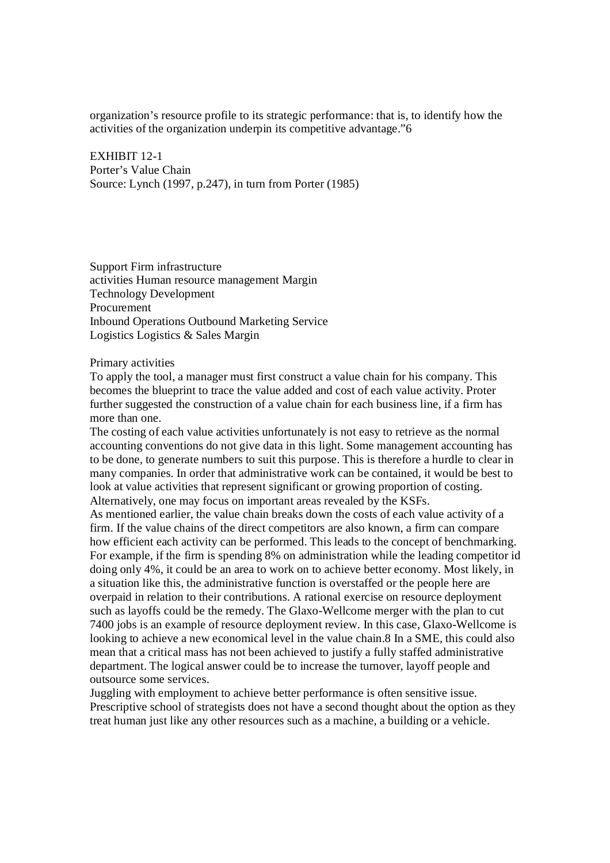organization's resource profile to its strategic performance: that is, to identify how the activities of the organization underpin its competitive advantage."6

EXHIBIT 12-1 Porter's Value Chain Source: Lynch (1997, p.247), in turn from Porter (1985)

Support Firm infrastructure activities Human resource management Margin Technology Development Procurement Inbound Operations Outbound Marketing Service Logistics Logistics & Sales Margin

#### Primary activities

To apply the tool, a manager must first construct a value chain for his company. This becomes the blueprint to trace the value added and cost of each value activity. Proter further suggested the construction of a value chain for each business line, if a firm has more than one.

The costing of each value activities unfortunately is not easy to retrieve as the normal accounting conventions do not give data in this light. Some management accounting has to be done, to generate numbers to suit this purpose. This is therefore a hurdle to clear in many companies. In order that administrative work can be contained, it would be best to look at value activities that represent significant or growing proportion of costing. Alternatively, one may focus on important areas revealed by the KSFs.

As mentioned earlier, the value chain breaks down the costs of each value activity of a firm. If the value chains of the direct competitors are also known, a firm can compare how efficient each activity can be performed. This leads to the concept of benchmarking. For example, if the firm is spending 8% on administration while the leading competitor id doing only 4%, it could be an area to work on to achieve better economy. Most likely, in a situation like this, the administrative function is overstaffed or the people here are overpaid in relation to their contributions. A rational exercise on resource deployment such as layoffs could be the remedy. The Glaxo-Wellcome merger with the plan to cut 7400 jobs is an example of resource deployment review. In this case, Glaxo-Wellcome is looking to achieve a new economical level in the value chain.8 In a SME, this could also mean that a critical mass has not been achieved to justify a fully staffed administrative department. The logical answer could be to increase the turnover, layoff people and outsource some services.

Juggling with employment to achieve better performance is often sensitive issue. Prescriptive school of strategists does not have a second thought about the option as they treat human just like any other resources such as a machine, a building or a vehicle.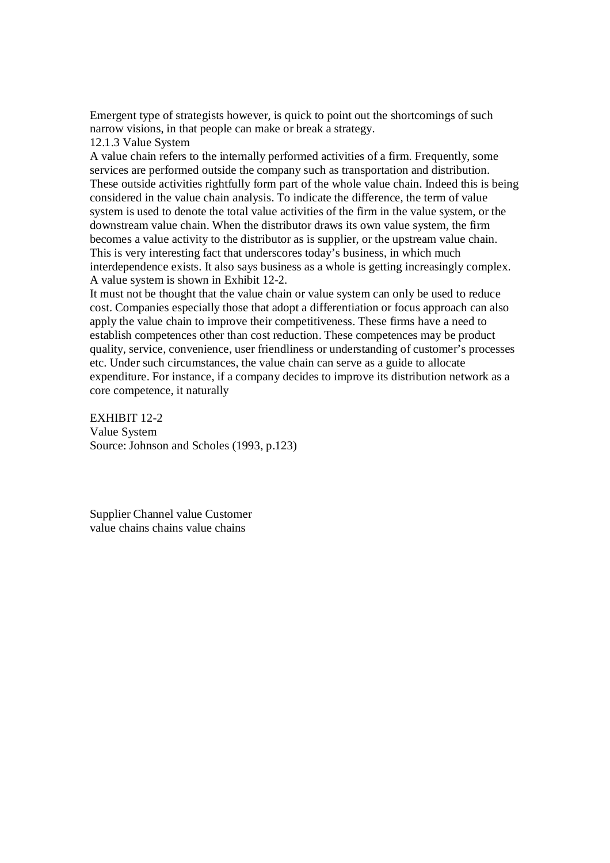Emergent type of strategists however, is quick to point out the shortcomings of such narrow visions, in that people can make or break a strategy.

12.1.3 Value System

A value chain refers to the internally performed activities of a firm. Frequently, some services are performed outside the company such as transportation and distribution. These outside activities rightfully form part of the whole value chain. Indeed this is being considered in the value chain analysis. To indicate the difference, the term of value system is used to denote the total value activities of the firm in the value system, or the downstream value chain. When the distributor draws its own value system, the firm becomes a value activity to the distributor as is supplier, or the upstream value chain. This is very interesting fact that underscores today's business, in which much interdependence exists. It also says business as a whole is getting increasingly complex. A value system is shown in Exhibit 12-2.

It must not be thought that the value chain or value system can only be used to reduce cost. Companies especially those that adopt a differentiation or focus approach can also apply the value chain to improve their competitiveness. These firms have a need to establish competences other than cost reduction. These competences may be product quality, service, convenience, user friendliness or understanding of customer's processes etc. Under such circumstances, the value chain can serve as a guide to allocate expenditure. For instance, if a company decides to improve its distribution network as a core competence, it naturally

EXHIBIT 12-2 Value System Source: Johnson and Scholes (1993, p.123)

Supplier Channel value Customer value chains chains value chains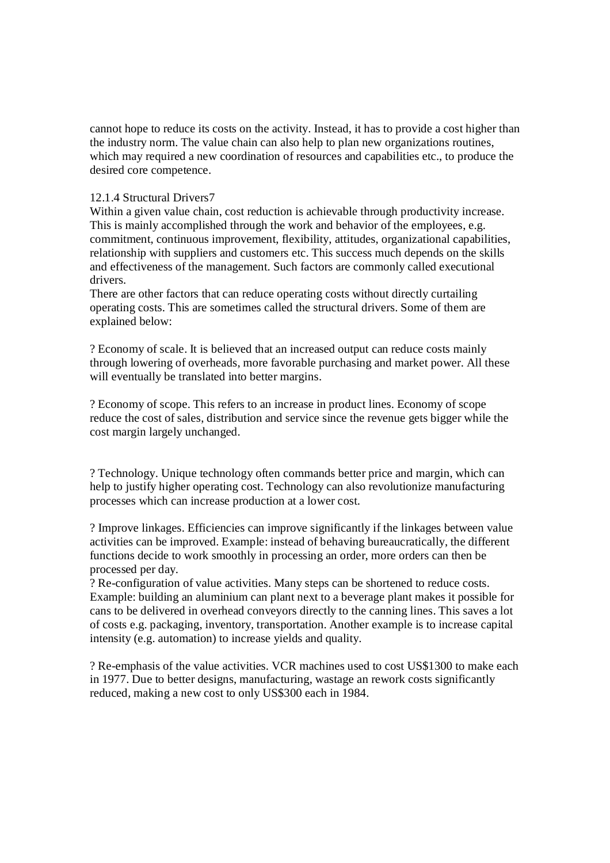cannot hope to reduce its costs on the activity. Instead, it has to provide a cost higher than the industry norm. The value chain can also help to plan new organizations routines, which may required a new coordination of resources and capabilities etc., to produce the desired core competence.

## 12.1.4 Structural Drivers7

Within a given value chain, cost reduction is achievable through productivity increase. This is mainly accomplished through the work and behavior of the employees, e.g. commitment, continuous improvement, flexibility, attitudes, organizational capabilities, relationship with suppliers and customers etc. This success much depends on the skills and effectiveness of the management. Such factors are commonly called executional drivers.

There are other factors that can reduce operating costs without directly curtailing operating costs. This are sometimes called the structural drivers. Some of them are explained below:

? Economy of scale. It is believed that an increased output can reduce costs mainly through lowering of overheads, more favorable purchasing and market power. All these will eventually be translated into better margins.

? Economy of scope. This refers to an increase in product lines. Economy of scope reduce the cost of sales, distribution and service since the revenue gets bigger while the cost margin largely unchanged.

? Technology. Unique technology often commands better price and margin, which can help to justify higher operating cost. Technology can also revolutionize manufacturing processes which can increase production at a lower cost.

? Improve linkages. Efficiencies can improve significantly if the linkages between value activities can be improved. Example: instead of behaving bureaucratically, the different functions decide to work smoothly in processing an order, more orders can then be processed per day.

? Re-configuration of value activities. Many steps can be shortened to reduce costs. Example: building an aluminium can plant next to a beverage plant makes it possible for cans to be delivered in overhead conveyors directly to the canning lines. This saves a lot of costs e.g. packaging, inventory, transportation. Another example is to increase capital intensity (e.g. automation) to increase yields and quality.

? Re-emphasis of the value activities. VCR machines used to cost US\$1300 to make each in 1977. Due to better designs, manufacturing, wastage an rework costs significantly reduced, making a new cost to only US\$300 each in 1984.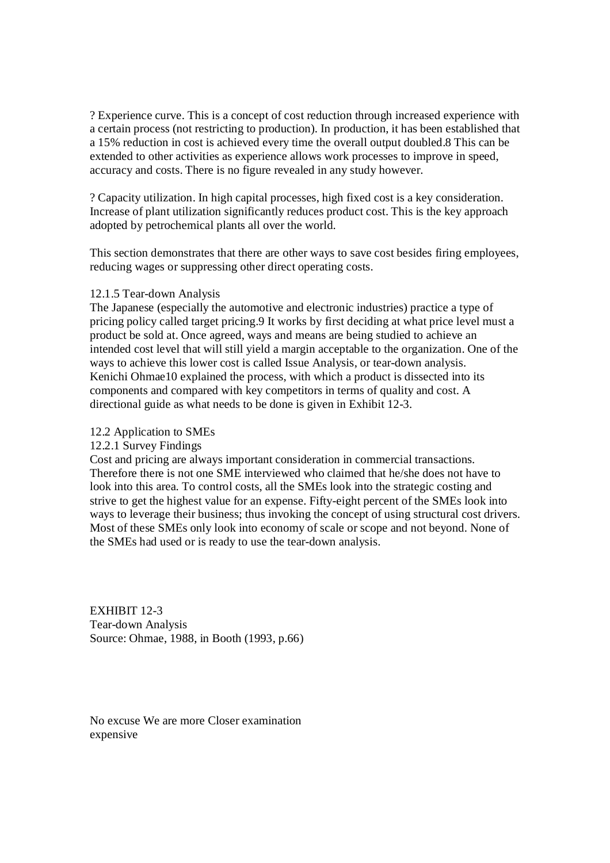? Experience curve. This is a concept of cost reduction through increased experience with a certain process (not restricting to production). In production, it has been established that a 15% reduction in cost is achieved every time the overall output doubled.8 This can be extended to other activities as experience allows work processes to improve in speed, accuracy and costs. There is no figure revealed in any study however.

? Capacity utilization. In high capital processes, high fixed cost is a key consideration. Increase of plant utilization significantly reduces product cost. This is the key approach adopted by petrochemical plants all over the world.

This section demonstrates that there are other ways to save cost besides firing employees, reducing wages or suppressing other direct operating costs.

#### 12.1.5 Tear-down Analysis

The Japanese (especially the automotive and electronic industries) practice a type of pricing policy called target pricing.9 It works by first deciding at what price level must a product be sold at. Once agreed, ways and means are being studied to achieve an intended cost level that will still yield a margin acceptable to the organization. One of the ways to achieve this lower cost is called Issue Analysis, or tear-down analysis. Kenichi Ohmae10 explained the process, with which a product is dissected into its components and compared with key competitors in terms of quality and cost. A directional guide as what needs to be done is given in Exhibit 12-3.

#### 12.2 Application to SMEs

12.2.1 Survey Findings

Cost and pricing are always important consideration in commercial transactions. Therefore there is not one SME interviewed who claimed that he/she does not have to look into this area. To control costs, all the SMEs look into the strategic costing and strive to get the highest value for an expense. Fifty-eight percent of the SMEs look into ways to leverage their business; thus invoking the concept of using structural cost drivers. Most of these SMEs only look into economy of scale or scope and not beyond. None of the SMEs had used or is ready to use the tear-down analysis.

EXHIBIT 12-3 Tear-down Analysis Source: Ohmae, 1988, in Booth (1993, p.66)

No excuse We are more Closer examination expensive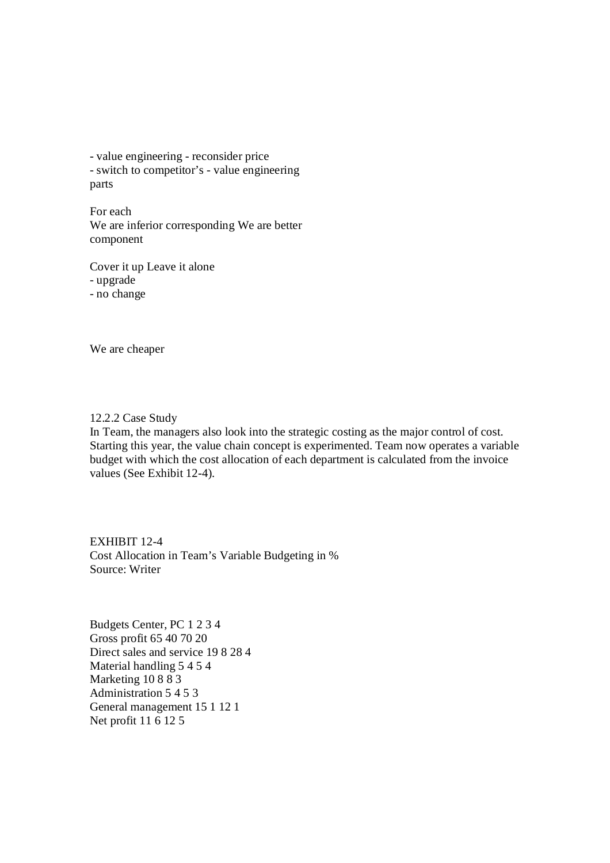- value engineering - reconsider price - switch to competitor's - value engineering parts

For each We are inferior corresponding We are better component

Cover it up Leave it alone - upgrade - no change

We are cheaper

12.2.2 Case Study

In Team, the managers also look into the strategic costing as the major control of cost. Starting this year, the value chain concept is experimented. Team now operates a variable budget with which the cost allocation of each department is calculated from the invoice values (See Exhibit 12-4).

EXHIBIT 12-4 Cost Allocation in Team's Variable Budgeting in % Source: Writer

Budgets Center, PC 1 2 3 4 Gross profit 65 40 70 20 Direct sales and service 19 8 28 4 Material handling 5 4 5 4 Marketing 10 8 8 3 Administration 5 4 5 3 General management 15 1 12 1 Net profit 11 6 12 5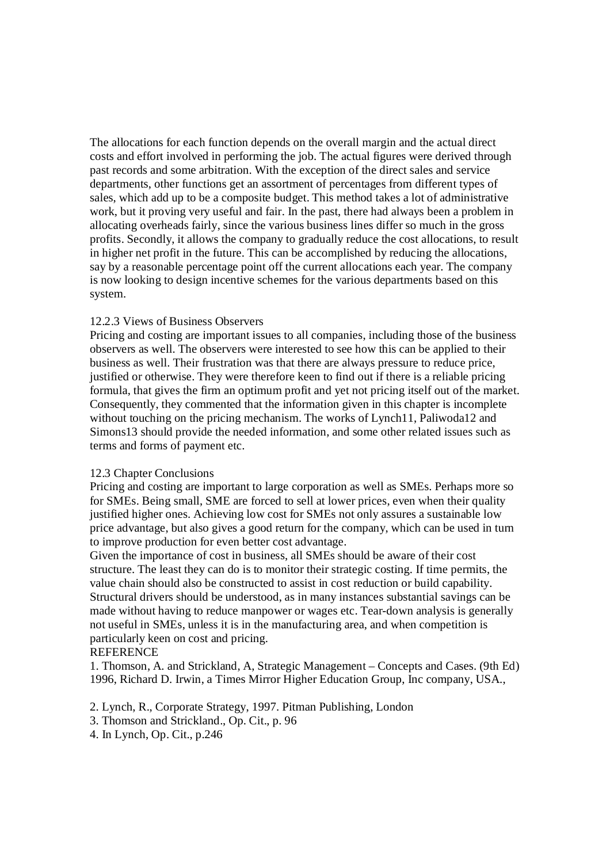The allocations for each function depends on the overall margin and the actual direct costs and effort involved in performing the job. The actual figures were derived through past records and some arbitration. With the exception of the direct sales and service departments, other functions get an assortment of percentages from different types of sales, which add up to be a composite budget. This method takes a lot of administrative work, but it proving very useful and fair. In the past, there had always been a problem in allocating overheads fairly, since the various business lines differ so much in the gross profits. Secondly, it allows the company to gradually reduce the cost allocations, to result in higher net profit in the future. This can be accomplished by reducing the allocations, say by a reasonable percentage point off the current allocations each year. The company is now looking to design incentive schemes for the various departments based on this system.

### 12.2.3 Views of Business Observers

Pricing and costing are important issues to all companies, including those of the business observers as well. The observers were interested to see how this can be applied to their business as well. Their frustration was that there are always pressure to reduce price, justified or otherwise. They were therefore keen to find out if there is a reliable pricing formula, that gives the firm an optimum profit and yet not pricing itself out of the market. Consequently, they commented that the information given in this chapter is incomplete without touching on the pricing mechanism. The works of Lynch11, Paliwoda12 and Simons13 should provide the needed information, and some other related issues such as terms and forms of payment etc.

#### 12.3 Chapter Conclusions

Pricing and costing are important to large corporation as well as SMEs. Perhaps more so for SMEs. Being small, SME are forced to sell at lower prices, even when their quality justified higher ones. Achieving low cost for SMEs not only assures a sustainable low price advantage, but also gives a good return for the company, which can be used in turn to improve production for even better cost advantage.

Given the importance of cost in business, all SMEs should be aware of their cost structure. The least they can do is to monitor their strategic costing. If time permits, the value chain should also be constructed to assist in cost reduction or build capability. Structural drivers should be understood, as in many instances substantial savings can be made without having to reduce manpower or wages etc. Tear-down analysis is generally not useful in SMEs, unless it is in the manufacturing area, and when competition is particularly keen on cost and pricing.

### **REFERENCE**

1. Thomson, A. and Strickland, A, Strategic Management – Concepts and Cases. (9th Ed) 1996, Richard D. Irwin, a Times Mirror Higher Education Group, Inc company, USA.,

2. Lynch, R., Corporate Strategy, 1997. Pitman Publishing, London

- 3. Thomson and Strickland., Op. Cit., p. 96
- 4. In Lynch, Op. Cit., p.246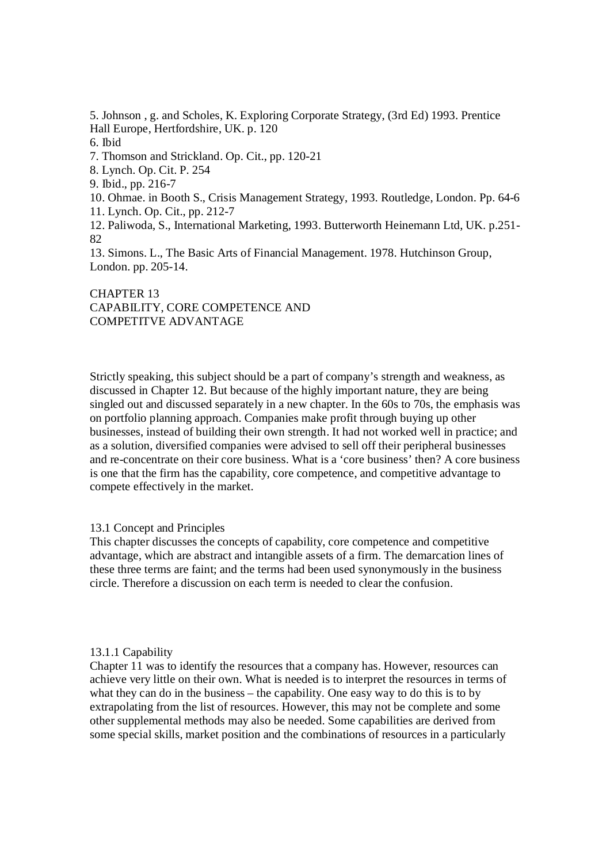5. Johnson , g. and Scholes, K. Exploring Corporate Strategy, (3rd Ed) 1993. Prentice Hall Europe, Hertfordshire, UK. p. 120 6. Ibid 7. Thomson and Strickland. Op. Cit., pp. 120-21 8. Lynch. Op. Cit. P. 254 9. Ibid., pp. 216-7 10. Ohmae. in Booth S., Crisis Management Strategy, 1993. Routledge, London. Pp. 64-6 11. Lynch. Op. Cit., pp. 212-7 12. Paliwoda, S., International Marketing, 1993. Butterworth Heinemann Ltd, UK. p.251- 82 13. Simons. L., The Basic Arts of Financial Management. 1978. Hutchinson Group, London. pp. 205-14.

# CHAPTER 13 CAPABILITY, CORE COMPETENCE AND COMPETITVE ADVANTAGE

Strictly speaking, this subject should be a part of company's strength and weakness, as discussed in Chapter 12. But because of the highly important nature, they are being singled out and discussed separately in a new chapter. In the 60s to 70s, the emphasis was on portfolio planning approach. Companies make profit through buying up other businesses, instead of building their own strength. It had not worked well in practice; and as a solution, diversified companies were advised to sell off their peripheral businesses and re-concentrate on their core business. What is a 'core business' then? A core business is one that the firm has the capability, core competence, and competitive advantage to compete effectively in the market.

### 13.1 Concept and Principles

This chapter discusses the concepts of capability, core competence and competitive advantage, which are abstract and intangible assets of a firm. The demarcation lines of these three terms are faint; and the terms had been used synonymously in the business circle. Therefore a discussion on each term is needed to clear the confusion.

### 13.1.1 Capability

Chapter 11 was to identify the resources that a company has. However, resources can achieve very little on their own. What is needed is to interpret the resources in terms of what they can do in the business – the capability. One easy way to do this is to by extrapolating from the list of resources. However, this may not be complete and some other supplemental methods may also be needed. Some capabilities are derived from some special skills, market position and the combinations of resources in a particularly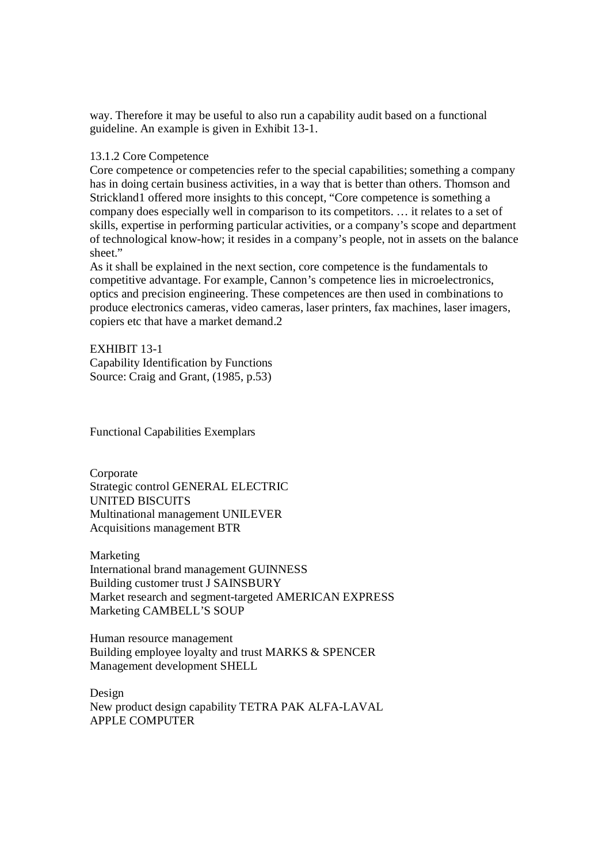way. Therefore it may be useful to also run a capability audit based on a functional guideline. An example is given in Exhibit 13-1.

### 13.1.2 Core Competence

Core competence or competencies refer to the special capabilities; something a company has in doing certain business activities, in a way that is better than others. Thomson and Strickland1 offered more insights to this concept, "Core competence is something a company does especially well in comparison to its competitors. … it relates to a set of skills, expertise in performing particular activities, or a company's scope and department of technological know-how; it resides in a company's people, not in assets on the balance sheet."

As it shall be explained in the next section, core competence is the fundamentals to competitive advantage. For example, Cannon's competence lies in microelectronics, optics and precision engineering. These competences are then used in combinations to produce electronics cameras, video cameras, laser printers, fax machines, laser imagers, copiers etc that have a market demand.2

EXHIBIT 13-1 Capability Identification by Functions Source: Craig and Grant, (1985, p.53)

Functional Capabilities Exemplars

Corporate Strategic control GENERAL ELECTRIC UNITED BISCUITS Multinational management UNILEVER Acquisitions management BTR

Marketing International brand management GUINNESS Building customer trust J SAINSBURY Market research and segment-targeted AMERICAN EXPRESS Marketing CAMBELL'S SOUP

Human resource management Building employee loyalty and trust MARKS & SPENCER Management development SHELL

Design New product design capability TETRA PAK ALFA-LAVAL APPLE COMPUTER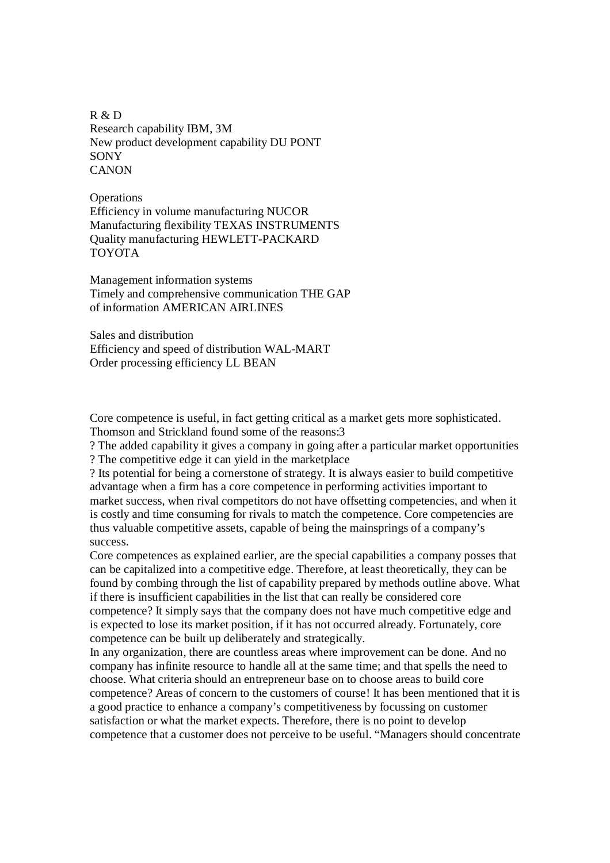R & D Research capability IBM, 3M New product development capability DU PONT **SONY CANON** 

**Operations** Efficiency in volume manufacturing NUCOR Manufacturing flexibility TEXAS INSTRUMENTS Quality manufacturing HEWLETT-PACKARD TOYOTA

Management information systems Timely and comprehensive communication THE GAP of information AMERICAN AIRLINES

Sales and distribution Efficiency and speed of distribution WAL-MART Order processing efficiency LL BEAN

Core competence is useful, in fact getting critical as a market gets more sophisticated. Thomson and Strickland found some of the reasons:3

? The added capability it gives a company in going after a particular market opportunities ? The competitive edge it can yield in the marketplace

? Its potential for being a cornerstone of strategy. It is always easier to build competitive advantage when a firm has a core competence in performing activities important to market success, when rival competitors do not have offsetting competencies, and when it is costly and time consuming for rivals to match the competence. Core competencies are thus valuable competitive assets, capable of being the mainsprings of a company's success.

Core competences as explained earlier, are the special capabilities a company posses that can be capitalized into a competitive edge. Therefore, at least theoretically, they can be found by combing through the list of capability prepared by methods outline above. What if there is insufficient capabilities in the list that can really be considered core competence? It simply says that the company does not have much competitive edge and is expected to lose its market position, if it has not occurred already. Fortunately, core competence can be built up deliberately and strategically.

In any organization, there are countless areas where improvement can be done. And no company has infinite resource to handle all at the same time; and that spells the need to choose. What criteria should an entrepreneur base on to choose areas to build core competence? Areas of concern to the customers of course! It has been mentioned that it is a good practice to enhance a company's competitiveness by focussing on customer satisfaction or what the market expects. Therefore, there is no point to develop competence that a customer does not perceive to be useful. "Managers should concentrate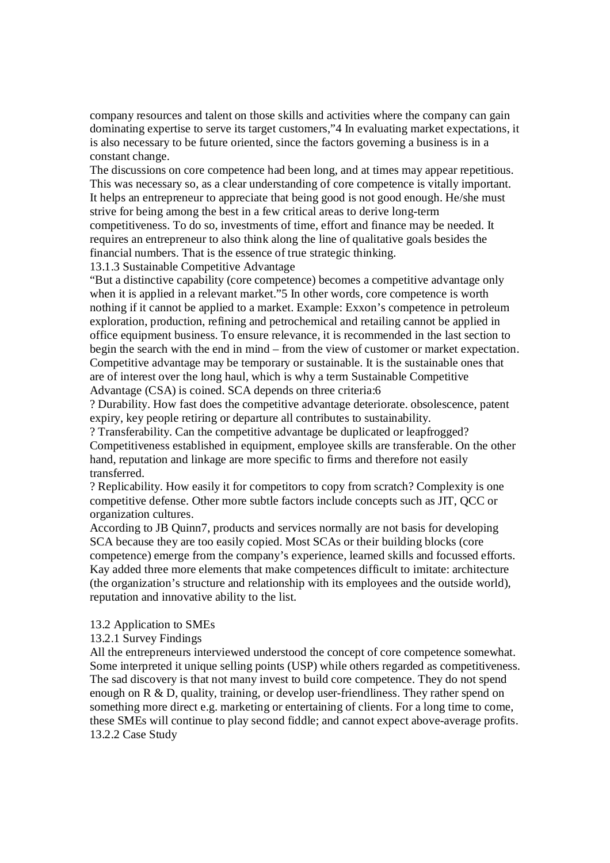company resources and talent on those skills and activities where the company can gain dominating expertise to serve its target customers,"4 In evaluating market expectations, it is also necessary to be future oriented, since the factors governing a business is in a constant change.

The discussions on core competence had been long, and at times may appear repetitious. This was necessary so, as a clear understanding of core competence is vitally important. It helps an entrepreneur to appreciate that being good is not good enough. He/she must strive for being among the best in a few critical areas to derive long-term

competitiveness. To do so, investments of time, effort and finance may be needed. It requires an entrepreneur to also think along the line of qualitative goals besides the financial numbers. That is the essence of true strategic thinking.

13.1.3 Sustainable Competitive Advantage

"But a distinctive capability (core competence) becomes a competitive advantage only when it is applied in a relevant market."5 In other words, core competence is worth nothing if it cannot be applied to a market. Example: Exxon's competence in petroleum exploration, production, refining and petrochemical and retailing cannot be applied in office equipment business. To ensure relevance, it is recommended in the last section to begin the search with the end in mind – from the view of customer or market expectation. Competitive advantage may be temporary or sustainable. It is the sustainable ones that are of interest over the long haul, which is why a term Sustainable Competitive Advantage (CSA) is coined. SCA depends on three criteria:6

? Durability. How fast does the competitive advantage deteriorate. obsolescence, patent expiry, key people retiring or departure all contributes to sustainability.

? Transferability. Can the competitive advantage be duplicated or leapfrogged? Competitiveness established in equipment, employee skills are transferable. On the other hand, reputation and linkage are more specific to firms and therefore not easily transferred.

? Replicability. How easily it for competitors to copy from scratch? Complexity is one competitive defense. Other more subtle factors include concepts such as JIT, QCC or organization cultures.

According to JB Quinn7, products and services normally are not basis for developing SCA because they are too easily copied. Most SCAs or their building blocks (core competence) emerge from the company's experience, learned skills and focussed efforts. Kay added three more elements that make competences difficult to imitate: architecture (the organization's structure and relationship with its employees and the outside world), reputation and innovative ability to the list.

### 13.2 Application to SMEs

### 13.2.1 Survey Findings

All the entrepreneurs interviewed understood the concept of core competence somewhat. Some interpreted it unique selling points (USP) while others regarded as competitiveness. The sad discovery is that not many invest to build core competence. They do not spend enough on R & D, quality, training, or develop user-friendliness. They rather spend on something more direct e.g. marketing or entertaining of clients. For a long time to come, these SMEs will continue to play second fiddle; and cannot expect above-average profits. 13.2.2 Case Study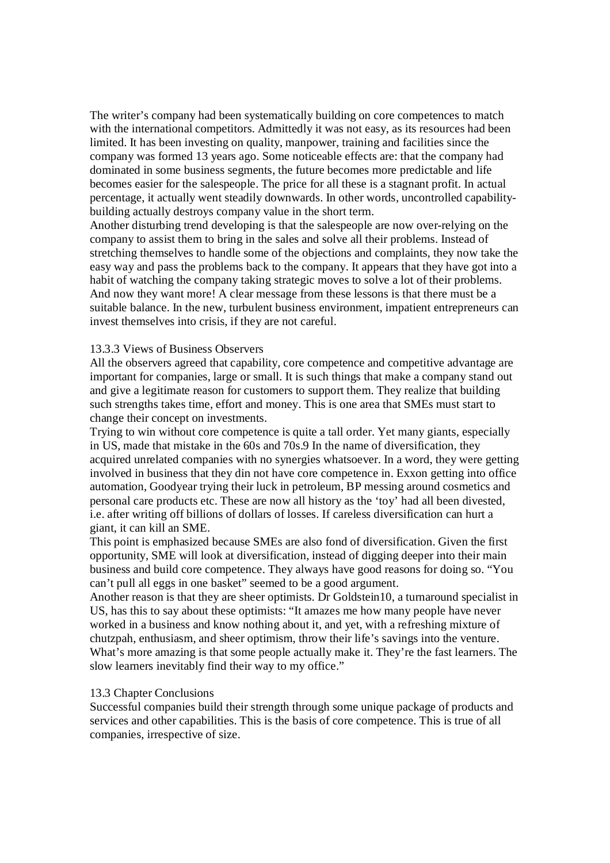The writer's company had been systematically building on core competences to match with the international competitors. Admittedly it was not easy, as its resources had been limited. It has been investing on quality, manpower, training and facilities since the company was formed 13 years ago. Some noticeable effects are: that the company had dominated in some business segments, the future becomes more predictable and life becomes easier for the salespeople. The price for all these is a stagnant profit. In actual percentage, it actually went steadily downwards. In other words, uncontrolled capabilitybuilding actually destroys company value in the short term.

Another disturbing trend developing is that the salespeople are now over-relying on the company to assist them to bring in the sales and solve all their problems. Instead of stretching themselves to handle some of the objections and complaints, they now take the easy way and pass the problems back to the company. It appears that they have got into a habit of watching the company taking strategic moves to solve a lot of their problems. And now they want more! A clear message from these lessons is that there must be a suitable balance. In the new, turbulent business environment, impatient entrepreneurs can invest themselves into crisis, if they are not careful.

#### 13.3.3 Views of Business Observers

All the observers agreed that capability, core competence and competitive advantage are important for companies, large or small. It is such things that make a company stand out and give a legitimate reason for customers to support them. They realize that building such strengths takes time, effort and money. This is one area that SMEs must start to change their concept on investments.

Trying to win without core competence is quite a tall order. Yet many giants, especially in US, made that mistake in the 60s and 70s.9 In the name of diversification, they acquired unrelated companies with no synergies whatsoever. In a word, they were getting involved in business that they din not have core competence in. Exxon getting into office automation, Goodyear trying their luck in petroleum, BP messing around cosmetics and personal care products etc. These are now all history as the 'toy' had all been divested, i.e. after writing off billions of dollars of losses. If careless diversification can hurt a giant, it can kill an SME.

This point is emphasized because SMEs are also fond of diversification. Given the first opportunity, SME will look at diversification, instead of digging deeper into their main business and build core competence. They always have good reasons for doing so. "You can't pull all eggs in one basket" seemed to be a good argument.

Another reason is that they are sheer optimists. Dr Goldstein10, a turnaround specialist in US, has this to say about these optimists: "It amazes me how many people have never worked in a business and know nothing about it, and yet, with a refreshing mixture of chutzpah, enthusiasm, and sheer optimism, throw their life's savings into the venture. What's more amazing is that some people actually make it. They're the fast learners. The slow learners inevitably find their way to my office."

#### 13.3 Chapter Conclusions

Successful companies build their strength through some unique package of products and services and other capabilities. This is the basis of core competence. This is true of all companies, irrespective of size.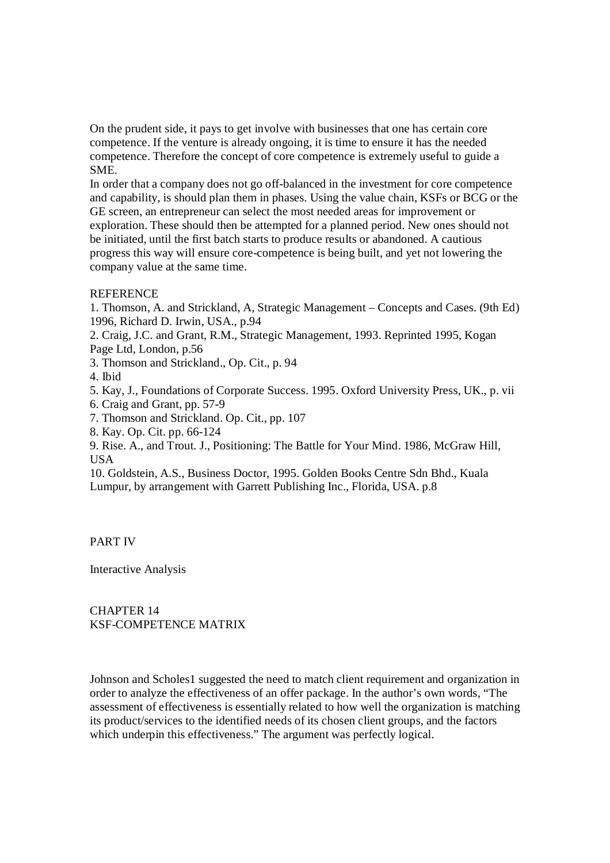On the prudent side, it pays to get involve with businesses that one has certain core competence. If the venture is already ongoing, it is time to ensure it has the needed competence. Therefore the concept of core competence is extremely useful to guide a SME.

In order that a company does not go off-balanced in the investment for core competence and capability, is should plan them in phases. Using the value chain, KSFs or BCG or the GE screen, an entrepreneur can select the most needed areas for improvement or exploration. These should then be attempted for a planned period. New ones should not be initiated, until the first batch starts to produce results or abandoned. A cautious progress this way will ensure core-competence is being built, and yet not lowering the company value at the same time.

## **REFERENCE**

1. Thomson, A. and Strickland, A, Strategic Management – Concepts and Cases. (9th Ed) 1996, Richard D. Irwin, USA., p.94

2. Craig, J.C. and Grant, R.M., Strategic Management, 1993. Reprinted 1995, Kogan Page Ltd, London, p.56

3. Thomson and Strickland., Op. Cit., p. 94

4. Ibid

5. Kay, J., Foundations of Corporate Success. 1995. Oxford University Press, UK., p. vii

6. Craig and Grant, pp. 57-9

7. Thomson and Strickland. Op. Cit., pp. 107

8. Kay. Op. Cit. pp. 66-124

9. Rise. A., and Trout. J., Positioning: The Battle for Your Mind. 1986, McGraw Hill, USA

10. Goldstein, A.S., Business Doctor, 1995. Golden Books Centre Sdn Bhd., Kuala Lumpur, by arrangement with Garrett Publishing Inc., Florida, USA. p.8

PART IV

Interactive Analysis

CHAPTER 14 KSF-COMPETENCE MATRIX

Johnson and Scholes1 suggested the need to match client requirement and organization in order to analyze the effectiveness of an offer package. In the author's own words, "The assessment of effectiveness is essentially related to how well the organization is matching its product/services to the identified needs of its chosen client groups, and the factors which underpin this effectiveness." The argument was perfectly logical.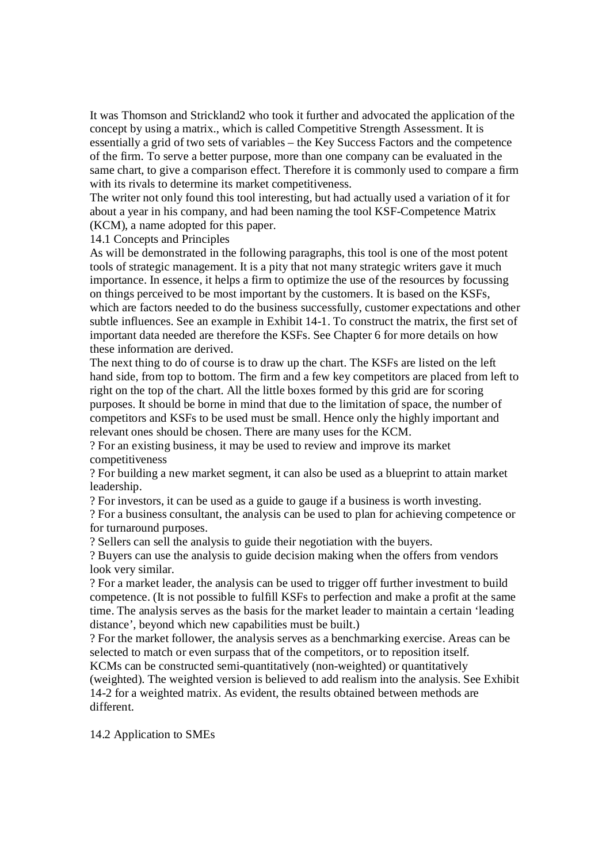It was Thomson and Strickland2 who took it further and advocated the application of the concept by using a matrix., which is called Competitive Strength Assessment. It is essentially a grid of two sets of variables – the Key Success Factors and the competence of the firm. To serve a better purpose, more than one company can be evaluated in the same chart, to give a comparison effect. Therefore it is commonly used to compare a firm with its rivals to determine its market competitiveness.

The writer not only found this tool interesting, but had actually used a variation of it for about a year in his company, and had been naming the tool KSF-Competence Matrix (KCM), a name adopted for this paper.

14.1 Concepts and Principles

As will be demonstrated in the following paragraphs, this tool is one of the most potent tools of strategic management. It is a pity that not many strategic writers gave it much importance. In essence, it helps a firm to optimize the use of the resources by focussing on things perceived to be most important by the customers. It is based on the KSFs, which are factors needed to do the business successfully, customer expectations and other subtle influences. See an example in Exhibit 14-1. To construct the matrix, the first set of important data needed are therefore the KSFs. See Chapter 6 for more details on how these information are derived.

The next thing to do of course is to draw up the chart. The KSFs are listed on the left hand side, from top to bottom. The firm and a few key competitors are placed from left to right on the top of the chart. All the little boxes formed by this grid are for scoring purposes. It should be borne in mind that due to the limitation of space, the number of competitors and KSFs to be used must be small. Hence only the highly important and relevant ones should be chosen. There are many uses for the KCM.

? For an existing business, it may be used to review and improve its market competitiveness

? For building a new market segment, it can also be used as a blueprint to attain market leadership.

? For investors, it can be used as a guide to gauge if a business is worth investing.

? For a business consultant, the analysis can be used to plan for achieving competence or for turnaround purposes.

? Sellers can sell the analysis to guide their negotiation with the buyers.

? Buyers can use the analysis to guide decision making when the offers from vendors look very similar.

? For a market leader, the analysis can be used to trigger off further investment to build competence. (It is not possible to fulfill KSFs to perfection and make a profit at the same time. The analysis serves as the basis for the market leader to maintain a certain 'leading distance', beyond which new capabilities must be built.)

? For the market follower, the analysis serves as a benchmarking exercise. Areas can be selected to match or even surpass that of the competitors, or to reposition itself.

KCMs can be constructed semi-quantitatively (non-weighted) or quantitatively (weighted). The weighted version is believed to add realism into the analysis. See Exhibit 14-2 for a weighted matrix. As evident, the results obtained between methods are different.

14.2 Application to SMEs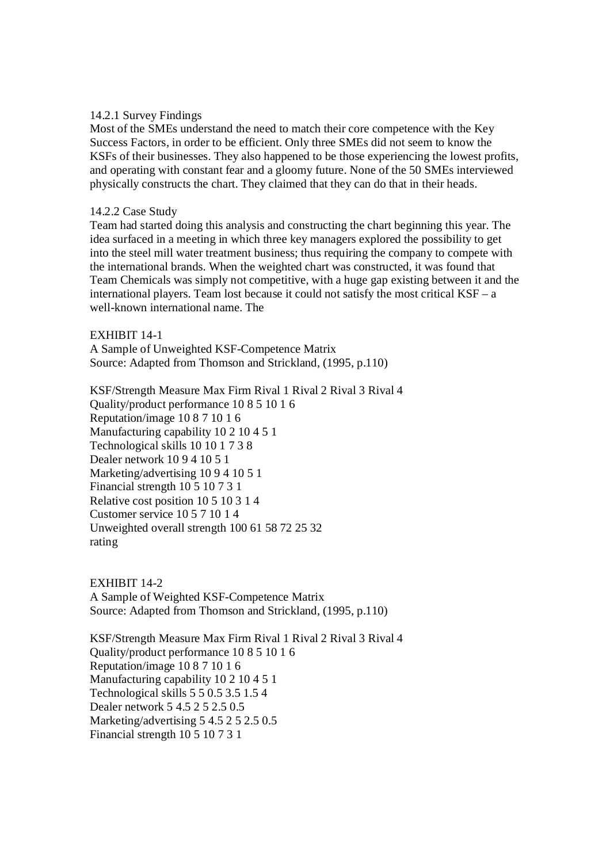## 14.2.1 Survey Findings

Most of the SMEs understand the need to match their core competence with the Key Success Factors, in order to be efficient. Only three SMEs did not seem to know the KSFs of their businesses. They also happened to be those experiencing the lowest profits, and operating with constant fear and a gloomy future. None of the 50 SMEs interviewed physically constructs the chart. They claimed that they can do that in their heads.

# 14.2.2 Case Study

Team had started doing this analysis and constructing the chart beginning this year. The idea surfaced in a meeting in which three key managers explored the possibility to get into the steel mill water treatment business; thus requiring the company to compete with the international brands. When the weighted chart was constructed, it was found that Team Chemicals was simply not competitive, with a huge gap existing between it and the international players. Team lost because it could not satisfy the most critical  $KSF - a$ well-known international name. The

## EXHIBIT 14-1

A Sample of Unweighted KSF-Competence Matrix Source: Adapted from Thomson and Strickland, (1995, p.110)

KSF/Strength Measure Max Firm Rival 1 Rival 2 Rival 3 Rival 4 Quality/product performance 10 8 5 10 1 6 Reputation/image 10 8 7 10 1 6 Manufacturing capability 10 2 10 4 5 1 Technological skills 10 10 1 7 3 8 Dealer network 10 9 4 10 5 1 Marketing/advertising 10 9 4 10 5 1 Financial strength 10 5 10 7 3 1 Relative cost position 10 5 10 3 1 4 Customer service 10 5 7 10 1 4 Unweighted overall strength 100 61 58 72 25 32 rating

EXHIBIT 14-2 A Sample of Weighted KSF-Competence Matrix Source: Adapted from Thomson and Strickland, (1995, p.110)

KSF/Strength Measure Max Firm Rival 1 Rival 2 Rival 3 Rival 4 Quality/product performance 10 8 5 10 1 6 Reputation/image 10 8 7 10 1 6 Manufacturing capability 10 2 10 4 5 1 Technological skills 5 5 0.5 3.5 1.5 4 Dealer network 5 4.5 2 5 2.5 0.5 Marketing/advertising 5 4.5 2 5 2.5 0.5 Financial strength 10 5 10 7 3 1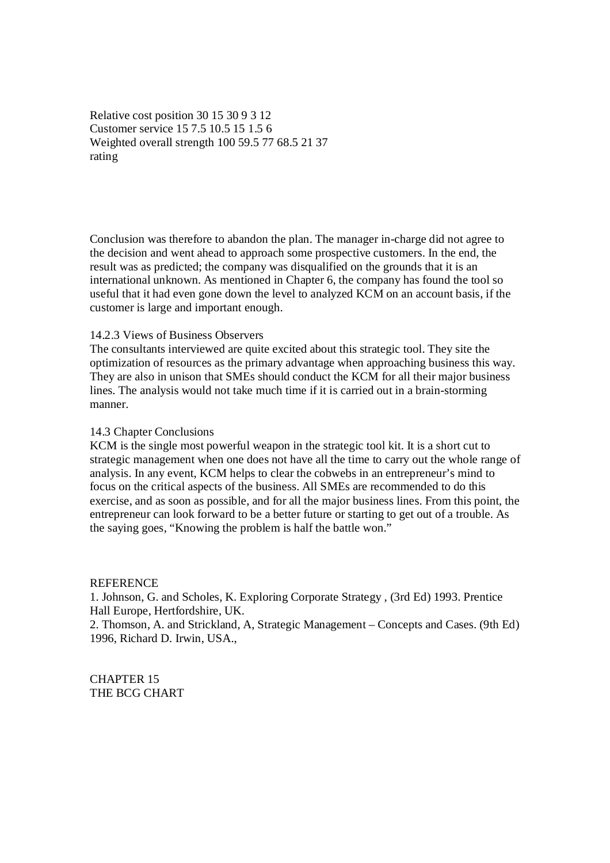Relative cost position 30 15 30 9 3 12 Customer service 15 7.5 10.5 15 1.5 6 Weighted overall strength 100 59.5 77 68.5 21 37 rating

Conclusion was therefore to abandon the plan. The manager in-charge did not agree to the decision and went ahead to approach some prospective customers. In the end, the result was as predicted; the company was disqualified on the grounds that it is an international unknown. As mentioned in Chapter 6, the company has found the tool so useful that it had even gone down the level to analyzed KCM on an account basis, if the customer is large and important enough.

#### 14.2.3 Views of Business Observers

The consultants interviewed are quite excited about this strategic tool. They site the optimization of resources as the primary advantage when approaching business this way. They are also in unison that SMEs should conduct the KCM for all their major business lines. The analysis would not take much time if it is carried out in a brain-storming manner.

#### 14.3 Chapter Conclusions

KCM is the single most powerful weapon in the strategic tool kit. It is a short cut to strategic management when one does not have all the time to carry out the whole range of analysis. In any event, KCM helps to clear the cobwebs in an entrepreneur's mind to focus on the critical aspects of the business. All SMEs are recommended to do this exercise, and as soon as possible, and for all the major business lines. From this point, the entrepreneur can look forward to be a better future or starting to get out of a trouble. As the saying goes, "Knowing the problem is half the battle won."

#### **REFERENCE**

1. Johnson, G. and Scholes, K. Exploring Corporate Strategy , (3rd Ed) 1993. Prentice Hall Europe, Hertfordshire, UK.

2. Thomson, A. and Strickland, A, Strategic Management – Concepts and Cases. (9th Ed) 1996, Richard D. Irwin, USA.,

CHAPTER 15 THE BCG CHART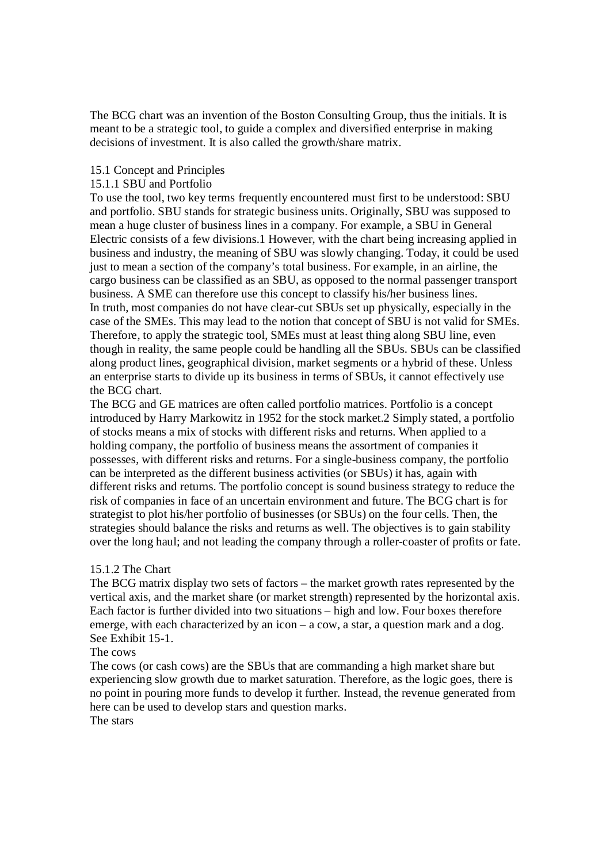The BCG chart was an invention of the Boston Consulting Group, thus the initials. It is meant to be a strategic tool, to guide a complex and diversified enterprise in making decisions of investment. It is also called the growth/share matrix.

## 15.1 Concept and Principles

### 15.1.1 SBU and Portfolio

To use the tool, two key terms frequently encountered must first to be understood: SBU and portfolio. SBU stands for strategic business units. Originally, SBU was supposed to mean a huge cluster of business lines in a company. For example, a SBU in General Electric consists of a few divisions.1 However, with the chart being increasing applied in business and industry, the meaning of SBU was slowly changing. Today, it could be used just to mean a section of the company's total business. For example, in an airline, the cargo business can be classified as an SBU, as opposed to the normal passenger transport business. A SME can therefore use this concept to classify his/her business lines. In truth, most companies do not have clear-cut SBUs set up physically, especially in the case of the SMEs. This may lead to the notion that concept of SBU is not valid for SMEs. Therefore, to apply the strategic tool, SMEs must at least thing along SBU line, even though in reality, the same people could be handling all the SBUs. SBUs can be classified along product lines, geographical division, market segments or a hybrid of these. Unless an enterprise starts to divide up its business in terms of SBUs, it cannot effectively use the BCG chart.

The BCG and GE matrices are often called portfolio matrices. Portfolio is a concept introduced by Harry Markowitz in 1952 for the stock market.2 Simply stated, a portfolio of stocks means a mix of stocks with different risks and returns. When applied to a holding company, the portfolio of business means the assortment of companies it possesses, with different risks and returns. For a single-business company, the portfolio can be interpreted as the different business activities (or SBUs) it has, again with different risks and returns. The portfolio concept is sound business strategy to reduce the risk of companies in face of an uncertain environment and future. The BCG chart is for strategist to plot his/her portfolio of businesses (or SBUs) on the four cells. Then, the strategies should balance the risks and returns as well. The objectives is to gain stability over the long haul; and not leading the company through a roller-coaster of profits or fate.

#### 15.1.2 The Chart

The BCG matrix display two sets of factors – the market growth rates represented by the vertical axis, and the market share (or market strength) represented by the horizontal axis. Each factor is further divided into two situations – high and low. Four boxes therefore emerge, with each characterized by an icon – a cow, a star, a question mark and a dog. See Exhibit 15-1.

## The cows

The cows (or cash cows) are the SBUs that are commanding a high market share but experiencing slow growth due to market saturation. Therefore, as the logic goes, there is no point in pouring more funds to develop it further. Instead, the revenue generated from here can be used to develop stars and question marks. The stars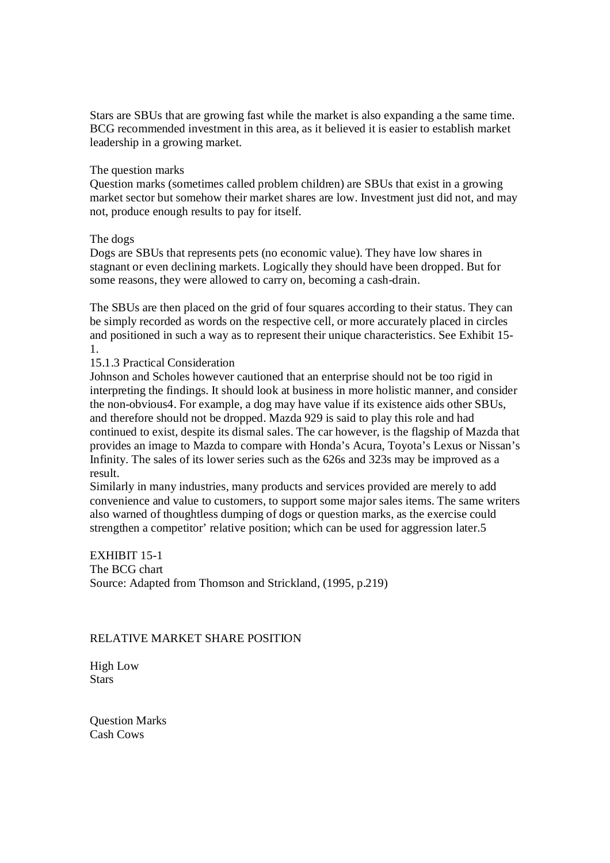Stars are SBUs that are growing fast while the market is also expanding a the same time. BCG recommended investment in this area, as it believed it is easier to establish market leadership in a growing market.

#### The question marks

Question marks (sometimes called problem children) are SBUs that exist in a growing market sector but somehow their market shares are low. Investment just did not, and may not, produce enough results to pay for itself.

#### The dogs

Dogs are SBUs that represents pets (no economic value). They have low shares in stagnant or even declining markets. Logically they should have been dropped. But for some reasons, they were allowed to carry on, becoming a cash-drain.

The SBUs are then placed on the grid of four squares according to their status. They can be simply recorded as words on the respective cell, or more accurately placed in circles and positioned in such a way as to represent their unique characteristics. See Exhibit 15- 1.

## 15.1.3 Practical Consideration

Johnson and Scholes however cautioned that an enterprise should not be too rigid in interpreting the findings. It should look at business in more holistic manner, and consider the non-obvious4. For example, a dog may have value if its existence aids other SBUs, and therefore should not be dropped. Mazda 929 is said to play this role and had continued to exist, despite its dismal sales. The car however, is the flagship of Mazda that provides an image to Mazda to compare with Honda's Acura, Toyota's Lexus or Nissan's Infinity. The sales of its lower series such as the 626s and 323s may be improved as a result.

Similarly in many industries, many products and services provided are merely to add convenience and value to customers, to support some major sales items. The same writers also warned of thoughtless dumping of dogs or question marks, as the exercise could strengthen a competitor' relative position; which can be used for aggression later.5

EXHIBIT 15-1 The BCG chart Source: Adapted from Thomson and Strickland, (1995, p.219)

## RELATIVE MARKET SHARE POSITION

High Low **Stars** 

Question Marks Cash Cows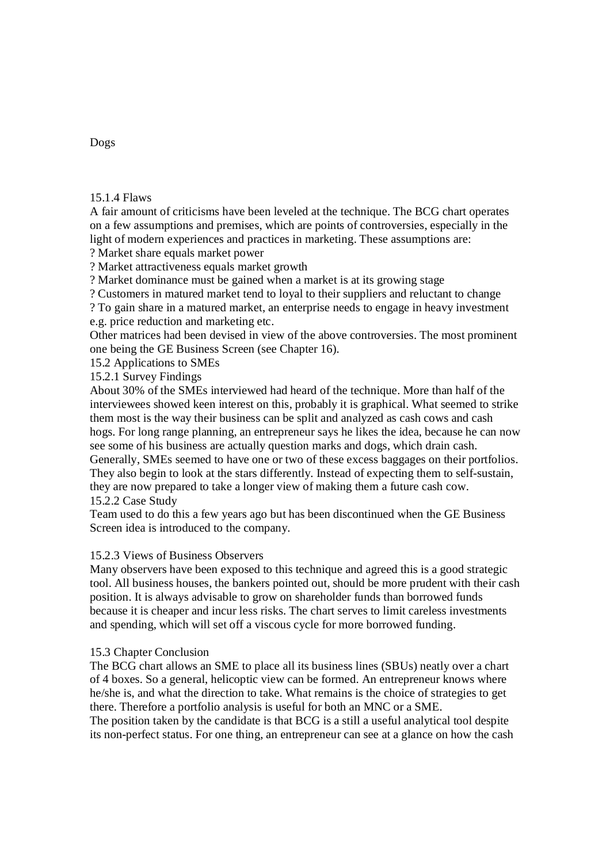15.1.4 Flaws

A fair amount of criticisms have been leveled at the technique. The BCG chart operates on a few assumptions and premises, which are points of controversies, especially in the light of modern experiences and practices in marketing. These assumptions are:

? Market share equals market power

? Market attractiveness equals market growth

? Market dominance must be gained when a market is at its growing stage

? Customers in matured market tend to loyal to their suppliers and reluctant to change

? To gain share in a matured market, an enterprise needs to engage in heavy investment e.g. price reduction and marketing etc.

Other matrices had been devised in view of the above controversies. The most prominent one being the GE Business Screen (see Chapter 16).

15.2 Applications to SMEs

15.2.1 Survey Findings

About 30% of the SMEs interviewed had heard of the technique. More than half of the interviewees showed keen interest on this, probably it is graphical. What seemed to strike them most is the way their business can be split and analyzed as cash cows and cash hogs. For long range planning, an entrepreneur says he likes the idea, because he can now see some of his business are actually question marks and dogs, which drain cash. Generally, SMEs seemed to have one or two of these excess baggages on their portfolios. They also begin to look at the stars differently. Instead of expecting them to self-sustain, they are now prepared to take a longer view of making them a future cash cow.

15.2.2 Case Study

Team used to do this a few years ago but has been discontinued when the GE Business Screen idea is introduced to the company.

# 15.2.3 Views of Business Observers

Many observers have been exposed to this technique and agreed this is a good strategic tool. All business houses, the bankers pointed out, should be more prudent with their cash position. It is always advisable to grow on shareholder funds than borrowed funds because it is cheaper and incur less risks. The chart serves to limit careless investments and spending, which will set off a viscous cycle for more borrowed funding.

# 15.3 Chapter Conclusion

The BCG chart allows an SME to place all its business lines (SBUs) neatly over a chart of 4 boxes. So a general, helicoptic view can be formed. An entrepreneur knows where he/she is, and what the direction to take. What remains is the choice of strategies to get there. Therefore a portfolio analysis is useful for both an MNC or a SME.

The position taken by the candidate is that BCG is a still a useful analytical tool despite its non-perfect status. For one thing, an entrepreneur can see at a glance on how the cash

Dogs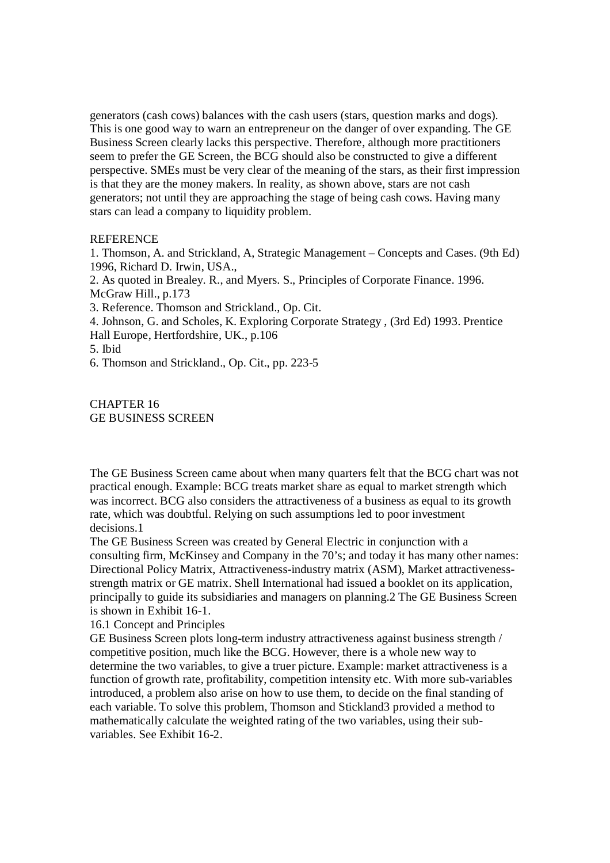generators (cash cows) balances with the cash users (stars, question marks and dogs). This is one good way to warn an entrepreneur on the danger of over expanding. The GE Business Screen clearly lacks this perspective. Therefore, although more practitioners seem to prefer the GE Screen, the BCG should also be constructed to give a different perspective. SMEs must be very clear of the meaning of the stars, as their first impression is that they are the money makers. In reality, as shown above, stars are not cash generators; not until they are approaching the stage of being cash cows. Having many stars can lead a company to liquidity problem.

## **REFERENCE**

1. Thomson, A. and Strickland, A, Strategic Management – Concepts and Cases. (9th Ed) 1996, Richard D. Irwin, USA.,

2. As quoted in Brealey. R., and Myers. S., Principles of Corporate Finance. 1996. McGraw Hill., p.173

3. Reference. Thomson and Strickland., Op. Cit.

4. Johnson, G. and Scholes, K. Exploring Corporate Strategy , (3rd Ed) 1993. Prentice Hall Europe, Hertfordshire, UK., p.106

5. Ibid

6. Thomson and Strickland., Op. Cit., pp. 223-5

CHAPTER 16 GE BUSINESS SCREEN

The GE Business Screen came about when many quarters felt that the BCG chart was not practical enough. Example: BCG treats market share as equal to market strength which was incorrect. BCG also considers the attractiveness of a business as equal to its growth rate, which was doubtful. Relying on such assumptions led to poor investment decisions.1

The GE Business Screen was created by General Electric in conjunction with a consulting firm, McKinsey and Company in the 70's; and today it has many other names: Directional Policy Matrix, Attractiveness-industry matrix (ASM), Market attractivenessstrength matrix or GE matrix. Shell International had issued a booklet on its application, principally to guide its subsidiaries and managers on planning.2 The GE Business Screen is shown in Exhibit 16-1.

16.1 Concept and Principles

GE Business Screen plots long-term industry attractiveness against business strength / competitive position, much like the BCG. However, there is a whole new way to determine the two variables, to give a truer picture. Example: market attractiveness is a function of growth rate, profitability, competition intensity etc. With more sub-variables introduced, a problem also arise on how to use them, to decide on the final standing of each variable. To solve this problem, Thomson and Stickland3 provided a method to mathematically calculate the weighted rating of the two variables, using their subvariables. See Exhibit 16-2.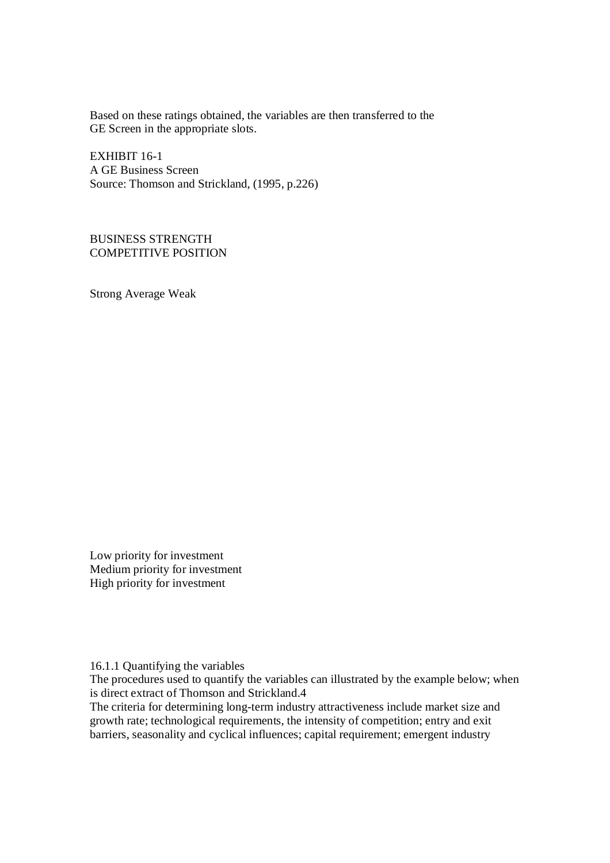Based on these ratings obtained, the variables are then transferred to the GE Screen in the appropriate slots.

EXHIBIT 16-1 A GE Business Screen Source: Thomson and Strickland, (1995, p.226)

BUSINESS STRENGTH COMPETITIVE POSITION

Strong Average Weak

Low priority for investment Medium priority for investment High priority for investment

16.1.1 Quantifying the variables

The procedures used to quantify the variables can illustrated by the example below; when is direct extract of Thomson and Strickland.4

The criteria for determining long-term industry attractiveness include market size and growth rate; technological requirements, the intensity of competition; entry and exit barriers, seasonality and cyclical influences; capital requirement; emergent industry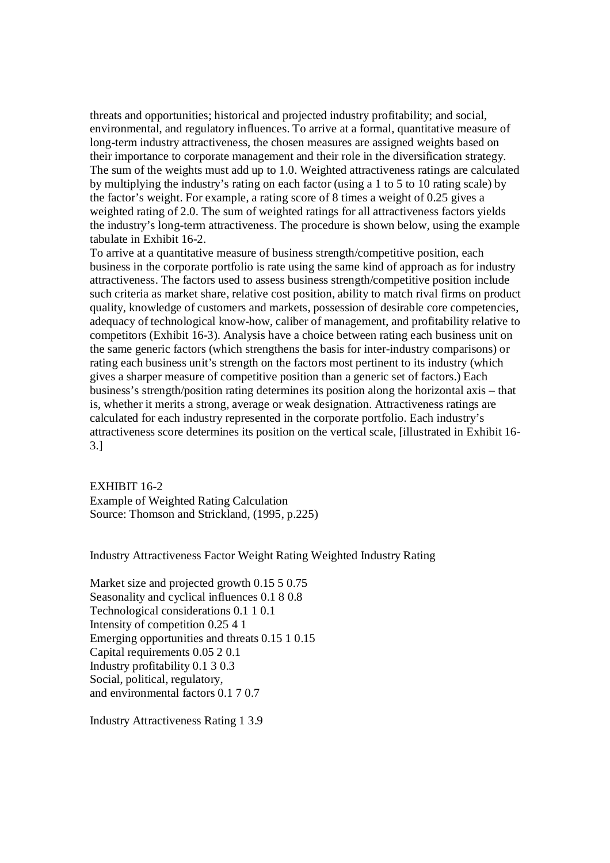threats and opportunities; historical and projected industry profitability; and social, environmental, and regulatory influences. To arrive at a formal, quantitative measure of long-term industry attractiveness, the chosen measures are assigned weights based on their importance to corporate management and their role in the diversification strategy. The sum of the weights must add up to 1.0. Weighted attractiveness ratings are calculated by multiplying the industry's rating on each factor (using a 1 to 5 to 10 rating scale) by the factor's weight. For example, a rating score of 8 times a weight of 0.25 gives a weighted rating of 2.0. The sum of weighted ratings for all attractiveness factors yields the industry's long-term attractiveness. The procedure is shown below, using the example tabulate in Exhibit 16-2.

To arrive at a quantitative measure of business strength/competitive position, each business in the corporate portfolio is rate using the same kind of approach as for industry attractiveness. The factors used to assess business strength/competitive position include such criteria as market share, relative cost position, ability to match rival firms on product quality, knowledge of customers and markets, possession of desirable core competencies, adequacy of technological know-how, caliber of management, and profitability relative to competitors (Exhibit 16-3). Analysis have a choice between rating each business unit on the same generic factors (which strengthens the basis for inter-industry comparisons) or rating each business unit's strength on the factors most pertinent to its industry (which gives a sharper measure of competitive position than a generic set of factors.) Each business's strength/position rating determines its position along the horizontal axis – that is, whether it merits a strong, average or weak designation. Attractiveness ratings are calculated for each industry represented in the corporate portfolio. Each industry's attractiveness score determines its position on the vertical scale, [illustrated in Exhibit 16- 3.]

EXHIBIT 16-2 Example of Weighted Rating Calculation Source: Thomson and Strickland, (1995, p.225)

Industry Attractiveness Factor Weight Rating Weighted Industry Rating

Market size and projected growth 0.15 5 0.75 Seasonality and cyclical influences 0.1 8 0.8 Technological considerations 0.1 1 0.1 Intensity of competition 0.25 4 1 Emerging opportunities and threats 0.15 1 0.15 Capital requirements 0.05 2 0.1 Industry profitability 0.1 3 0.3 Social, political, regulatory, and environmental factors 0.1 7 0.7

Industry Attractiveness Rating 1 3.9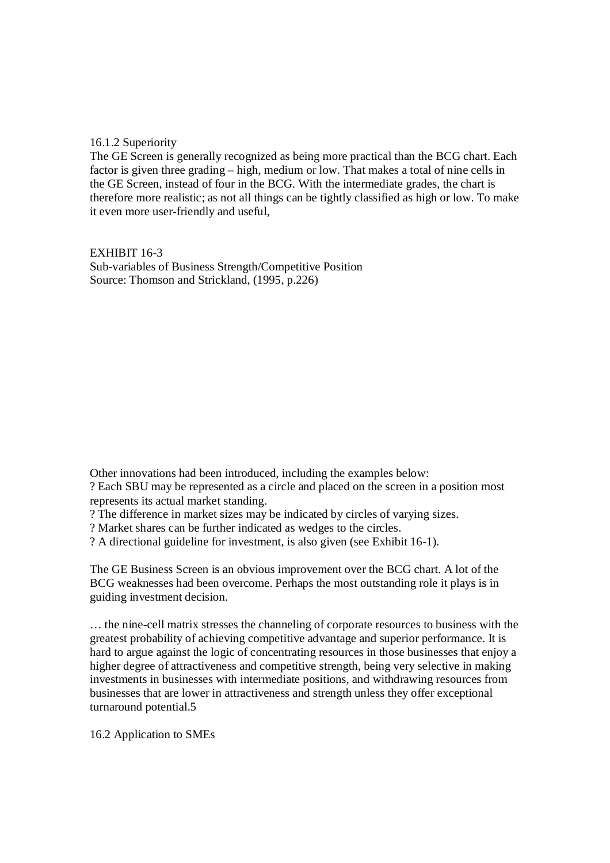# 16.1.2 Superiority

The GE Screen is generally recognized as being more practical than the BCG chart. Each factor is given three grading – high, medium or low. That makes a total of nine cells in the GE Screen, instead of four in the BCG. With the intermediate grades, the chart is therefore more realistic; as not all things can be tightly classified as high or low. To make it even more user-friendly and useful,

EXHIBIT 16-3 Sub-variables of Business Strength/Competitive Position Source: Thomson and Strickland, (1995, p.226)

Other innovations had been introduced, including the examples below:

? Each SBU may be represented as a circle and placed on the screen in a position most represents its actual market standing.

? The difference in market sizes may be indicated by circles of varying sizes.

? Market shares can be further indicated as wedges to the circles.

? A directional guideline for investment, is also given (see Exhibit 16-1).

The GE Business Screen is an obvious improvement over the BCG chart. A lot of the BCG weaknesses had been overcome. Perhaps the most outstanding role it plays is in guiding investment decision.

… the nine-cell matrix stresses the channeling of corporate resources to business with the greatest probability of achieving competitive advantage and superior performance. It is hard to argue against the logic of concentrating resources in those businesses that enjoy a higher degree of attractiveness and competitive strength, being very selective in making investments in businesses with intermediate positions, and withdrawing resources from businesses that are lower in attractiveness and strength unless they offer exceptional turnaround potential.5

16.2 Application to SMEs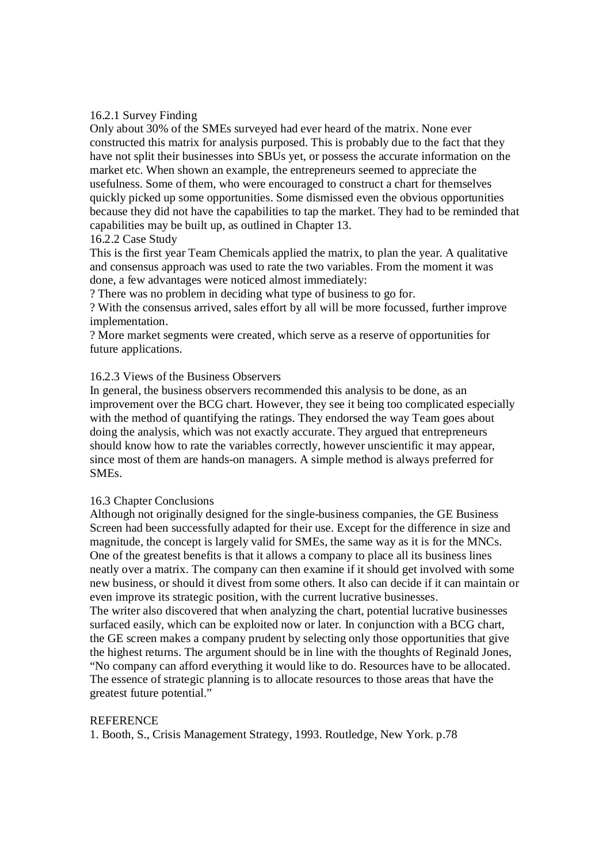# 16.2.1 Survey Finding

Only about 30% of the SMEs surveyed had ever heard of the matrix. None ever constructed this matrix for analysis purposed. This is probably due to the fact that they have not split their businesses into SBUs yet, or possess the accurate information on the market etc. When shown an example, the entrepreneurs seemed to appreciate the usefulness. Some of them, who were encouraged to construct a chart for themselves quickly picked up some opportunities. Some dismissed even the obvious opportunities because they did not have the capabilities to tap the market. They had to be reminded that capabilities may be built up, as outlined in Chapter 13.

## 16.2.2 Case Study

This is the first year Team Chemicals applied the matrix, to plan the year. A qualitative and consensus approach was used to rate the two variables. From the moment it was done, a few advantages were noticed almost immediately:

? There was no problem in deciding what type of business to go for.

? With the consensus arrived, sales effort by all will be more focussed, further improve implementation.

? More market segments were created, which serve as a reserve of opportunities for future applications.

## 16.2.3 Views of the Business Observers

In general, the business observers recommended this analysis to be done, as an improvement over the BCG chart. However, they see it being too complicated especially with the method of quantifying the ratings. They endorsed the way Team goes about doing the analysis, which was not exactly accurate. They argued that entrepreneurs should know how to rate the variables correctly, however unscientific it may appear, since most of them are hands-on managers. A simple method is always preferred for SMEs.

#### 16.3 Chapter Conclusions

Although not originally designed for the single-business companies, the GE Business Screen had been successfully adapted for their use. Except for the difference in size and magnitude, the concept is largely valid for SMEs, the same way as it is for the MNCs. One of the greatest benefits is that it allows a company to place all its business lines neatly over a matrix. The company can then examine if it should get involved with some new business, or should it divest from some others. It also can decide if it can maintain or even improve its strategic position, with the current lucrative businesses. The writer also discovered that when analyzing the chart, potential lucrative businesses

surfaced easily, which can be exploited now or later. In conjunction with a BCG chart, the GE screen makes a company prudent by selecting only those opportunities that give the highest returns. The argument should be in line with the thoughts of Reginald Jones, "No company can afford everything it would like to do. Resources have to be allocated. The essence of strategic planning is to allocate resources to those areas that have the greatest future potential."

#### **REFERENCE**

1. Booth, S., Crisis Management Strategy, 1993. Routledge, New York. p.78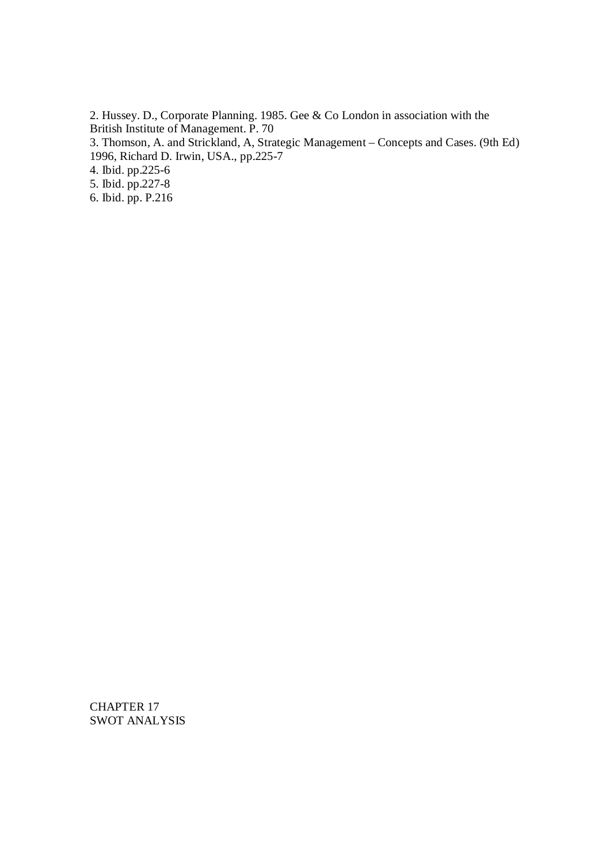2. Hussey. D., Corporate Planning. 1985. Gee & Co London in association with the British Institute of Management. P. 70 3. Thomson, A. and Strickland, A, Strategic Management – Concepts and Cases. (9th Ed) 1996, Richard D. Irwin, USA., pp.225-7 4. Ibid. pp.225-6

5. Ibid. pp.227-8

6. Ibid. pp. P.216

CHAPTER 17 SWOT ANALYSIS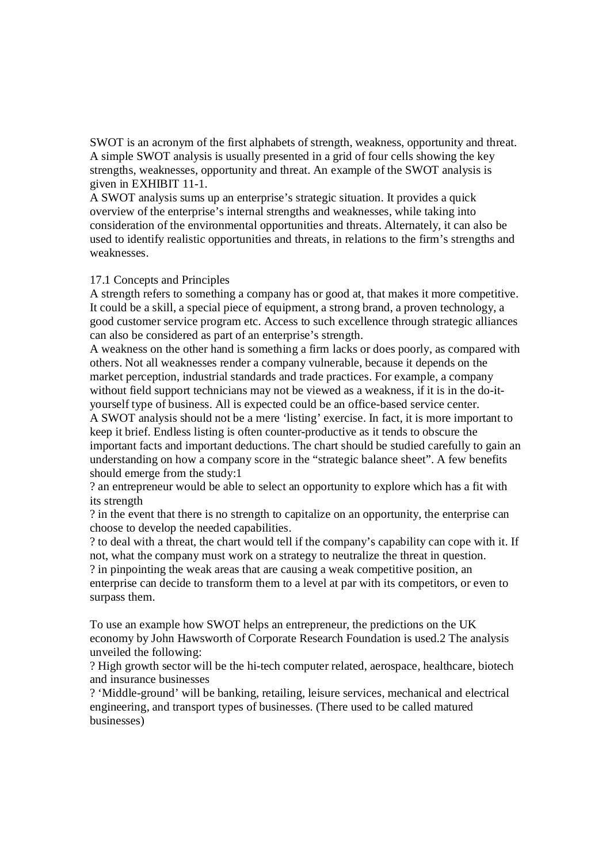SWOT is an acronym of the first alphabets of strength, weakness, opportunity and threat. A simple SWOT analysis is usually presented in a grid of four cells showing the key strengths, weaknesses, opportunity and threat. An example of the SWOT analysis is given in EXHIBIT 11-1.

A SWOT analysis sums up an enterprise's strategic situation. It provides a quick overview of the enterprise's internal strengths and weaknesses, while taking into consideration of the environmental opportunities and threats. Alternately, it can also be used to identify realistic opportunities and threats, in relations to the firm's strengths and weaknesses.

## 17.1 Concepts and Principles

A strength refers to something a company has or good at, that makes it more competitive. It could be a skill, a special piece of equipment, a strong brand, a proven technology, a good customer service program etc. Access to such excellence through strategic alliances can also be considered as part of an enterprise's strength.

A weakness on the other hand is something a firm lacks or does poorly, as compared with others. Not all weaknesses render a company vulnerable, because it depends on the market perception, industrial standards and trade practices. For example, a company without field support technicians may not be viewed as a weakness, if it is in the do-ityourself type of business. All is expected could be an office-based service center.

A SWOT analysis should not be a mere 'listing' exercise. In fact, it is more important to keep it brief. Endless listing is often counter-productive as it tends to obscure the important facts and important deductions. The chart should be studied carefully to gain an understanding on how a company score in the "strategic balance sheet". A few benefits should emerge from the study:1

? an entrepreneur would be able to select an opportunity to explore which has a fit with its strength

? in the event that there is no strength to capitalize on an opportunity, the enterprise can choose to develop the needed capabilities.

? to deal with a threat, the chart would tell if the company's capability can cope with it. If not, what the company must work on a strategy to neutralize the threat in question. ? in pinpointing the weak areas that are causing a weak competitive position, an enterprise can decide to transform them to a level at par with its competitors, or even to surpass them.

To use an example how SWOT helps an entrepreneur, the predictions on the UK economy by John Hawsworth of Corporate Research Foundation is used.2 The analysis unveiled the following:

? High growth sector will be the hi-tech computer related, aerospace, healthcare, biotech and insurance businesses

? 'Middle-ground' will be banking, retailing, leisure services, mechanical and electrical engineering, and transport types of businesses. (There used to be called matured businesses)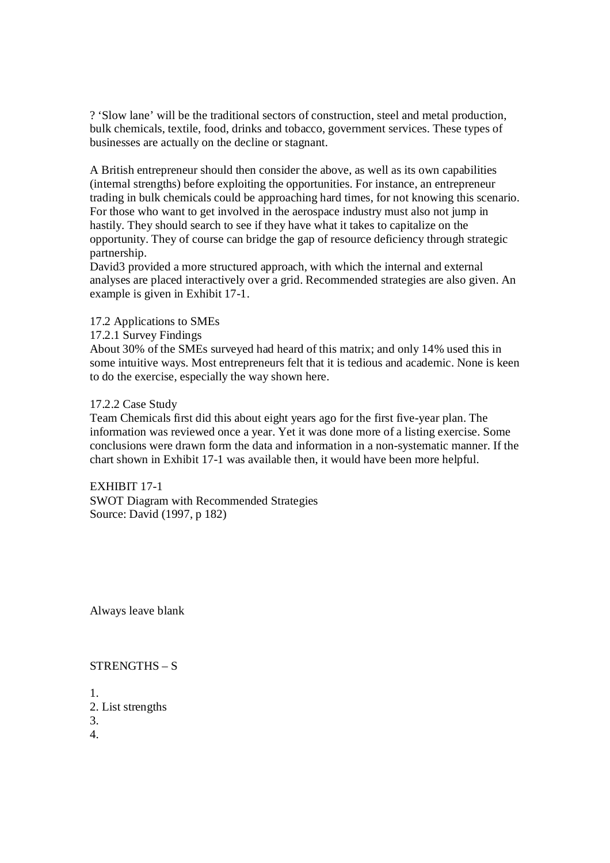? 'Slow lane' will be the traditional sectors of construction, steel and metal production, bulk chemicals, textile, food, drinks and tobacco, government services. These types of businesses are actually on the decline or stagnant.

A British entrepreneur should then consider the above, as well as its own capabilities (internal strengths) before exploiting the opportunities. For instance, an entrepreneur trading in bulk chemicals could be approaching hard times, for not knowing this scenario. For those who want to get involved in the aerospace industry must also not jump in hastily. They should search to see if they have what it takes to capitalize on the opportunity. They of course can bridge the gap of resource deficiency through strategic partnership.

David<sub>3</sub> provided a more structured approach, with which the internal and external analyses are placed interactively over a grid. Recommended strategies are also given. An example is given in Exhibit 17-1.

17.2 Applications to SMEs

17.2.1 Survey Findings

About 30% of the SMEs surveyed had heard of this matrix; and only 14% used this in some intuitive ways. Most entrepreneurs felt that it is tedious and academic. None is keen to do the exercise, especially the way shown here.

# 17.2.2 Case Study

Team Chemicals first did this about eight years ago for the first five-year plan. The information was reviewed once a year. Yet it was done more of a listing exercise. Some conclusions were drawn form the data and information in a non-systematic manner. If the chart shown in Exhibit 17-1 was available then, it would have been more helpful.

EXHIBIT 17-1 SWOT Diagram with Recommended Strategies Source: David (1997, p 182)

Always leave blank

# STRENGTHS – S

- 1.
- 2. List strengths

3.

4.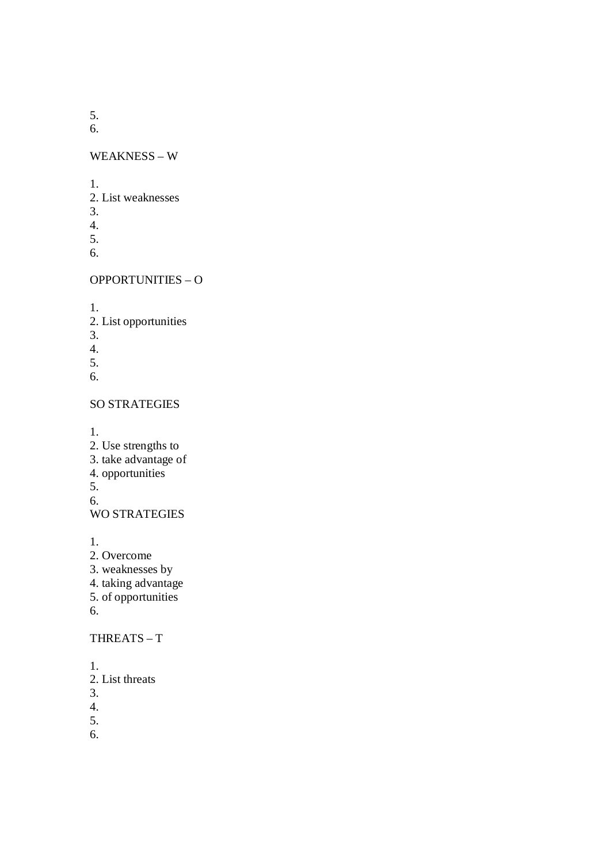5.

6.

WEAKNESS – W

1.

- 2. List weaknesses
- 3.
- 4.
- 5.
- 6.

# OPPORTUNITIES – O

1.

- 2. List opportunities
- 3.
- 4.
- 5.
- 6.

# SO STRATEGIES

1.

- 2. Use strengths to
- 3. take advantage of
- 4. opportunities

5.

6.

WO STRATEGIES

1.

- 2. Overcome
- 3. weaknesses by
- 4. taking advantage
- 5. of opportunities
- 6.

# THREATS – T

- 1.
- 2. List threats
- 3.
- 4.

5.

6.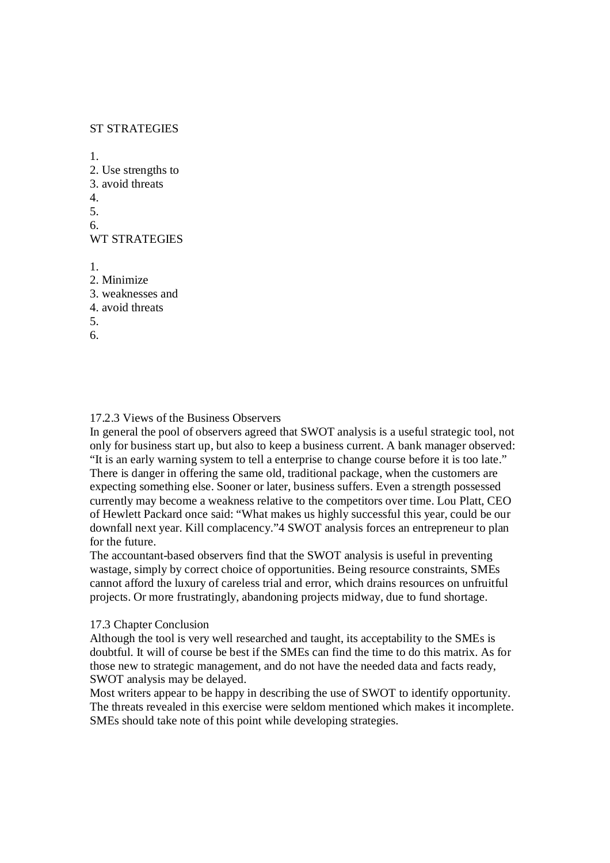# ST STRATEGIES

1. 2. Use strengths to 3. avoid threats 4. 5. 6. WT STRATEGIES 1. 2. Minimize 3. weaknesses and 4. avoid threats 5. 6.

## 17.2.3 Views of the Business Observers

In general the pool of observers agreed that SWOT analysis is a useful strategic tool, not only for business start up, but also to keep a business current. A bank manager observed: "It is an early warning system to tell a enterprise to change course before it is too late." There is danger in offering the same old, traditional package, when the customers are expecting something else. Sooner or later, business suffers. Even a strength possessed currently may become a weakness relative to the competitors over time. Lou Platt, CEO of Hewlett Packard once said: "What makes us highly successful this year, could be our downfall next year. Kill complacency."4 SWOT analysis forces an entrepreneur to plan for the future.

The accountant-based observers find that the SWOT analysis is useful in preventing wastage, simply by correct choice of opportunities. Being resource constraints, SMEs cannot afford the luxury of careless trial and error, which drains resources on unfruitful projects. Or more frustratingly, abandoning projects midway, due to fund shortage.

#### 17.3 Chapter Conclusion

Although the tool is very well researched and taught, its acceptability to the SMEs is doubtful. It will of course be best if the SMEs can find the time to do this matrix. As for those new to strategic management, and do not have the needed data and facts ready, SWOT analysis may be delayed.

Most writers appear to be happy in describing the use of SWOT to identify opportunity. The threats revealed in this exercise were seldom mentioned which makes it incomplete. SMEs should take note of this point while developing strategies.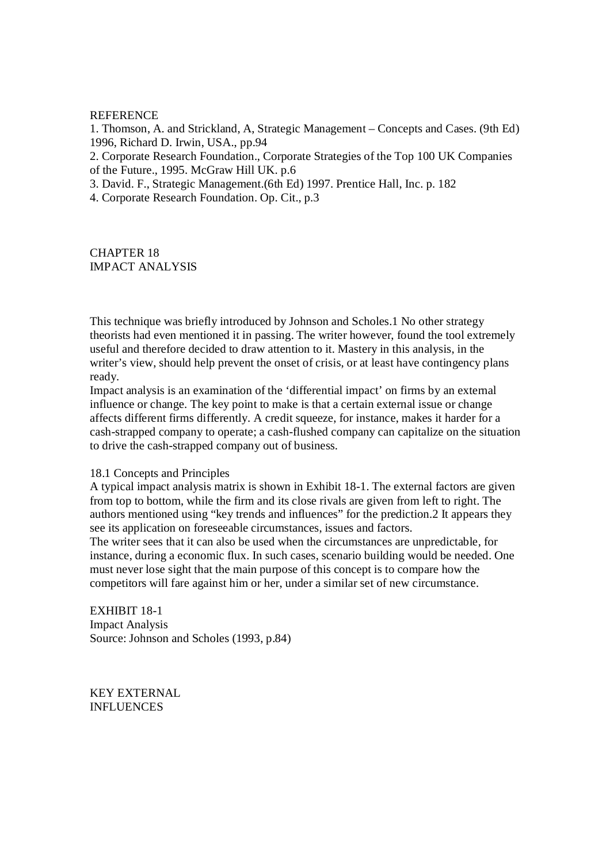#### REFERENCE

1. Thomson, A. and Strickland, A, Strategic Management – Concepts and Cases. (9th Ed) 1996, Richard D. Irwin, USA., pp.94

2. Corporate Research Foundation., Corporate Strategies of the Top 100 UK Companies of the Future., 1995. McGraw Hill UK. p.6

3. David. F., Strategic Management.(6th Ed) 1997. Prentice Hall, Inc. p. 182

4. Corporate Research Foundation. Op. Cit., p.3

CHAPTER 18 IMPACT ANALYSIS

This technique was briefly introduced by Johnson and Scholes.1 No other strategy theorists had even mentioned it in passing. The writer however, found the tool extremely useful and therefore decided to draw attention to it. Mastery in this analysis, in the writer's view, should help prevent the onset of crisis, or at least have contingency plans ready.

Impact analysis is an examination of the 'differential impact' on firms by an external influence or change. The key point to make is that a certain external issue or change affects different firms differently. A credit squeeze, for instance, makes it harder for a cash-strapped company to operate; a cash-flushed company can capitalize on the situation to drive the cash-strapped company out of business.

#### 18.1 Concepts and Principles

A typical impact analysis matrix is shown in Exhibit 18-1. The external factors are given from top to bottom, while the firm and its close rivals are given from left to right. The authors mentioned using "key trends and influences" for the prediction.2 It appears they see its application on foreseeable circumstances, issues and factors.

The writer sees that it can also be used when the circumstances are unpredictable, for instance, during a economic flux. In such cases, scenario building would be needed. One must never lose sight that the main purpose of this concept is to compare how the competitors will fare against him or her, under a similar set of new circumstance.

EXHIBIT 18-1 Impact Analysis Source: Johnson and Scholes (1993, p.84)

KEY EXTERNAL INFLUENCES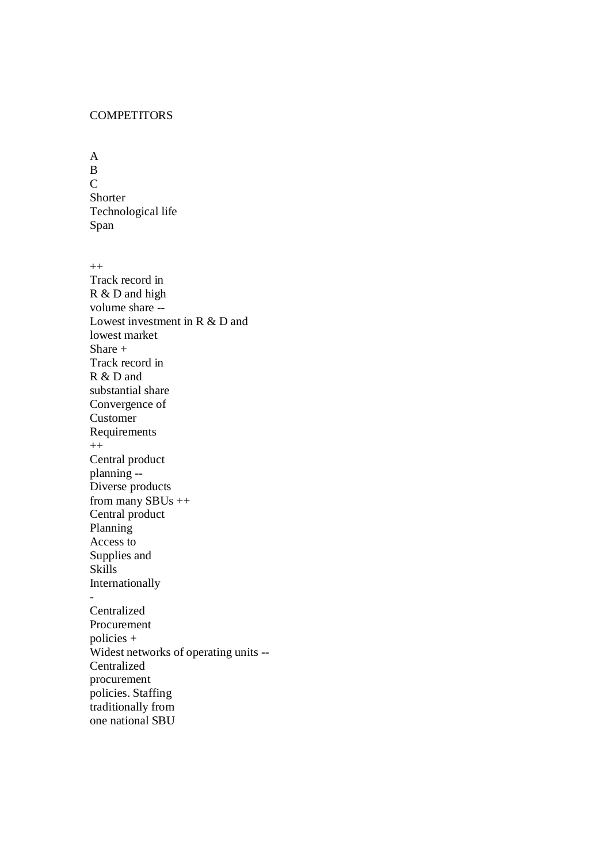# **COMPETITORS**

A B  $\overline{C}$ Shorter Technological life Span

 $^{++}$ Track record in R & D and high volume share -- Lowest investment in R & D and lowest market Share + Track record in R & D and substantial share Convergence of Customer Requirements  $^{++}$ Central product planning -- Diverse products from many  $SBUs++$ Central product Planning Access to Supplies and Skills Internationally - Centralized Procurement policies + Widest networks of operating units -- Centralized procurement policies. Staffing traditionally from one national SBU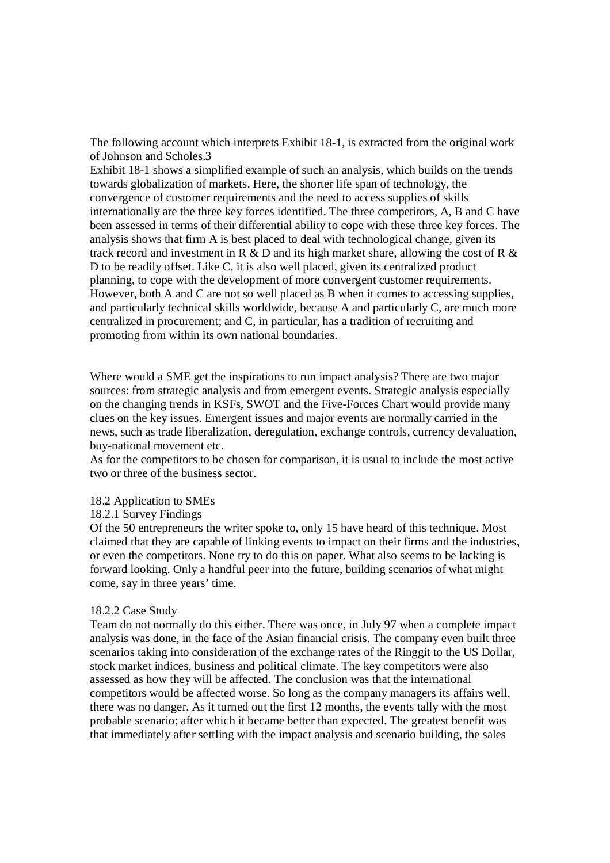The following account which interprets Exhibit 18-1, is extracted from the original work of Johnson and Scholes.3

Exhibit 18-1 shows a simplified example of such an analysis, which builds on the trends towards globalization of markets. Here, the shorter life span of technology, the convergence of customer requirements and the need to access supplies of skills internationally are the three key forces identified. The three competitors, A, B and C have been assessed in terms of their differential ability to cope with these three key forces. The analysis shows that firm A is best placed to deal with technological change, given its track record and investment in R  $\&$  D and its high market share, allowing the cost of R  $\&$ D to be readily offset. Like C, it is also well placed, given its centralized product planning, to cope with the development of more convergent customer requirements. However, both A and C are not so well placed as B when it comes to accessing supplies, and particularly technical skills worldwide, because A and particularly C, are much more centralized in procurement; and C, in particular, has a tradition of recruiting and promoting from within its own national boundaries.

Where would a SME get the inspirations to run impact analysis? There are two major sources: from strategic analysis and from emergent events. Strategic analysis especially on the changing trends in KSFs, SWOT and the Five-Forces Chart would provide many clues on the key issues. Emergent issues and major events are normally carried in the news, such as trade liberalization, deregulation, exchange controls, currency devaluation, buy-national movement etc.

As for the competitors to be chosen for comparison, it is usual to include the most active two or three of the business sector.

#### 18.2 Application to SMEs

### 18.2.1 Survey Findings

Of the 50 entrepreneurs the writer spoke to, only 15 have heard of this technique. Most claimed that they are capable of linking events to impact on their firms and the industries, or even the competitors. None try to do this on paper. What also seems to be lacking is forward looking. Only a handful peer into the future, building scenarios of what might come, say in three years' time.

## 18.2.2 Case Study

Team do not normally do this either. There was once, in July 97 when a complete impact analysis was done, in the face of the Asian financial crisis. The company even built three scenarios taking into consideration of the exchange rates of the Ringgit to the US Dollar, stock market indices, business and political climate. The key competitors were also assessed as how they will be affected. The conclusion was that the international competitors would be affected worse. So long as the company managers its affairs well, there was no danger. As it turned out the first 12 months, the events tally with the most probable scenario; after which it became better than expected. The greatest benefit was that immediately after settling with the impact analysis and scenario building, the sales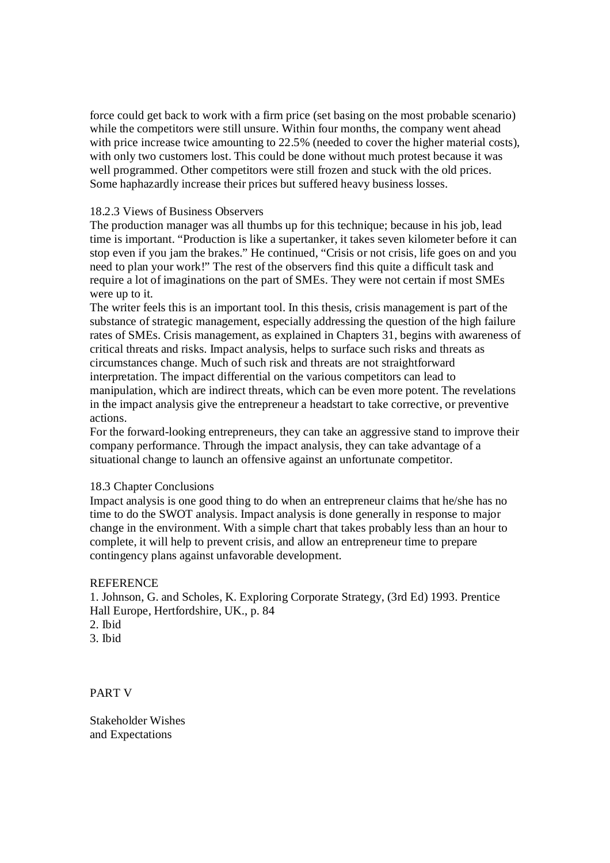force could get back to work with a firm price (set basing on the most probable scenario) while the competitors were still unsure. Within four months, the company went ahead with price increase twice amounting to 22.5% (needed to cover the higher material costs), with only two customers lost. This could be done without much protest because it was well programmed. Other competitors were still frozen and stuck with the old prices. Some haphazardly increase their prices but suffered heavy business losses.

## 18.2.3 Views of Business Observers

The production manager was all thumbs up for this technique; because in his job, lead time is important. "Production is like a supertanker, it takes seven kilometer before it can stop even if you jam the brakes." He continued, "Crisis or not crisis, life goes on and you need to plan your work!" The rest of the observers find this quite a difficult task and require a lot of imaginations on the part of SMEs. They were not certain if most SMEs were up to it.

The writer feels this is an important tool. In this thesis, crisis management is part of the substance of strategic management, especially addressing the question of the high failure rates of SMEs. Crisis management, as explained in Chapters 31, begins with awareness of critical threats and risks. Impact analysis, helps to surface such risks and threats as circumstances change. Much of such risk and threats are not straightforward interpretation. The impact differential on the various competitors can lead to manipulation, which are indirect threats, which can be even more potent. The revelations in the impact analysis give the entrepreneur a headstart to take corrective, or preventive actions.

For the forward-looking entrepreneurs, they can take an aggressive stand to improve their company performance. Through the impact analysis, they can take advantage of a situational change to launch an offensive against an unfortunate competitor.

# 18.3 Chapter Conclusions

Impact analysis is one good thing to do when an entrepreneur claims that he/she has no time to do the SWOT analysis. Impact analysis is done generally in response to major change in the environment. With a simple chart that takes probably less than an hour to complete, it will help to prevent crisis, and allow an entrepreneur time to prepare contingency plans against unfavorable development.

# **REFERENCE**

1. Johnson, G. and Scholes, K. Exploring Corporate Strategy, (3rd Ed) 1993. Prentice Hall Europe, Hertfordshire, UK., p. 84 2. Ibid 3. Ibid

PART V

Stakeholder Wishes and Expectations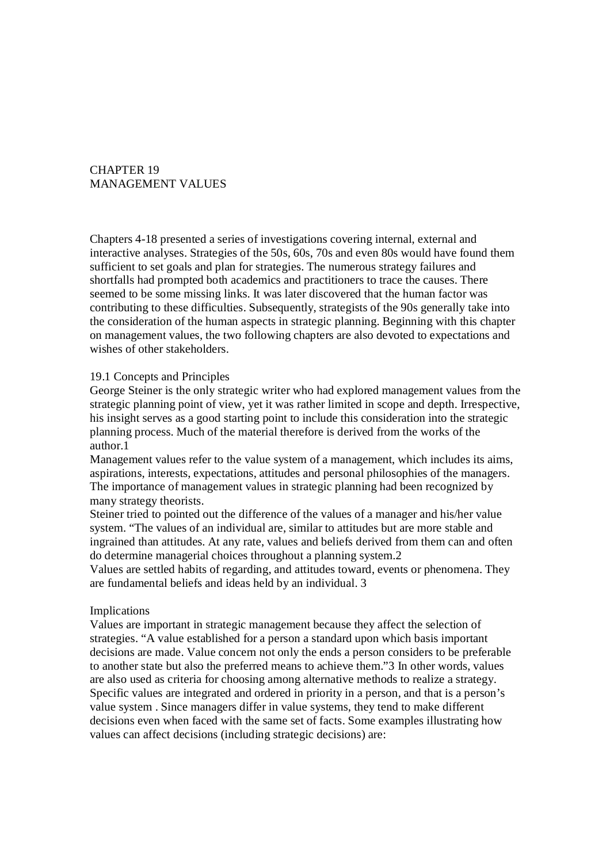# CHAPTER 19 MANAGEMENT VALUES

Chapters 4-18 presented a series of investigations covering internal, external and interactive analyses. Strategies of the 50s, 60s, 70s and even 80s would have found them sufficient to set goals and plan for strategies. The numerous strategy failures and shortfalls had prompted both academics and practitioners to trace the causes. There seemed to be some missing links. It was later discovered that the human factor was contributing to these difficulties. Subsequently, strategists of the 90s generally take into the consideration of the human aspects in strategic planning. Beginning with this chapter on management values, the two following chapters are also devoted to expectations and wishes of other stakeholders.

## 19.1 Concepts and Principles

George Steiner is the only strategic writer who had explored management values from the strategic planning point of view, yet it was rather limited in scope and depth. Irrespective, his insight serves as a good starting point to include this consideration into the strategic planning process. Much of the material therefore is derived from the works of the author.1

Management values refer to the value system of a management, which includes its aims, aspirations, interests, expectations, attitudes and personal philosophies of the managers. The importance of management values in strategic planning had been recognized by many strategy theorists.

Steiner tried to pointed out the difference of the values of a manager and his/her value system. "The values of an individual are, similar to attitudes but are more stable and ingrained than attitudes. At any rate, values and beliefs derived from them can and often do determine managerial choices throughout a planning system.2

Values are settled habits of regarding, and attitudes toward, events or phenomena. They are fundamental beliefs and ideas held by an individual. 3

#### Implications

Values are important in strategic management because they affect the selection of strategies. "A value established for a person a standard upon which basis important decisions are made. Value concern not only the ends a person considers to be preferable to another state but also the preferred means to achieve them."3 In other words, values are also used as criteria for choosing among alternative methods to realize a strategy. Specific values are integrated and ordered in priority in a person, and that is a person's value system . Since managers differ in value systems, they tend to make different decisions even when faced with the same set of facts. Some examples illustrating how values can affect decisions (including strategic decisions) are: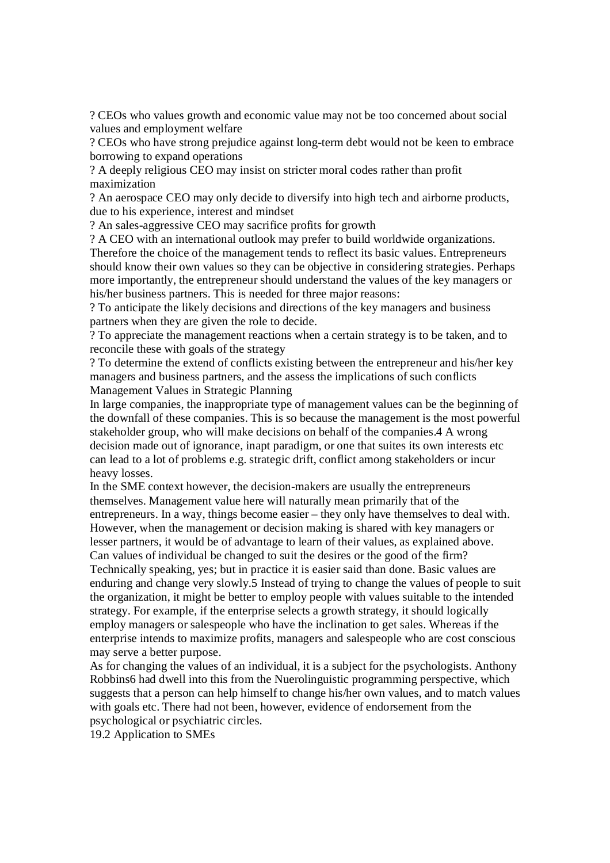? CEOs who values growth and economic value may not be too concerned about social values and employment welfare

? CEOs who have strong prejudice against long-term debt would not be keen to embrace borrowing to expand operations

? A deeply religious CEO may insist on stricter moral codes rather than profit maximization

? An aerospace CEO may only decide to diversify into high tech and airborne products, due to his experience, interest and mindset

? An sales-aggressive CEO may sacrifice profits for growth

? A CEO with an international outlook may prefer to build worldwide organizations. Therefore the choice of the management tends to reflect its basic values. Entrepreneurs should know their own values so they can be objective in considering strategies. Perhaps more importantly, the entrepreneur should understand the values of the key managers or his/her business partners. This is needed for three major reasons:

? To anticipate the likely decisions and directions of the key managers and business partners when they are given the role to decide.

? To appreciate the management reactions when a certain strategy is to be taken, and to reconcile these with goals of the strategy

? To determine the extend of conflicts existing between the entrepreneur and his/her key managers and business partners, and the assess the implications of such conflicts Management Values in Strategic Planning

In large companies, the inappropriate type of management values can be the beginning of the downfall of these companies. This is so because the management is the most powerful stakeholder group, who will make decisions on behalf of the companies.4 A wrong decision made out of ignorance, inapt paradigm, or one that suites its own interests etc can lead to a lot of problems e.g. strategic drift, conflict among stakeholders or incur heavy losses.

In the SME context however, the decision-makers are usually the entrepreneurs themselves. Management value here will naturally mean primarily that of the entrepreneurs. In a way, things become easier – they only have themselves to deal with. However, when the management or decision making is shared with key managers or lesser partners, it would be of advantage to learn of their values, as explained above. Can values of individual be changed to suit the desires or the good of the firm?

Technically speaking, yes; but in practice it is easier said than done. Basic values are enduring and change very slowly.5 Instead of trying to change the values of people to suit the organization, it might be better to employ people with values suitable to the intended strategy. For example, if the enterprise selects a growth strategy, it should logically employ managers or salespeople who have the inclination to get sales. Whereas if the enterprise intends to maximize profits, managers and salespeople who are cost conscious may serve a better purpose.

As for changing the values of an individual, it is a subject for the psychologists. Anthony Robbins6 had dwell into this from the Nuerolinguistic programming perspective, which suggests that a person can help himself to change his/her own values, and to match values with goals etc. There had not been, however, evidence of endorsement from the psychological or psychiatric circles.

19.2 Application to SMEs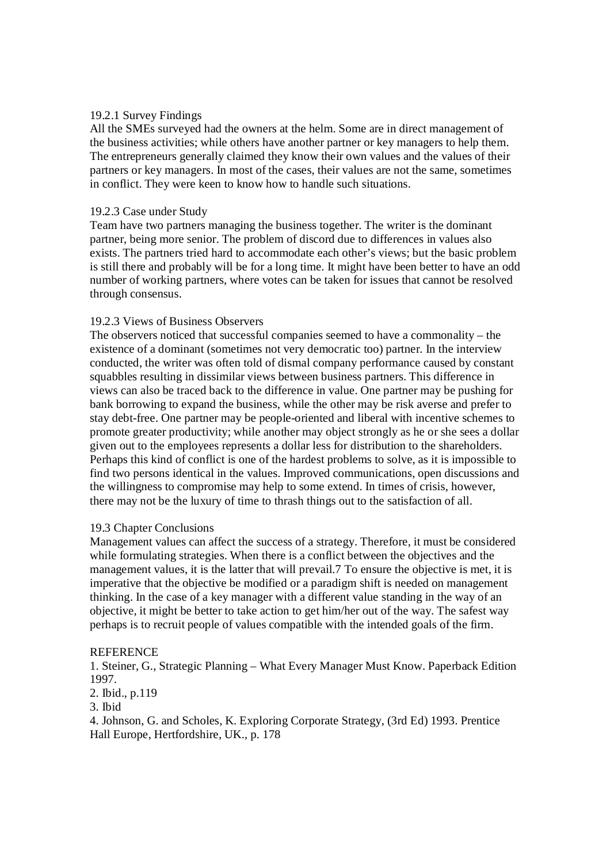# 19.2.1 Survey Findings

All the SMEs surveyed had the owners at the helm. Some are in direct management of the business activities; while others have another partner or key managers to help them. The entrepreneurs generally claimed they know their own values and the values of their partners or key managers. In most of the cases, their values are not the same, sometimes in conflict. They were keen to know how to handle such situations.

# 19.2.3 Case under Study

Team have two partners managing the business together. The writer is the dominant partner, being more senior. The problem of discord due to differences in values also exists. The partners tried hard to accommodate each other's views; but the basic problem is still there and probably will be for a long time. It might have been better to have an odd number of working partners, where votes can be taken for issues that cannot be resolved through consensus.

# 19.2.3 Views of Business Observers

The observers noticed that successful companies seemed to have a commonality – the existence of a dominant (sometimes not very democratic too) partner. In the interview conducted, the writer was often told of dismal company performance caused by constant squabbles resulting in dissimilar views between business partners. This difference in views can also be traced back to the difference in value. One partner may be pushing for bank borrowing to expand the business, while the other may be risk averse and prefer to stay debt-free. One partner may be people-oriented and liberal with incentive schemes to promote greater productivity; while another may object strongly as he or she sees a dollar given out to the employees represents a dollar less for distribution to the shareholders. Perhaps this kind of conflict is one of the hardest problems to solve, as it is impossible to find two persons identical in the values. Improved communications, open discussions and the willingness to compromise may help to some extend. In times of crisis, however, there may not be the luxury of time to thrash things out to the satisfaction of all.

## 19.3 Chapter Conclusions

Management values can affect the success of a strategy. Therefore, it must be considered while formulating strategies. When there is a conflict between the objectives and the management values, it is the latter that will prevail.7 To ensure the objective is met, it is imperative that the objective be modified or a paradigm shift is needed on management thinking. In the case of a key manager with a different value standing in the way of an objective, it might be better to take action to get him/her out of the way. The safest way perhaps is to recruit people of values compatible with the intended goals of the firm.

## **REFERENCE**

1. Steiner, G., Strategic Planning – What Every Manager Must Know. Paperback Edition 1997.

# 2. Ibid., p.119

3. Ibid

4. Johnson, G. and Scholes, K. Exploring Corporate Strategy, (3rd Ed) 1993. Prentice Hall Europe, Hertfordshire, UK., p. 178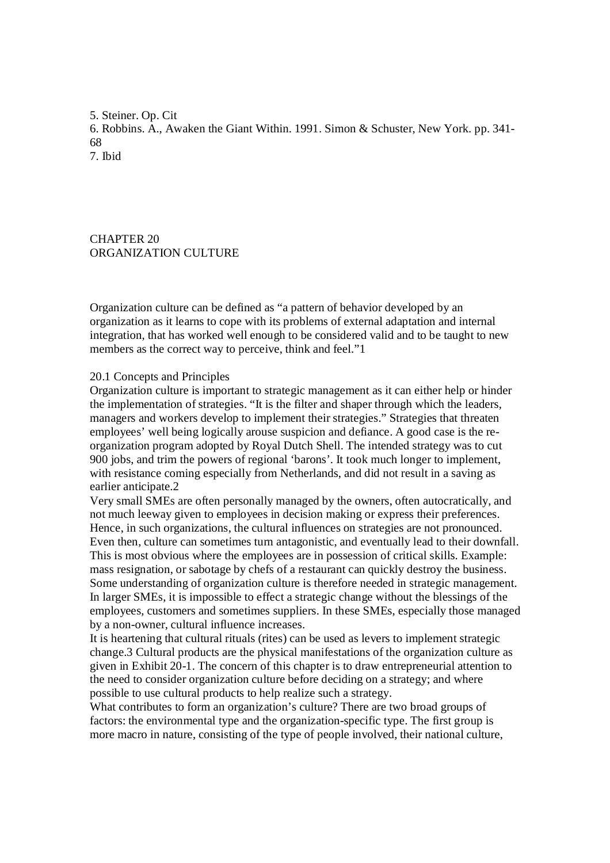5. Steiner. Op. Cit 6. Robbins. A., Awaken the Giant Within. 1991. Simon & Schuster, New York. pp. 341- 68 7. Ibid

CHAPTER 20 ORGANIZATION CULTURE

Organization culture can be defined as "a pattern of behavior developed by an organization as it learns to cope with its problems of external adaptation and internal integration, that has worked well enough to be considered valid and to be taught to new members as the correct way to perceive, think and feel."1

# 20.1 Concepts and Principles

Organization culture is important to strategic management as it can either help or hinder the implementation of strategies. "It is the filter and shaper through which the leaders, managers and workers develop to implement their strategies." Strategies that threaten employees' well being logically arouse suspicion and defiance. A good case is the reorganization program adopted by Royal Dutch Shell. The intended strategy was to cut 900 jobs, and trim the powers of regional 'barons'. It took much longer to implement, with resistance coming especially from Netherlands, and did not result in a saving as earlier anticipate.2

Very small SMEs are often personally managed by the owners, often autocratically, and not much leeway given to employees in decision making or express their preferences. Hence, in such organizations, the cultural influences on strategies are not pronounced. Even then, culture can sometimes turn antagonistic, and eventually lead to their downfall. This is most obvious where the employees are in possession of critical skills. Example: mass resignation, or sabotage by chefs of a restaurant can quickly destroy the business. Some understanding of organization culture is therefore needed in strategic management. In larger SMEs, it is impossible to effect a strategic change without the blessings of the employees, customers and sometimes suppliers. In these SMEs, especially those managed by a non-owner, cultural influence increases.

It is heartening that cultural rituals (rites) can be used as levers to implement strategic change.3 Cultural products are the physical manifestations of the organization culture as given in Exhibit 20-1. The concern of this chapter is to draw entrepreneurial attention to the need to consider organization culture before deciding on a strategy; and where possible to use cultural products to help realize such a strategy.

What contributes to form an organization's culture? There are two broad groups of factors: the environmental type and the organization-specific type. The first group is more macro in nature, consisting of the type of people involved, their national culture,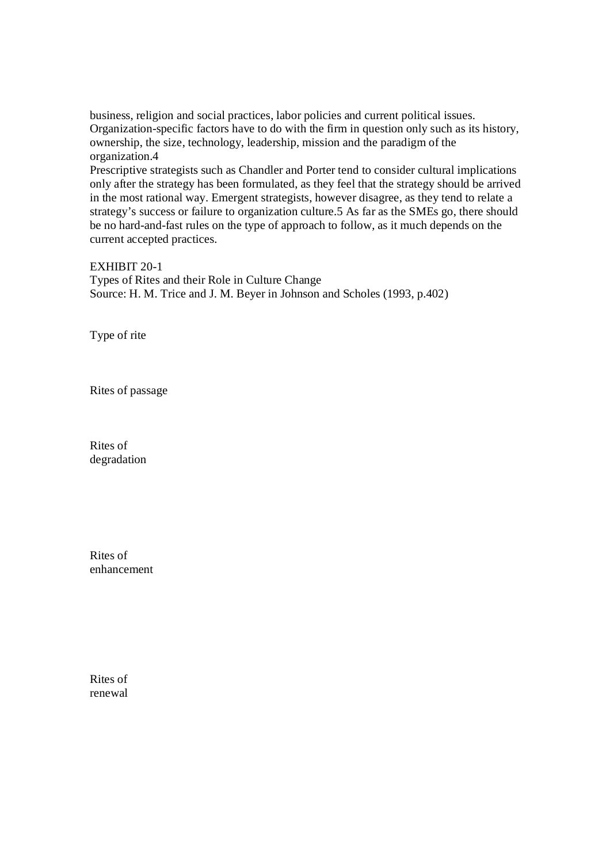business, religion and social practices, labor policies and current political issues. Organization-specific factors have to do with the firm in question only such as its history, ownership, the size, technology, leadership, mission and the paradigm of the organization.4

Prescriptive strategists such as Chandler and Porter tend to consider cultural implications only after the strategy has been formulated, as they feel that the strategy should be arrived in the most rational way. Emergent strategists, however disagree, as they tend to relate a strategy's success or failure to organization culture.5 As far as the SMEs go, there should be no hard-and-fast rules on the type of approach to follow, as it much depends on the current accepted practices.

EXHIBIT 20-1 Types of Rites and their Role in Culture Change Source: H. M. Trice and J. M. Beyer in Johnson and Scholes (1993, p.402)

Type of rite

Rites of passage

Rites of degradation

Rites of enhancement

Rites of renewal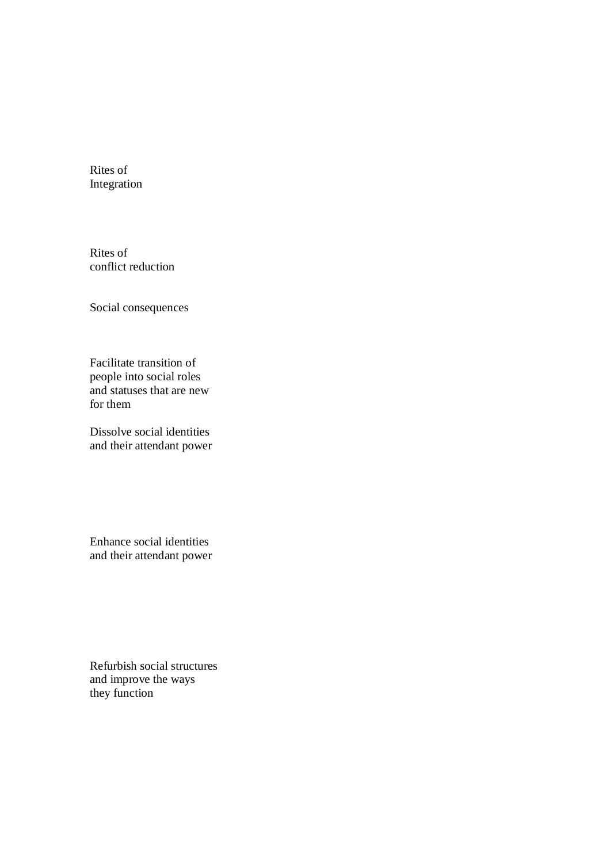Rites of Integration

Rites of conflict reduction

Social consequences

Facilitate transition of people into social roles and statuses that are new for them

Dissolve social identities and their attendant power

Enhance social identities and their attendant power

Refurbish social structures and improve the ways they function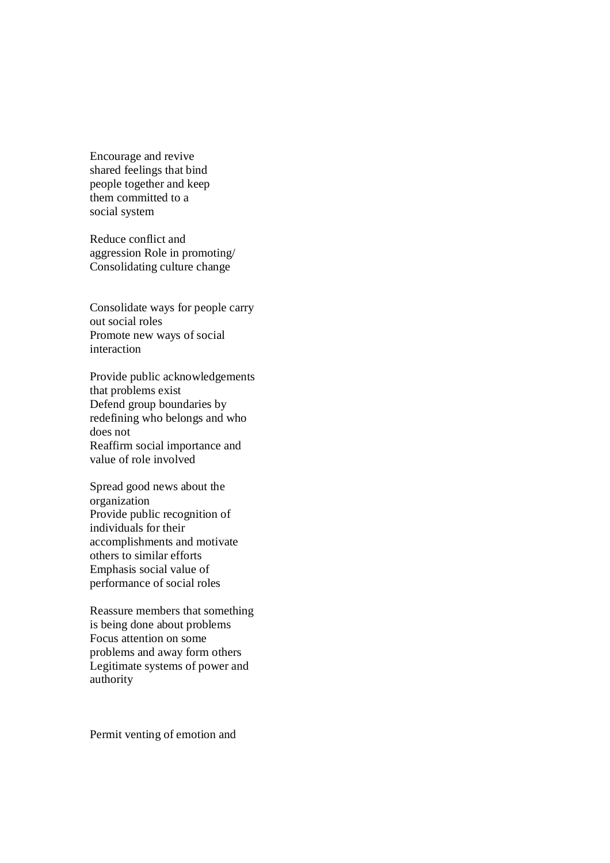Encourage and revive shared feelings that bind people together and keep them committed to a social system

Reduce conflict and aggression Role in promoting/ Consolidating culture change

Consolidate ways for people carry out social roles Promote new ways of social interaction

Provide public acknowledgements that problems exist Defend group boundaries by redefining who belongs and who does not Reaffirm social importance and value of role involved

Spread good news about the organization Provide public recognition of individuals for their accomplishments and motivate others to similar efforts Emphasis social value of performance of social roles

Reassure members that something is being done about problems Focus attention on some problems and away form others Legitimate systems of power and authority

Permit venting of emotion and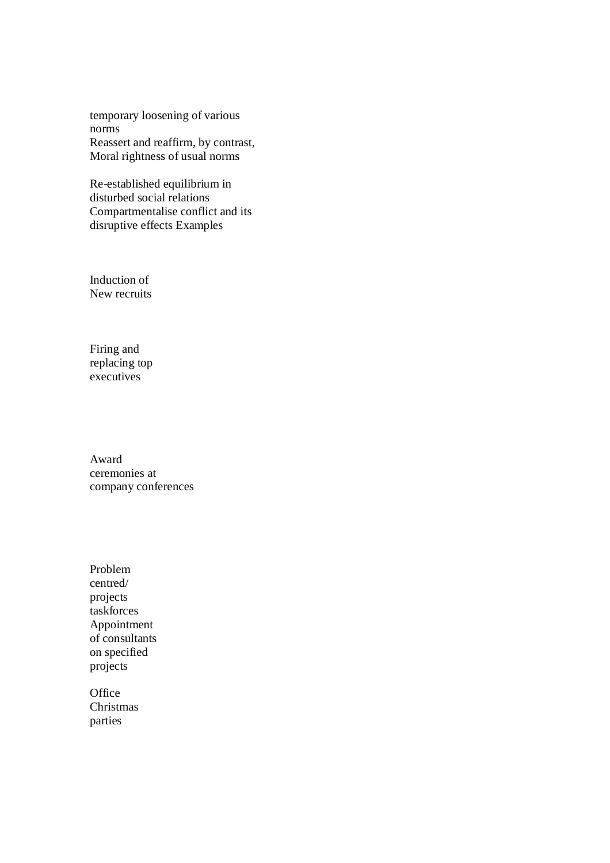temporary loosening of various norms Reassert and reaffirm, by contrast, Moral rightness of usual norms

Re-established equilibrium in disturbed social relations Compartmentalise conflict and its disruptive effects Examples

Induction of New recruits

Firing and replacing top executives

Award ceremonies at company conferences

Problem centred/ projects taskforces Appointment of consultants on specified projects

**Office** Christmas parties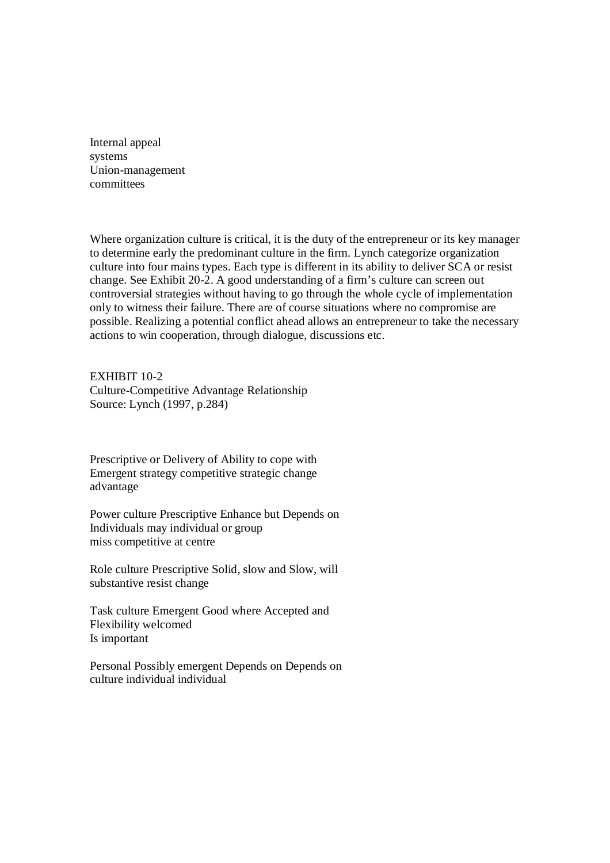Internal appeal systems Union-management committees

Where organization culture is critical, it is the duty of the entrepreneur or its key manager to determine early the predominant culture in the firm. Lynch categorize organization culture into four mains types. Each type is different in its ability to deliver SCA or resist change. See Exhibit 20-2. A good understanding of a firm's culture can screen out controversial strategies without having to go through the whole cycle of implementation only to witness their failure. There are of course situations where no compromise are possible. Realizing a potential conflict ahead allows an entrepreneur to take the necessary actions to win cooperation, through dialogue, discussions etc.

EXHIBIT 10-2 Culture-Competitive Advantage Relationship Source: Lynch (1997, p.284)

Prescriptive or Delivery of Ability to cope with Emergent strategy competitive strategic change advantage

Power culture Prescriptive Enhance but Depends on Individuals may individual or group miss competitive at centre

Role culture Prescriptive Solid, slow and Slow, will substantive resist change

Task culture Emergent Good where Accepted and Flexibility welcomed Is important

Personal Possibly emergent Depends on Depends on culture individual individual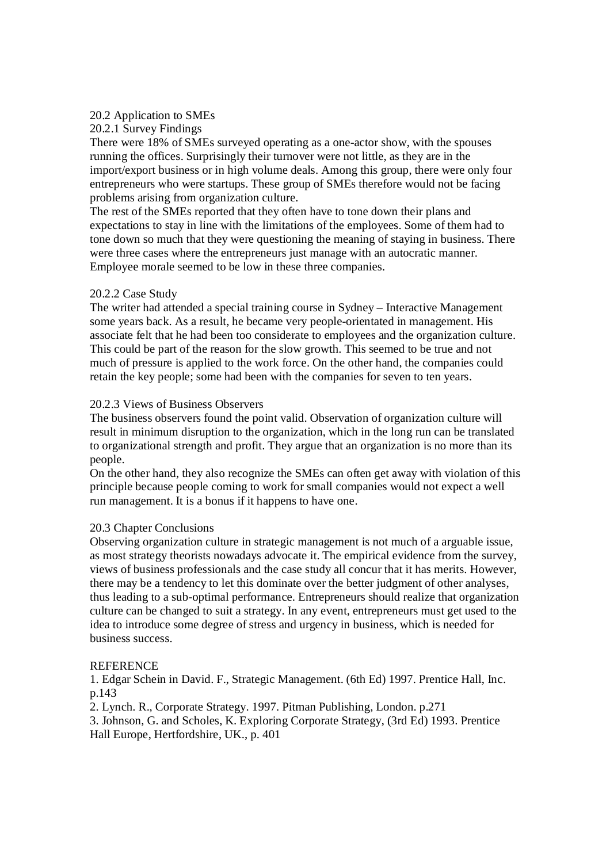# 20.2 Application to SMEs

20.2.1 Survey Findings

There were 18% of SMEs surveyed operating as a one-actor show, with the spouses running the offices. Surprisingly their turnover were not little, as they are in the import/export business or in high volume deals. Among this group, there were only four entrepreneurs who were startups. These group of SMEs therefore would not be facing problems arising from organization culture.

The rest of the SMEs reported that they often have to tone down their plans and expectations to stay in line with the limitations of the employees. Some of them had to tone down so much that they were questioning the meaning of staying in business. There were three cases where the entrepreneurs just manage with an autocratic manner. Employee morale seemed to be low in these three companies.

# 20.2.2 Case Study

The writer had attended a special training course in Sydney – Interactive Management some years back. As a result, he became very people-orientated in management. His associate felt that he had been too considerate to employees and the organization culture. This could be part of the reason for the slow growth. This seemed to be true and not much of pressure is applied to the work force. On the other hand, the companies could retain the key people; some had been with the companies for seven to ten years.

# 20.2.3 Views of Business Observers

The business observers found the point valid. Observation of organization culture will result in minimum disruption to the organization, which in the long run can be translated to organizational strength and profit. They argue that an organization is no more than its people.

On the other hand, they also recognize the SMEs can often get away with violation of this principle because people coming to work for small companies would not expect a well run management. It is a bonus if it happens to have one.

# 20.3 Chapter Conclusions

Observing organization culture in strategic management is not much of a arguable issue, as most strategy theorists nowadays advocate it. The empirical evidence from the survey, views of business professionals and the case study all concur that it has merits. However, there may be a tendency to let this dominate over the better judgment of other analyses, thus leading to a sub-optimal performance. Entrepreneurs should realize that organization culture can be changed to suit a strategy. In any event, entrepreneurs must get used to the idea to introduce some degree of stress and urgency in business, which is needed for business success.

# REFERENCE

1. Edgar Schein in David. F., Strategic Management. (6th Ed) 1997. Prentice Hall, Inc. p.143

2. Lynch. R., Corporate Strategy. 1997. Pitman Publishing, London. p.271

3. Johnson, G. and Scholes, K. Exploring Corporate Strategy, (3rd Ed) 1993. Prentice Hall Europe, Hertfordshire, UK., p. 401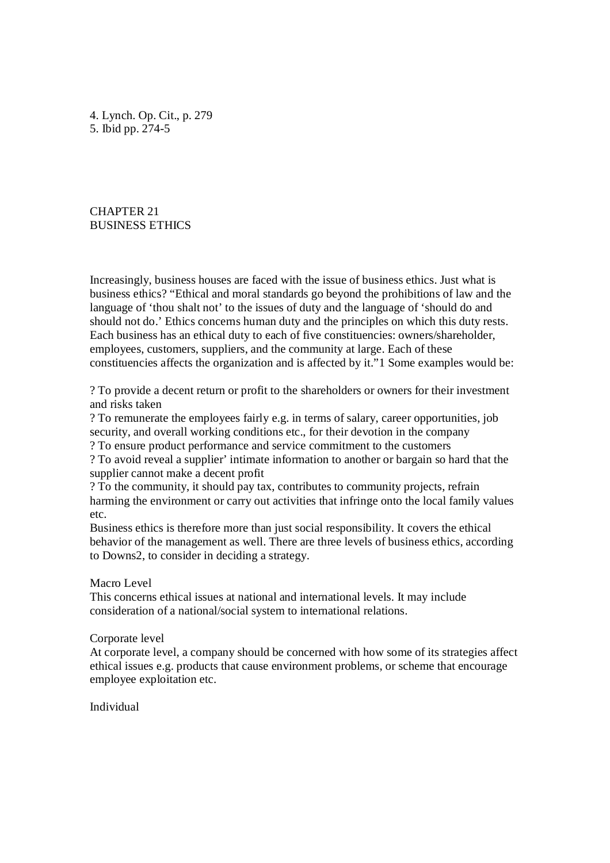4. Lynch. Op. Cit., p. 279 5. Ibid pp. 274-5

CHAPTER 21 BUSINESS ETHICS

Increasingly, business houses are faced with the issue of business ethics. Just what is business ethics? "Ethical and moral standards go beyond the prohibitions of law and the language of 'thou shalt not' to the issues of duty and the language of 'should do and should not do.' Ethics concerns human duty and the principles on which this duty rests. Each business has an ethical duty to each of five constituencies: owners/shareholder, employees, customers, suppliers, and the community at large. Each of these constituencies affects the organization and is affected by it."1 Some examples would be:

? To provide a decent return or profit to the shareholders or owners for their investment and risks taken

? To remunerate the employees fairly e.g. in terms of salary, career opportunities, job security, and overall working conditions etc., for their devotion in the company ? To ensure product performance and service commitment to the customers

? To avoid reveal a supplier' intimate information to another or bargain so hard that the supplier cannot make a decent profit

? To the community, it should pay tax, contributes to community projects, refrain harming the environment or carry out activities that infringe onto the local family values etc.

Business ethics is therefore more than just social responsibility. It covers the ethical behavior of the management as well. There are three levels of business ethics, according to Downs2, to consider in deciding a strategy.

Macro Level

This concerns ethical issues at national and international levels. It may include consideration of a national/social system to international relations.

#### Corporate level

At corporate level, a company should be concerned with how some of its strategies affect ethical issues e.g. products that cause environment problems, or scheme that encourage employee exploitation etc.

Individual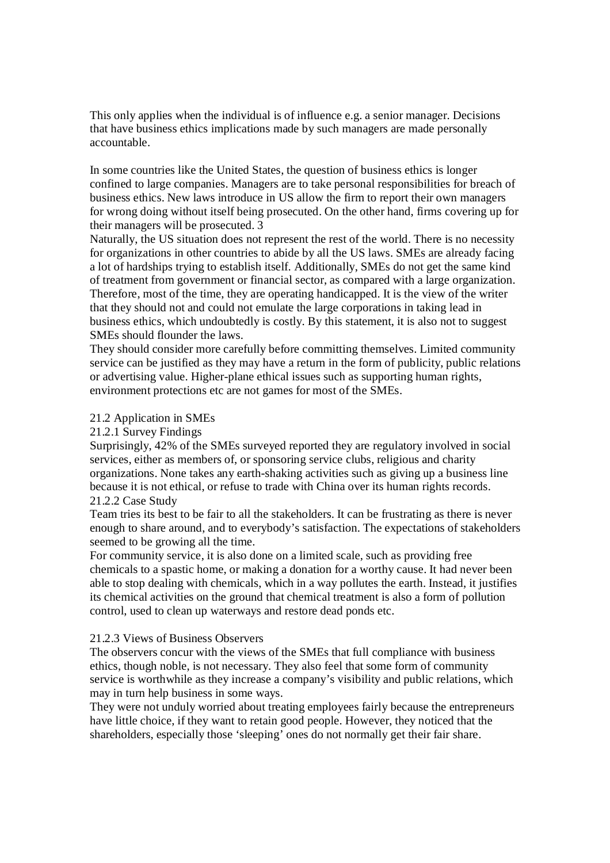This only applies when the individual is of influence e.g. a senior manager. Decisions that have business ethics implications made by such managers are made personally accountable.

In some countries like the United States, the question of business ethics is longer confined to large companies. Managers are to take personal responsibilities for breach of business ethics. New laws introduce in US allow the firm to report their own managers for wrong doing without itself being prosecuted. On the other hand, firms covering up for their managers will be prosecuted. 3

Naturally, the US situation does not represent the rest of the world. There is no necessity for organizations in other countries to abide by all the US laws. SMEs are already facing a lot of hardships trying to establish itself. Additionally, SMEs do not get the same kind of treatment from government or financial sector, as compared with a large organization. Therefore, most of the time, they are operating handicapped. It is the view of the writer that they should not and could not emulate the large corporations in taking lead in business ethics, which undoubtedly is costly. By this statement, it is also not to suggest SMEs should flounder the laws.

They should consider more carefully before committing themselves. Limited community service can be justified as they may have a return in the form of publicity, public relations or advertising value. Higher-plane ethical issues such as supporting human rights, environment protections etc are not games for most of the SMEs.

# 21.2 Application in SMEs

# 21.2.1 Survey Findings

Surprisingly, 42% of the SMEs surveyed reported they are regulatory involved in social services, either as members of, or sponsoring service clubs, religious and charity organizations. None takes any earth-shaking activities such as giving up a business line because it is not ethical, or refuse to trade with China over its human rights records. 21.2.2 Case Study

Team tries its best to be fair to all the stakeholders. It can be frustrating as there is never enough to share around, and to everybody's satisfaction. The expectations of stakeholders seemed to be growing all the time.

For community service, it is also done on a limited scale, such as providing free chemicals to a spastic home, or making a donation for a worthy cause. It had never been able to stop dealing with chemicals, which in a way pollutes the earth. Instead, it justifies its chemical activities on the ground that chemical treatment is also a form of pollution control, used to clean up waterways and restore dead ponds etc.

## 21.2.3 Views of Business Observers

The observers concur with the views of the SMEs that full compliance with business ethics, though noble, is not necessary. They also feel that some form of community service is worthwhile as they increase a company's visibility and public relations, which may in turn help business in some ways.

They were not unduly worried about treating employees fairly because the entrepreneurs have little choice, if they want to retain good people. However, they noticed that the shareholders, especially those 'sleeping' ones do not normally get their fair share.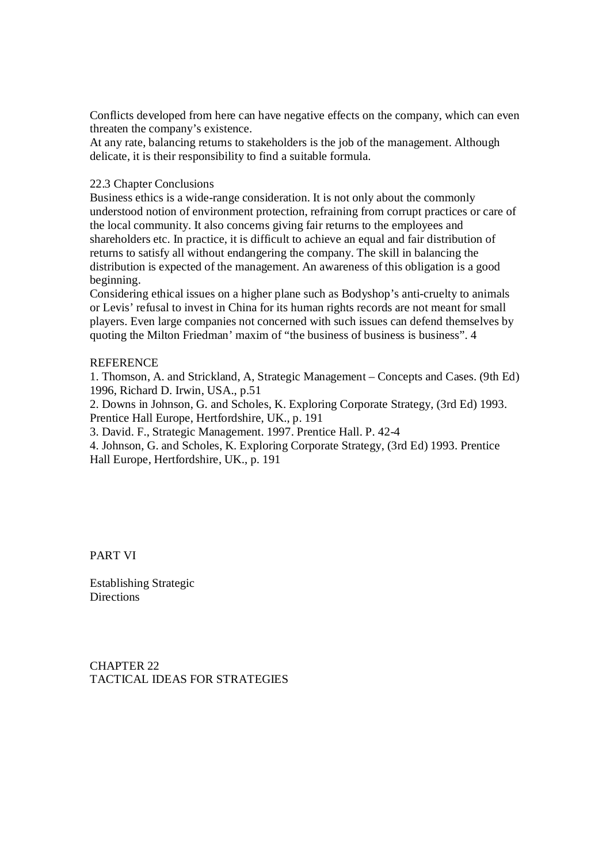Conflicts developed from here can have negative effects on the company, which can even threaten the company's existence.

At any rate, balancing returns to stakeholders is the job of the management. Although delicate, it is their responsibility to find a suitable formula.

## 22.3 Chapter Conclusions

Business ethics is a wide-range consideration. It is not only about the commonly understood notion of environment protection, refraining from corrupt practices or care of the local community. It also concerns giving fair returns to the employees and shareholders etc. In practice, it is difficult to achieve an equal and fair distribution of returns to satisfy all without endangering the company. The skill in balancing the distribution is expected of the management. An awareness of this obligation is a good beginning.

Considering ethical issues on a higher plane such as Bodyshop's anti-cruelty to animals or Levis' refusal to invest in China for its human rights records are not meant for small players. Even large companies not concerned with such issues can defend themselves by quoting the Milton Friedman' maxim of "the business of business is business". 4

# **REFERENCE**

1. Thomson, A. and Strickland, A, Strategic Management – Concepts and Cases. (9th Ed) 1996, Richard D. Irwin, USA., p.51

2. Downs in Johnson, G. and Scholes, K. Exploring Corporate Strategy, (3rd Ed) 1993. Prentice Hall Europe, Hertfordshire, UK., p. 191

3. David. F., Strategic Management. 1997. Prentice Hall. P. 42-4

4. Johnson, G. and Scholes, K. Exploring Corporate Strategy, (3rd Ed) 1993. Prentice Hall Europe, Hertfordshire, UK., p. 191

PART VI

Establishing Strategic **Directions** 

CHAPTER 22 TACTICAL IDEAS FOR STRATEGIES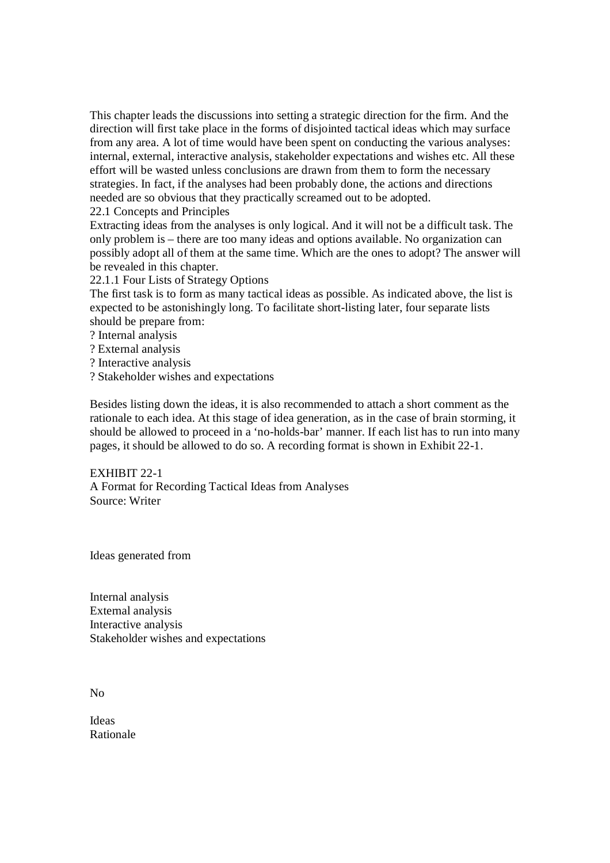This chapter leads the discussions into setting a strategic direction for the firm. And the direction will first take place in the forms of disjointed tactical ideas which may surface from any area. A lot of time would have been spent on conducting the various analyses: internal, external, interactive analysis, stakeholder expectations and wishes etc. All these effort will be wasted unless conclusions are drawn from them to form the necessary strategies. In fact, if the analyses had been probably done, the actions and directions needed are so obvious that they practically screamed out to be adopted. 22.1 Concepts and Principles

Extracting ideas from the analyses is only logical. And it will not be a difficult task. The only problem is – there are too many ideas and options available. No organization can possibly adopt all of them at the same time. Which are the ones to adopt? The answer will be revealed in this chapter.

22.1.1 Four Lists of Strategy Options

The first task is to form as many tactical ideas as possible. As indicated above, the list is expected to be astonishingly long. To facilitate short-listing later, four separate lists should be prepare from:

- ? Internal analysis
- ? External analysis
- ? Interactive analysis
- ? Stakeholder wishes and expectations

Besides listing down the ideas, it is also recommended to attach a short comment as the rationale to each idea. At this stage of idea generation, as in the case of brain storming, it should be allowed to proceed in a 'no-holds-bar' manner. If each list has to run into many pages, it should be allowed to do so. A recording format is shown in Exhibit 22-1.

EXHIBIT 22-1 A Format for Recording Tactical Ideas from Analyses Source: Writer

Ideas generated from

Internal analysis External analysis Interactive analysis Stakeholder wishes and expectations

 $N<sub>0</sub>$ 

Ideas Rationale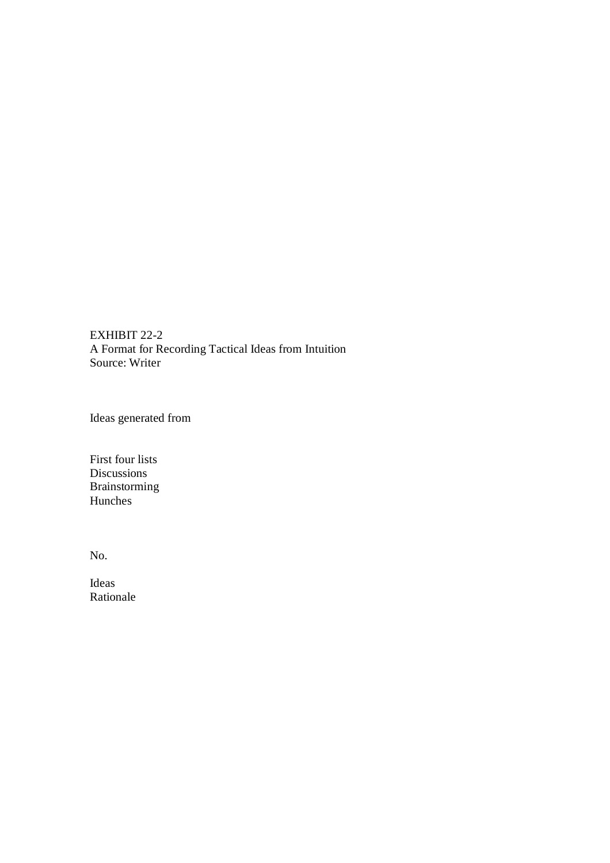EXHIBIT 22-2 A Format for Recording Tactical Ideas from Intuition Source: Writer

Ideas generated from

First four lists Discussions Brainstorming Hunches

No.

Ideas Rationale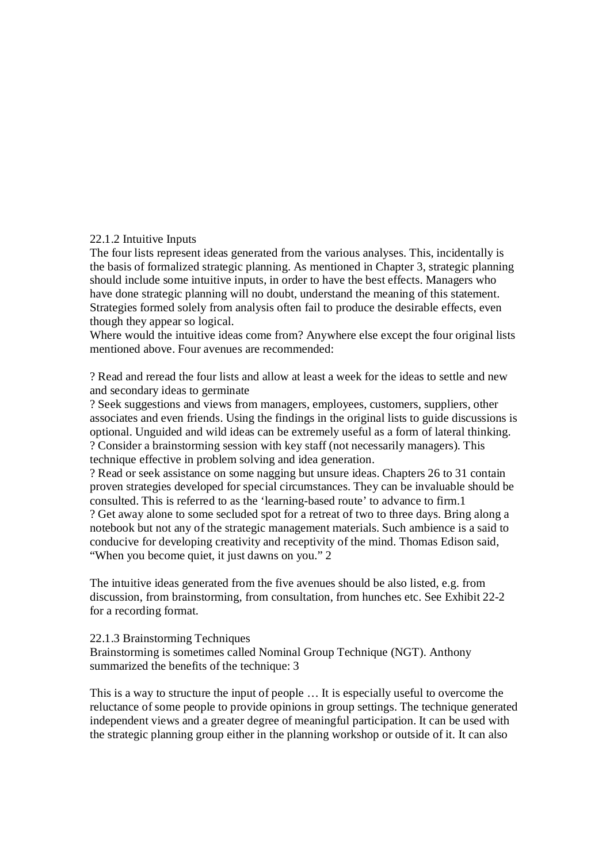# 22.1.2 Intuitive Inputs

The four lists represent ideas generated from the various analyses. This, incidentally is the basis of formalized strategic planning. As mentioned in Chapter 3, strategic planning should include some intuitive inputs, in order to have the best effects. Managers who have done strategic planning will no doubt, understand the meaning of this statement. Strategies formed solely from analysis often fail to produce the desirable effects, even though they appear so logical.

Where would the intuitive ideas come from? Anywhere else except the four original lists mentioned above. Four avenues are recommended:

? Read and reread the four lists and allow at least a week for the ideas to settle and new and secondary ideas to germinate

? Seek suggestions and views from managers, employees, customers, suppliers, other associates and even friends. Using the findings in the original lists to guide discussions is optional. Unguided and wild ideas can be extremely useful as a form of lateral thinking. ? Consider a brainstorming session with key staff (not necessarily managers). This technique effective in problem solving and idea generation.

? Read or seek assistance on some nagging but unsure ideas. Chapters 26 to 31 contain proven strategies developed for special circumstances. They can be invaluable should be consulted. This is referred to as the 'learning-based route' to advance to firm.1 ? Get away alone to some secluded spot for a retreat of two to three days. Bring along a notebook but not any of the strategic management materials. Such ambience is a said to conducive for developing creativity and receptivity of the mind. Thomas Edison said, "When you become quiet, it just dawns on you." 2

The intuitive ideas generated from the five avenues should be also listed, e.g. from discussion, from brainstorming, from consultation, from hunches etc. See Exhibit 22-2 for a recording format.

## 22.1.3 Brainstorming Techniques

Brainstorming is sometimes called Nominal Group Technique (NGT). Anthony summarized the benefits of the technique: 3

This is a way to structure the input of people … It is especially useful to overcome the reluctance of some people to provide opinions in group settings. The technique generated independent views and a greater degree of meaningful participation. It can be used with the strategic planning group either in the planning workshop or outside of it. It can also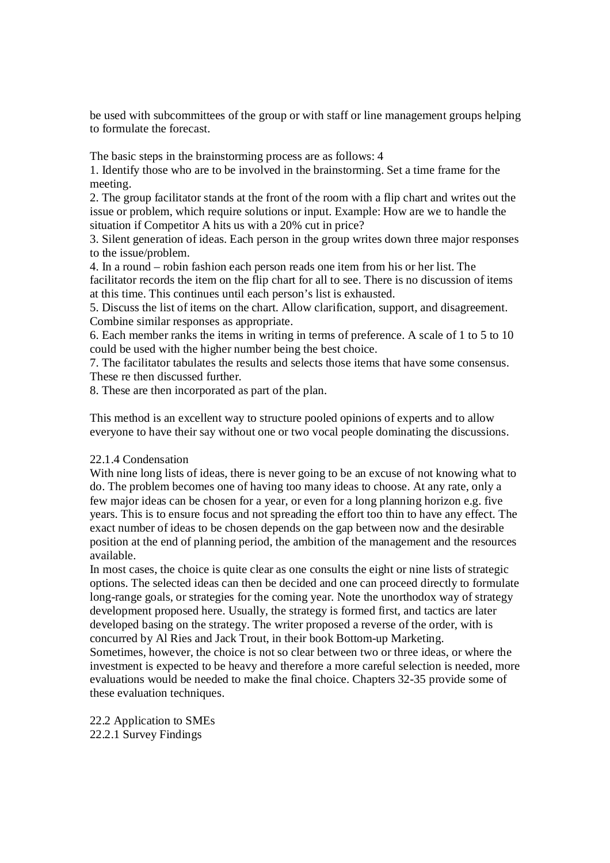be used with subcommittees of the group or with staff or line management groups helping to formulate the forecast.

The basic steps in the brainstorming process are as follows: 4

1. Identify those who are to be involved in the brainstorming. Set a time frame for the meeting.

2. The group facilitator stands at the front of the room with a flip chart and writes out the issue or problem, which require solutions or input. Example: How are we to handle the situation if Competitor A hits us with a 20% cut in price?

3. Silent generation of ideas. Each person in the group writes down three major responses to the issue/problem.

4. In a round – robin fashion each person reads one item from his or her list. The facilitator records the item on the flip chart for all to see. There is no discussion of items at this time. This continues until each person's list is exhausted.

5. Discuss the list of items on the chart. Allow clarification, support, and disagreement. Combine similar responses as appropriate.

6. Each member ranks the items in writing in terms of preference. A scale of 1 to 5 to 10 could be used with the higher number being the best choice.

7. The facilitator tabulates the results and selects those items that have some consensus. These re then discussed further.

8. These are then incorporated as part of the plan.

This method is an excellent way to structure pooled opinions of experts and to allow everyone to have their say without one or two vocal people dominating the discussions.

# 22.1.4 Condensation

With nine long lists of ideas, there is never going to be an excuse of not knowing what to do. The problem becomes one of having too many ideas to choose. At any rate, only a few major ideas can be chosen for a year, or even for a long planning horizon e.g. five years. This is to ensure focus and not spreading the effort too thin to have any effect. The exact number of ideas to be chosen depends on the gap between now and the desirable position at the end of planning period, the ambition of the management and the resources available.

In most cases, the choice is quite clear as one consults the eight or nine lists of strategic options. The selected ideas can then be decided and one can proceed directly to formulate long-range goals, or strategies for the coming year. Note the unorthodox way of strategy development proposed here. Usually, the strategy is formed first, and tactics are later developed basing on the strategy. The writer proposed a reverse of the order, with is concurred by Al Ries and Jack Trout, in their book Bottom-up Marketing.

Sometimes, however, the choice is not so clear between two or three ideas, or where the investment is expected to be heavy and therefore a more careful selection is needed, more evaluations would be needed to make the final choice. Chapters 32-35 provide some of these evaluation techniques.

22.2 Application to SMEs 22.2.1 Survey Findings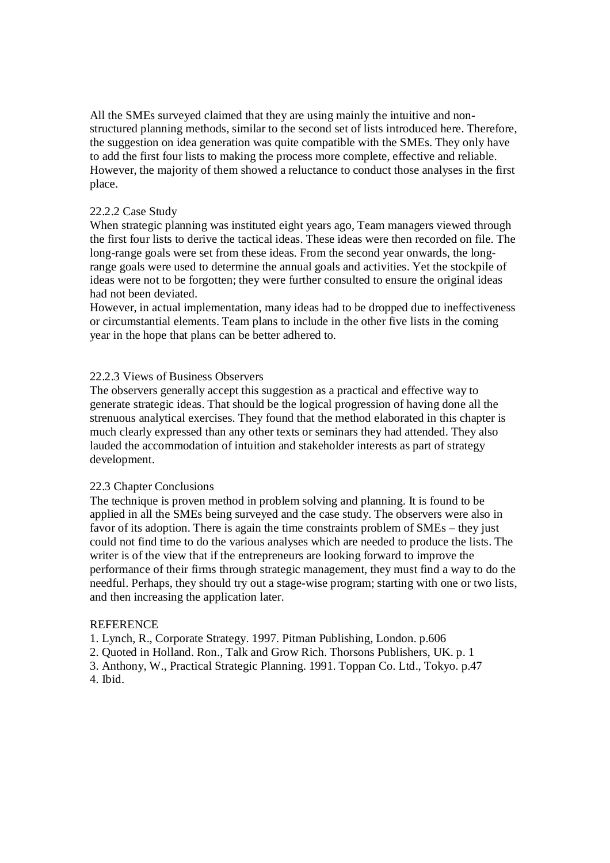All the SMEs surveyed claimed that they are using mainly the intuitive and nonstructured planning methods, similar to the second set of lists introduced here. Therefore, the suggestion on idea generation was quite compatible with the SMEs. They only have to add the first four lists to making the process more complete, effective and reliable. However, the majority of them showed a reluctance to conduct those analyses in the first place.

## 22.2.2 Case Study

When strategic planning was instituted eight years ago, Team managers viewed through the first four lists to derive the tactical ideas. These ideas were then recorded on file. The long-range goals were set from these ideas. From the second year onwards, the longrange goals were used to determine the annual goals and activities. Yet the stockpile of ideas were not to be forgotten; they were further consulted to ensure the original ideas had not been deviated.

However, in actual implementation, many ideas had to be dropped due to ineffectiveness or circumstantial elements. Team plans to include in the other five lists in the coming year in the hope that plans can be better adhered to.

# 22.2.3 Views of Business Observers

The observers generally accept this suggestion as a practical and effective way to generate strategic ideas. That should be the logical progression of having done all the strenuous analytical exercises. They found that the method elaborated in this chapter is much clearly expressed than any other texts or seminars they had attended. They also lauded the accommodation of intuition and stakeholder interests as part of strategy development.

## 22.3 Chapter Conclusions

The technique is proven method in problem solving and planning. It is found to be applied in all the SMEs being surveyed and the case study. The observers were also in favor of its adoption. There is again the time constraints problem of SMEs – they just could not find time to do the various analyses which are needed to produce the lists. The writer is of the view that if the entrepreneurs are looking forward to improve the performance of their firms through strategic management, they must find a way to do the needful. Perhaps, they should try out a stage-wise program; starting with one or two lists, and then increasing the application later.

## **REFERENCE**

1. Lynch, R., Corporate Strategy. 1997. Pitman Publishing, London. p.606

2. Quoted in Holland. Ron., Talk and Grow Rich. Thorsons Publishers, UK. p. 1

3. Anthony, W., Practical Strategic Planning. 1991. Toppan Co. Ltd., Tokyo. p.47 4. Ibid.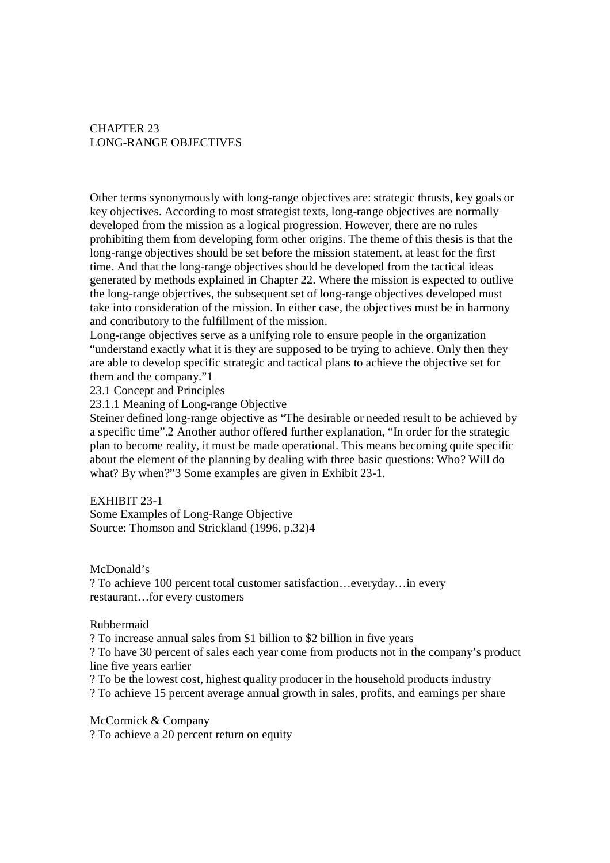# CHAPTER 23 LONG-RANGE OBJECTIVES

Other terms synonymously with long-range objectives are: strategic thrusts, key goals or key objectives. According to most strategist texts, long-range objectives are normally developed from the mission as a logical progression. However, there are no rules prohibiting them from developing form other origins. The theme of this thesis is that the long-range objectives should be set before the mission statement, at least for the first time. And that the long-range objectives should be developed from the tactical ideas generated by methods explained in Chapter 22. Where the mission is expected to outlive the long-range objectives, the subsequent set of long-range objectives developed must take into consideration of the mission. In either case, the objectives must be in harmony and contributory to the fulfillment of the mission.

Long-range objectives serve as a unifying role to ensure people in the organization "understand exactly what it is they are supposed to be trying to achieve. Only then they are able to develop specific strategic and tactical plans to achieve the objective set for them and the company."1

23.1 Concept and Principles

23.1.1 Meaning of Long-range Objective

Steiner defined long-range objective as "The desirable or needed result to be achieved by a specific time".2 Another author offered further explanation, "In order for the strategic plan to become reality, it must be made operational. This means becoming quite specific about the element of the planning by dealing with three basic questions: Who? Will do what? By when?"3 Some examples are given in Exhibit 23-1.

## EXHIBIT 23-1

Some Examples of Long-Range Objective Source: Thomson and Strickland (1996, p.32)4

McDonald's

? To achieve 100 percent total customer satisfaction…everyday…in every restaurant…for every customers

## Rubbermaid

? To increase annual sales from \$1 billion to \$2 billion in five years

? To have 30 percent of sales each year come from products not in the company's product line five years earlier

? To be the lowest cost, highest quality producer in the household products industry

? To achieve 15 percent average annual growth in sales, profits, and earnings per share

McCormick & Company

? To achieve a 20 percent return on equity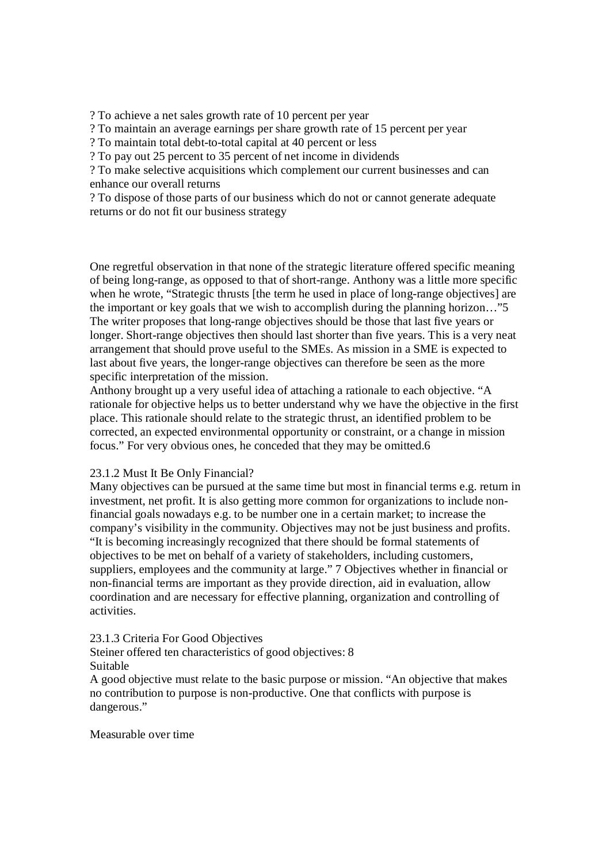? To achieve a net sales growth rate of 10 percent per year

? To maintain an average earnings per share growth rate of 15 percent per year

? To maintain total debt-to-total capital at 40 percent or less

? To pay out 25 percent to 35 percent of net income in dividends

? To make selective acquisitions which complement our current businesses and can enhance our overall returns

? To dispose of those parts of our business which do not or cannot generate adequate returns or do not fit our business strategy

One regretful observation in that none of the strategic literature offered specific meaning of being long-range, as opposed to that of short-range. Anthony was a little more specific when he wrote, "Strategic thrusts [the term he used in place of long-range objectives] are the important or key goals that we wish to accomplish during the planning horizon…"5 The writer proposes that long-range objectives should be those that last five years or longer. Short-range objectives then should last shorter than five years. This is a very neat arrangement that should prove useful to the SMEs. As mission in a SME is expected to last about five years, the longer-range objectives can therefore be seen as the more specific interpretation of the mission.

Anthony brought up a very useful idea of attaching a rationale to each objective. "A rationale for objective helps us to better understand why we have the objective in the first place. This rationale should relate to the strategic thrust, an identified problem to be corrected, an expected environmental opportunity or constraint, or a change in mission focus." For very obvious ones, he conceded that they may be omitted.6

## 23.1.2 Must It Be Only Financial?

Many objectives can be pursued at the same time but most in financial terms e.g. return in investment, net profit. It is also getting more common for organizations to include nonfinancial goals nowadays e.g. to be number one in a certain market; to increase the company's visibility in the community. Objectives may not be just business and profits. "It is becoming increasingly recognized that there should be formal statements of objectives to be met on behalf of a variety of stakeholders, including customers, suppliers, employees and the community at large." 7 Objectives whether in financial or non-financial terms are important as they provide direction, aid in evaluation, allow coordination and are necessary for effective planning, organization and controlling of activities.

## 23.1.3 Criteria For Good Objectives

Steiner offered ten characteristics of good objectives: 8 Suitable

A good objective must relate to the basic purpose or mission. "An objective that makes no contribution to purpose is non-productive. One that conflicts with purpose is dangerous."

# Measurable over time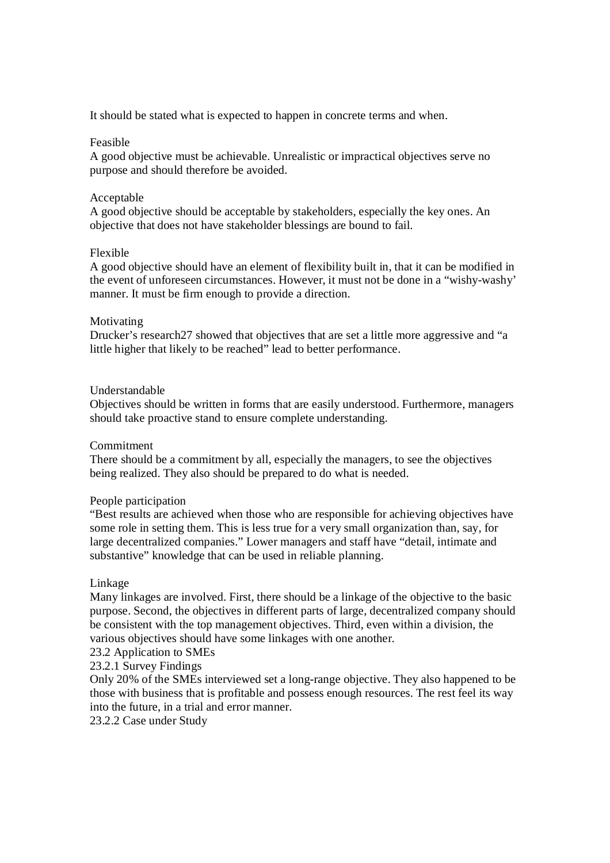It should be stated what is expected to happen in concrete terms and when.

# Feasible

A good objective must be achievable. Unrealistic or impractical objectives serve no purpose and should therefore be avoided.

# Acceptable

A good objective should be acceptable by stakeholders, especially the key ones. An objective that does not have stakeholder blessings are bound to fail.

# Flexible

A good objective should have an element of flexibility built in, that it can be modified in the event of unforeseen circumstances. However, it must not be done in a "wishy-washy' manner. It must be firm enough to provide a direction.

# Motivating

Drucker's research27 showed that objectives that are set a little more aggressive and "a little higher that likely to be reached" lead to better performance.

# Understandable

Objectives should be written in forms that are easily understood. Furthermore, managers should take proactive stand to ensure complete understanding.

## **Commitment**

There should be a commitment by all, especially the managers, to see the objectives being realized. They also should be prepared to do what is needed.

## People participation

"Best results are achieved when those who are responsible for achieving objectives have some role in setting them. This is less true for a very small organization than, say, for large decentralized companies." Lower managers and staff have "detail, intimate and substantive" knowledge that can be used in reliable planning.

## Linkage

Many linkages are involved. First, there should be a linkage of the objective to the basic purpose. Second, the objectives in different parts of large, decentralized company should be consistent with the top management objectives. Third, even within a division, the various objectives should have some linkages with one another.

23.2 Application to SMEs

## 23.2.1 Survey Findings

Only 20% of the SMEs interviewed set a long-range objective. They also happened to be those with business that is profitable and possess enough resources. The rest feel its way into the future, in a trial and error manner.

23.2.2 Case under Study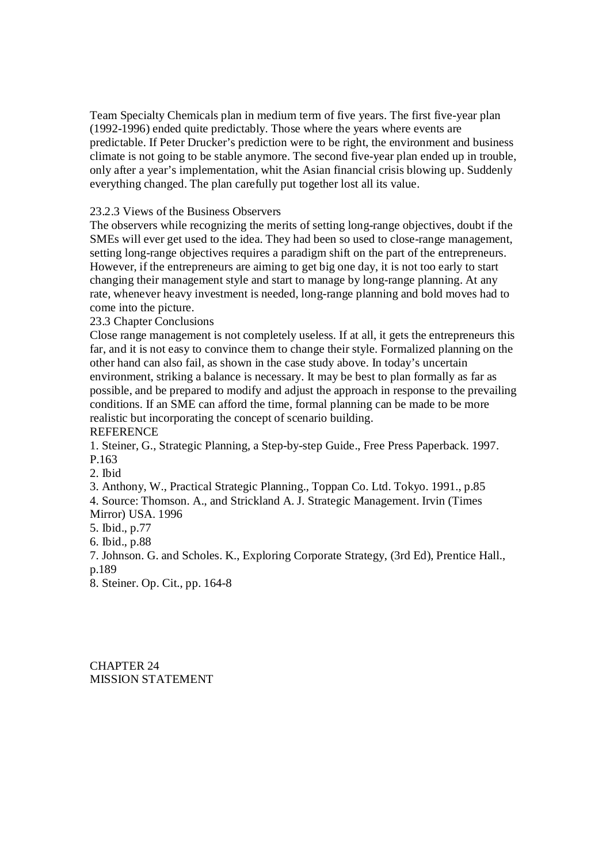Team Specialty Chemicals plan in medium term of five years. The first five-year plan (1992-1996) ended quite predictably. Those where the years where events are predictable. If Peter Drucker's prediction were to be right, the environment and business climate is not going to be stable anymore. The second five-year plan ended up in trouble, only after a year's implementation, whit the Asian financial crisis blowing up. Suddenly everything changed. The plan carefully put together lost all its value.

23.2.3 Views of the Business Observers

The observers while recognizing the merits of setting long-range objectives, doubt if the SMEs will ever get used to the idea. They had been so used to close-range management, setting long-range objectives requires a paradigm shift on the part of the entrepreneurs. However, if the entrepreneurs are aiming to get big one day, it is not too early to start changing their management style and start to manage by long-range planning. At any rate, whenever heavy investment is needed, long-range planning and bold moves had to come into the picture.

# 23.3 Chapter Conclusions

Close range management is not completely useless. If at all, it gets the entrepreneurs this far, and it is not easy to convince them to change their style. Formalized planning on the other hand can also fail, as shown in the case study above. In today's uncertain environment, striking a balance is necessary. It may be best to plan formally as far as possible, and be prepared to modify and adjust the approach in response to the prevailing conditions. If an SME can afford the time, formal planning can be made to be more realistic but incorporating the concept of scenario building. **REFERENCE** 

1. Steiner, G., Strategic Planning, a Step-by-step Guide., Free Press Paperback. 1997. P.163

2. Ibid

3. Anthony, W., Practical Strategic Planning., Toppan Co. Ltd. Tokyo. 1991., p.85 4. Source: Thomson. A., and Strickland A. J. Strategic Management. Irvin (Times Mirror) USA. 1996

5. Ibid., p.77

6. Ibid., p.88

7. Johnson. G. and Scholes. K., Exploring Corporate Strategy, (3rd Ed), Prentice Hall., p.189

8. Steiner. Op. Cit., pp. 164-8

CHAPTER 24 MISSION STATEMENT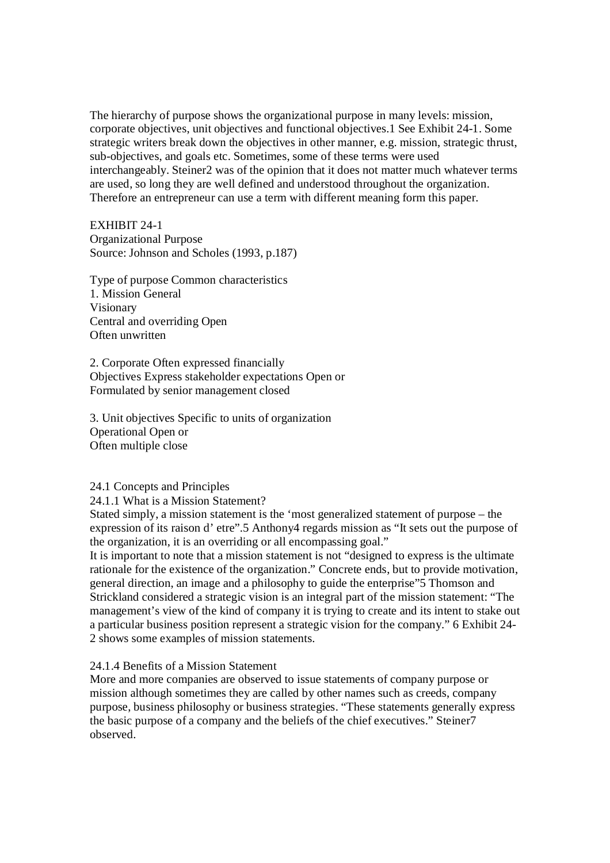The hierarchy of purpose shows the organizational purpose in many levels: mission, corporate objectives, unit objectives and functional objectives.1 See Exhibit 24-1. Some strategic writers break down the objectives in other manner, e.g. mission, strategic thrust, sub-objectives, and goals etc. Sometimes, some of these terms were used interchangeably. Steiner2 was of the opinion that it does not matter much whatever terms are used, so long they are well defined and understood throughout the organization. Therefore an entrepreneur can use a term with different meaning form this paper.

EXHIBIT 24-1

Organizational Purpose Source: Johnson and Scholes (1993, p.187)

Type of purpose Common characteristics 1. Mission General Visionary Central and overriding Open Often unwritten

2. Corporate Often expressed financially Objectives Express stakeholder expectations Open or Formulated by senior management closed

3. Unit objectives Specific to units of organization Operational Open or Often multiple close

## 24.1 Concepts and Principles

24.1.1 What is a Mission Statement?

Stated simply, a mission statement is the 'most generalized statement of purpose – the expression of its raison d' etre".5 Anthony4 regards mission as "It sets out the purpose of the organization, it is an overriding or all encompassing goal."

It is important to note that a mission statement is not "designed to express is the ultimate rationale for the existence of the organization." Concrete ends, but to provide motivation, general direction, an image and a philosophy to guide the enterprise"5 Thomson and Strickland considered a strategic vision is an integral part of the mission statement: "The management's view of the kind of company it is trying to create and its intent to stake out a particular business position represent a strategic vision for the company." 6 Exhibit 24- 2 shows some examples of mission statements.

24.1.4 Benefits of a Mission Statement

More and more companies are observed to issue statements of company purpose or mission although sometimes they are called by other names such as creeds, company purpose, business philosophy or business strategies. "These statements generally express the basic purpose of a company and the beliefs of the chief executives." Steiner7 observed.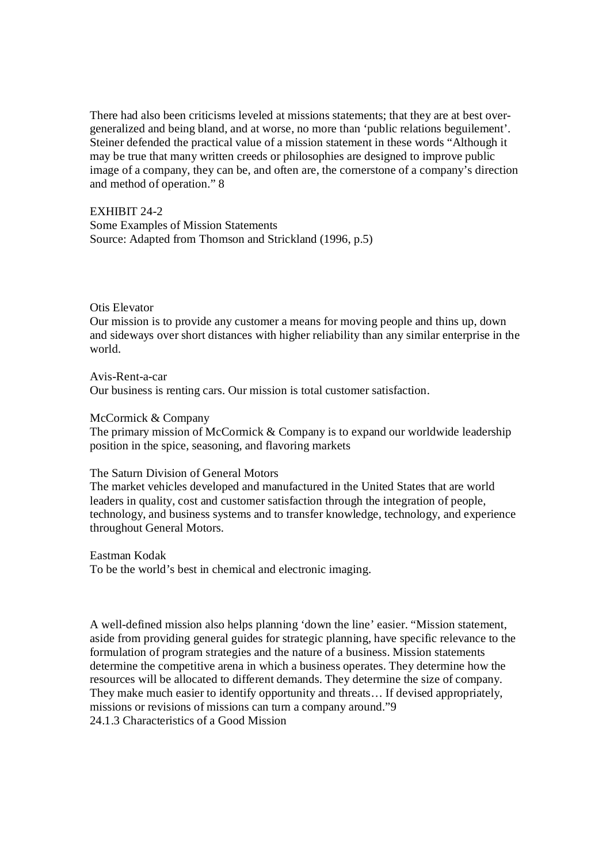There had also been criticisms leveled at missions statements; that they are at best overgeneralized and being bland, and at worse, no more than 'public relations beguilement'. Steiner defended the practical value of a mission statement in these words "Although it may be true that many written creeds or philosophies are designed to improve public image of a company, they can be, and often are, the cornerstone of a company's direction and method of operation." 8

EXHIBIT 24-2 Some Examples of Mission Statements Source: Adapted from Thomson and Strickland (1996, p.5)

## Otis Elevator

Our mission is to provide any customer a means for moving people and thins up, down and sideways over short distances with higher reliability than any similar enterprise in the world.

Avis-Rent-a-car Our business is renting cars. Our mission is total customer satisfaction.

#### McCormick & Company

The primary mission of McCormick & Company is to expand our worldwide leadership position in the spice, seasoning, and flavoring markets

#### The Saturn Division of General Motors

The market vehicles developed and manufactured in the United States that are world leaders in quality, cost and customer satisfaction through the integration of people, technology, and business systems and to transfer knowledge, technology, and experience throughout General Motors.

Eastman Kodak

To be the world's best in chemical and electronic imaging.

A well-defined mission also helps planning 'down the line' easier. "Mission statement, aside from providing general guides for strategic planning, have specific relevance to the formulation of program strategies and the nature of a business. Mission statements determine the competitive arena in which a business operates. They determine how the resources will be allocated to different demands. They determine the size of company. They make much easier to identify opportunity and threats… If devised appropriately, missions or revisions of missions can turn a company around."9 24.1.3 Characteristics of a Good Mission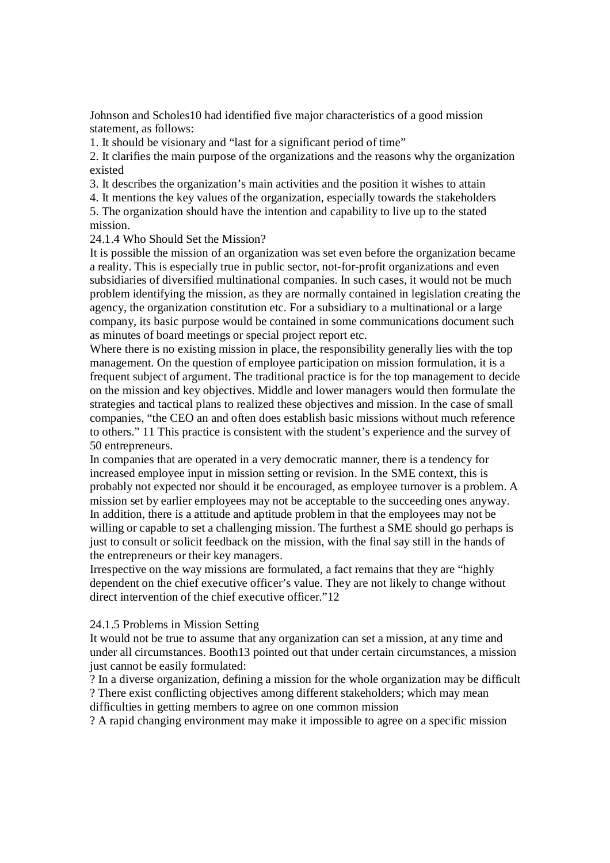Johnson and Scholes10 had identified five major characteristics of a good mission statement, as follows:

1. It should be visionary and "last for a significant period of time"

2. It clarifies the main purpose of the organizations and the reasons why the organization existed

3. It describes the organization's main activities and the position it wishes to attain

4. It mentions the key values of the organization, especially towards the stakeholders 5. The organization should have the intention and capability to live up to the stated mission.

24.1.4 Who Should Set the Mission?

It is possible the mission of an organization was set even before the organization became a reality. This is especially true in public sector, not-for-profit organizations and even subsidiaries of diversified multinational companies. In such cases, it would not be much problem identifying the mission, as they are normally contained in legislation creating the agency, the organization constitution etc. For a subsidiary to a multinational or a large company, its basic purpose would be contained in some communications document such as minutes of board meetings or special project report etc.

Where there is no existing mission in place, the responsibility generally lies with the top management. On the question of employee participation on mission formulation, it is a frequent subject of argument. The traditional practice is for the top management to decide on the mission and key objectives. Middle and lower managers would then formulate the strategies and tactical plans to realized these objectives and mission. In the case of small companies, "the CEO an and often does establish basic missions without much reference to others." 11 This practice is consistent with the student's experience and the survey of 50 entrepreneurs.

In companies that are operated in a very democratic manner, there is a tendency for increased employee input in mission setting or revision. In the SME context, this is probably not expected nor should it be encouraged, as employee turnover is a problem. A mission set by earlier employees may not be acceptable to the succeeding ones anyway. In addition, there is a attitude and aptitude problem in that the employees may not be willing or capable to set a challenging mission. The furthest a SME should go perhaps is just to consult or solicit feedback on the mission, with the final say still in the hands of the entrepreneurs or their key managers.

Irrespective on the way missions are formulated, a fact remains that they are "highly dependent on the chief executive officer's value. They are not likely to change without direct intervention of the chief executive officer."12

## 24.1.5 Problems in Mission Setting

It would not be true to assume that any organization can set a mission, at any time and under all circumstances. Booth13 pointed out that under certain circumstances, a mission just cannot be easily formulated:

? In a diverse organization, defining a mission for the whole organization may be difficult ? There exist conflicting objectives among different stakeholders; which may mean difficulties in getting members to agree on one common mission

? A rapid changing environment may make it impossible to agree on a specific mission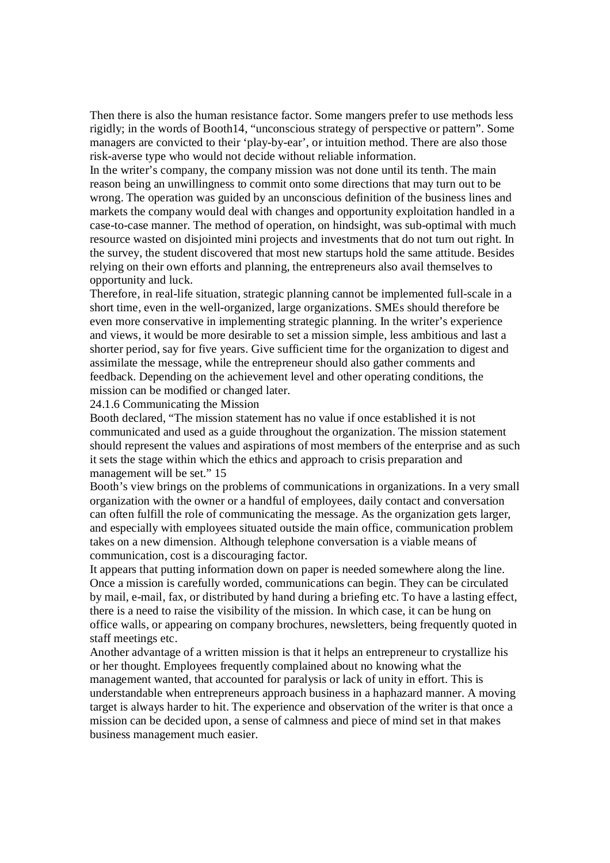Then there is also the human resistance factor. Some mangers prefer to use methods less rigidly; in the words of Booth14, "unconscious strategy of perspective or pattern". Some managers are convicted to their 'play-by-ear', or intuition method. There are also those risk-averse type who would not decide without reliable information.

In the writer's company, the company mission was not done until its tenth. The main reason being an unwillingness to commit onto some directions that may turn out to be wrong. The operation was guided by an unconscious definition of the business lines and markets the company would deal with changes and opportunity exploitation handled in a case-to-case manner. The method of operation, on hindsight, was sub-optimal with much resource wasted on disjointed mini projects and investments that do not turn out right. In the survey, the student discovered that most new startups hold the same attitude. Besides relying on their own efforts and planning, the entrepreneurs also avail themselves to opportunity and luck.

Therefore, in real-life situation, strategic planning cannot be implemented full-scale in a short time, even in the well-organized, large organizations. SMEs should therefore be even more conservative in implementing strategic planning. In the writer's experience and views, it would be more desirable to set a mission simple, less ambitious and last a shorter period, say for five years. Give sufficient time for the organization to digest and assimilate the message, while the entrepreneur should also gather comments and feedback. Depending on the achievement level and other operating conditions, the mission can be modified or changed later.

24.1.6 Communicating the Mission

Booth declared, "The mission statement has no value if once established it is not communicated and used as a guide throughout the organization. The mission statement should represent the values and aspirations of most members of the enterprise and as such it sets the stage within which the ethics and approach to crisis preparation and management will be set." 15

Booth's view brings on the problems of communications in organizations. In a very small organization with the owner or a handful of employees, daily contact and conversation can often fulfill the role of communicating the message. As the organization gets larger, and especially with employees situated outside the main office, communication problem takes on a new dimension. Although telephone conversation is a viable means of communication, cost is a discouraging factor.

It appears that putting information down on paper is needed somewhere along the line. Once a mission is carefully worded, communications can begin. They can be circulated by mail, e-mail, fax, or distributed by hand during a briefing etc. To have a lasting effect, there is a need to raise the visibility of the mission. In which case, it can be hung on office walls, or appearing on company brochures, newsletters, being frequently quoted in staff meetings etc.

Another advantage of a written mission is that it helps an entrepreneur to crystallize his or her thought. Employees frequently complained about no knowing what the management wanted, that accounted for paralysis or lack of unity in effort. This is understandable when entrepreneurs approach business in a haphazard manner. A moving target is always harder to hit. The experience and observation of the writer is that once a mission can be decided upon, a sense of calmness and piece of mind set in that makes business management much easier.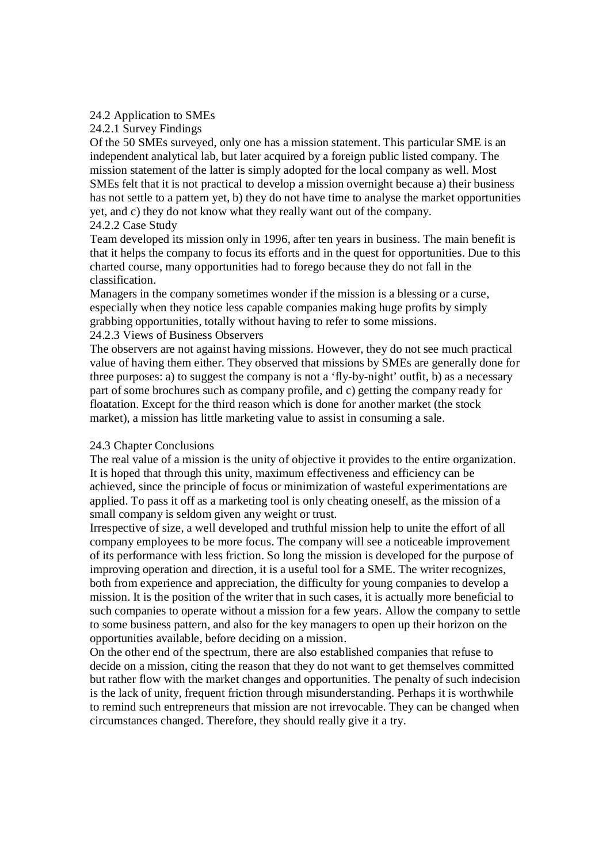# 24.2 Application to SMEs

# 24.2.1 Survey Findings

Of the 50 SMEs surveyed, only one has a mission statement. This particular SME is an independent analytical lab, but later acquired by a foreign public listed company. The mission statement of the latter is simply adopted for the local company as well. Most SMEs felt that it is not practical to develop a mission overnight because a) their business has not settle to a pattern yet, b) they do not have time to analyse the market opportunities yet, and c) they do not know what they really want out of the company. 24.2.2 Case Study

Team developed its mission only in 1996, after ten years in business. The main benefit is that it helps the company to focus its efforts and in the quest for opportunities. Due to this charted course, many opportunities had to forego because they do not fall in the classification.

Managers in the company sometimes wonder if the mission is a blessing or a curse, especially when they notice less capable companies making huge profits by simply grabbing opportunities, totally without having to refer to some missions. 24.2.3 Views of Business Observers

The observers are not against having missions. However, they do not see much practical value of having them either. They observed that missions by SMEs are generally done for three purposes: a) to suggest the company is not a 'fly-by-night' outfit, b) as a necessary part of some brochures such as company profile, and c) getting the company ready for floatation. Except for the third reason which is done for another market (the stock market), a mission has little marketing value to assist in consuming a sale.

# 24.3 Chapter Conclusions

The real value of a mission is the unity of objective it provides to the entire organization. It is hoped that through this unity, maximum effectiveness and efficiency can be achieved, since the principle of focus or minimization of wasteful experimentations are applied. To pass it off as a marketing tool is only cheating oneself, as the mission of a small company is seldom given any weight or trust.

Irrespective of size, a well developed and truthful mission help to unite the effort of all company employees to be more focus. The company will see a noticeable improvement of its performance with less friction. So long the mission is developed for the purpose of improving operation and direction, it is a useful tool for a SME. The writer recognizes, both from experience and appreciation, the difficulty for young companies to develop a mission. It is the position of the writer that in such cases, it is actually more beneficial to such companies to operate without a mission for a few years. Allow the company to settle to some business pattern, and also for the key managers to open up their horizon on the opportunities available, before deciding on a mission.

On the other end of the spectrum, there are also established companies that refuse to decide on a mission, citing the reason that they do not want to get themselves committed but rather flow with the market changes and opportunities. The penalty of such indecision is the lack of unity, frequent friction through misunderstanding. Perhaps it is worthwhile to remind such entrepreneurs that mission are not irrevocable. They can be changed when circumstances changed. Therefore, they should really give it a try.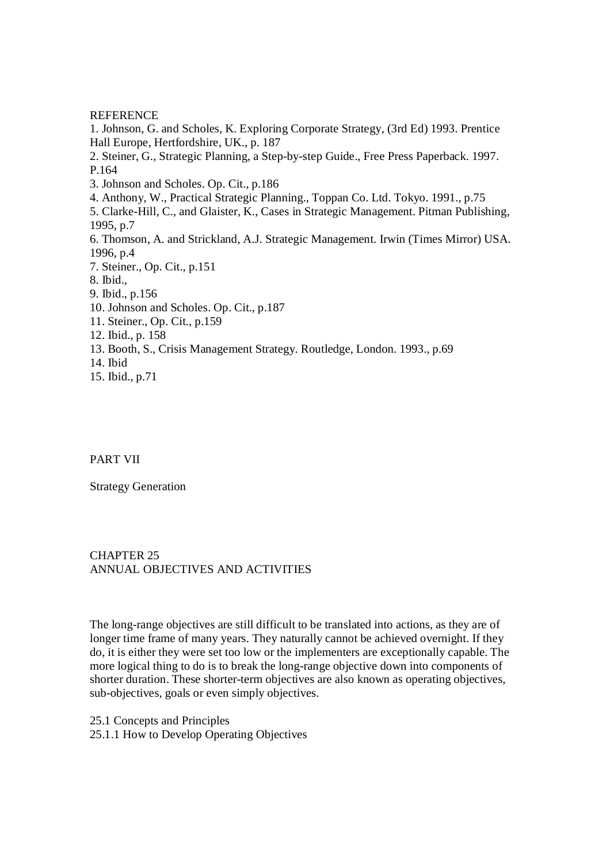#### REFERENCE

1. Johnson, G. and Scholes, K. Exploring Corporate Strategy, (3rd Ed) 1993. Prentice Hall Europe, Hertfordshire, UK., p. 187 2. Steiner, G., Strategic Planning, a Step-by-step Guide., Free Press Paperback. 1997. P.164 3. Johnson and Scholes. Op. Cit., p.186 4. Anthony, W., Practical Strategic Planning., Toppan Co. Ltd. Tokyo. 1991., p.75 5. Clarke-Hill, C., and Glaister, K., Cases in Strategic Management. Pitman Publishing, 1995, p.7 6. Thomson, A. and Strickland, A.J. Strategic Management. Irwin (Times Mirror) USA. 1996, p.4 7. Steiner., Op. Cit., p.151 8. Ibid., 9. Ibid., p.156 10. Johnson and Scholes. Op. Cit., p.187 11. Steiner., Op. Cit., p.159 12. Ibid., p. 158 13. Booth, S., Crisis Management Strategy. Routledge, London. 1993., p.69 14. Ibid 15. Ibid., p.71

# PART VII

Strategy Generation

# CHAPTER 25 ANNUAL OBJECTIVES AND ACTIVITIES

The long-range objectives are still difficult to be translated into actions, as they are of longer time frame of many years. They naturally cannot be achieved overnight. If they do, it is either they were set too low or the implementers are exceptionally capable. The more logical thing to do is to break the long-range objective down into components of shorter duration. These shorter-term objectives are also known as operating objectives, sub-objectives, goals or even simply objectives.

25.1 Concepts and Principles

25.1.1 How to Develop Operating Objectives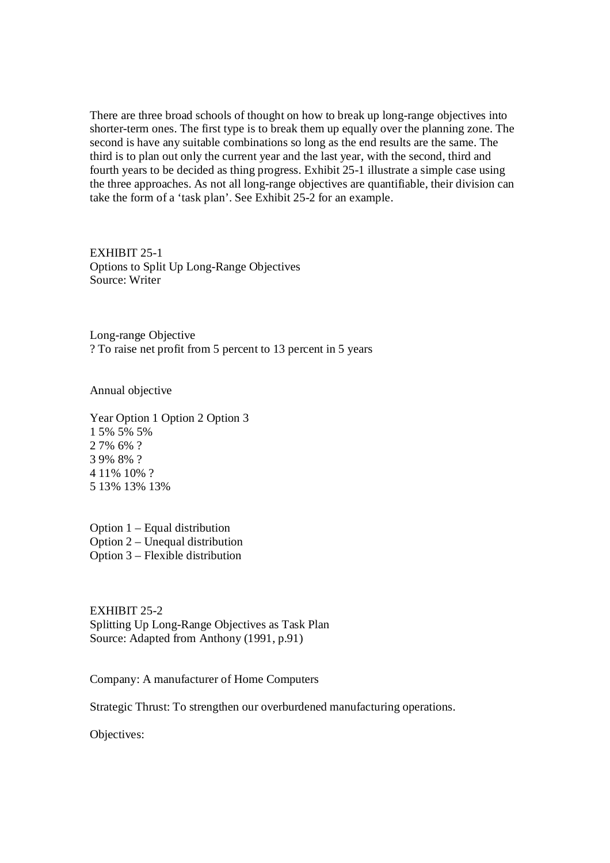There are three broad schools of thought on how to break up long-range objectives into shorter-term ones. The first type is to break them up equally over the planning zone. The second is have any suitable combinations so long as the end results are the same. The third is to plan out only the current year and the last year, with the second, third and fourth years to be decided as thing progress. Exhibit 25-1 illustrate a simple case using the three approaches. As not all long-range objectives are quantifiable, their division can take the form of a 'task plan'. See Exhibit 25-2 for an example.

EXHIBIT 25-1 Options to Split Up Long-Range Objectives Source: Writer

Long-range Objective ? To raise net profit from 5 percent to 13 percent in 5 years

Annual objective

Year Option 1 Option 2 Option 3 1 5% 5% 5% 2 7% 6% ? 3 9% 8% ? 4 11% 10% ? 5 13% 13% 13%

Option 1 – Equal distribution Option 2 – Unequal distribution Option 3 – Flexible distribution

EXHIBIT 25-2 Splitting Up Long-Range Objectives as Task Plan Source: Adapted from Anthony (1991, p.91)

Company: A manufacturer of Home Computers

Strategic Thrust: To strengthen our overburdened manufacturing operations.

Objectives: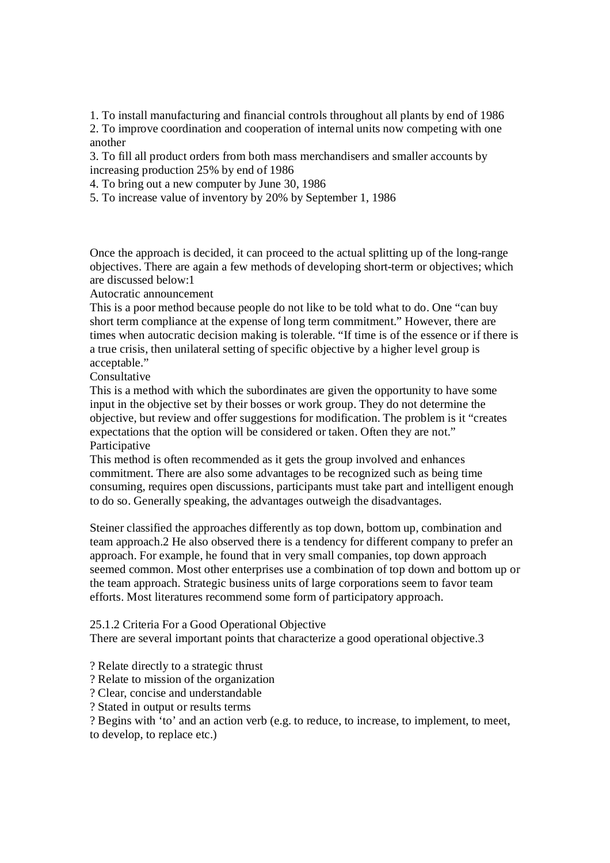1. To install manufacturing and financial controls throughout all plants by end of 1986 2. To improve coordination and cooperation of internal units now competing with one another

3. To fill all product orders from both mass merchandisers and smaller accounts by increasing production 25% by end of 1986

4. To bring out a new computer by June 30, 1986

5. To increase value of inventory by 20% by September 1, 1986

Once the approach is decided, it can proceed to the actual splitting up of the long-range objectives. There are again a few methods of developing short-term or objectives; which are discussed below:1

Autocratic announcement

This is a poor method because people do not like to be told what to do. One "can buy short term compliance at the expense of long term commitment." However, there are times when autocratic decision making is tolerable. "If time is of the essence or if there is a true crisis, then unilateral setting of specific objective by a higher level group is acceptable."

Consultative

This is a method with which the subordinates are given the opportunity to have some input in the objective set by their bosses or work group. They do not determine the objective, but review and offer suggestions for modification. The problem is it "creates expectations that the option will be considered or taken. Often they are not." Participative

This method is often recommended as it gets the group involved and enhances commitment. There are also some advantages to be recognized such as being time consuming, requires open discussions, participants must take part and intelligent enough to do so. Generally speaking, the advantages outweigh the disadvantages.

Steiner classified the approaches differently as top down, bottom up, combination and team approach.2 He also observed there is a tendency for different company to prefer an approach. For example, he found that in very small companies, top down approach seemed common. Most other enterprises use a combination of top down and bottom up or the team approach. Strategic business units of large corporations seem to favor team efforts. Most literatures recommend some form of participatory approach.

25.1.2 Criteria For a Good Operational Objective

There are several important points that characterize a good operational objective.3

? Relate directly to a strategic thrust

? Relate to mission of the organization

? Clear, concise and understandable

? Stated in output or results terms

? Begins with 'to' and an action verb (e.g. to reduce, to increase, to implement, to meet, to develop, to replace etc.)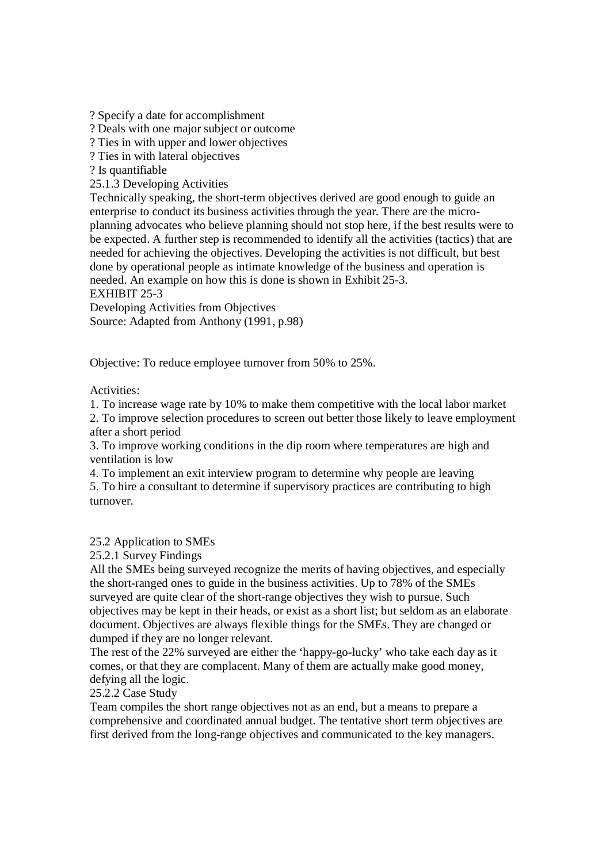? Specify a date for accomplishment

? Deals with one major subject or outcome

? Ties in with upper and lower objectives

? Ties in with lateral objectives

? Is quantifiable

25.1.3 Developing Activities

Technically speaking, the short-term objectives derived are good enough to guide an enterprise to conduct its business activities through the year. There are the microplanning advocates who believe planning should not stop here, if the best results were to be expected. A further step is recommended to identify all the activities (tactics) that are needed for achieving the objectives. Developing the activities is not difficult, but best done by operational people as intimate knowledge of the business and operation is needed. An example on how this is done is shown in Exhibit 25-3.

EXHIBIT 25-3

Developing Activities from Objectives Source: Adapted from Anthony (1991, p.98)

Objective: To reduce employee turnover from 50% to 25%.

Activities:

1. To increase wage rate by 10% to make them competitive with the local labor market 2. To improve selection procedures to screen out better those likely to leave employment after a short period

3. To improve working conditions in the dip room where temperatures are high and ventilation is low

4. To implement an exit interview program to determine why people are leaving 5. To hire a consultant to determine if supervisory practices are contributing to high turnover.

25.2 Application to SMEs

25.2.1 Survey Findings

All the SMEs being surveyed recognize the merits of having objectives, and especially the short-ranged ones to guide in the business activities. Up to 78% of the SMEs surveyed are quite clear of the short-range objectives they wish to pursue. Such objectives may be kept in their heads, or exist as a short list; but seldom as an elaborate document. Objectives are always flexible things for the SMEs. They are changed or dumped if they are no longer relevant.

The rest of the 22% surveyed are either the 'happy-go-lucky' who take each day as it comes, or that they are complacent. Many of them are actually make good money, defying all the logic.

# 25.2.2 Case Study

Team compiles the short range objectives not as an end, but a means to prepare a comprehensive and coordinated annual budget. The tentative short term objectives are first derived from the long-range objectives and communicated to the key managers.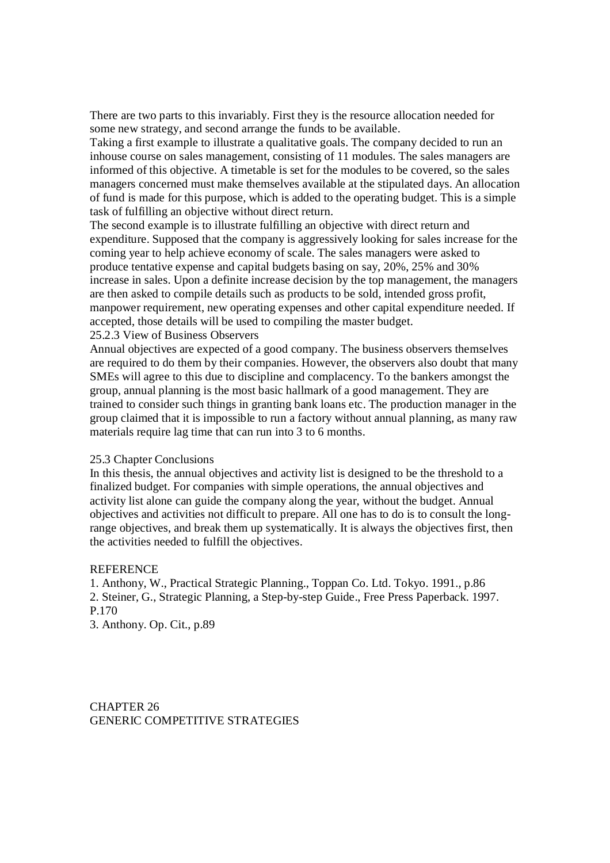There are two parts to this invariably. First they is the resource allocation needed for some new strategy, and second arrange the funds to be available.

Taking a first example to illustrate a qualitative goals. The company decided to run an inhouse course on sales management, consisting of 11 modules. The sales managers are informed of this objective. A timetable is set for the modules to be covered, so the sales managers concerned must make themselves available at the stipulated days. An allocation of fund is made for this purpose, which is added to the operating budget. This is a simple task of fulfilling an objective without direct return.

The second example is to illustrate fulfilling an objective with direct return and expenditure. Supposed that the company is aggressively looking for sales increase for the coming year to help achieve economy of scale. The sales managers were asked to produce tentative expense and capital budgets basing on say, 20%, 25% and 30% increase in sales. Upon a definite increase decision by the top management, the managers are then asked to compile details such as products to be sold, intended gross profit, manpower requirement, new operating expenses and other capital expenditure needed. If accepted, those details will be used to compiling the master budget. 25.2.3 View of Business Observers

Annual objectives are expected of a good company. The business observers themselves are required to do them by their companies. However, the observers also doubt that many SMEs will agree to this due to discipline and complacency. To the bankers amongst the group, annual planning is the most basic hallmark of a good management. They are trained to consider such things in granting bank loans etc. The production manager in the group claimed that it is impossible to run a factory without annual planning, as many raw materials require lag time that can run into 3 to 6 months.

#### 25.3 Chapter Conclusions

In this thesis, the annual objectives and activity list is designed to be the threshold to a finalized budget. For companies with simple operations, the annual objectives and activity list alone can guide the company along the year, without the budget. Annual objectives and activities not difficult to prepare. All one has to do is to consult the longrange objectives, and break them up systematically. It is always the objectives first, then the activities needed to fulfill the objectives.

#### **REFERENCE**

1. Anthony, W., Practical Strategic Planning., Toppan Co. Ltd. Tokyo. 1991., p.86 2. Steiner, G., Strategic Planning, a Step-by-step Guide., Free Press Paperback. 1997. P.170

3. Anthony. Op. Cit., p.89

CHAPTER 26 GENERIC COMPETITIVE STRATEGIES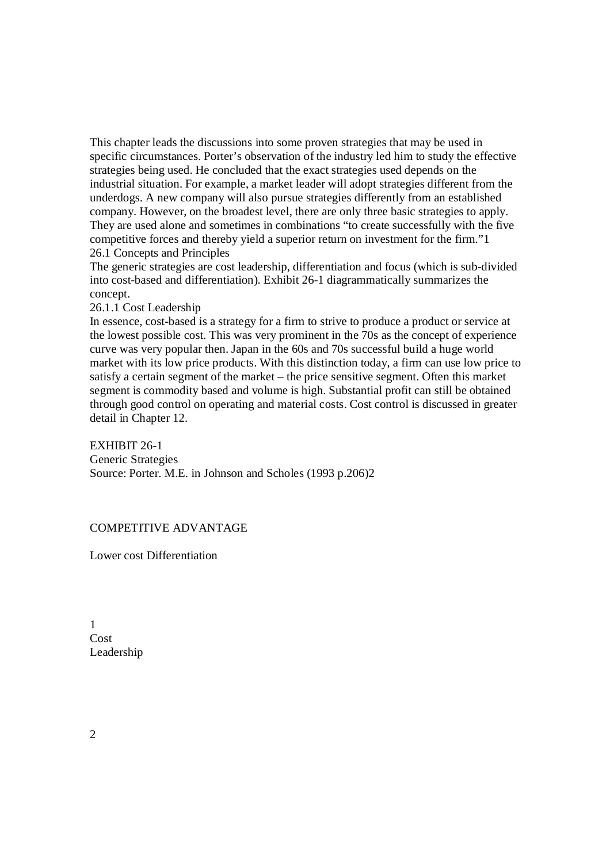This chapter leads the discussions into some proven strategies that may be used in specific circumstances. Porter's observation of the industry led him to study the effective strategies being used. He concluded that the exact strategies used depends on the industrial situation. For example, a market leader will adopt strategies different from the underdogs. A new company will also pursue strategies differently from an established company. However, on the broadest level, there are only three basic strategies to apply. They are used alone and sometimes in combinations "to create successfully with the five competitive forces and thereby yield a superior return on investment for the firm."1 26.1 Concepts and Principles

The generic strategies are cost leadership, differentiation and focus (which is sub-divided into cost-based and differentiation). Exhibit 26-1 diagrammatically summarizes the concept.

# 26.1.1 Cost Leadership

In essence, cost-based is a strategy for a firm to strive to produce a product or service at the lowest possible cost. This was very prominent in the 70s as the concept of experience curve was very popular then. Japan in the 60s and 70s successful build a huge world market with its low price products. With this distinction today, a firm can use low price to satisfy a certain segment of the market – the price sensitive segment. Often this market segment is commodity based and volume is high. Substantial profit can still be obtained through good control on operating and material costs. Cost control is discussed in greater detail in Chapter 12.

## EXHIBIT 26-1

Generic Strategies Source: Porter. M.E. in Johnson and Scholes (1993 p.206)2

COMPETITIVE ADVANTAGE

Lower cost Differentiation

1 Cost Leadership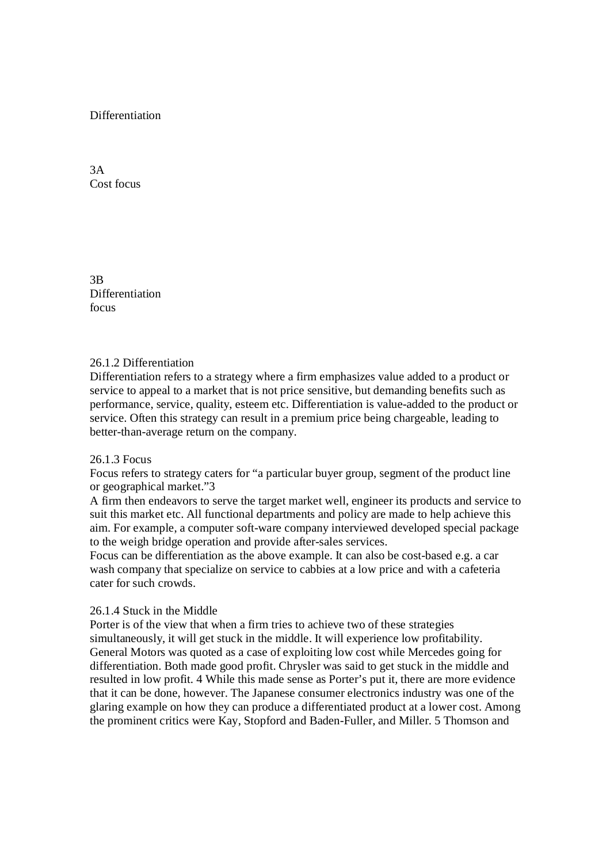# **Differentiation**

3A Cost focus

3B Differentiation focus

## 26.1.2 Differentiation

Differentiation refers to a strategy where a firm emphasizes value added to a product or service to appeal to a market that is not price sensitive, but demanding benefits such as performance, service, quality, esteem etc. Differentiation is value-added to the product or service. Often this strategy can result in a premium price being chargeable, leading to better-than-average return on the company.

#### 26.1.3 Focus

Focus refers to strategy caters for "a particular buyer group, segment of the product line or geographical market."3

A firm then endeavors to serve the target market well, engineer its products and service to suit this market etc. All functional departments and policy are made to help achieve this aim. For example, a computer soft-ware company interviewed developed special package to the weigh bridge operation and provide after-sales services.

Focus can be differentiation as the above example. It can also be cost-based e.g. a car wash company that specialize on service to cabbies at a low price and with a cafeteria cater for such crowds.

# 26.1.4 Stuck in the Middle

Porter is of the view that when a firm tries to achieve two of these strategies simultaneously, it will get stuck in the middle. It will experience low profitability. General Motors was quoted as a case of exploiting low cost while Mercedes going for differentiation. Both made good profit. Chrysler was said to get stuck in the middle and resulted in low profit. 4 While this made sense as Porter's put it, there are more evidence that it can be done, however. The Japanese consumer electronics industry was one of the glaring example on how they can produce a differentiated product at a lower cost. Among the prominent critics were Kay, Stopford and Baden-Fuller, and Miller. 5 Thomson and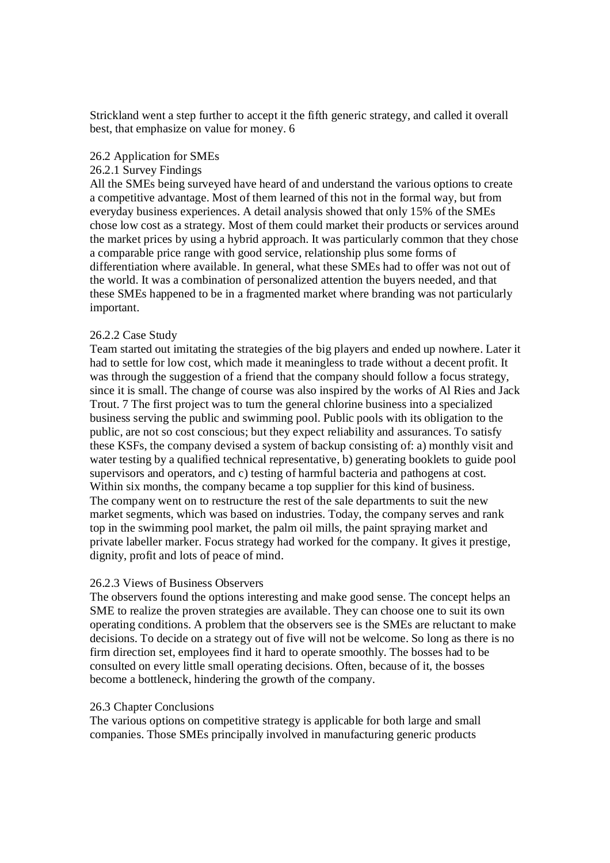Strickland went a step further to accept it the fifth generic strategy, and called it overall best, that emphasize on value for money. 6

#### 26.2 Application for SMEs

#### 26.2.1 Survey Findings

All the SMEs being surveyed have heard of and understand the various options to create a competitive advantage. Most of them learned of this not in the formal way, but from everyday business experiences. A detail analysis showed that only 15% of the SMEs chose low cost as a strategy. Most of them could market their products or services around the market prices by using a hybrid approach. It was particularly common that they chose a comparable price range with good service, relationship plus some forms of differentiation where available. In general, what these SMEs had to offer was not out of the world. It was a combination of personalized attention the buyers needed, and that these SMEs happened to be in a fragmented market where branding was not particularly important.

#### 26.2.2 Case Study

Team started out imitating the strategies of the big players and ended up nowhere. Later it had to settle for low cost, which made it meaningless to trade without a decent profit. It was through the suggestion of a friend that the company should follow a focus strategy, since it is small. The change of course was also inspired by the works of Al Ries and Jack Trout. 7 The first project was to turn the general chlorine business into a specialized business serving the public and swimming pool. Public pools with its obligation to the public, are not so cost conscious; but they expect reliability and assurances. To satisfy these KSFs, the company devised a system of backup consisting of: a) monthly visit and water testing by a qualified technical representative, b) generating booklets to guide pool supervisors and operators, and c) testing of harmful bacteria and pathogens at cost. Within six months, the company became a top supplier for this kind of business. The company went on to restructure the rest of the sale departments to suit the new market segments, which was based on industries. Today, the company serves and rank top in the swimming pool market, the palm oil mills, the paint spraying market and private labeller marker. Focus strategy had worked for the company. It gives it prestige, dignity, profit and lots of peace of mind.

## 26.2.3 Views of Business Observers

The observers found the options interesting and make good sense. The concept helps an SME to realize the proven strategies are available. They can choose one to suit its own operating conditions. A problem that the observers see is the SMEs are reluctant to make decisions. To decide on a strategy out of five will not be welcome. So long as there is no firm direction set, employees find it hard to operate smoothly. The bosses had to be consulted on every little small operating decisions. Often, because of it, the bosses become a bottleneck, hindering the growth of the company.

#### 26.3 Chapter Conclusions

The various options on competitive strategy is applicable for both large and small companies. Those SMEs principally involved in manufacturing generic products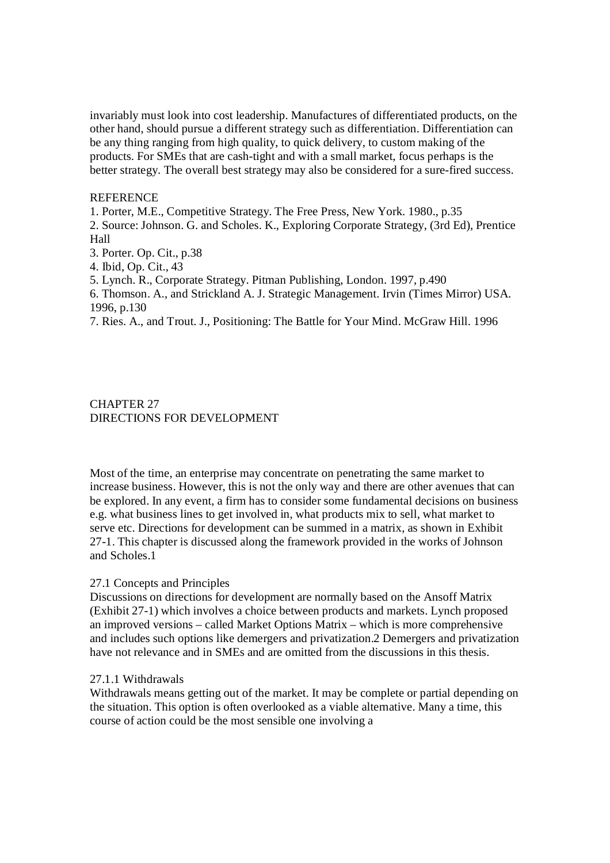invariably must look into cost leadership. Manufactures of differentiated products, on the other hand, should pursue a different strategy such as differentiation. Differentiation can be any thing ranging from high quality, to quick delivery, to custom making of the products. For SMEs that are cash-tight and with a small market, focus perhaps is the better strategy. The overall best strategy may also be considered for a sure-fired success.

# **REFERENCE**

1. Porter, M.E., Competitive Strategy. The Free Press, New York. 1980., p.35

2. Source: Johnson. G. and Scholes. K., Exploring Corporate Strategy, (3rd Ed), Prentice Hall

3. Porter. Op. Cit., p.38

4. Ibid, Op. Cit., 43

5. Lynch. R., Corporate Strategy. Pitman Publishing, London. 1997, p.490

6. Thomson. A., and Strickland A. J. Strategic Management. Irvin (Times Mirror) USA. 1996, p.130

7. Ries. A., and Trout. J., Positioning: The Battle for Your Mind. McGraw Hill. 1996

# CHAPTER 27 DIRECTIONS FOR DEVELOPMENT

Most of the time, an enterprise may concentrate on penetrating the same market to increase business. However, this is not the only way and there are other avenues that can be explored. In any event, a firm has to consider some fundamental decisions on business e.g. what business lines to get involved in, what products mix to sell, what market to serve etc. Directions for development can be summed in a matrix, as shown in Exhibit 27-1. This chapter is discussed along the framework provided in the works of Johnson and Scholes.1

## 27.1 Concepts and Principles

Discussions on directions for development are normally based on the Ansoff Matrix (Exhibit 27-1) which involves a choice between products and markets. Lynch proposed an improved versions – called Market Options Matrix – which is more comprehensive and includes such options like demergers and privatization.2 Demergers and privatization have not relevance and in SMEs and are omitted from the discussions in this thesis.

#### 27.1.1 Withdrawals

Withdrawals means getting out of the market. It may be complete or partial depending on the situation. This option is often overlooked as a viable alternative. Many a time, this course of action could be the most sensible one involving a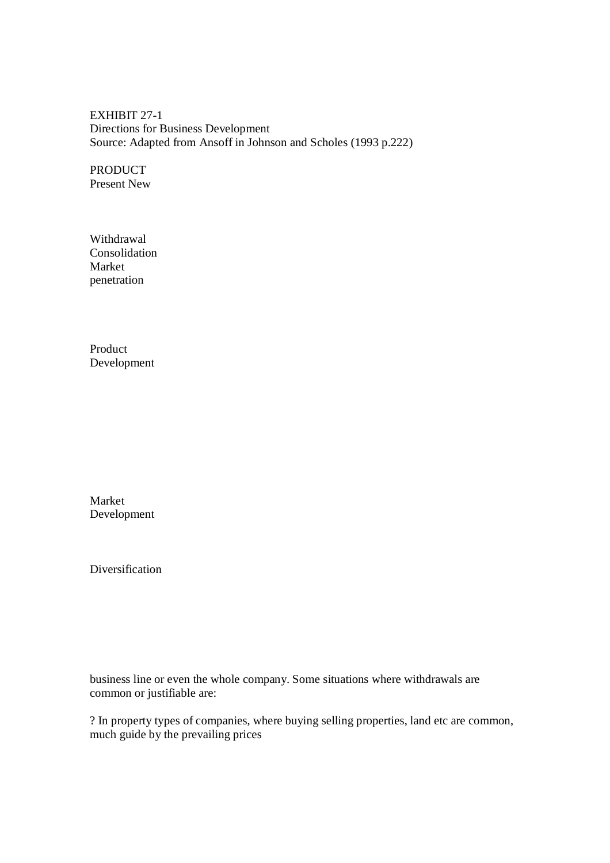EXHIBIT 27-1 Directions for Business Development Source: Adapted from Ansoff in Johnson and Scholes (1993 p.222)

PRODUCT Present New

Withdrawal Consolidation Market penetration

Product Development

Market Development

Diversification

business line or even the whole company. Some situations where withdrawals are common or justifiable are:

? In property types of companies, where buying selling properties, land etc are common, much guide by the prevailing prices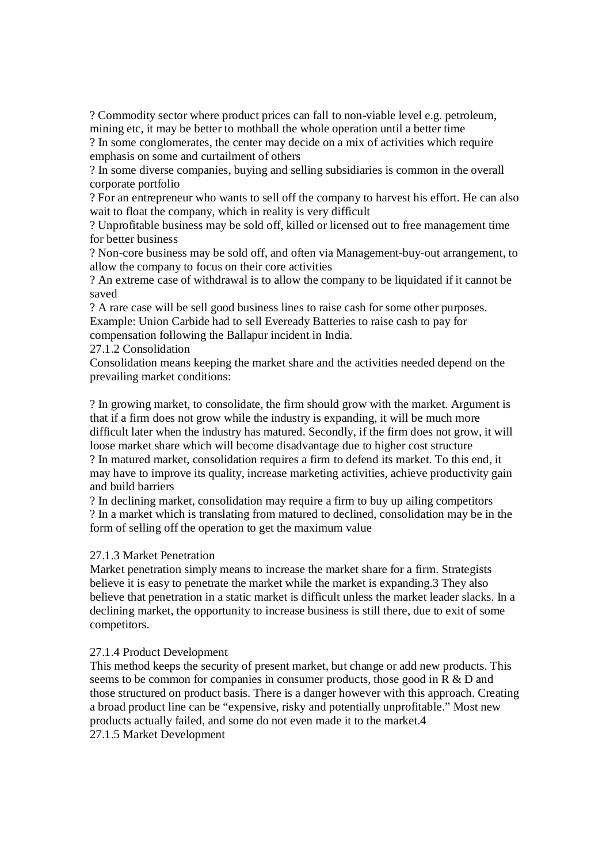? Commodity sector where product prices can fall to non-viable level e.g. petroleum, mining etc, it may be better to mothball the whole operation until a better time

? In some conglomerates, the center may decide on a mix of activities which require emphasis on some and curtailment of others

? In some diverse companies, buying and selling subsidiaries is common in the overall corporate portfolio

? For an entrepreneur who wants to sell off the company to harvest his effort. He can also wait to float the company, which in reality is very difficult

? Unprofitable business may be sold off, killed or licensed out to free management time for better business

? Non-core business may be sold off, and often via Management-buy-out arrangement, to allow the company to focus on their core activities

? An extreme case of withdrawal is to allow the company to be liquidated if it cannot be saved

? A rare case will be sell good business lines to raise cash for some other purposes. Example: Union Carbide had to sell Eveready Batteries to raise cash to pay for compensation following the Ballapur incident in India.

27.1.2 Consolidation

Consolidation means keeping the market share and the activities needed depend on the prevailing market conditions:

? In growing market, to consolidate, the firm should grow with the market. Argument is that if a firm does not grow while the industry is expanding, it will be much more difficult later when the industry has matured. Secondly, if the firm does not grow, it will loose market share which will become disadvantage due to higher cost structure

? In matured market, consolidation requires a firm to defend its market. To this end, it may have to improve its quality, increase marketing activities, achieve productivity gain and build barriers

? In declining market, consolidation may require a firm to buy up ailing competitors ? In a market which is translating from matured to declined, consolidation may be in the form of selling off the operation to get the maximum value

## 27.1.3 Market Penetration

Market penetration simply means to increase the market share for a firm. Strategists believe it is easy to penetrate the market while the market is expanding.3 They also believe that penetration in a static market is difficult unless the market leader slacks. In a declining market, the opportunity to increase business is still there, due to exit of some competitors.

## 27.1.4 Product Development

This method keeps the security of present market, but change or add new products. This seems to be common for companies in consumer products, those good in R & D and those structured on product basis. There is a danger however with this approach. Creating a broad product line can be "expensive, risky and potentially unprofitable." Most new products actually failed, and some do not even made it to the market.4 27.1.5 Market Development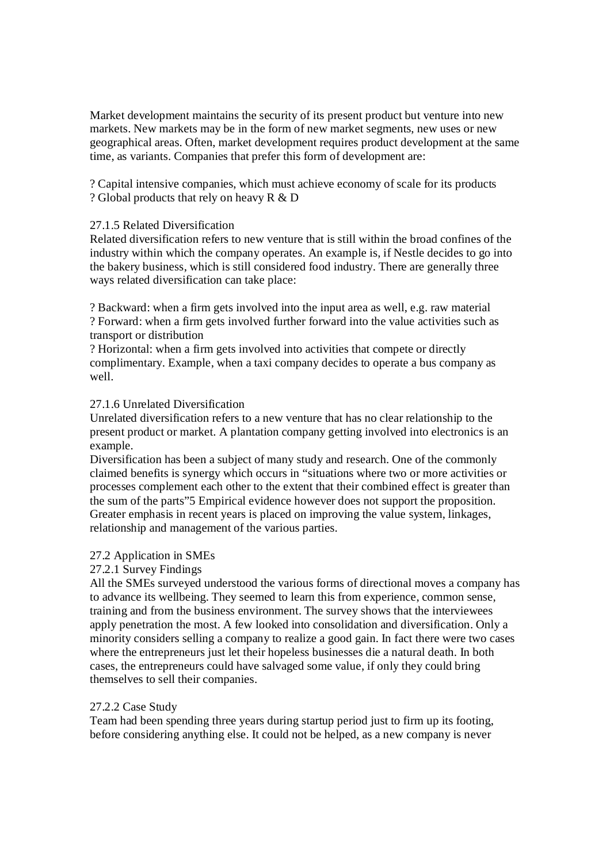Market development maintains the security of its present product but venture into new markets. New markets may be in the form of new market segments, new uses or new geographical areas. Often, market development requires product development at the same time, as variants. Companies that prefer this form of development are:

? Capital intensive companies, which must achieve economy of scale for its products ? Global products that rely on heavy R & D

# 27.1.5 Related Diversification

Related diversification refers to new venture that is still within the broad confines of the industry within which the company operates. An example is, if Nestle decides to go into the bakery business, which is still considered food industry. There are generally three ways related diversification can take place:

? Backward: when a firm gets involved into the input area as well, e.g. raw material ? Forward: when a firm gets involved further forward into the value activities such as transport or distribution

? Horizontal: when a firm gets involved into activities that compete or directly complimentary. Example, when a taxi company decides to operate a bus company as well.

# 27.1.6 Unrelated Diversification

Unrelated diversification refers to a new venture that has no clear relationship to the present product or market. A plantation company getting involved into electronics is an example.

Diversification has been a subject of many study and research. One of the commonly claimed benefits is synergy which occurs in "situations where two or more activities or processes complement each other to the extent that their combined effect is greater than the sum of the parts"5 Empirical evidence however does not support the proposition. Greater emphasis in recent years is placed on improving the value system, linkages, relationship and management of the various parties.

## 27.2 Application in SMEs

# 27.2.1 Survey Findings

All the SMEs surveyed understood the various forms of directional moves a company has to advance its wellbeing. They seemed to learn this from experience, common sense, training and from the business environment. The survey shows that the interviewees apply penetration the most. A few looked into consolidation and diversification. Only a minority considers selling a company to realize a good gain. In fact there were two cases where the entrepreneurs just let their hopeless businesses die a natural death. In both cases, the entrepreneurs could have salvaged some value, if only they could bring themselves to sell their companies.

# 27.2.2 Case Study

Team had been spending three years during startup period just to firm up its footing, before considering anything else. It could not be helped, as a new company is never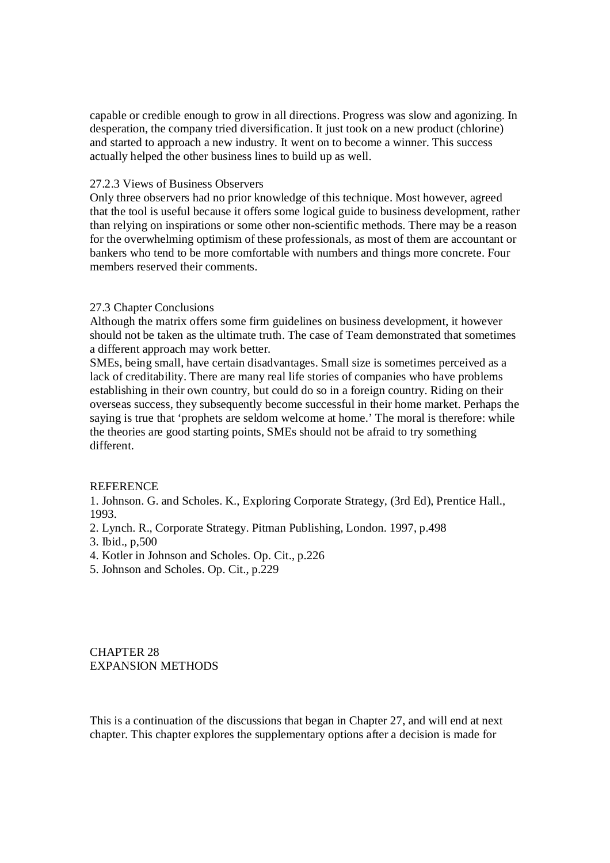capable or credible enough to grow in all directions. Progress was slow and agonizing. In desperation, the company tried diversification. It just took on a new product (chlorine) and started to approach a new industry. It went on to become a winner. This success actually helped the other business lines to build up as well.

# 27.2.3 Views of Business Observers

Only three observers had no prior knowledge of this technique. Most however, agreed that the tool is useful because it offers some logical guide to business development, rather than relying on inspirations or some other non-scientific methods. There may be a reason for the overwhelming optimism of these professionals, as most of them are accountant or bankers who tend to be more comfortable with numbers and things more concrete. Four members reserved their comments.

# 27.3 Chapter Conclusions

Although the matrix offers some firm guidelines on business development, it however should not be taken as the ultimate truth. The case of Team demonstrated that sometimes a different approach may work better.

SMEs, being small, have certain disadvantages. Small size is sometimes perceived as a lack of creditability. There are many real life stories of companies who have problems establishing in their own country, but could do so in a foreign country. Riding on their overseas success, they subsequently become successful in their home market. Perhaps the saying is true that 'prophets are seldom welcome at home.' The moral is therefore: while the theories are good starting points, SMEs should not be afraid to try something different.

# **REFERENCE**

1. Johnson. G. and Scholes. K., Exploring Corporate Strategy, (3rd Ed), Prentice Hall., 1993.

- 2. Lynch. R., Corporate Strategy. Pitman Publishing, London. 1997, p.498
- 3. Ibid., p,500
- 4. Kotler in Johnson and Scholes. Op. Cit., p.226
- 5. Johnson and Scholes. Op. Cit., p.229

CHAPTER 28 EXPANSION METHODS

This is a continuation of the discussions that began in Chapter 27, and will end at next chapter. This chapter explores the supplementary options after a decision is made for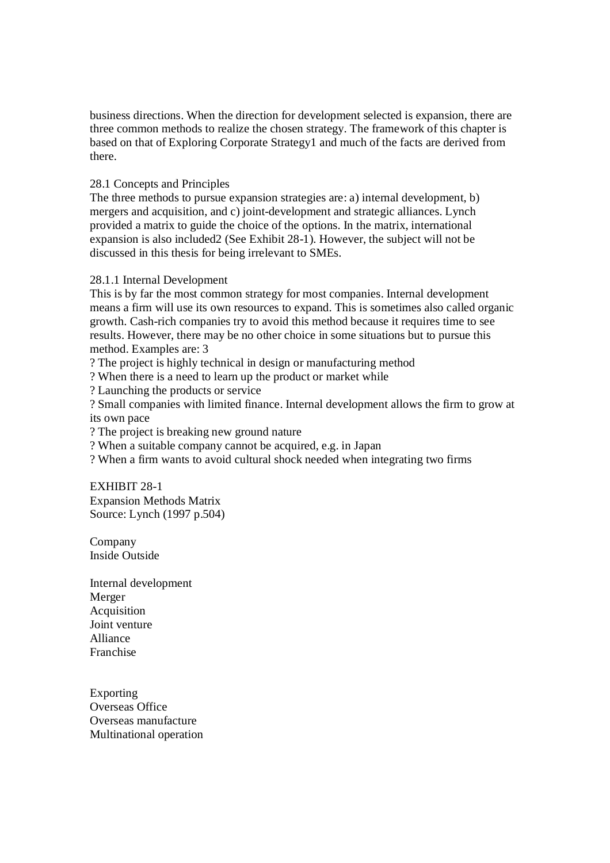business directions. When the direction for development selected is expansion, there are three common methods to realize the chosen strategy. The framework of this chapter is based on that of Exploring Corporate Strategy1 and much of the facts are derived from there.

# 28.1 Concepts and Principles

The three methods to pursue expansion strategies are: a) internal development, b) mergers and acquisition, and c) joint-development and strategic alliances. Lynch provided a matrix to guide the choice of the options. In the matrix, international expansion is also included2 (See Exhibit 28-1). However, the subject will not be discussed in this thesis for being irrelevant to SMEs.

## 28.1.1 Internal Development

This is by far the most common strategy for most companies. Internal development means a firm will use its own resources to expand. This is sometimes also called organic growth. Cash-rich companies try to avoid this method because it requires time to see results. However, there may be no other choice in some situations but to pursue this method. Examples are: 3

? The project is highly technical in design or manufacturing method

? When there is a need to learn up the product or market while

? Launching the products or service

? Small companies with limited finance. Internal development allows the firm to grow at its own pace

? The project is breaking new ground nature

? When a suitable company cannot be acquired, e.g. in Japan

? When a firm wants to avoid cultural shock needed when integrating two firms

EXHIBIT 28-1 Expansion Methods Matrix Source: Lynch (1997 p.504)

Company Inside Outside

Internal development Merger Acquisition Joint venture Alliance Franchise

Exporting Overseas Office Overseas manufacture Multinational operation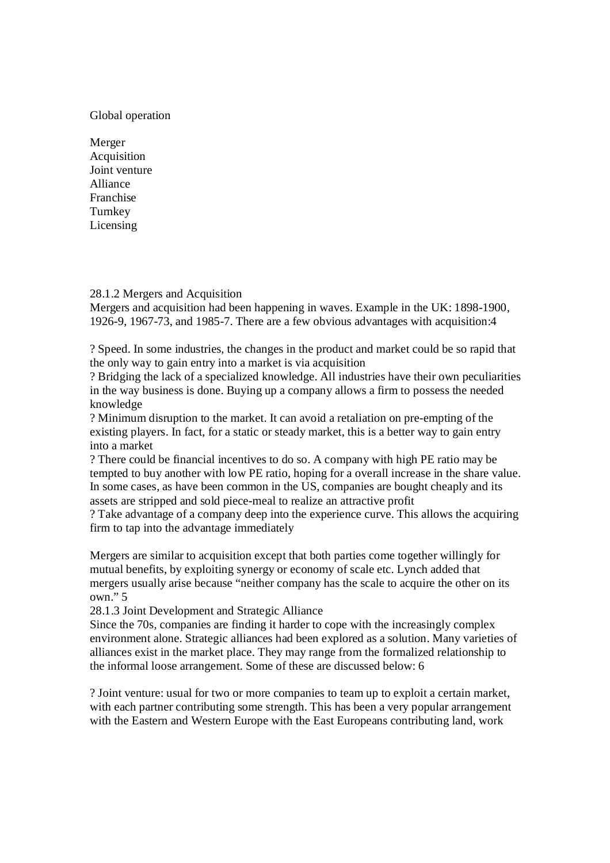# Global operation

Merger Acquisition Joint venture Alliance Franchise Turnkey Licensing

28.1.2 Mergers and Acquisition

Mergers and acquisition had been happening in waves. Example in the UK: 1898-1900, 1926-9, 1967-73, and 1985-7. There are a few obvious advantages with acquisition:4

? Speed. In some industries, the changes in the product and market could be so rapid that the only way to gain entry into a market is via acquisition

? Bridging the lack of a specialized knowledge. All industries have their own peculiarities in the way business is done. Buying up a company allows a firm to possess the needed knowledge

? Minimum disruption to the market. It can avoid a retaliation on pre-empting of the existing players. In fact, for a static or steady market, this is a better way to gain entry into a market

? There could be financial incentives to do so. A company with high PE ratio may be tempted to buy another with low PE ratio, hoping for a overall increase in the share value. In some cases, as have been common in the US, companies are bought cheaply and its assets are stripped and sold piece-meal to realize an attractive profit

? Take advantage of a company deep into the experience curve. This allows the acquiring firm to tap into the advantage immediately

Mergers are similar to acquisition except that both parties come together willingly for mutual benefits, by exploiting synergy or economy of scale etc. Lynch added that mergers usually arise because "neither company has the scale to acquire the other on its own." 5

28.1.3 Joint Development and Strategic Alliance

Since the 70s, companies are finding it harder to cope with the increasingly complex environment alone. Strategic alliances had been explored as a solution. Many varieties of alliances exist in the market place. They may range from the formalized relationship to the informal loose arrangement. Some of these are discussed below: 6

? Joint venture: usual for two or more companies to team up to exploit a certain market, with each partner contributing some strength. This has been a very popular arrangement with the Eastern and Western Europe with the East Europeans contributing land, work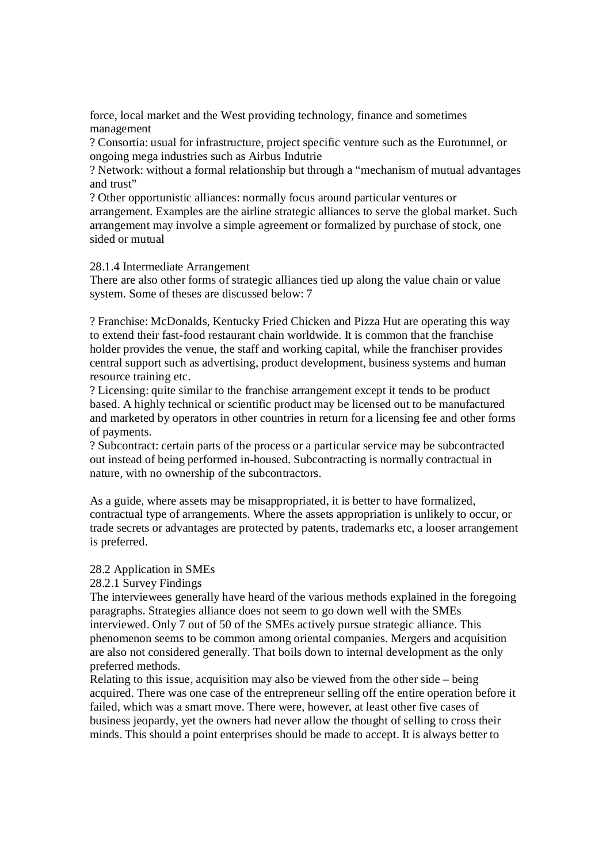force, local market and the West providing technology, finance and sometimes management

? Consortia: usual for infrastructure, project specific venture such as the Eurotunnel, or ongoing mega industries such as Airbus Indutrie

? Network: without a formal relationship but through a "mechanism of mutual advantages and trust"

? Other opportunistic alliances: normally focus around particular ventures or arrangement. Examples are the airline strategic alliances to serve the global market. Such arrangement may involve a simple agreement or formalized by purchase of stock, one sided or mutual

28.1.4 Intermediate Arrangement

There are also other forms of strategic alliances tied up along the value chain or value system. Some of theses are discussed below: 7

? Franchise: McDonalds, Kentucky Fried Chicken and Pizza Hut are operating this way to extend their fast-food restaurant chain worldwide. It is common that the franchise holder provides the venue, the staff and working capital, while the franchiser provides central support such as advertising, product development, business systems and human resource training etc.

? Licensing: quite similar to the franchise arrangement except it tends to be product based. A highly technical or scientific product may be licensed out to be manufactured and marketed by operators in other countries in return for a licensing fee and other forms of payments.

? Subcontract: certain parts of the process or a particular service may be subcontracted out instead of being performed in-housed. Subcontracting is normally contractual in nature, with no ownership of the subcontractors.

As a guide, where assets may be misappropriated, it is better to have formalized, contractual type of arrangements. Where the assets appropriation is unlikely to occur, or trade secrets or advantages are protected by patents, trademarks etc, a looser arrangement is preferred.

## 28.2 Application in SMEs

28.2.1 Survey Findings

The interviewees generally have heard of the various methods explained in the foregoing paragraphs. Strategies alliance does not seem to go down well with the SMEs interviewed. Only 7 out of 50 of the SMEs actively pursue strategic alliance. This phenomenon seems to be common among oriental companies. Mergers and acquisition are also not considered generally. That boils down to internal development as the only preferred methods.

Relating to this issue, acquisition may also be viewed from the other side – being acquired. There was one case of the entrepreneur selling off the entire operation before it failed, which was a smart move. There were, however, at least other five cases of business jeopardy, yet the owners had never allow the thought of selling to cross their minds. This should a point enterprises should be made to accept. It is always better to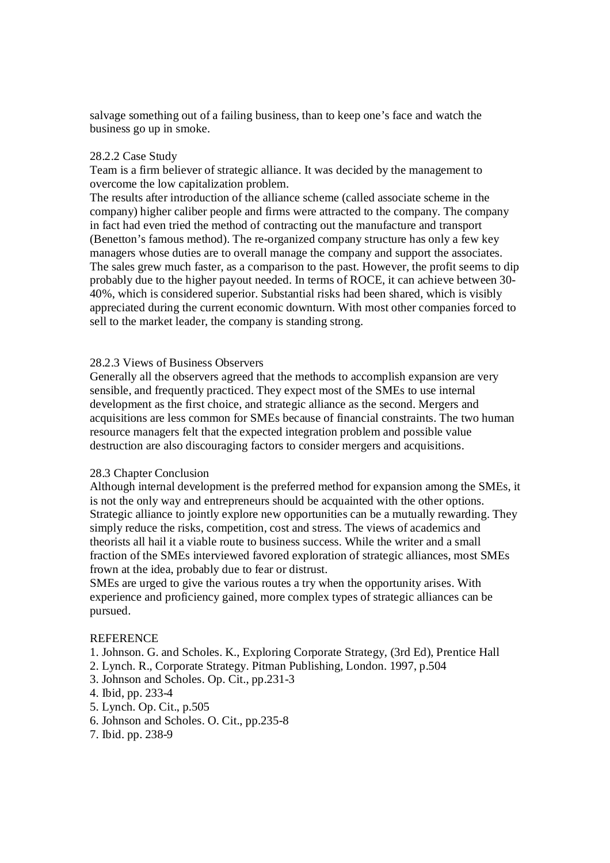salvage something out of a failing business, than to keep one's face and watch the business go up in smoke.

#### 28.2.2 Case Study

Team is a firm believer of strategic alliance. It was decided by the management to overcome the low capitalization problem.

The results after introduction of the alliance scheme (called associate scheme in the company) higher caliber people and firms were attracted to the company. The company in fact had even tried the method of contracting out the manufacture and transport (Benetton's famous method). The re-organized company structure has only a few key managers whose duties are to overall manage the company and support the associates. The sales grew much faster, as a comparison to the past. However, the profit seems to dip probably due to the higher payout needed. In terms of ROCE, it can achieve between 30- 40%, which is considered superior. Substantial risks had been shared, which is visibly appreciated during the current economic downturn. With most other companies forced to sell to the market leader, the company is standing strong.

#### 28.2.3 Views of Business Observers

Generally all the observers agreed that the methods to accomplish expansion are very sensible, and frequently practiced. They expect most of the SMEs to use internal development as the first choice, and strategic alliance as the second. Mergers and acquisitions are less common for SMEs because of financial constraints. The two human resource managers felt that the expected integration problem and possible value destruction are also discouraging factors to consider mergers and acquisitions.

#### 28.3 Chapter Conclusion

Although internal development is the preferred method for expansion among the SMEs, it is not the only way and entrepreneurs should be acquainted with the other options. Strategic alliance to jointly explore new opportunities can be a mutually rewarding. They simply reduce the risks, competition, cost and stress. The views of academics and theorists all hail it a viable route to business success. While the writer and a small fraction of the SMEs interviewed favored exploration of strategic alliances, most SMEs frown at the idea, probably due to fear or distrust.

SMEs are urged to give the various routes a try when the opportunity arises. With experience and proficiency gained, more complex types of strategic alliances can be pursued.

#### **REFERENCE**

- 1. Johnson. G. and Scholes. K., Exploring Corporate Strategy, (3rd Ed), Prentice Hall
- 2. Lynch. R., Corporate Strategy. Pitman Publishing, London. 1997, p.504
- 3. Johnson and Scholes. Op. Cit., pp.231-3
- 4. Ibid, pp. 233-4
- 5. Lynch. Op. Cit., p.505
- 6. Johnson and Scholes. O. Cit., pp.235-8
- 7. Ibid. pp. 238-9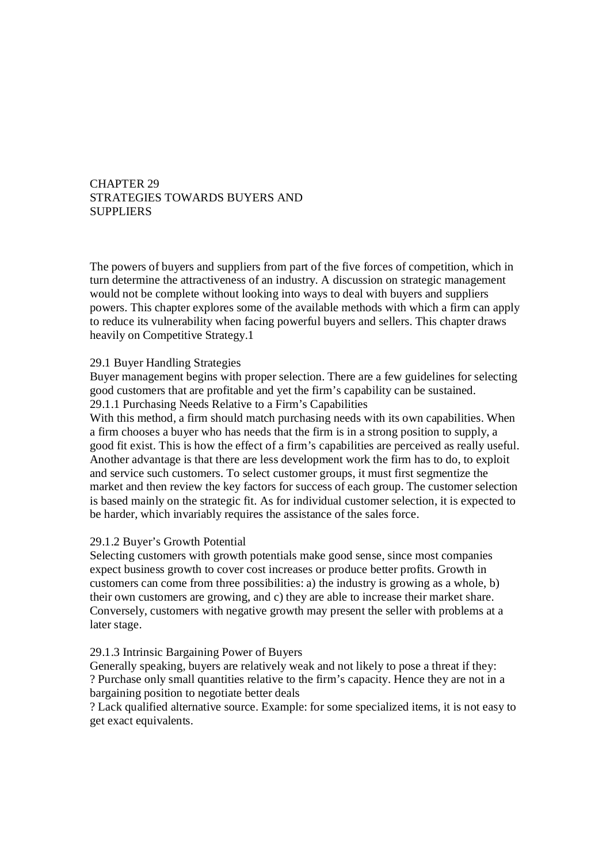# CHAPTER 29 STRATEGIES TOWARDS BUYERS AND SUPPLIERS

The powers of buyers and suppliers from part of the five forces of competition, which in turn determine the attractiveness of an industry. A discussion on strategic management would not be complete without looking into ways to deal with buyers and suppliers powers. This chapter explores some of the available methods with which a firm can apply to reduce its vulnerability when facing powerful buyers and sellers. This chapter draws heavily on Competitive Strategy.1

# 29.1 Buyer Handling Strategies

Buyer management begins with proper selection. There are a few guidelines for selecting good customers that are profitable and yet the firm's capability can be sustained. 29.1.1 Purchasing Needs Relative to a Firm's Capabilities

With this method, a firm should match purchasing needs with its own capabilities. When a firm chooses a buyer who has needs that the firm is in a strong position to supply, a good fit exist. This is how the effect of a firm's capabilities are perceived as really useful. Another advantage is that there are less development work the firm has to do, to exploit and service such customers. To select customer groups, it must first segmentize the market and then review the key factors for success of each group. The customer selection is based mainly on the strategic fit. As for individual customer selection, it is expected to be harder, which invariably requires the assistance of the sales force.

# 29.1.2 Buyer's Growth Potential

Selecting customers with growth potentials make good sense, since most companies expect business growth to cover cost increases or produce better profits. Growth in customers can come from three possibilities: a) the industry is growing as a whole, b) their own customers are growing, and c) they are able to increase their market share. Conversely, customers with negative growth may present the seller with problems at a later stage.

## 29.1.3 Intrinsic Bargaining Power of Buyers

Generally speaking, buyers are relatively weak and not likely to pose a threat if they: ? Purchase only small quantities relative to the firm's capacity. Hence they are not in a bargaining position to negotiate better deals

? Lack qualified alternative source. Example: for some specialized items, it is not easy to get exact equivalents.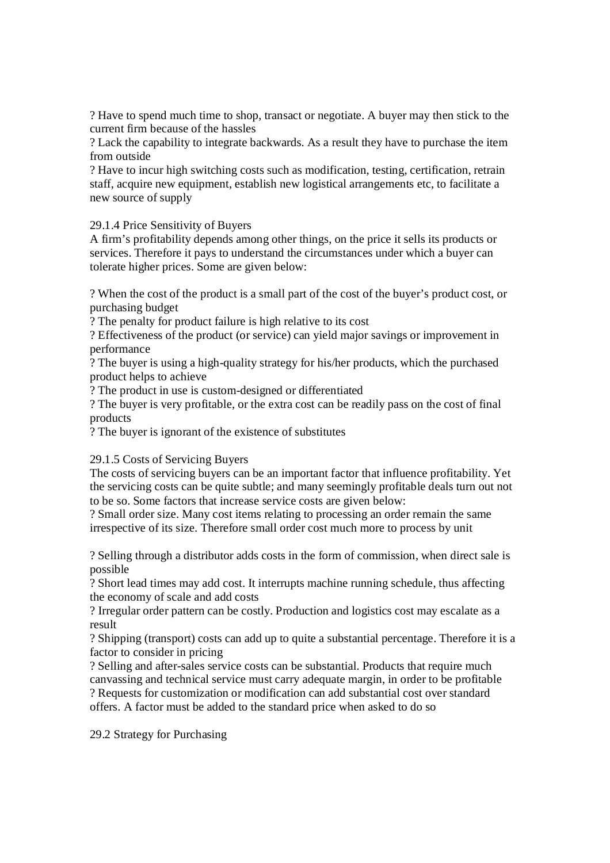? Have to spend much time to shop, transact or negotiate. A buyer may then stick to the current firm because of the hassles

? Lack the capability to integrate backwards. As a result they have to purchase the item from outside

? Have to incur high switching costs such as modification, testing, certification, retrain staff, acquire new equipment, establish new logistical arrangements etc, to facilitate a new source of supply

29.1.4 Price Sensitivity of Buyers

A firm's profitability depends among other things, on the price it sells its products or services. Therefore it pays to understand the circumstances under which a buyer can tolerate higher prices. Some are given below:

? When the cost of the product is a small part of the cost of the buyer's product cost, or purchasing budget

? The penalty for product failure is high relative to its cost

? Effectiveness of the product (or service) can yield major savings or improvement in performance

? The buyer is using a high-quality strategy for his/her products, which the purchased product helps to achieve

? The product in use is custom-designed or differentiated

? The buyer is very profitable, or the extra cost can be readily pass on the cost of final products

? The buyer is ignorant of the existence of substitutes

## 29.1.5 Costs of Servicing Buyers

The costs of servicing buyers can be an important factor that influence profitability. Yet the servicing costs can be quite subtle; and many seemingly profitable deals turn out not to be so. Some factors that increase service costs are given below:

? Small order size. Many cost items relating to processing an order remain the same irrespective of its size. Therefore small order cost much more to process by unit

? Selling through a distributor adds costs in the form of commission, when direct sale is possible

? Short lead times may add cost. It interrupts machine running schedule, thus affecting the economy of scale and add costs

? Irregular order pattern can be costly. Production and logistics cost may escalate as a result

? Shipping (transport) costs can add up to quite a substantial percentage. Therefore it is a factor to consider in pricing

? Selling and after-sales service costs can be substantial. Products that require much canvassing and technical service must carry adequate margin, in order to be profitable ? Requests for customization or modification can add substantial cost over standard offers. A factor must be added to the standard price when asked to do so

29.2 Strategy for Purchasing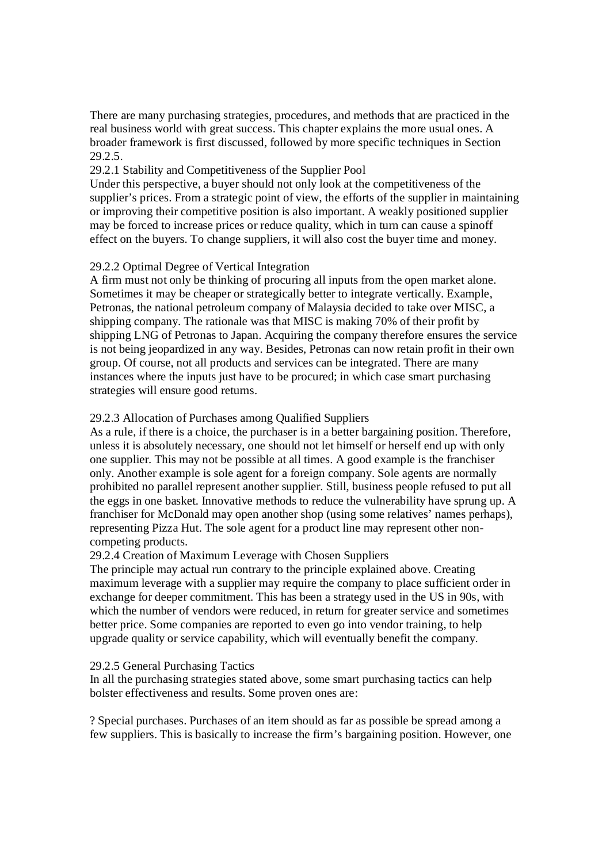There are many purchasing strategies, procedures, and methods that are practiced in the real business world with great success. This chapter explains the more usual ones. A broader framework is first discussed, followed by more specific techniques in Section 29.2.5.

# 29.2.1 Stability and Competitiveness of the Supplier Pool

Under this perspective, a buyer should not only look at the competitiveness of the supplier's prices. From a strategic point of view, the efforts of the supplier in maintaining or improving their competitive position is also important. A weakly positioned supplier may be forced to increase prices or reduce quality, which in turn can cause a spinoff effect on the buyers. To change suppliers, it will also cost the buyer time and money.

# 29.2.2 Optimal Degree of Vertical Integration

A firm must not only be thinking of procuring all inputs from the open market alone. Sometimes it may be cheaper or strategically better to integrate vertically. Example, Petronas, the national petroleum company of Malaysia decided to take over MISC, a shipping company. The rationale was that MISC is making 70% of their profit by shipping LNG of Petronas to Japan. Acquiring the company therefore ensures the service is not being jeopardized in any way. Besides, Petronas can now retain profit in their own group. Of course, not all products and services can be integrated. There are many instances where the inputs just have to be procured; in which case smart purchasing strategies will ensure good returns.

# 29.2.3 Allocation of Purchases among Qualified Suppliers

As a rule, if there is a choice, the purchaser is in a better bargaining position. Therefore, unless it is absolutely necessary, one should not let himself or herself end up with only one supplier. This may not be possible at all times. A good example is the franchiser only. Another example is sole agent for a foreign company. Sole agents are normally prohibited no parallel represent another supplier. Still, business people refused to put all the eggs in one basket. Innovative methods to reduce the vulnerability have sprung up. A franchiser for McDonald may open another shop (using some relatives' names perhaps), representing Pizza Hut. The sole agent for a product line may represent other noncompeting products.

## 29.2.4 Creation of Maximum Leverage with Chosen Suppliers

The principle may actual run contrary to the principle explained above. Creating maximum leverage with a supplier may require the company to place sufficient order in exchange for deeper commitment. This has been a strategy used in the US in 90s, with which the number of vendors were reduced, in return for greater service and sometimes better price. Some companies are reported to even go into vendor training, to help upgrade quality or service capability, which will eventually benefit the company.

## 29.2.5 General Purchasing Tactics

In all the purchasing strategies stated above, some smart purchasing tactics can help bolster effectiveness and results. Some proven ones are:

? Special purchases. Purchases of an item should as far as possible be spread among a few suppliers. This is basically to increase the firm's bargaining position. However, one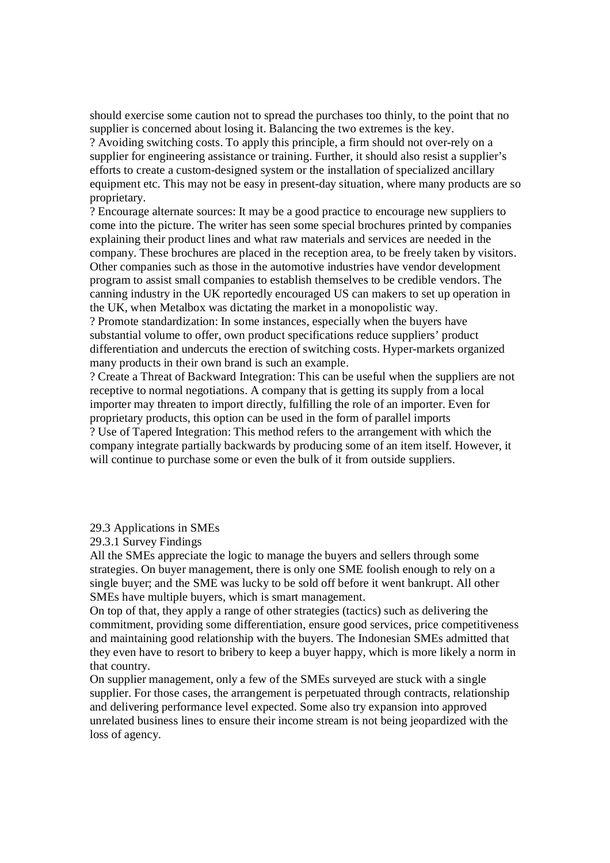should exercise some caution not to spread the purchases too thinly, to the point that no supplier is concerned about losing it. Balancing the two extremes is the key.

? Avoiding switching costs. To apply this principle, a firm should not over-rely on a supplier for engineering assistance or training. Further, it should also resist a supplier's efforts to create a custom-designed system or the installation of specialized ancillary equipment etc. This may not be easy in present-day situation, where many products are so proprietary.

? Encourage alternate sources: It may be a good practice to encourage new suppliers to come into the picture. The writer has seen some special brochures printed by companies explaining their product lines and what raw materials and services are needed in the company. These brochures are placed in the reception area, to be freely taken by visitors. Other companies such as those in the automotive industries have vendor development program to assist small companies to establish themselves to be credible vendors. The canning industry in the UK reportedly encouraged US can makers to set up operation in the UK, when Metalbox was dictating the market in a monopolistic way.

? Promote standardization: In some instances, especially when the buyers have substantial volume to offer, own product specifications reduce suppliers' product differentiation and undercuts the erection of switching costs. Hyper-markets organized many products in their own brand is such an example.

? Create a Threat of Backward Integration: This can be useful when the suppliers are not receptive to normal negotiations. A company that is getting its supply from a local importer may threaten to import directly, fulfilling the role of an importer. Even for proprietary products, this option can be used in the form of parallel imports ? Use of Tapered Integration: This method refers to the arrangement with which the company integrate partially backwards by producing some of an item itself. However, it will continue to purchase some or even the bulk of it from outside suppliers.

29.3 Applications in SMEs

29.3.1 Survey Findings

All the SMEs appreciate the logic to manage the buyers and sellers through some strategies. On buyer management, there is only one SME foolish enough to rely on a single buyer; and the SME was lucky to be sold off before it went bankrupt. All other SMEs have multiple buyers, which is smart management.

On top of that, they apply a range of other strategies (tactics) such as delivering the commitment, providing some differentiation, ensure good services, price competitiveness and maintaining good relationship with the buyers. The Indonesian SMEs admitted that they even have to resort to bribery to keep a buyer happy, which is more likely a norm in that country.

On supplier management, only a few of the SMEs surveyed are stuck with a single supplier. For those cases, the arrangement is perpetuated through contracts, relationship and delivering performance level expected. Some also try expansion into approved unrelated business lines to ensure their income stream is not being jeopardized with the loss of agency.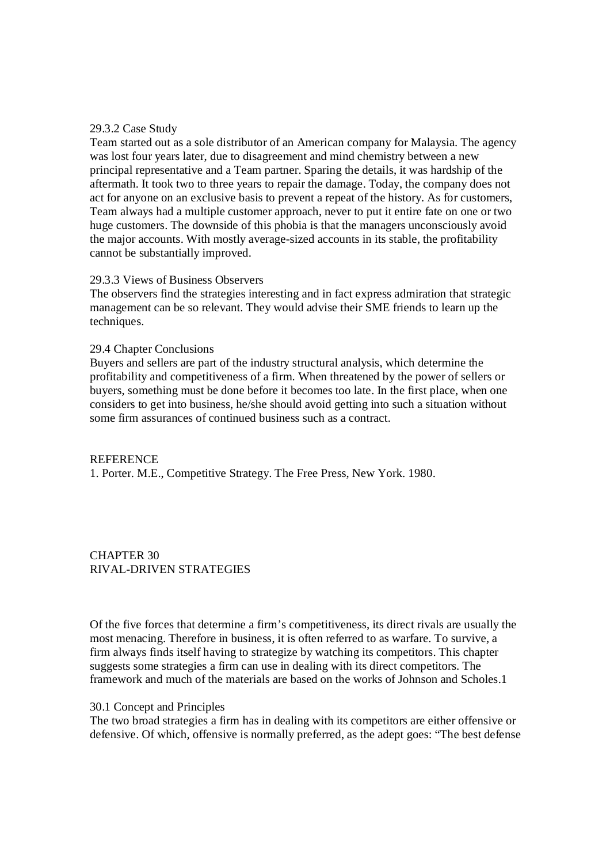# 29.3.2 Case Study

Team started out as a sole distributor of an American company for Malaysia. The agency was lost four years later, due to disagreement and mind chemistry between a new principal representative and a Team partner. Sparing the details, it was hardship of the aftermath. It took two to three years to repair the damage. Today, the company does not act for anyone on an exclusive basis to prevent a repeat of the history. As for customers, Team always had a multiple customer approach, never to put it entire fate on one or two huge customers. The downside of this phobia is that the managers unconsciously avoid the major accounts. With mostly average-sized accounts in its stable, the profitability cannot be substantially improved.

## 29.3.3 Views of Business Observers

The observers find the strategies interesting and in fact express admiration that strategic management can be so relevant. They would advise their SME friends to learn up the techniques.

#### 29.4 Chapter Conclusions

Buyers and sellers are part of the industry structural analysis, which determine the profitability and competitiveness of a firm. When threatened by the power of sellers or buyers, something must be done before it becomes too late. In the first place, when one considers to get into business, he/she should avoid getting into such a situation without some firm assurances of continued business such as a contract.

#### **REFERENCE**

1. Porter. M.E., Competitive Strategy. The Free Press, New York. 1980.

CHAPTER 30 RIVAL-DRIVEN STRATEGIES

Of the five forces that determine a firm's competitiveness, its direct rivals are usually the most menacing. Therefore in business, it is often referred to as warfare. To survive, a firm always finds itself having to strategize by watching its competitors. This chapter suggests some strategies a firm can use in dealing with its direct competitors. The framework and much of the materials are based on the works of Johnson and Scholes.1

## 30.1 Concept and Principles

The two broad strategies a firm has in dealing with its competitors are either offensive or defensive. Of which, offensive is normally preferred, as the adept goes: "The best defense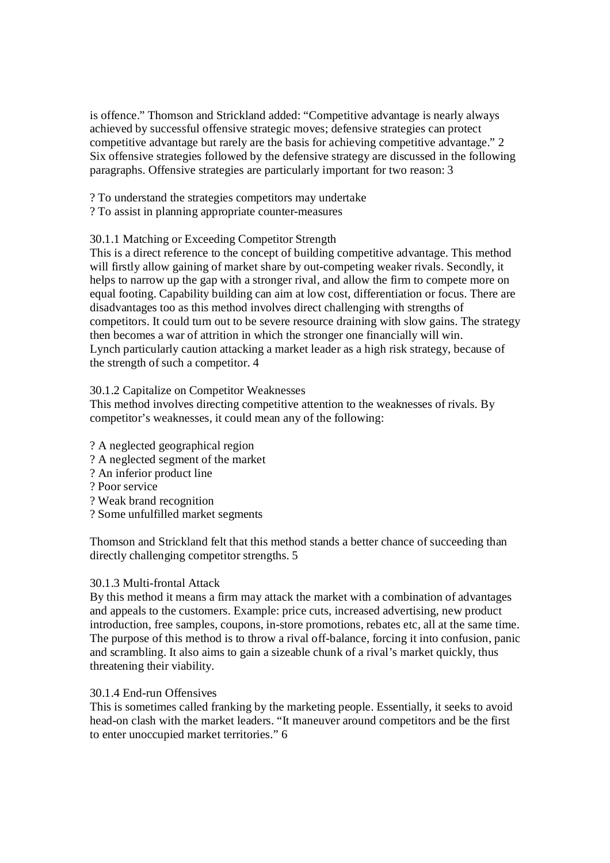is offence." Thomson and Strickland added: "Competitive advantage is nearly always achieved by successful offensive strategic moves; defensive strategies can protect competitive advantage but rarely are the basis for achieving competitive advantage." 2 Six offensive strategies followed by the defensive strategy are discussed in the following paragraphs. Offensive strategies are particularly important for two reason: 3

? To understand the strategies competitors may undertake

? To assist in planning appropriate counter-measures

# 30.1.1 Matching or Exceeding Competitor Strength

This is a direct reference to the concept of building competitive advantage. This method will firstly allow gaining of market share by out-competing weaker rivals. Secondly, it helps to narrow up the gap with a stronger rival, and allow the firm to compete more on equal footing. Capability building can aim at low cost, differentiation or focus. There are disadvantages too as this method involves direct challenging with strengths of competitors. It could turn out to be severe resource draining with slow gains. The strategy then becomes a war of attrition in which the stronger one financially will win. Lynch particularly caution attacking a market leader as a high risk strategy, because of the strength of such a competitor. 4

# 30.1.2 Capitalize on Competitor Weaknesses

This method involves directing competitive attention to the weaknesses of rivals. By competitor's weaknesses, it could mean any of the following:

- ? A neglected geographical region
- ? A neglected segment of the market
- ? An inferior product line
- ? Poor service
- ? Weak brand recognition
- ? Some unfulfilled market segments

Thomson and Strickland felt that this method stands a better chance of succeeding than directly challenging competitor strengths. 5

## 30.1.3 Multi-frontal Attack

By this method it means a firm may attack the market with a combination of advantages and appeals to the customers. Example: price cuts, increased advertising, new product introduction, free samples, coupons, in-store promotions, rebates etc, all at the same time. The purpose of this method is to throw a rival off-balance, forcing it into confusion, panic and scrambling. It also aims to gain a sizeable chunk of a rival's market quickly, thus threatening their viability.

## 30.1.4 End-run Offensives

This is sometimes called franking by the marketing people. Essentially, it seeks to avoid head-on clash with the market leaders. "It maneuver around competitors and be the first to enter unoccupied market territories." 6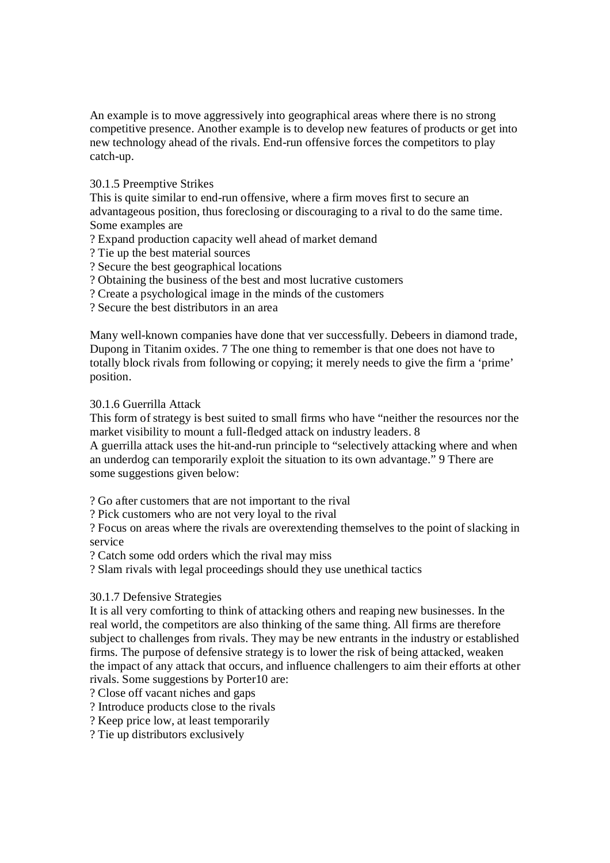An example is to move aggressively into geographical areas where there is no strong competitive presence. Another example is to develop new features of products or get into new technology ahead of the rivals. End-run offensive forces the competitors to play catch-up.

# 30.1.5 Preemptive Strikes

This is quite similar to end-run offensive, where a firm moves first to secure an advantageous position, thus foreclosing or discouraging to a rival to do the same time. Some examples are

? Expand production capacity well ahead of market demand

? Tie up the best material sources

- ? Secure the best geographical locations
- ? Obtaining the business of the best and most lucrative customers
- ? Create a psychological image in the minds of the customers

? Secure the best distributors in an area

Many well-known companies have done that ver successfully. Debeers in diamond trade, Dupong in Titanim oxides. 7 The one thing to remember is that one does not have to totally block rivals from following or copying; it merely needs to give the firm a 'prime' position.

## 30.1.6 Guerrilla Attack

This form of strategy is best suited to small firms who have "neither the resources nor the market visibility to mount a full-fledged attack on industry leaders. 8

A guerrilla attack uses the hit-and-run principle to "selectively attacking where and when an underdog can temporarily exploit the situation to its own advantage." 9 There are some suggestions given below:

? Go after customers that are not important to the rival

? Pick customers who are not very loyal to the rival

? Focus on areas where the rivals are overextending themselves to the point of slacking in service

? Catch some odd orders which the rival may miss

? Slam rivals with legal proceedings should they use unethical tactics

# 30.1.7 Defensive Strategies

It is all very comforting to think of attacking others and reaping new businesses. In the real world, the competitors are also thinking of the same thing. All firms are therefore subject to challenges from rivals. They may be new entrants in the industry or established firms. The purpose of defensive strategy is to lower the risk of being attacked, weaken the impact of any attack that occurs, and influence challengers to aim their efforts at other rivals. Some suggestions by Porter10 are:

? Close off vacant niches and gaps

? Introduce products close to the rivals

? Keep price low, at least temporarily

? Tie up distributors exclusively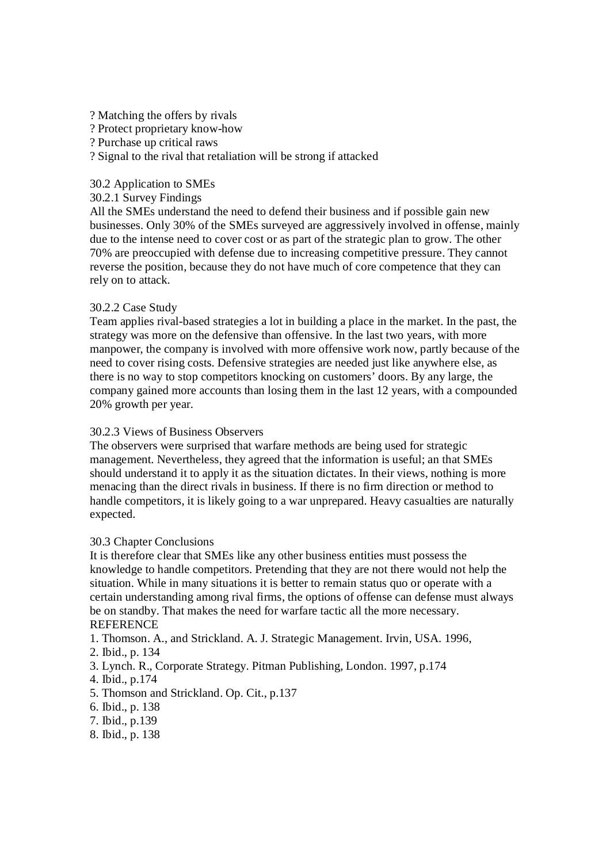- ? Matching the offers by rivals
- ? Protect proprietary know-how
- ? Purchase up critical raws
- ? Signal to the rival that retaliation will be strong if attacked

## 30.2 Application to SMEs

# 30.2.1 Survey Findings

All the SMEs understand the need to defend their business and if possible gain new businesses. Only 30% of the SMEs surveyed are aggressively involved in offense, mainly due to the intense need to cover cost or as part of the strategic plan to grow. The other 70% are preoccupied with defense due to increasing competitive pressure. They cannot reverse the position, because they do not have much of core competence that they can rely on to attack.

# 30.2.2 Case Study

Team applies rival-based strategies a lot in building a place in the market. In the past, the strategy was more on the defensive than offensive. In the last two years, with more manpower, the company is involved with more offensive work now, partly because of the need to cover rising costs. Defensive strategies are needed just like anywhere else, as there is no way to stop competitors knocking on customers' doors. By any large, the company gained more accounts than losing them in the last 12 years, with a compounded 20% growth per year.

## 30.2.3 Views of Business Observers

The observers were surprised that warfare methods are being used for strategic management. Nevertheless, they agreed that the information is useful; an that SMEs should understand it to apply it as the situation dictates. In their views, nothing is more menacing than the direct rivals in business. If there is no firm direction or method to handle competitors, it is likely going to a war unprepared. Heavy casualties are naturally expected.

### 30.3 Chapter Conclusions

It is therefore clear that SMEs like any other business entities must possess the knowledge to handle competitors. Pretending that they are not there would not help the situation. While in many situations it is better to remain status quo or operate with a certain understanding among rival firms, the options of offense can defense must always be on standby. That makes the need for warfare tactic all the more necessary. **REFERENCE** 

1. Thomson. A., and Strickland. A. J. Strategic Management. Irvin, USA. 1996,

- 2. Ibid., p. 134
- 3. Lynch. R., Corporate Strategy. Pitman Publishing, London. 1997, p.174
- 4. Ibid., p.174
- 5. Thomson and Strickland. Op. Cit., p.137
- 6. Ibid., p. 138
- 7. Ibid., p.139
- 8. Ibid., p. 138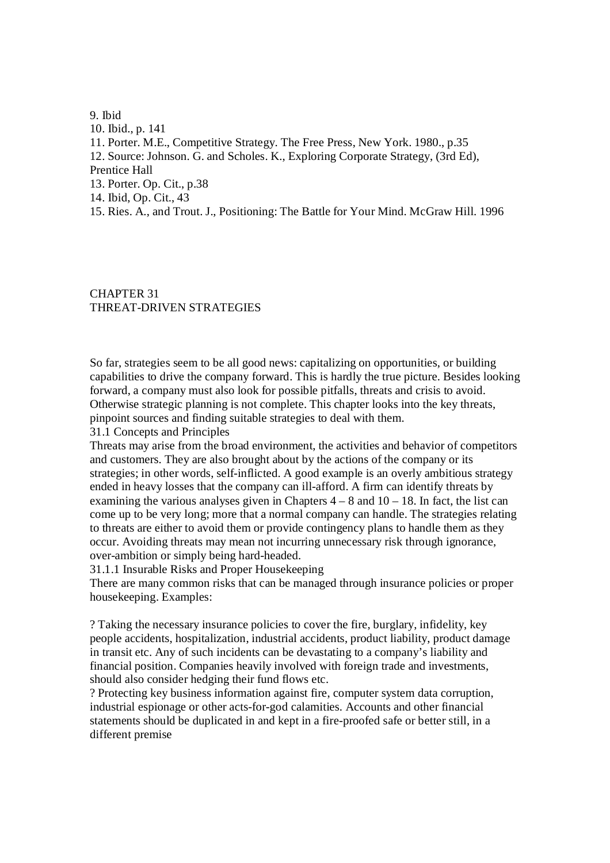9. Ibid 10. Ibid., p. 141 11. Porter. M.E., Competitive Strategy. The Free Press, New York. 1980., p.35 12. Source: Johnson. G. and Scholes. K., Exploring Corporate Strategy, (3rd Ed), Prentice Hall 13. Porter. Op. Cit., p.38 14. Ibid, Op. Cit., 43 15. Ries. A., and Trout. J., Positioning: The Battle for Your Mind. McGraw Hill. 1996

# CHAPTER 31 THREAT-DRIVEN STRATEGIES

So far, strategies seem to be all good news: capitalizing on opportunities, or building capabilities to drive the company forward. This is hardly the true picture. Besides looking forward, a company must also look for possible pitfalls, threats and crisis to avoid. Otherwise strategic planning is not complete. This chapter looks into the key threats, pinpoint sources and finding suitable strategies to deal with them.

31.1 Concepts and Principles

Threats may arise from the broad environment, the activities and behavior of competitors and customers. They are also brought about by the actions of the company or its strategies; in other words, self-inflicted. A good example is an overly ambitious strategy ended in heavy losses that the company can ill-afford. A firm can identify threats by examining the various analyses given in Chapters  $4 - 8$  and  $10 - 18$ . In fact, the list can come up to be very long; more that a normal company can handle. The strategies relating to threats are either to avoid them or provide contingency plans to handle them as they occur. Avoiding threats may mean not incurring unnecessary risk through ignorance, over-ambition or simply being hard-headed.

31.1.1 Insurable Risks and Proper Housekeeping

There are many common risks that can be managed through insurance policies or proper housekeeping. Examples:

? Taking the necessary insurance policies to cover the fire, burglary, infidelity, key people accidents, hospitalization, industrial accidents, product liability, product damage in transit etc. Any of such incidents can be devastating to a company's liability and financial position. Companies heavily involved with foreign trade and investments, should also consider hedging their fund flows etc.

? Protecting key business information against fire, computer system data corruption, industrial espionage or other acts-for-god calamities. Accounts and other financial statements should be duplicated in and kept in a fire-proofed safe or better still, in a different premise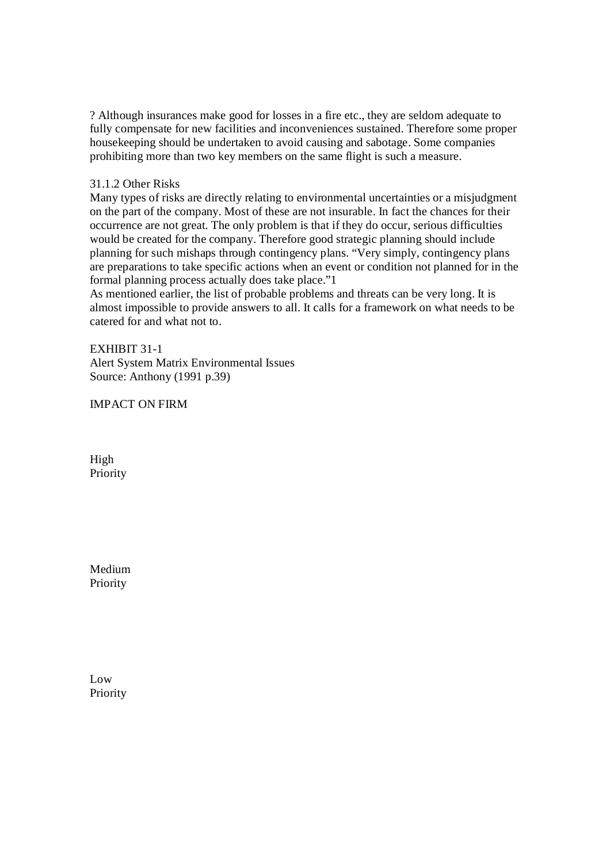? Although insurances make good for losses in a fire etc., they are seldom adequate to fully compensate for new facilities and inconveniences sustained. Therefore some proper housekeeping should be undertaken to avoid causing and sabotage. Some companies prohibiting more than two key members on the same flight is such a measure.

# 31.1.2 Other Risks

Many types of risks are directly relating to environmental uncertainties or a misjudgment on the part of the company. Most of these are not insurable. In fact the chances for their occurrence are not great. The only problem is that if they do occur, serious difficulties would be created for the company. Therefore good strategic planning should include planning for such mishaps through contingency plans. "Very simply, contingency plans are preparations to take specific actions when an event or condition not planned for in the formal planning process actually does take place."1

As mentioned earlier, the list of probable problems and threats can be very long. It is almost impossible to provide answers to all. It calls for a framework on what needs to be catered for and what not to.

## EXHIBIT 31-1

Alert System Matrix Environmental Issues Source: Anthony (1991 p.39)

IMPACT ON FIRM

High Priority

Medium Priority

Low Priority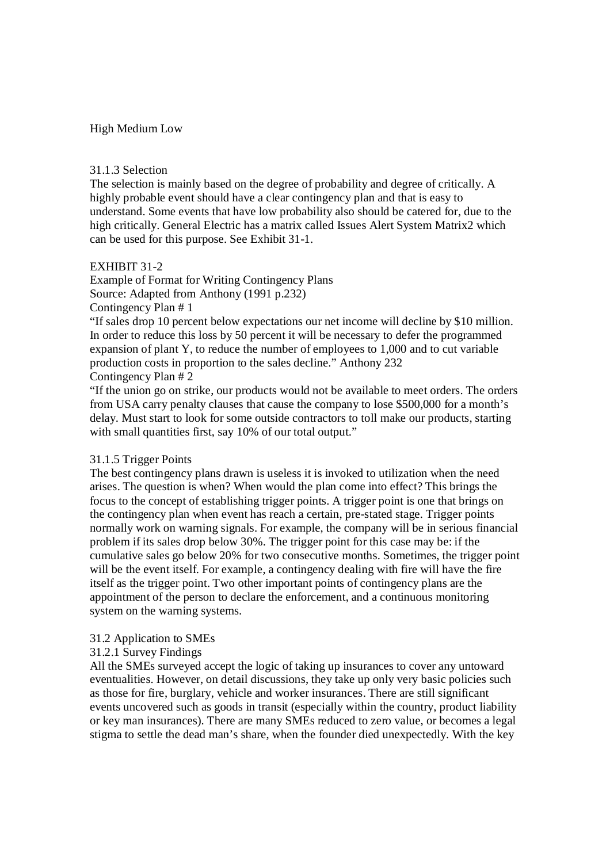### High Medium Low

### 31.1.3 Selection

The selection is mainly based on the degree of probability and degree of critically. A highly probable event should have a clear contingency plan and that is easy to understand. Some events that have low probability also should be catered for, due to the high critically. General Electric has a matrix called Issues Alert System Matrix2 which can be used for this purpose. See Exhibit 31-1.

# EXHIBIT 31-2

Example of Format for Writing Contingency Plans Source: Adapted from Anthony (1991 p.232) Contingency Plan # 1

"If sales drop 10 percent below expectations our net income will decline by \$10 million. In order to reduce this loss by 50 percent it will be necessary to defer the programmed expansion of plant Y, to reduce the number of employees to 1,000 and to cut variable production costs in proportion to the sales decline." Anthony 232 Contingency Plan # 2

"If the union go on strike, our products would not be available to meet orders. The orders from USA carry penalty clauses that cause the company to lose \$500,000 for a month's delay. Must start to look for some outside contractors to toll make our products, starting with small quantities first, say 10% of our total output."

### 31.1.5 Trigger Points

The best contingency plans drawn is useless it is invoked to utilization when the need arises. The question is when? When would the plan come into effect? This brings the focus to the concept of establishing trigger points. A trigger point is one that brings on the contingency plan when event has reach a certain, pre-stated stage. Trigger points normally work on warning signals. For example, the company will be in serious financial problem if its sales drop below 30%. The trigger point for this case may be: if the cumulative sales go below 20% for two consecutive months. Sometimes, the trigger point will be the event itself. For example, a contingency dealing with fire will have the fire itself as the trigger point. Two other important points of contingency plans are the appointment of the person to declare the enforcement, and a continuous monitoring system on the warning systems.

### 31.2 Application to SMEs

# 31.2.1 Survey Findings

All the SMEs surveyed accept the logic of taking up insurances to cover any untoward eventualities. However, on detail discussions, they take up only very basic policies such as those for fire, burglary, vehicle and worker insurances. There are still significant events uncovered such as goods in transit (especially within the country, product liability or key man insurances). There are many SMEs reduced to zero value, or becomes a legal stigma to settle the dead man's share, when the founder died unexpectedly. With the key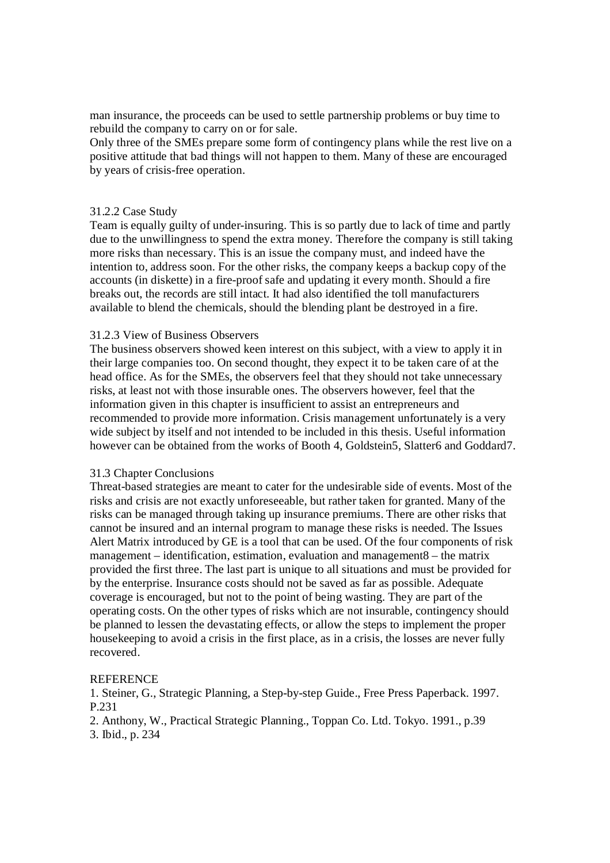man insurance, the proceeds can be used to settle partnership problems or buy time to rebuild the company to carry on or for sale.

Only three of the SMEs prepare some form of contingency plans while the rest live on a positive attitude that bad things will not happen to them. Many of these are encouraged by years of crisis-free operation.

#### 31.2.2 Case Study

Team is equally guilty of under-insuring. This is so partly due to lack of time and partly due to the unwillingness to spend the extra money. Therefore the company is still taking more risks than necessary. This is an issue the company must, and indeed have the intention to, address soon. For the other risks, the company keeps a backup copy of the accounts (in diskette) in a fire-proof safe and updating it every month. Should a fire breaks out, the records are still intact. It had also identified the toll manufacturers available to blend the chemicals, should the blending plant be destroyed in a fire.

### 31.2.3 View of Business Observers

The business observers showed keen interest on this subject, with a view to apply it in their large companies too. On second thought, they expect it to be taken care of at the head office. As for the SMEs, the observers feel that they should not take unnecessary risks, at least not with those insurable ones. The observers however, feel that the information given in this chapter is insufficient to assist an entrepreneurs and recommended to provide more information. Crisis management unfortunately is a very wide subject by itself and not intended to be included in this thesis. Useful information however can be obtained from the works of Booth 4, Goldstein5, Slatter6 and Goddard7.

#### 31.3 Chapter Conclusions

Threat-based strategies are meant to cater for the undesirable side of events. Most of the risks and crisis are not exactly unforeseeable, but rather taken for granted. Many of the risks can be managed through taking up insurance premiums. There are other risks that cannot be insured and an internal program to manage these risks is needed. The Issues Alert Matrix introduced by GE is a tool that can be used. Of the four components of risk management – identification, estimation, evaluation and management8 – the matrix provided the first three. The last part is unique to all situations and must be provided for by the enterprise. Insurance costs should not be saved as far as possible. Adequate coverage is encouraged, but not to the point of being wasting. They are part of the operating costs. On the other types of risks which are not insurable, contingency should be planned to lessen the devastating effects, or allow the steps to implement the proper house keeping to avoid a crisis in the first place, as in a crisis, the losses are never fully recovered.

#### **REFERENCE**

1. Steiner, G., Strategic Planning, a Step-by-step Guide., Free Press Paperback. 1997. P.231

2. Anthony, W., Practical Strategic Planning., Toppan Co. Ltd. Tokyo. 1991., p.39

3. Ibid., p. 234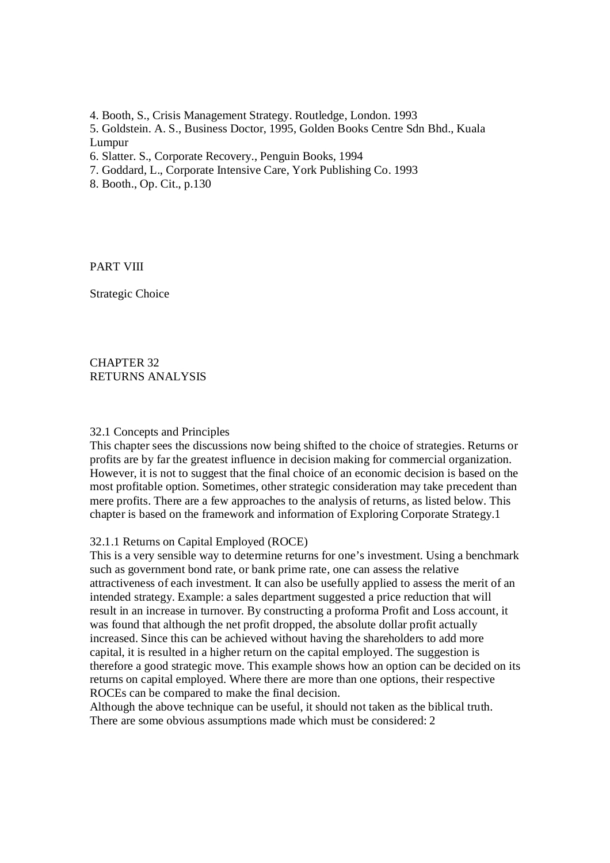4. Booth, S., Crisis Management Strategy. Routledge, London. 1993

5. Goldstein. A. S., Business Doctor, 1995, Golden Books Centre Sdn Bhd., Kuala Lumpur

6. Slatter. S., Corporate Recovery., Penguin Books, 1994

- 7. Goddard, L., Corporate Intensive Care, York Publishing Co. 1993
- 8. Booth., Op. Cit., p.130

PART VIII

Strategic Choice

CHAPTER 32 RETURNS ANALYSIS

#### 32.1 Concepts and Principles

This chapter sees the discussions now being shifted to the choice of strategies. Returns or profits are by far the greatest influence in decision making for commercial organization. However, it is not to suggest that the final choice of an economic decision is based on the most profitable option. Sometimes, other strategic consideration may take precedent than mere profits. There are a few approaches to the analysis of returns, as listed below. This chapter is based on the framework and information of Exploring Corporate Strategy.1

#### 32.1.1 Returns on Capital Employed (ROCE)

This is a very sensible way to determine returns for one's investment. Using a benchmark such as government bond rate, or bank prime rate, one can assess the relative attractiveness of each investment. It can also be usefully applied to assess the merit of an intended strategy. Example: a sales department suggested a price reduction that will result in an increase in turnover. By constructing a proforma Profit and Loss account, it was found that although the net profit dropped, the absolute dollar profit actually increased. Since this can be achieved without having the shareholders to add more capital, it is resulted in a higher return on the capital employed. The suggestion is therefore a good strategic move. This example shows how an option can be decided on its returns on capital employed. Where there are more than one options, their respective ROCEs can be compared to make the final decision.

Although the above technique can be useful, it should not taken as the biblical truth. There are some obvious assumptions made which must be considered: 2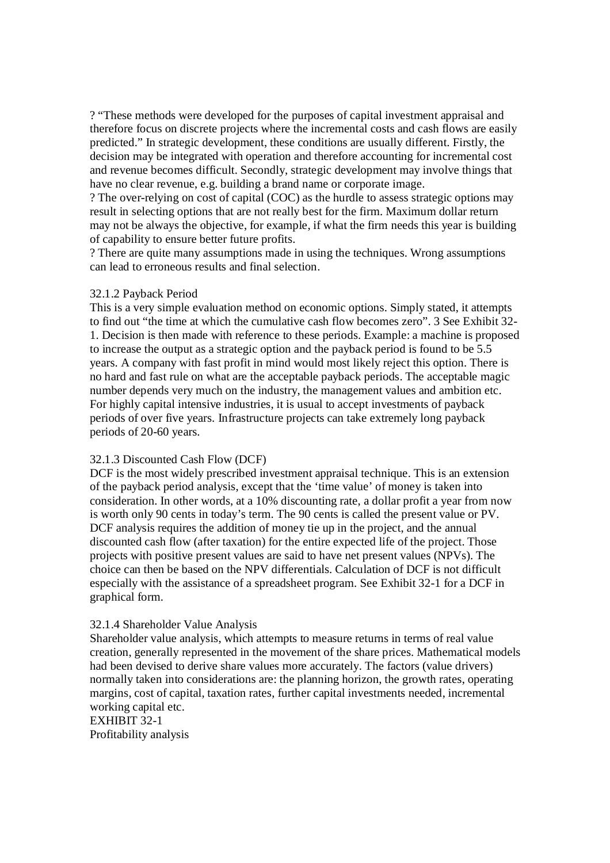? "These methods were developed for the purposes of capital investment appraisal and therefore focus on discrete projects where the incremental costs and cash flows are easily predicted." In strategic development, these conditions are usually different. Firstly, the decision may be integrated with operation and therefore accounting for incremental cost and revenue becomes difficult. Secondly, strategic development may involve things that have no clear revenue, e.g. building a brand name or corporate image.

? The over-relying on cost of capital (COC) as the hurdle to assess strategic options may result in selecting options that are not really best for the firm. Maximum dollar return may not be always the objective, for example, if what the firm needs this year is building of capability to ensure better future profits.

? There are quite many assumptions made in using the techniques. Wrong assumptions can lead to erroneous results and final selection.

# 32.1.2 Payback Period

This is a very simple evaluation method on economic options. Simply stated, it attempts to find out "the time at which the cumulative cash flow becomes zero". 3 See Exhibit 32- 1. Decision is then made with reference to these periods. Example: a machine is proposed to increase the output as a strategic option and the payback period is found to be 5.5 years. A company with fast profit in mind would most likely reject this option. There is no hard and fast rule on what are the acceptable payback periods. The acceptable magic number depends very much on the industry, the management values and ambition etc. For highly capital intensive industries, it is usual to accept investments of payback periods of over five years. Infrastructure projects can take extremely long payback periods of 20-60 years.

#### 32.1.3 Discounted Cash Flow (DCF)

DCF is the most widely prescribed investment appraisal technique. This is an extension of the payback period analysis, except that the 'time value' of money is taken into consideration. In other words, at a 10% discounting rate, a dollar profit a year from now is worth only 90 cents in today's term. The 90 cents is called the present value or PV. DCF analysis requires the addition of money tie up in the project, and the annual discounted cash flow (after taxation) for the entire expected life of the project. Those projects with positive present values are said to have net present values (NPVs). The choice can then be based on the NPV differentials. Calculation of DCF is not difficult especially with the assistance of a spreadsheet program. See Exhibit 32-1 for a DCF in graphical form.

#### 32.1.4 Shareholder Value Analysis

Shareholder value analysis, which attempts to measure returns in terms of real value creation, generally represented in the movement of the share prices. Mathematical models had been devised to derive share values more accurately. The factors (value drivers) normally taken into considerations are: the planning horizon, the growth rates, operating margins, cost of capital, taxation rates, further capital investments needed, incremental working capital etc.

EXHIBIT 32-1 Profitability analysis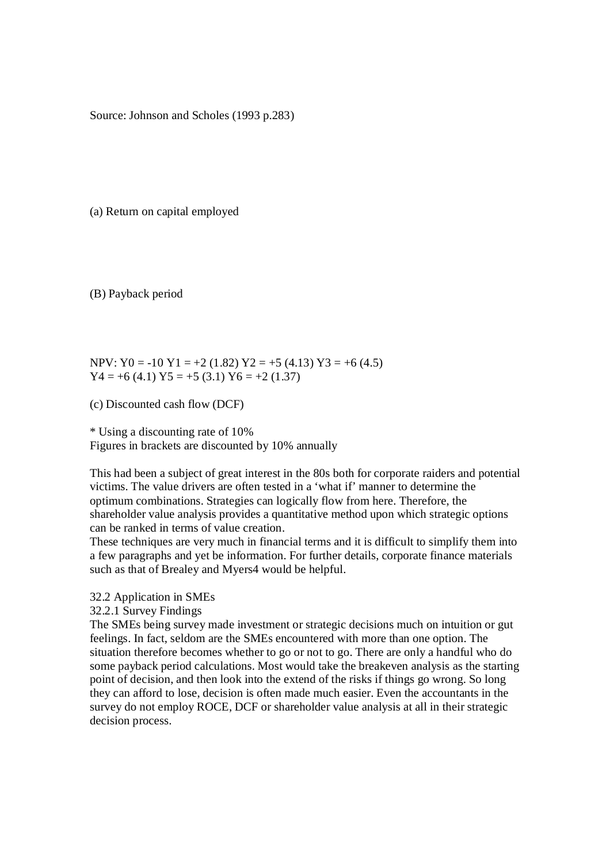Source: Johnson and Scholes (1993 p.283)

(a) Return on capital employed

(B) Payback period

NPV: Y0 = -10 Y1 = +2 (1.82) Y2 = +5 (4.13) Y3 = +6 (4.5)  $Y4 = +6(4.1) Y5 = +5(3.1) Y6 = +2(1.37)$ 

(c) Discounted cash flow (DCF)

# \* Using a discounting rate of 10%

Figures in brackets are discounted by 10% annually

This had been a subject of great interest in the 80s both for corporate raiders and potential victims. The value drivers are often tested in a 'what if' manner to determine the optimum combinations. Strategies can logically flow from here. Therefore, the shareholder value analysis provides a quantitative method upon which strategic options can be ranked in terms of value creation.

These techniques are very much in financial terms and it is difficult to simplify them into a few paragraphs and yet be information. For further details, corporate finance materials such as that of Brealey and Myers4 would be helpful.

- 32.2 Application in SMEs
- 32.2.1 Survey Findings

The SMEs being survey made investment or strategic decisions much on intuition or gut feelings. In fact, seldom are the SMEs encountered with more than one option. The situation therefore becomes whether to go or not to go. There are only a handful who do some payback period calculations. Most would take the breakeven analysis as the starting point of decision, and then look into the extend of the risks if things go wrong. So long they can afford to lose, decision is often made much easier. Even the accountants in the survey do not employ ROCE, DCF or shareholder value analysis at all in their strategic decision process.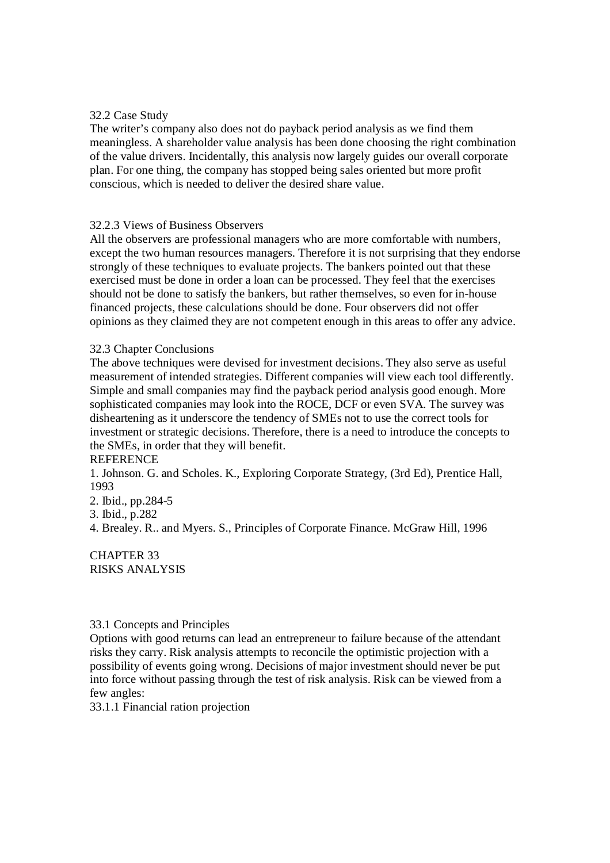### 32.2 Case Study

The writer's company also does not do payback period analysis as we find them meaningless. A shareholder value analysis has been done choosing the right combination of the value drivers. Incidentally, this analysis now largely guides our overall corporate plan. For one thing, the company has stopped being sales oriented but more profit conscious, which is needed to deliver the desired share value.

#### 32.2.3 Views of Business Observers

All the observers are professional managers who are more comfortable with numbers, except the two human resources managers. Therefore it is not surprising that they endorse strongly of these techniques to evaluate projects. The bankers pointed out that these exercised must be done in order a loan can be processed. They feel that the exercises should not be done to satisfy the bankers, but rather themselves, so even for in-house financed projects, these calculations should be done. Four observers did not offer opinions as they claimed they are not competent enough in this areas to offer any advice.

#### 32.3 Chapter Conclusions

The above techniques were devised for investment decisions. They also serve as useful measurement of intended strategies. Different companies will view each tool differently. Simple and small companies may find the payback period analysis good enough. More sophisticated companies may look into the ROCE, DCF or even SVA. The survey was disheartening as it underscore the tendency of SMEs not to use the correct tools for investment or strategic decisions. Therefore, there is a need to introduce the concepts to the SMEs, in order that they will benefit.

### **REFERENCE**

1. Johnson. G. and Scholes. K., Exploring Corporate Strategy, (3rd Ed), Prentice Hall, 1993

2. Ibid., pp.284-5

3. Ibid., p.282

4. Brealey. R.. and Myers. S., Principles of Corporate Finance. McGraw Hill, 1996

## CHAPTER 33 RISKS ANALYSIS

### 33.1 Concepts and Principles

Options with good returns can lead an entrepreneur to failure because of the attendant risks they carry. Risk analysis attempts to reconcile the optimistic projection with a possibility of events going wrong. Decisions of major investment should never be put into force without passing through the test of risk analysis. Risk can be viewed from a few angles:

33.1.1 Financial ration projection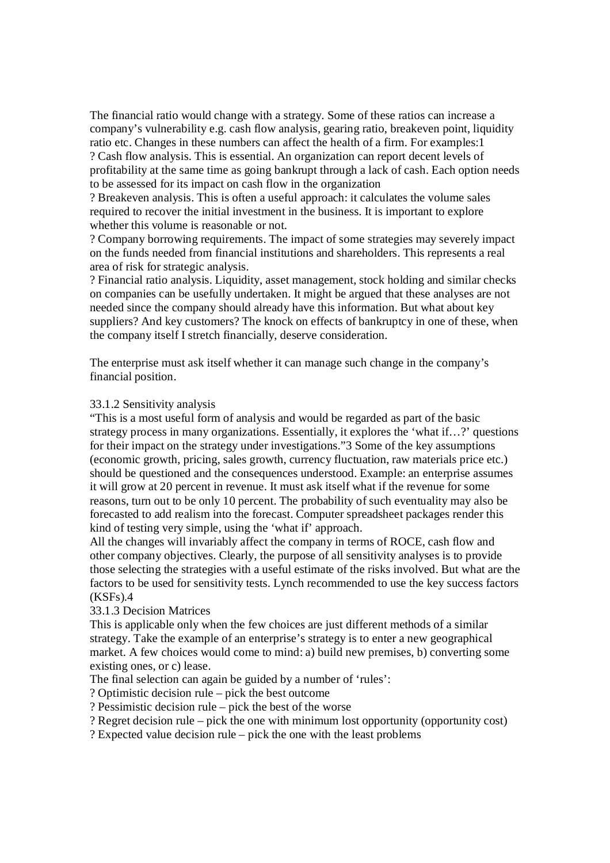The financial ratio would change with a strategy. Some of these ratios can increase a company's vulnerability e.g. cash flow analysis, gearing ratio, breakeven point, liquidity ratio etc. Changes in these numbers can affect the health of a firm. For examples:1 ? Cash flow analysis. This is essential. An organization can report decent levels of profitability at the same time as going bankrupt through a lack of cash. Each option needs to be assessed for its impact on cash flow in the organization

? Breakeven analysis. This is often a useful approach: it calculates the volume sales required to recover the initial investment in the business. It is important to explore whether this volume is reasonable or not.

? Company borrowing requirements. The impact of some strategies may severely impact on the funds needed from financial institutions and shareholders. This represents a real area of risk for strategic analysis.

? Financial ratio analysis. Liquidity, asset management, stock holding and similar checks on companies can be usefully undertaken. It might be argued that these analyses are not needed since the company should already have this information. But what about key suppliers? And key customers? The knock on effects of bankruptcy in one of these, when the company itself I stretch financially, deserve consideration.

The enterprise must ask itself whether it can manage such change in the company's financial position.

#### 33.1.2 Sensitivity analysis

"This is a most useful form of analysis and would be regarded as part of the basic strategy process in many organizations. Essentially, it explores the 'what if…?' questions for their impact on the strategy under investigations."3 Some of the key assumptions (economic growth, pricing, sales growth, currency fluctuation, raw materials price etc.) should be questioned and the consequences understood. Example: an enterprise assumes it will grow at 20 percent in revenue. It must ask itself what if the revenue for some reasons, turn out to be only 10 percent. The probability of such eventuality may also be forecasted to add realism into the forecast. Computer spreadsheet packages render this kind of testing very simple, using the 'what if' approach.

All the changes will invariably affect the company in terms of ROCE, cash flow and other company objectives. Clearly, the purpose of all sensitivity analyses is to provide those selecting the strategies with a useful estimate of the risks involved. But what are the factors to be used for sensitivity tests. Lynch recommended to use the key success factors  $(KSFs)$ .4

33.1.3 Decision Matrices

This is applicable only when the few choices are just different methods of a similar strategy. Take the example of an enterprise's strategy is to enter a new geographical market. A few choices would come to mind: a) build new premises, b) converting some existing ones, or c) lease.

The final selection can again be guided by a number of 'rules':

? Optimistic decision rule – pick the best outcome

? Pessimistic decision rule – pick the best of the worse

? Regret decision rule – pick the one with minimum lost opportunity (opportunity cost)

? Expected value decision rule – pick the one with the least problems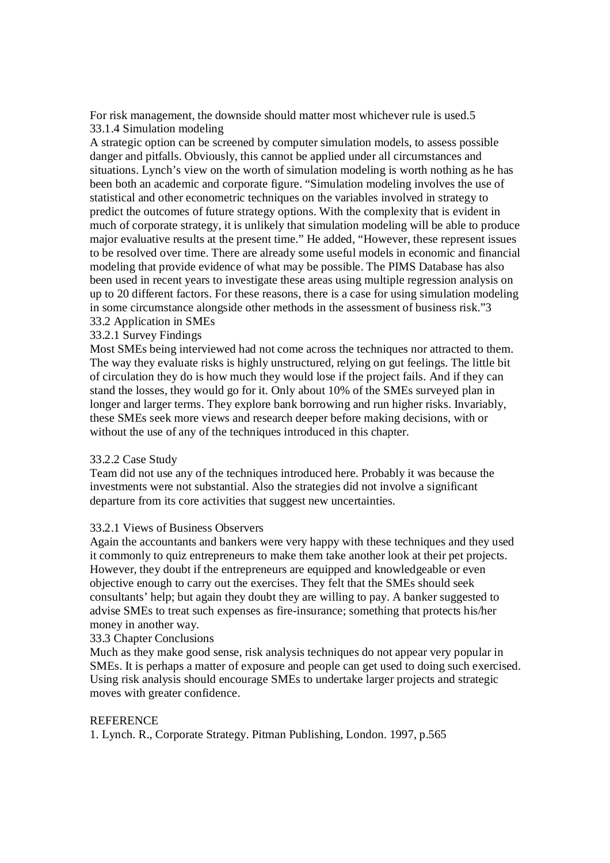For risk management, the downside should matter most whichever rule is used.5 33.1.4 Simulation modeling

A strategic option can be screened by computer simulation models, to assess possible danger and pitfalls. Obviously, this cannot be applied under all circumstances and situations. Lynch's view on the worth of simulation modeling is worth nothing as he has been both an academic and corporate figure. "Simulation modeling involves the use of statistical and other econometric techniques on the variables involved in strategy to predict the outcomes of future strategy options. With the complexity that is evident in much of corporate strategy, it is unlikely that simulation modeling will be able to produce major evaluative results at the present time." He added, "However, these represent issues to be resolved over time. There are already some useful models in economic and financial modeling that provide evidence of what may be possible. The PIMS Database has also been used in recent years to investigate these areas using multiple regression analysis on up to 20 different factors. For these reasons, there is a case for using simulation modeling in some circumstance alongside other methods in the assessment of business risk."3 33.2 Application in SMEs

33.2.1 Survey Findings

Most SMEs being interviewed had not come across the techniques nor attracted to them. The way they evaluate risks is highly unstructured, relying on gut feelings. The little bit of circulation they do is how much they would lose if the project fails. And if they can stand the losses, they would go for it. Only about 10% of the SMEs surveyed plan in longer and larger terms. They explore bank borrowing and run higher risks. Invariably, these SMEs seek more views and research deeper before making decisions, with or without the use of any of the techniques introduced in this chapter.

### 33.2.2 Case Study

Team did not use any of the techniques introduced here. Probably it was because the investments were not substantial. Also the strategies did not involve a significant departure from its core activities that suggest new uncertainties.

#### 33.2.1 Views of Business Observers

Again the accountants and bankers were very happy with these techniques and they used it commonly to quiz entrepreneurs to make them take another look at their pet projects. However, they doubt if the entrepreneurs are equipped and knowledgeable or even objective enough to carry out the exercises. They felt that the SMEs should seek consultants' help; but again they doubt they are willing to pay. A banker suggested to advise SMEs to treat such expenses as fire-insurance; something that protects his/her money in another way.

#### 33.3 Chapter Conclusions

Much as they make good sense, risk analysis techniques do not appear very popular in SMEs. It is perhaps a matter of exposure and people can get used to doing such exercised. Using risk analysis should encourage SMEs to undertake larger projects and strategic moves with greater confidence.

#### **REFERENCE**

1. Lynch. R., Corporate Strategy. Pitman Publishing, London. 1997, p.565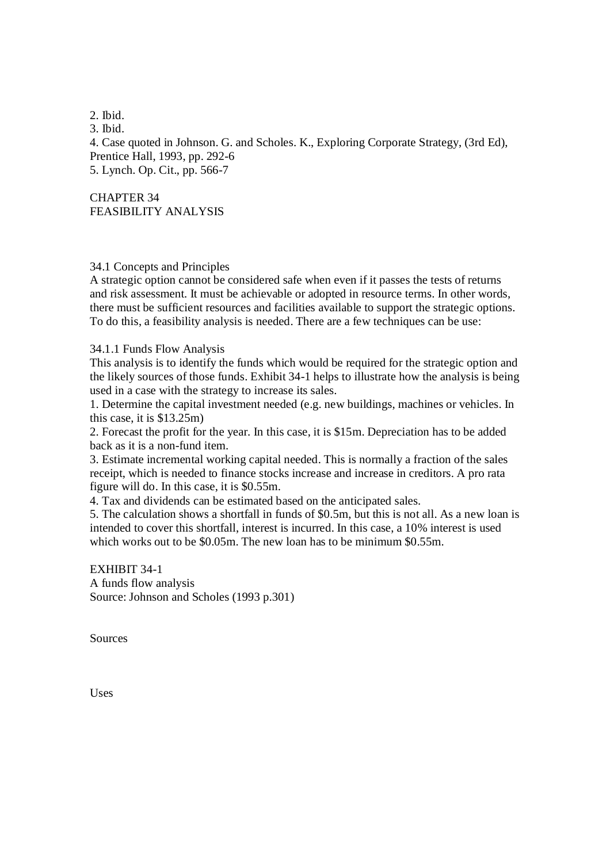2. Ibid. 3. Ibid. 4. Case quoted in Johnson. G. and Scholes. K., Exploring Corporate Strategy, (3rd Ed), Prentice Hall, 1993, pp. 292-6 5. Lynch. Op. Cit., pp. 566-7

CHAPTER 34 FEASIBILITY ANALYSIS

### 34.1 Concepts and Principles

A strategic option cannot be considered safe when even if it passes the tests of returns and risk assessment. It must be achievable or adopted in resource terms. In other words, there must be sufficient resources and facilities available to support the strategic options. To do this, a feasibility analysis is needed. There are a few techniques can be use:

34.1.1 Funds Flow Analysis

This analysis is to identify the funds which would be required for the strategic option and the likely sources of those funds. Exhibit 34-1 helps to illustrate how the analysis is being used in a case with the strategy to increase its sales.

1. Determine the capital investment needed (e.g. new buildings, machines or vehicles. In this case, it is \$13.25m)

2. Forecast the profit for the year. In this case, it is \$15m. Depreciation has to be added back as it is a non-fund item.

3. Estimate incremental working capital needed. This is normally a fraction of the sales receipt, which is needed to finance stocks increase and increase in creditors. A pro rata figure will do. In this case, it is \$0.55m.

4. Tax and dividends can be estimated based on the anticipated sales.

5. The calculation shows a shortfall in funds of \$0.5m, but this is not all. As a new loan is intended to cover this shortfall, interest is incurred. In this case, a 10% interest is used which works out to be \$0.05m. The new loan has to be minimum \$0.55m.

EXHIBIT 34-1 A funds flow analysis Source: Johnson and Scholes (1993 p.301)

Sources

Uses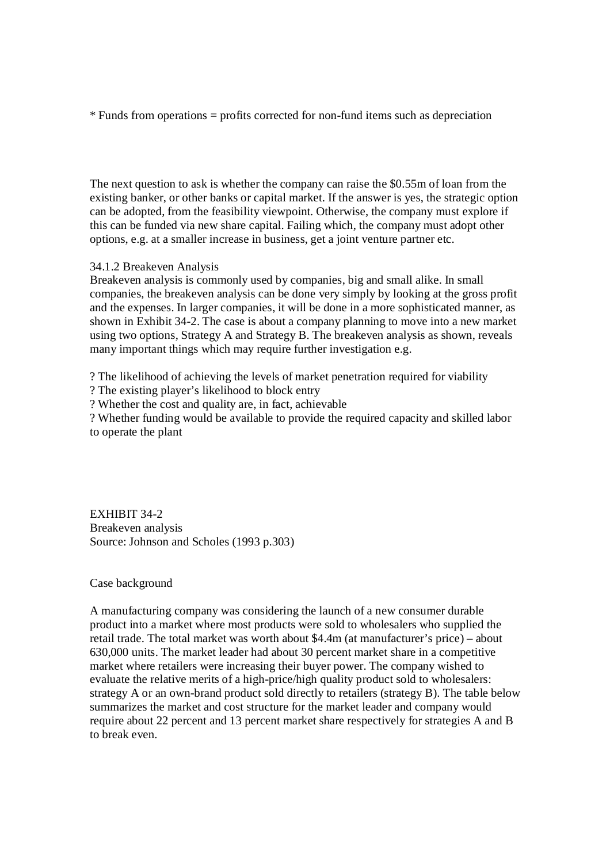\* Funds from operations = profits corrected for non-fund items such as depreciation

The next question to ask is whether the company can raise the \$0.55m of loan from the existing banker, or other banks or capital market. If the answer is yes, the strategic option can be adopted, from the feasibility viewpoint. Otherwise, the company must explore if this can be funded via new share capital. Failing which, the company must adopt other options, e.g. at a smaller increase in business, get a joint venture partner etc.

## 34.1.2 Breakeven Analysis

Breakeven analysis is commonly used by companies, big and small alike. In small companies, the breakeven analysis can be done very simply by looking at the gross profit and the expenses. In larger companies, it will be done in a more sophisticated manner, as shown in Exhibit 34-2. The case is about a company planning to move into a new market using two options, Strategy A and Strategy B. The breakeven analysis as shown, reveals many important things which may require further investigation e.g.

? The likelihood of achieving the levels of market penetration required for viability

? The existing player's likelihood to block entry

? Whether the cost and quality are, in fact, achievable

? Whether funding would be available to provide the required capacity and skilled labor to operate the plant

EXHIBIT 34-2 Breakeven analysis Source: Johnson and Scholes (1993 p.303)

Case background

A manufacturing company was considering the launch of a new consumer durable product into a market where most products were sold to wholesalers who supplied the retail trade. The total market was worth about \$4.4m (at manufacturer's price) – about 630,000 units. The market leader had about 30 percent market share in a competitive market where retailers were increasing their buyer power. The company wished to evaluate the relative merits of a high-price/high quality product sold to wholesalers: strategy A or an own-brand product sold directly to retailers (strategy B). The table below summarizes the market and cost structure for the market leader and company would require about 22 percent and 13 percent market share respectively for strategies A and B to break even.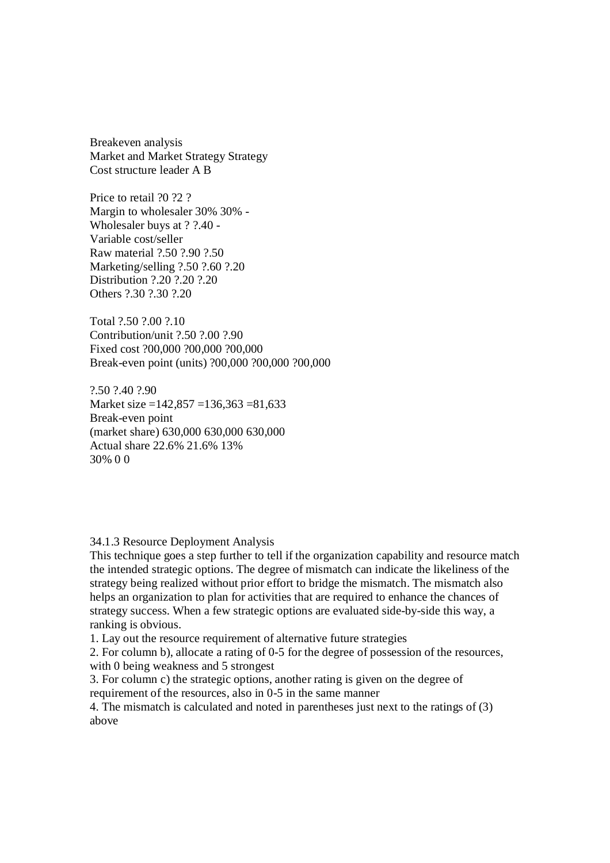Breakeven analysis Market and Market Strategy Strategy Cost structure leader A B

Price to retail ?0 ?2 ? Margin to wholesaler 30% 30% - Wholesaler buys at ? ?.40 - Variable cost/seller Raw material ?.50 ?.90 ?.50 Marketing/selling ?.50 ?.60 ?.20 Distribution ?.20 ?.20 ?.20 Others ?.30 ?.30 ?.20

Total ?.50 ?.00 ?.10 Contribution/unit ?.50 ?.00 ?.90 Fixed cost ?00,000 ?00,000 ?00,000 Break-even point (units) ?00,000 ?00,000 ?00,000

?.50 ?.40 ?.90 Market size =142,857 =136,363 =81,633 Break-even point (market share) 630,000 630,000 630,000 Actual share 22.6% 21.6% 13% 30% 0 0

34.1.3 Resource Deployment Analysis

This technique goes a step further to tell if the organization capability and resource match the intended strategic options. The degree of mismatch can indicate the likeliness of the strategy being realized without prior effort to bridge the mismatch. The mismatch also helps an organization to plan for activities that are required to enhance the chances of strategy success. When a few strategic options are evaluated side-by-side this way, a ranking is obvious.

1. Lay out the resource requirement of alternative future strategies

2. For column b), allocate a rating of 0-5 for the degree of possession of the resources, with 0 being weakness and 5 strongest

3. For column c) the strategic options, another rating is given on the degree of requirement of the resources, also in 0-5 in the same manner

4. The mismatch is calculated and noted in parentheses just next to the ratings of (3) above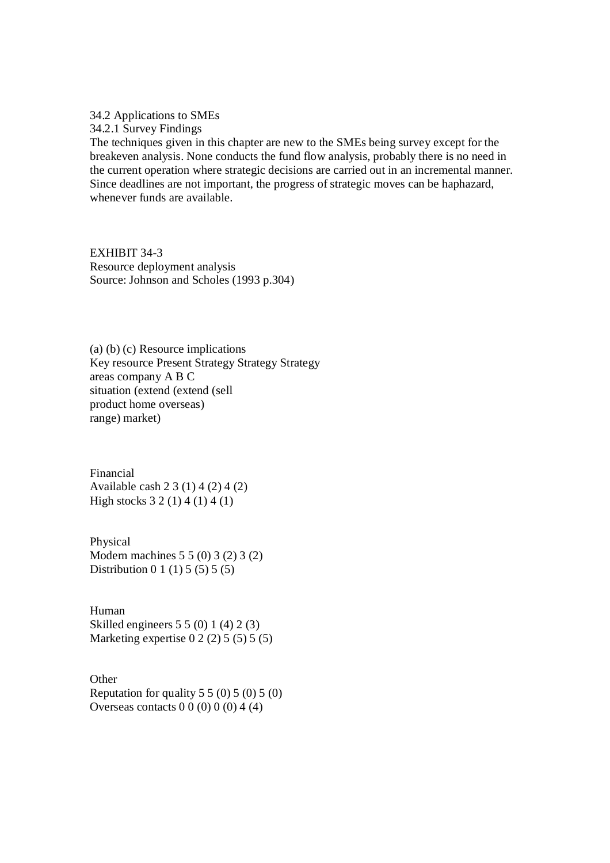34.2 Applications to SMEs

34.2.1 Survey Findings

The techniques given in this chapter are new to the SMEs being survey except for the breakeven analysis. None conducts the fund flow analysis, probably there is no need in the current operation where strategic decisions are carried out in an incremental manner. Since deadlines are not important, the progress of strategic moves can be haphazard, whenever funds are available.

EXHIBIT 34-3 Resource deployment analysis Source: Johnson and Scholes (1993 p.304)

(a) (b) (c) Resource implications Key resource Present Strategy Strategy Strategy areas company A B C situation (extend (extend (sell product home overseas) range) market)

Financial Available cash 2 3 (1) 4 (2) 4 (2) High stocks 3 2 (1) 4 (1) 4 (1)

Physical Modern machines 5 5 (0) 3 (2) 3 (2) Distribution 0 1 (1) 5 (5) 5 (5)

Human Skilled engineers 5 5 (0) 1 (4) 2 (3) Marketing expertise  $0\ 2\ (2)\ 5\ (5)\ 5\ (5)$ 

**Other** Reputation for quality  $5\ 5\ (0)\ 5\ (0)\ 5\ (0)$ Overseas contacts  $0 \ 0 \ (0) \ 0 \ (0) \ 4 \ (4)$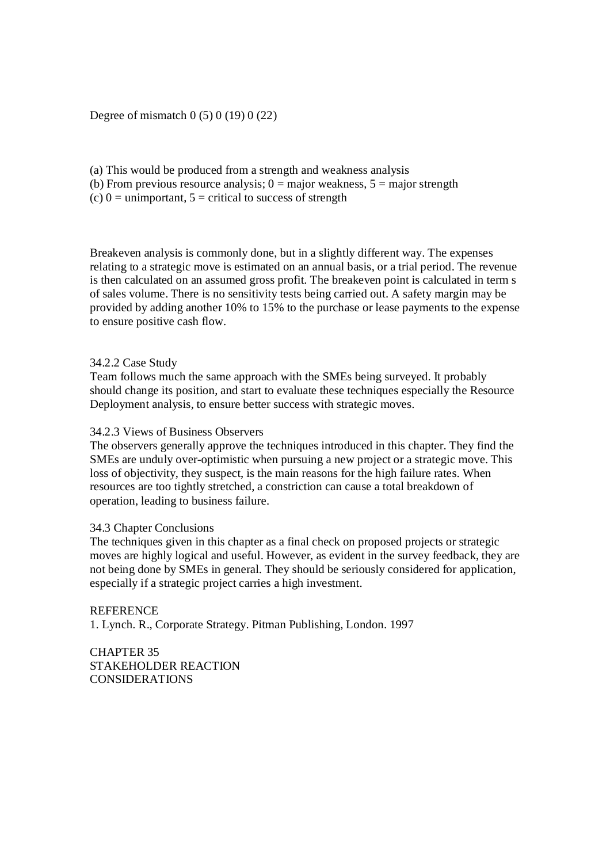Degree of mismatch 0 (5) 0 (19) 0 (22)

- (a) This would be produced from a strength and weakness analysis
- (b) From previous resource analysis;  $0 = \text{major}$  weakness,  $5 = \text{major}$  strength

(c)  $0 =$  unimportant,  $5 =$  critical to success of strength

Breakeven analysis is commonly done, but in a slightly different way. The expenses relating to a strategic move is estimated on an annual basis, or a trial period. The revenue is then calculated on an assumed gross profit. The breakeven point is calculated in term s of sales volume. There is no sensitivity tests being carried out. A safety margin may be provided by adding another 10% to 15% to the purchase or lease payments to the expense to ensure positive cash flow.

## 34.2.2 Case Study

Team follows much the same approach with the SMEs being surveyed. It probably should change its position, and start to evaluate these techniques especially the Resource Deployment analysis, to ensure better success with strategic moves.

### 34.2.3 Views of Business Observers

The observers generally approve the techniques introduced in this chapter. They find the SMEs are unduly over-optimistic when pursuing a new project or a strategic move. This loss of objectivity, they suspect, is the main reasons for the high failure rates. When resources are too tightly stretched, a constriction can cause a total breakdown of operation, leading to business failure.

### 34.3 Chapter Conclusions

The techniques given in this chapter as a final check on proposed projects or strategic moves are highly logical and useful. However, as evident in the survey feedback, they are not being done by SMEs in general. They should be seriously considered for application, especially if a strategic project carries a high investment.

**REFERENCE** 1. Lynch. R., Corporate Strategy. Pitman Publishing, London. 1997

CHAPTER 35 STAKEHOLDER REACTION CONSIDERATIONS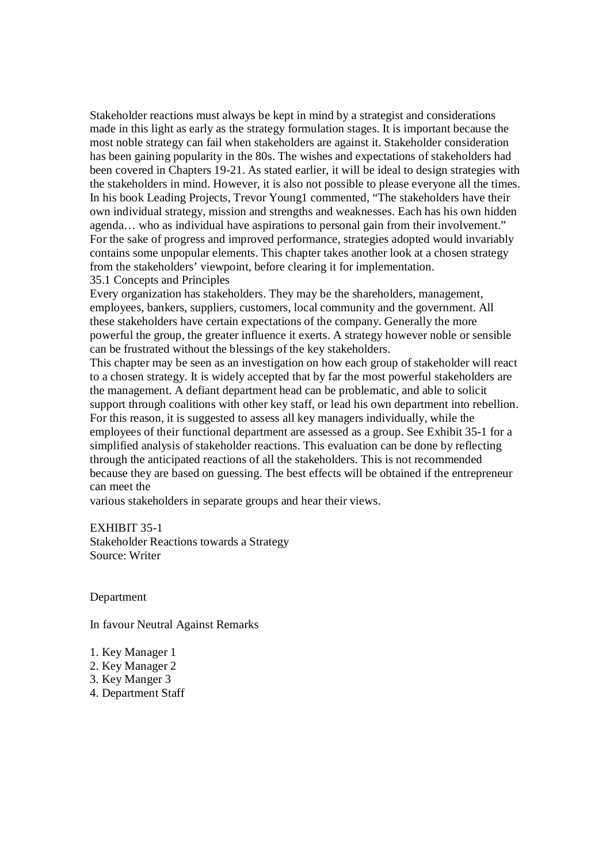Stakeholder reactions must always be kept in mind by a strategist and considerations made in this light as early as the strategy formulation stages. It is important because the most noble strategy can fail when stakeholders are against it. Stakeholder consideration has been gaining popularity in the 80s. The wishes and expectations of stakeholders had been covered in Chapters 19-21. As stated earlier, it will be ideal to design strategies with the stakeholders in mind. However, it is also not possible to please everyone all the times. In his book Leading Projects, Trevor Young1 commented, "The stakeholders have their own individual strategy, mission and strengths and weaknesses. Each has his own hidden agenda… who as individual have aspirations to personal gain from their involvement." For the sake of progress and improved performance, strategies adopted would invariably contains some unpopular elements. This chapter takes another look at a chosen strategy from the stakeholders' viewpoint, before clearing it for implementation. 35.1 Concepts and Principles

Every organization has stakeholders. They may be the shareholders, management, employees, bankers, suppliers, customers, local community and the government. All these stakeholders have certain expectations of the company. Generally the more powerful the group, the greater influence it exerts. A strategy however noble or sensible can be frustrated without the blessings of the key stakeholders.

This chapter may be seen as an investigation on how each group of stakeholder will react to a chosen strategy. It is widely accepted that by far the most powerful stakeholders are the management. A defiant department head can be problematic, and able to solicit support through coalitions with other key staff, or lead his own department into rebellion. For this reason, it is suggested to assess all key managers individually, while the employees of their functional department are assessed as a group. See Exhibit 35-1 for a simplified analysis of stakeholder reactions. This evaluation can be done by reflecting through the anticipated reactions of all the stakeholders. This is not recommended because they are based on guessing. The best effects will be obtained if the entrepreneur can meet the

various stakeholders in separate groups and hear their views.

EXHIBIT 35-1 Stakeholder Reactions towards a Strategy Source: Writer

Department

In favour Neutral Against Remarks

- 1. Key Manager 1
- 2. Key Manager 2
- 3. Key Manger 3
- 4. Department Staff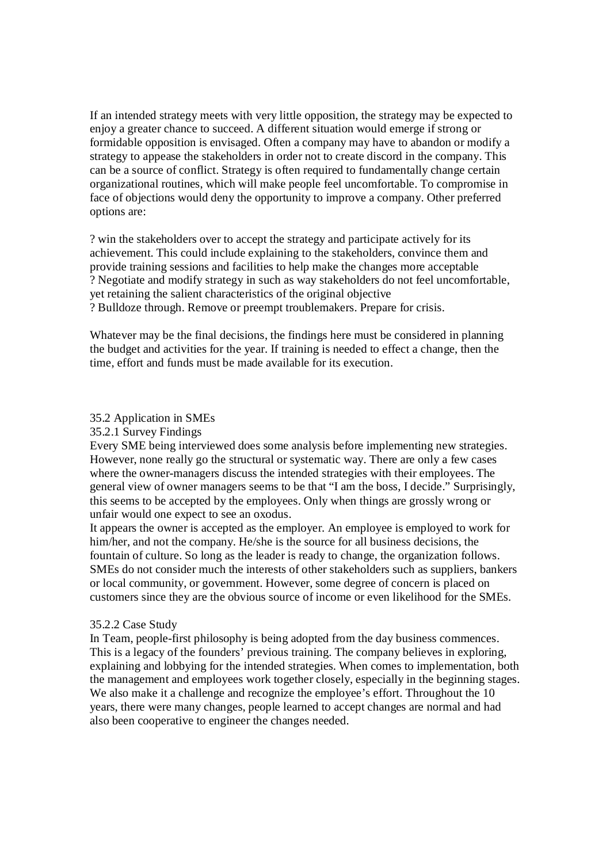If an intended strategy meets with very little opposition, the strategy may be expected to enjoy a greater chance to succeed. A different situation would emerge if strong or formidable opposition is envisaged. Often a company may have to abandon or modify a strategy to appease the stakeholders in order not to create discord in the company. This can be a source of conflict. Strategy is often required to fundamentally change certain organizational routines, which will make people feel uncomfortable. To compromise in face of objections would deny the opportunity to improve a company. Other preferred options are:

? win the stakeholders over to accept the strategy and participate actively for its achievement. This could include explaining to the stakeholders, convince them and provide training sessions and facilities to help make the changes more acceptable ? Negotiate and modify strategy in such as way stakeholders do not feel uncomfortable, yet retaining the salient characteristics of the original objective ? Bulldoze through. Remove or preempt troublemakers. Prepare for crisis.

Whatever may be the final decisions, the findings here must be considered in planning the budget and activities for the year. If training is needed to effect a change, then the time, effort and funds must be made available for its execution.

#### 35.2 Application in SMEs

35.2.1 Survey Findings

Every SME being interviewed does some analysis before implementing new strategies. However, none really go the structural or systematic way. There are only a few cases where the owner-managers discuss the intended strategies with their employees. The general view of owner managers seems to be that "I am the boss, I decide." Surprisingly, this seems to be accepted by the employees. Only when things are grossly wrong or unfair would one expect to see an oxodus.

It appears the owner is accepted as the employer. An employee is employed to work for him/her, and not the company. He/she is the source for all business decisions, the fountain of culture. So long as the leader is ready to change, the organization follows. SMEs do not consider much the interests of other stakeholders such as suppliers, bankers or local community, or government. However, some degree of concern is placed on customers since they are the obvious source of income or even likelihood for the SMEs.

#### 35.2.2 Case Study

In Team, people-first philosophy is being adopted from the day business commences. This is a legacy of the founders' previous training. The company believes in exploring, explaining and lobbying for the intended strategies. When comes to implementation, both the management and employees work together closely, especially in the beginning stages. We also make it a challenge and recognize the employee's effort. Throughout the 10 years, there were many changes, people learned to accept changes are normal and had also been cooperative to engineer the changes needed.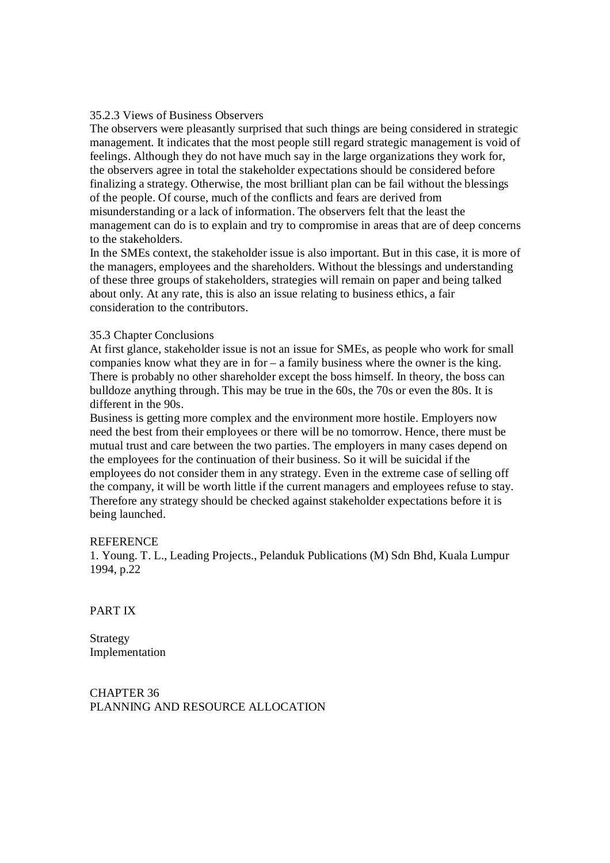#### 35.2.3 Views of Business Observers

The observers were pleasantly surprised that such things are being considered in strategic management. It indicates that the most people still regard strategic management is void of feelings. Although they do not have much say in the large organizations they work for, the observers agree in total the stakeholder expectations should be considered before finalizing a strategy. Otherwise, the most brilliant plan can be fail without the blessings of the people. Of course, much of the conflicts and fears are derived from misunderstanding or a lack of information. The observers felt that the least the management can do is to explain and try to compromise in areas that are of deep concerns to the stakeholders.

In the SMEs context, the stakeholder issue is also important. But in this case, it is more of the managers, employees and the shareholders. Without the blessings and understanding of these three groups of stakeholders, strategies will remain on paper and being talked about only. At any rate, this is also an issue relating to business ethics, a fair consideration to the contributors.

### 35.3 Chapter Conclusions

At first glance, stakeholder issue is not an issue for SMEs, as people who work for small companies know what they are in for – a family business where the owner is the king. There is probably no other shareholder except the boss himself. In theory, the boss can bulldoze anything through. This may be true in the 60s, the 70s or even the 80s. It is different in the 90s.

Business is getting more complex and the environment more hostile. Employers now need the best from their employees or there will be no tomorrow. Hence, there must be mutual trust and care between the two parties. The employers in many cases depend on the employees for the continuation of their business. So it will be suicidal if the employees do not consider them in any strategy. Even in the extreme case of selling off the company, it will be worth little if the current managers and employees refuse to stay. Therefore any strategy should be checked against stakeholder expectations before it is being launched.

#### **REFERENCE**

1. Young. T. L., Leading Projects., Pelanduk Publications (M) Sdn Bhd, Kuala Lumpur 1994, p.22

PART IX

Strategy Implementation

CHAPTER 36 PLANNING AND RESOURCE ALLOCATION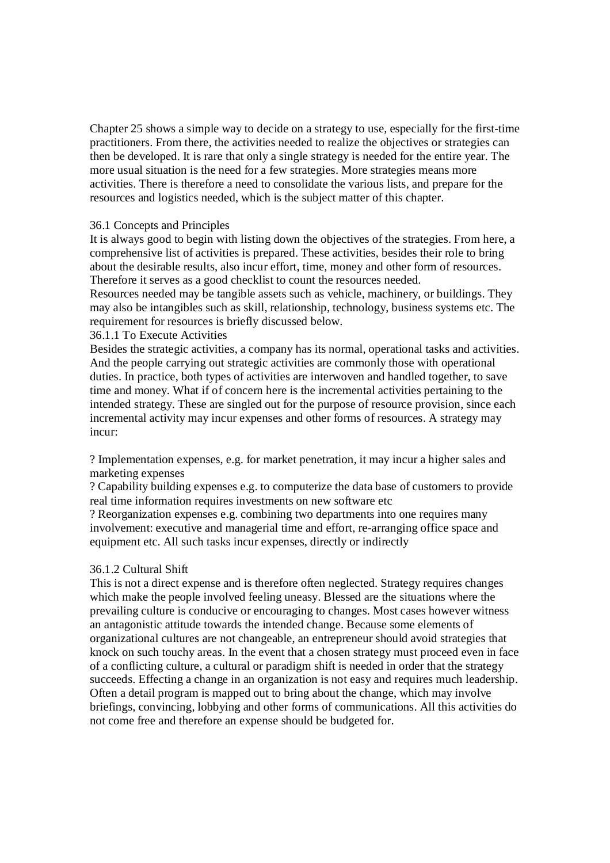Chapter 25 shows a simple way to decide on a strategy to use, especially for the first-time practitioners. From there, the activities needed to realize the objectives or strategies can then be developed. It is rare that only a single strategy is needed for the entire year. The more usual situation is the need for a few strategies. More strategies means more activities. There is therefore a need to consolidate the various lists, and prepare for the resources and logistics needed, which is the subject matter of this chapter.

### 36.1 Concepts and Principles

It is always good to begin with listing down the objectives of the strategies. From here, a comprehensive list of activities is prepared. These activities, besides their role to bring about the desirable results, also incur effort, time, money and other form of resources. Therefore it serves as a good checklist to count the resources needed.

Resources needed may be tangible assets such as vehicle, machinery, or buildings. They may also be intangibles such as skill, relationship, technology, business systems etc. The requirement for resources is briefly discussed below.

### 36.1.1 To Execute Activities

Besides the strategic activities, a company has its normal, operational tasks and activities. And the people carrying out strategic activities are commonly those with operational duties. In practice, both types of activities are interwoven and handled together, to save time and money. What if of concern here is the incremental activities pertaining to the intended strategy. These are singled out for the purpose of resource provision, since each incremental activity may incur expenses and other forms of resources. A strategy may incur:

? Implementation expenses, e.g. for market penetration, it may incur a higher sales and marketing expenses

? Capability building expenses e.g. to computerize the data base of customers to provide real time information requires investments on new software etc

? Reorganization expenses e.g. combining two departments into one requires many involvement: executive and managerial time and effort, re-arranging office space and equipment etc. All such tasks incur expenses, directly or indirectly

### 36.1.2 Cultural Shift

This is not a direct expense and is therefore often neglected. Strategy requires changes which make the people involved feeling uneasy. Blessed are the situations where the prevailing culture is conducive or encouraging to changes. Most cases however witness an antagonistic attitude towards the intended change. Because some elements of organizational cultures are not changeable, an entrepreneur should avoid strategies that knock on such touchy areas. In the event that a chosen strategy must proceed even in face of a conflicting culture, a cultural or paradigm shift is needed in order that the strategy succeeds. Effecting a change in an organization is not easy and requires much leadership. Often a detail program is mapped out to bring about the change, which may involve briefings, convincing, lobbying and other forms of communications. All this activities do not come free and therefore an expense should be budgeted for.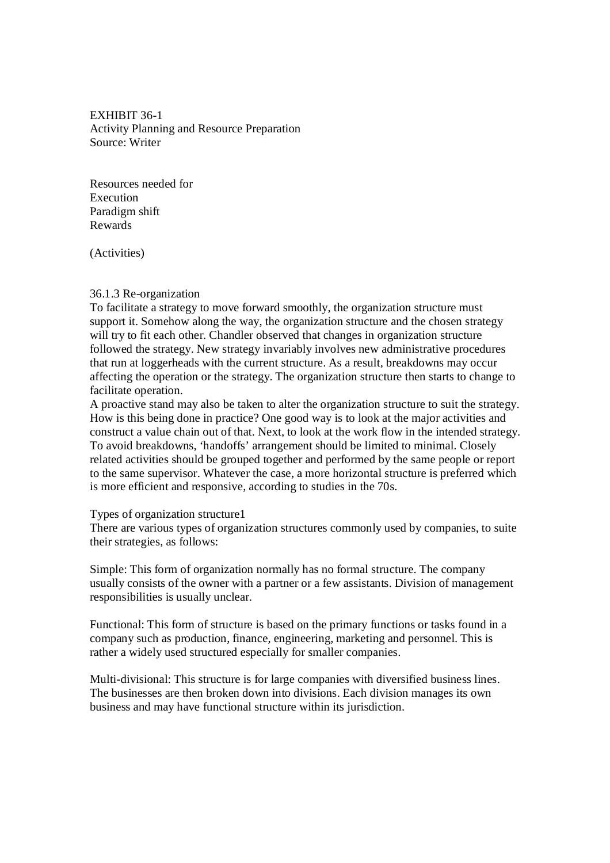EXHIBIT 36-1 Activity Planning and Resource Preparation Source: Writer

Resources needed for Execution Paradigm shift Rewards

(Activities)

#### 36.1.3 Re-organization

To facilitate a strategy to move forward smoothly, the organization structure must support it. Somehow along the way, the organization structure and the chosen strategy will try to fit each other. Chandler observed that changes in organization structure followed the strategy. New strategy invariably involves new administrative procedures that run at loggerheads with the current structure. As a result, breakdowns may occur affecting the operation or the strategy. The organization structure then starts to change to facilitate operation.

A proactive stand may also be taken to alter the organization structure to suit the strategy. How is this being done in practice? One good way is to look at the major activities and construct a value chain out of that. Next, to look at the work flow in the intended strategy. To avoid breakdowns, 'handoffs' arrangement should be limited to minimal. Closely related activities should be grouped together and performed by the same people or report to the same supervisor. Whatever the case, a more horizontal structure is preferred which is more efficient and responsive, according to studies in the 70s.

#### Types of organization structure1

There are various types of organization structures commonly used by companies, to suite their strategies, as follows:

Simple: This form of organization normally has no formal structure. The company usually consists of the owner with a partner or a few assistants. Division of management responsibilities is usually unclear.

Functional: This form of structure is based on the primary functions or tasks found in a company such as production, finance, engineering, marketing and personnel. This is rather a widely used structured especially for smaller companies.

Multi-divisional: This structure is for large companies with diversified business lines. The businesses are then broken down into divisions. Each division manages its own business and may have functional structure within its jurisdiction.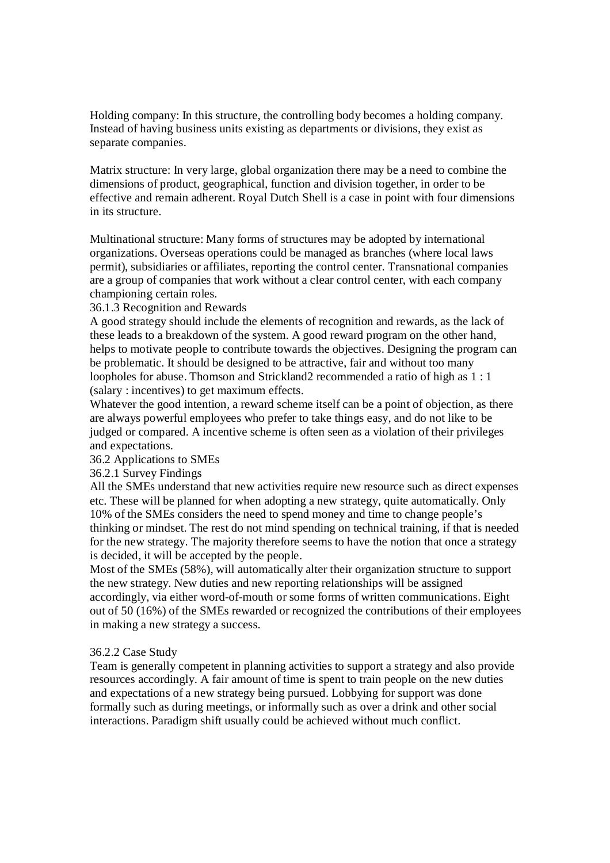Holding company: In this structure, the controlling body becomes a holding company. Instead of having business units existing as departments or divisions, they exist as separate companies.

Matrix structure: In very large, global organization there may be a need to combine the dimensions of product, geographical, function and division together, in order to be effective and remain adherent. Royal Dutch Shell is a case in point with four dimensions in its structure.

Multinational structure: Many forms of structures may be adopted by international organizations. Overseas operations could be managed as branches (where local laws permit), subsidiaries or affiliates, reporting the control center. Transnational companies are a group of companies that work without a clear control center, with each company championing certain roles.

# 36.1.3 Recognition and Rewards

A good strategy should include the elements of recognition and rewards, as the lack of these leads to a breakdown of the system. A good reward program on the other hand, helps to motivate people to contribute towards the objectives. Designing the program can be problematic. It should be designed to be attractive, fair and without too many loopholes for abuse. Thomson and Strickland2 recommended a ratio of high as 1 : 1 (salary : incentives) to get maximum effects.

Whatever the good intention, a reward scheme itself can be a point of objection, as there are always powerful employees who prefer to take things easy, and do not like to be judged or compared. A incentive scheme is often seen as a violation of their privileges and expectations.

# 36.2 Applications to SMEs

36.2.1 Survey Findings

All the SMEs understand that new activities require new resource such as direct expenses etc. These will be planned for when adopting a new strategy, quite automatically. Only 10% of the SMEs considers the need to spend money and time to change people's thinking or mindset. The rest do not mind spending on technical training, if that is needed for the new strategy. The majority therefore seems to have the notion that once a strategy is decided, it will be accepted by the people.

Most of the SMEs (58%), will automatically alter their organization structure to support the new strategy. New duties and new reporting relationships will be assigned accordingly, via either word-of-mouth or some forms of written communications. Eight out of 50 (16%) of the SMEs rewarded or recognized the contributions of their employees in making a new strategy a success.

# 36.2.2 Case Study

Team is generally competent in planning activities to support a strategy and also provide resources accordingly. A fair amount of time is spent to train people on the new duties and expectations of a new strategy being pursued. Lobbying for support was done formally such as during meetings, or informally such as over a drink and other social interactions. Paradigm shift usually could be achieved without much conflict.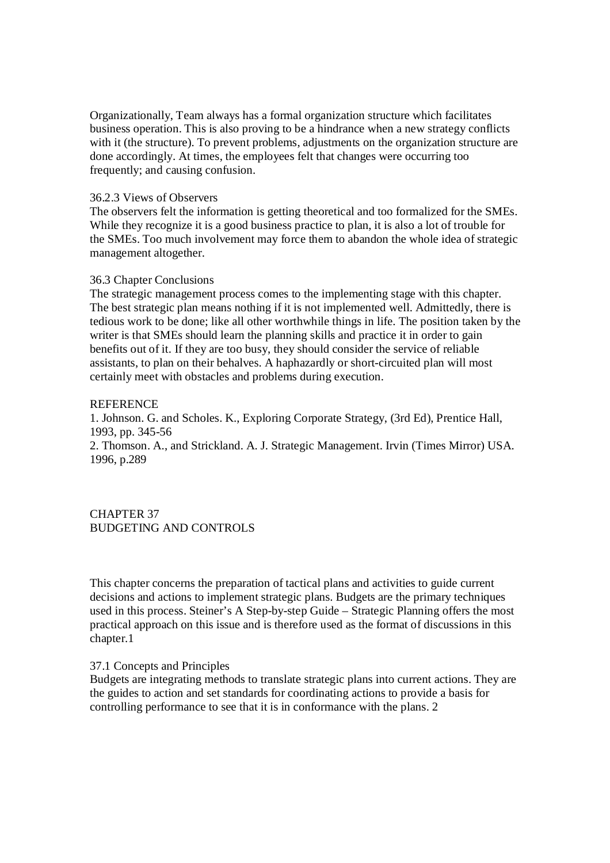Organizationally, Team always has a formal organization structure which facilitates business operation. This is also proving to be a hindrance when a new strategy conflicts with it (the structure). To prevent problems, adjustments on the organization structure are done accordingly. At times, the employees felt that changes were occurring too frequently; and causing confusion.

### 36.2.3 Views of Observers

The observers felt the information is getting theoretical and too formalized for the SMEs. While they recognize it is a good business practice to plan, it is also a lot of trouble for the SMEs. Too much involvement may force them to abandon the whole idea of strategic management altogether.

## 36.3 Chapter Conclusions

The strategic management process comes to the implementing stage with this chapter. The best strategic plan means nothing if it is not implemented well. Admittedly, there is tedious work to be done; like all other worthwhile things in life. The position taken by the writer is that SMEs should learn the planning skills and practice it in order to gain benefits out of it. If they are too busy, they should consider the service of reliable assistants, to plan on their behalves. A haphazardly or short-circuited plan will most certainly meet with obstacles and problems during execution.

## **REFERENCE**

1. Johnson. G. and Scholes. K., Exploring Corporate Strategy, (3rd Ed), Prentice Hall, 1993, pp. 345-56

2. Thomson. A., and Strickland. A. J. Strategic Management. Irvin (Times Mirror) USA. 1996, p.289

CHAPTER 37 BUDGETING AND CONTROLS

This chapter concerns the preparation of tactical plans and activities to guide current decisions and actions to implement strategic plans. Budgets are the primary techniques used in this process. Steiner's A Step-by-step Guide – Strategic Planning offers the most practical approach on this issue and is therefore used as the format of discussions in this chapter.1

# 37.1 Concepts and Principles

Budgets are integrating methods to translate strategic plans into current actions. They are the guides to action and set standards for coordinating actions to provide a basis for controlling performance to see that it is in conformance with the plans. 2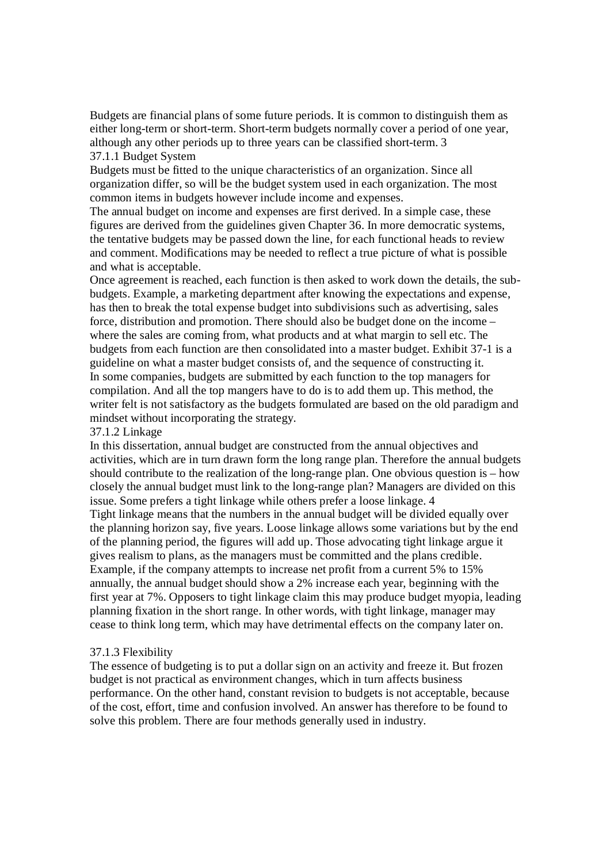Budgets are financial plans of some future periods. It is common to distinguish them as either long-term or short-term. Short-term budgets normally cover a period of one year, although any other periods up to three years can be classified short-term. 3 37.1.1 Budget System

Budgets must be fitted to the unique characteristics of an organization. Since all organization differ, so will be the budget system used in each organization. The most common items in budgets however include income and expenses.

The annual budget on income and expenses are first derived. In a simple case, these figures are derived from the guidelines given Chapter 36. In more democratic systems, the tentative budgets may be passed down the line, for each functional heads to review and comment. Modifications may be needed to reflect a true picture of what is possible and what is acceptable.

Once agreement is reached, each function is then asked to work down the details, the subbudgets. Example, a marketing department after knowing the expectations and expense, has then to break the total expense budget into subdivisions such as advertising, sales force, distribution and promotion. There should also be budget done on the income – where the sales are coming from, what products and at what margin to sell etc. The budgets from each function are then consolidated into a master budget. Exhibit 37-1 is a guideline on what a master budget consists of, and the sequence of constructing it. In some companies, budgets are submitted by each function to the top managers for compilation. And all the top mangers have to do is to add them up. This method, the writer felt is not satisfactory as the budgets formulated are based on the old paradigm and mindset without incorporating the strategy.

#### 37.1.2 Linkage

In this dissertation, annual budget are constructed from the annual objectives and activities, which are in turn drawn form the long range plan. Therefore the annual budgets should contribute to the realization of the long-range plan. One obvious question is – how closely the annual budget must link to the long-range plan? Managers are divided on this issue. Some prefers a tight linkage while others prefer a loose linkage. 4 Tight linkage means that the numbers in the annual budget will be divided equally over the planning horizon say, five years. Loose linkage allows some variations but by the end of the planning period, the figures will add up. Those advocating tight linkage argue it gives realism to plans, as the managers must be committed and the plans credible. Example, if the company attempts to increase net profit from a current 5% to 15% annually, the annual budget should show a 2% increase each year, beginning with the first year at 7%. Opposers to tight linkage claim this may produce budget myopia, leading planning fixation in the short range. In other words, with tight linkage, manager may cease to think long term, which may have detrimental effects on the company later on.

### 37.1.3 Flexibility

The essence of budgeting is to put a dollar sign on an activity and freeze it. But frozen budget is not practical as environment changes, which in turn affects business performance. On the other hand, constant revision to budgets is not acceptable, because of the cost, effort, time and confusion involved. An answer has therefore to be found to solve this problem. There are four methods generally used in industry.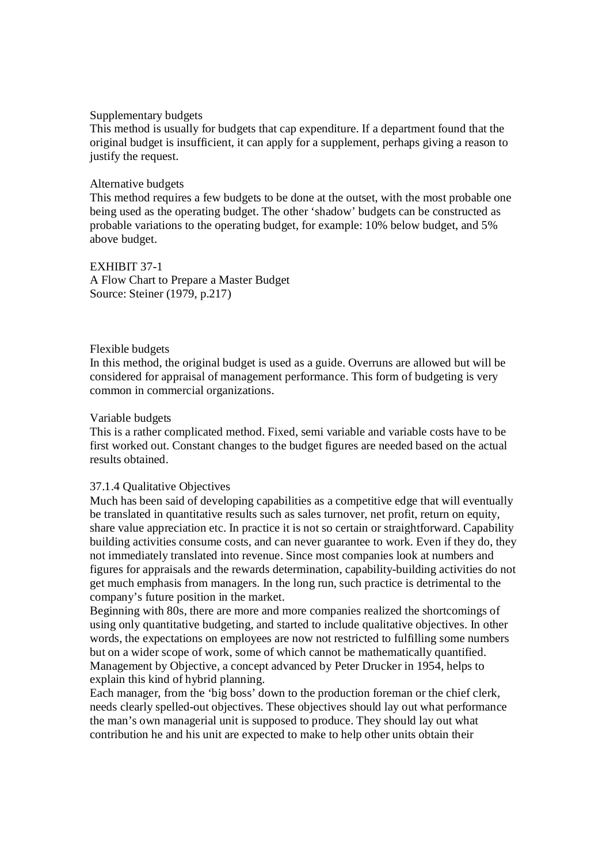#### Supplementary budgets

This method is usually for budgets that cap expenditure. If a department found that the original budget is insufficient, it can apply for a supplement, perhaps giving a reason to justify the request.

#### Alternative budgets

This method requires a few budgets to be done at the outset, with the most probable one being used as the operating budget. The other 'shadow' budgets can be constructed as probable variations to the operating budget, for example: 10% below budget, and 5% above budget.

EXHIBIT 37-1 A Flow Chart to Prepare a Master Budget Source: Steiner (1979, p.217)

#### Flexible budgets

In this method, the original budget is used as a guide. Overruns are allowed but will be considered for appraisal of management performance. This form of budgeting is very common in commercial organizations.

#### Variable budgets

This is a rather complicated method. Fixed, semi variable and variable costs have to be first worked out. Constant changes to the budget figures are needed based on the actual results obtained.

#### 37.1.4 Qualitative Objectives

Much has been said of developing capabilities as a competitive edge that will eventually be translated in quantitative results such as sales turnover, net profit, return on equity, share value appreciation etc. In practice it is not so certain or straightforward. Capability building activities consume costs, and can never guarantee to work. Even if they do, they not immediately translated into revenue. Since most companies look at numbers and figures for appraisals and the rewards determination, capability-building activities do not get much emphasis from managers. In the long run, such practice is detrimental to the company's future position in the market.

Beginning with 80s, there are more and more companies realized the shortcomings of using only quantitative budgeting, and started to include qualitative objectives. In other words, the expectations on employees are now not restricted to fulfilling some numbers but on a wider scope of work, some of which cannot be mathematically quantified. Management by Objective, a concept advanced by Peter Drucker in 1954, helps to explain this kind of hybrid planning.

Each manager, from the 'big boss' down to the production foreman or the chief clerk, needs clearly spelled-out objectives. These objectives should lay out what performance the man's own managerial unit is supposed to produce. They should lay out what contribution he and his unit are expected to make to help other units obtain their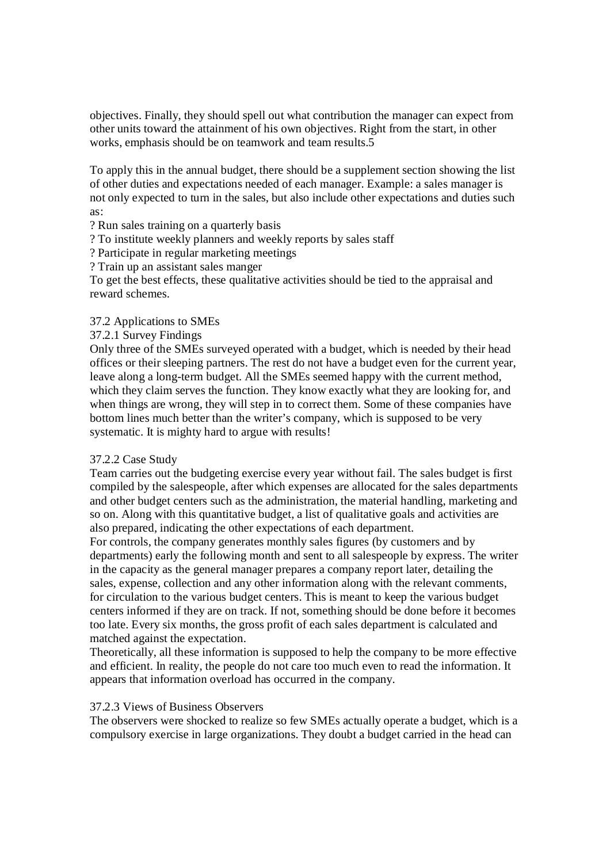objectives. Finally, they should spell out what contribution the manager can expect from other units toward the attainment of his own objectives. Right from the start, in other works, emphasis should be on teamwork and team results.5

To apply this in the annual budget, there should be a supplement section showing the list of other duties and expectations needed of each manager. Example: a sales manager is not only expected to turn in the sales, but also include other expectations and duties such as:

? Run sales training on a quarterly basis

? To institute weekly planners and weekly reports by sales staff

? Participate in regular marketing meetings

? Train up an assistant sales manger

To get the best effects, these qualitative activities should be tied to the appraisal and reward schemes.

# 37.2 Applications to SMEs

37.2.1 Survey Findings

Only three of the SMEs surveyed operated with a budget, which is needed by their head offices or their sleeping partners. The rest do not have a budget even for the current year, leave along a long-term budget. All the SMEs seemed happy with the current method, which they claim serves the function. They know exactly what they are looking for, and when things are wrong, they will step in to correct them. Some of these companies have bottom lines much better than the writer's company, which is supposed to be very systematic. It is mighty hard to argue with results!

# 37.2.2 Case Study

Team carries out the budgeting exercise every year without fail. The sales budget is first compiled by the salespeople, after which expenses are allocated for the sales departments and other budget centers such as the administration, the material handling, marketing and so on. Along with this quantitative budget, a list of qualitative goals and activities are also prepared, indicating the other expectations of each department.

For controls, the company generates monthly sales figures (by customers and by departments) early the following month and sent to all salespeople by express. The writer in the capacity as the general manager prepares a company report later, detailing the sales, expense, collection and any other information along with the relevant comments, for circulation to the various budget centers. This is meant to keep the various budget centers informed if they are on track. If not, something should be done before it becomes too late. Every six months, the gross profit of each sales department is calculated and matched against the expectation.

Theoretically, all these information is supposed to help the company to be more effective and efficient. In reality, the people do not care too much even to read the information. It appears that information overload has occurred in the company.

# 37.2.3 Views of Business Observers

The observers were shocked to realize so few SMEs actually operate a budget, which is a compulsory exercise in large organizations. They doubt a budget carried in the head can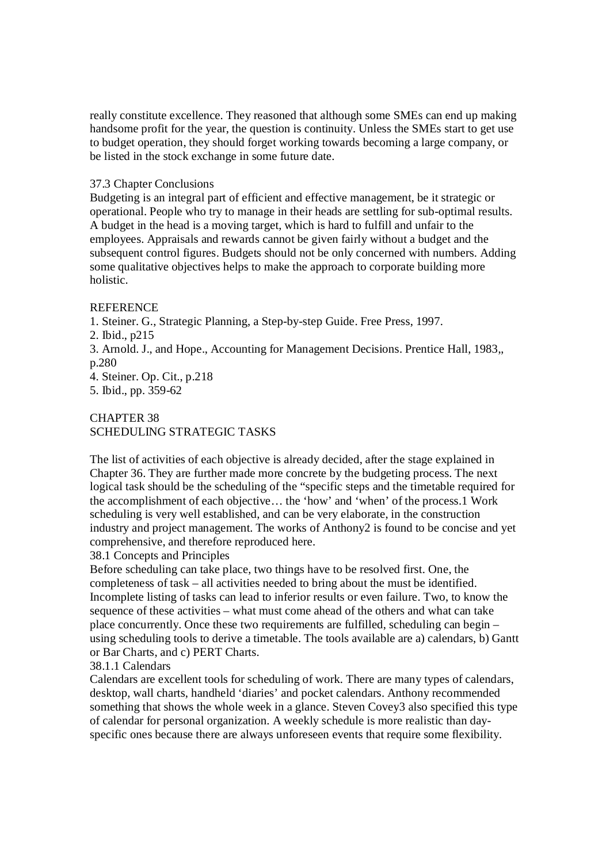really constitute excellence. They reasoned that although some SMEs can end up making handsome profit for the year, the question is continuity. Unless the SMEs start to get use to budget operation, they should forget working towards becoming a large company, or be listed in the stock exchange in some future date.

### 37.3 Chapter Conclusions

Budgeting is an integral part of efficient and effective management, be it strategic or operational. People who try to manage in their heads are settling for sub-optimal results. A budget in the head is a moving target, which is hard to fulfill and unfair to the employees. Appraisals and rewards cannot be given fairly without a budget and the subsequent control figures. Budgets should not be only concerned with numbers. Adding some qualitative objectives helps to make the approach to corporate building more holistic.

## REFERENCE

1. Steiner. G., Strategic Planning, a Step-by-step Guide. Free Press, 1997.

3. Arnold. J., and Hope., Accounting for Management Decisions. Prentice Hall, 1983,, p.280

4. Steiner. Op. Cit., p.218

5. Ibid., pp. 359-62

# CHAPTER 38 SCHEDULING STRATEGIC TASKS

The list of activities of each objective is already decided, after the stage explained in Chapter 36. They are further made more concrete by the budgeting process. The next logical task should be the scheduling of the "specific steps and the timetable required for the accomplishment of each objective… the 'how' and 'when' of the process.1 Work scheduling is very well established, and can be very elaborate, in the construction industry and project management. The works of Anthony2 is found to be concise and yet comprehensive, and therefore reproduced here.

38.1 Concepts and Principles

Before scheduling can take place, two things have to be resolved first. One, the completeness of task – all activities needed to bring about the must be identified. Incomplete listing of tasks can lead to inferior results or even failure. Two, to know the sequence of these activities – what must come ahead of the others and what can take place concurrently. Once these two requirements are fulfilled, scheduling can begin – using scheduling tools to derive a timetable. The tools available are a) calendars, b) Gantt or Bar Charts, and c) PERT Charts.

# 38.1.1 Calendars

Calendars are excellent tools for scheduling of work. There are many types of calendars, desktop, wall charts, handheld 'diaries' and pocket calendars. Anthony recommended something that shows the whole week in a glance. Steven Covey3 also specified this type of calendar for personal organization. A weekly schedule is more realistic than dayspecific ones because there are always unforeseen events that require some flexibility.

<sup>2.</sup> Ibid., p215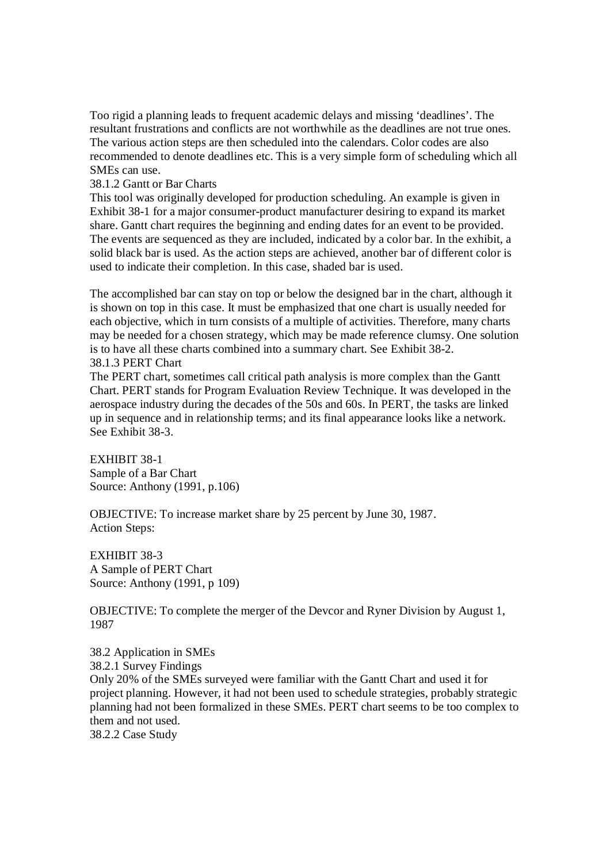Too rigid a planning leads to frequent academic delays and missing 'deadlines'. The resultant frustrations and conflicts are not worthwhile as the deadlines are not true ones. The various action steps are then scheduled into the calendars. Color codes are also recommended to denote deadlines etc. This is a very simple form of scheduling which all SMEs can use.

38.1.2 Gantt or Bar Charts

This tool was originally developed for production scheduling. An example is given in Exhibit 38-1 for a major consumer-product manufacturer desiring to expand its market share. Gantt chart requires the beginning and ending dates for an event to be provided. The events are sequenced as they are included, indicated by a color bar. In the exhibit, a solid black bar is used. As the action steps are achieved, another bar of different color is used to indicate their completion. In this case, shaded bar is used.

The accomplished bar can stay on top or below the designed bar in the chart, although it is shown on top in this case. It must be emphasized that one chart is usually needed for each objective, which in turn consists of a multiple of activities. Therefore, many charts may be needed for a chosen strategy, which may be made reference clumsy. One solution is to have all these charts combined into a summary chart. See Exhibit 38-2. 38.1.3 PERT Chart

The PERT chart, sometimes call critical path analysis is more complex than the Gantt Chart. PERT stands for Program Evaluation Review Technique. It was developed in the aerospace industry during the decades of the 50s and 60s. In PERT, the tasks are linked up in sequence and in relationship terms; and its final appearance looks like a network. See Exhibit 38-3.

EXHIBIT 38-1 Sample of a Bar Chart Source: Anthony (1991, p.106)

OBJECTIVE: To increase market share by 25 percent by June 30, 1987. Action Steps:

EXHIBIT 38-3 A Sample of PERT Chart Source: Anthony (1991, p 109)

OBJECTIVE: To complete the merger of the Devcor and Ryner Division by August 1, 1987

38.2 Application in SMEs 38.2.1 Survey Findings Only 20% of the SMEs surveyed were familiar with the Gantt Chart and used it for project planning. However, it had not been used to schedule strategies, probably strategic planning had not been formalized in these SMEs. PERT chart seems to be too complex to them and not used. 38.2.2 Case Study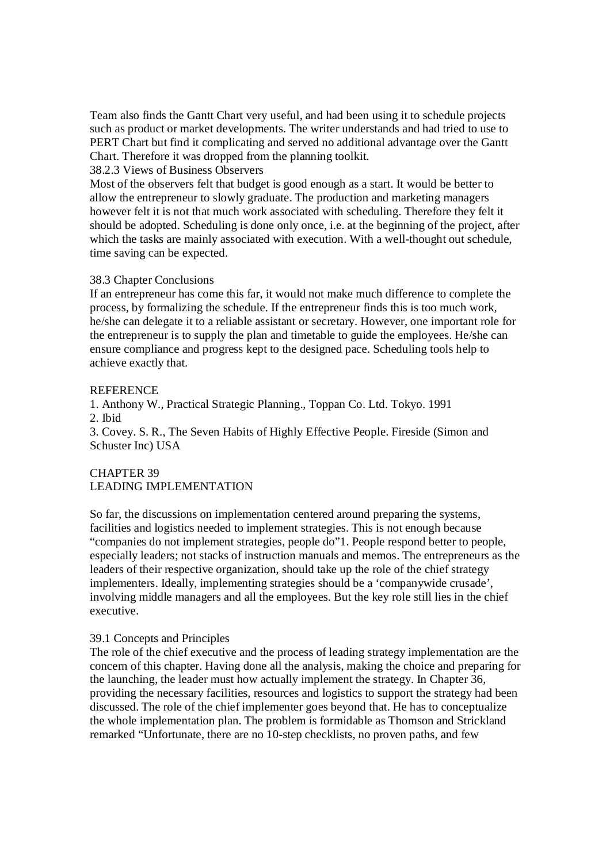Team also finds the Gantt Chart very useful, and had been using it to schedule projects such as product or market developments. The writer understands and had tried to use to PERT Chart but find it complicating and served no additional advantage over the Gantt Chart. Therefore it was dropped from the planning toolkit.

### 38.2.3 Views of Business Observers

Most of the observers felt that budget is good enough as a start. It would be better to allow the entrepreneur to slowly graduate. The production and marketing managers however felt it is not that much work associated with scheduling. Therefore they felt it should be adopted. Scheduling is done only once, i.e. at the beginning of the project, after which the tasks are mainly associated with execution. With a well-thought out schedule, time saving can be expected.

### 38.3 Chapter Conclusions

If an entrepreneur has come this far, it would not make much difference to complete the process, by formalizing the schedule. If the entrepreneur finds this is too much work, he/she can delegate it to a reliable assistant or secretary. However, one important role for the entrepreneur is to supply the plan and timetable to guide the employees. He/she can ensure compliance and progress kept to the designed pace. Scheduling tools help to achieve exactly that.

#### **REFERENCE**

1. Anthony W., Practical Strategic Planning., Toppan Co. Ltd. Tokyo. 1991 2. Ibid

3. Covey. S. R., The Seven Habits of Highly Effective People. Fireside (Simon and Schuster Inc) USA

## CHAPTER 39 LEADING IMPLEMENTATION

So far, the discussions on implementation centered around preparing the systems, facilities and logistics needed to implement strategies. This is not enough because "companies do not implement strategies, people do"1. People respond better to people, especially leaders; not stacks of instruction manuals and memos. The entrepreneurs as the leaders of their respective organization, should take up the role of the chief strategy implementers. Ideally, implementing strategies should be a 'companywide crusade', involving middle managers and all the employees. But the key role still lies in the chief executive.

### 39.1 Concepts and Principles

The role of the chief executive and the process of leading strategy implementation are the concern of this chapter. Having done all the analysis, making the choice and preparing for the launching, the leader must how actually implement the strategy. In Chapter 36, providing the necessary facilities, resources and logistics to support the strategy had been discussed. The role of the chief implementer goes beyond that. He has to conceptualize the whole implementation plan. The problem is formidable as Thomson and Strickland remarked "Unfortunate, there are no 10-step checklists, no proven paths, and few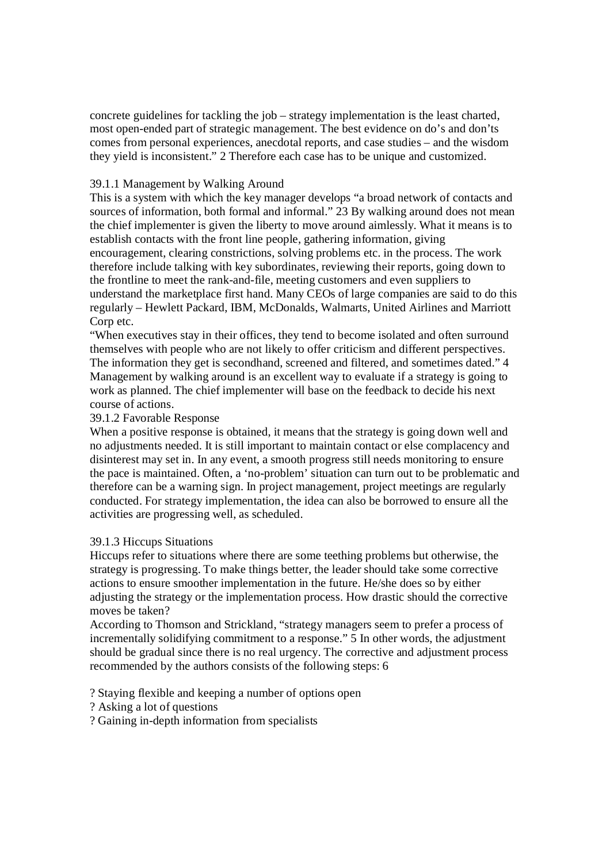concrete guidelines for tackling the job – strategy implementation is the least charted, most open-ended part of strategic management. The best evidence on do's and don'ts comes from personal experiences, anecdotal reports, and case studies – and the wisdom they yield is inconsistent." 2 Therefore each case has to be unique and customized.

# 39.1.1 Management by Walking Around

This is a system with which the key manager develops "a broad network of contacts and sources of information, both formal and informal." 23 By walking around does not mean the chief implementer is given the liberty to move around aimlessly. What it means is to establish contacts with the front line people, gathering information, giving encouragement, clearing constrictions, solving problems etc. in the process. The work therefore include talking with key subordinates, reviewing their reports, going down to the frontline to meet the rank-and-file, meeting customers and even suppliers to understand the marketplace first hand. Many CEOs of large companies are said to do this regularly – Hewlett Packard, IBM, McDonalds, Walmarts, United Airlines and Marriott Corp etc.

"When executives stay in their offices, they tend to become isolated and often surround themselves with people who are not likely to offer criticism and different perspectives. The information they get is secondhand, screened and filtered, and sometimes dated." 4 Management by walking around is an excellent way to evaluate if a strategy is going to work as planned. The chief implementer will base on the feedback to decide his next course of actions.

## 39.1.2 Favorable Response

When a positive response is obtained, it means that the strategy is going down well and no adjustments needed. It is still important to maintain contact or else complacency and disinterest may set in. In any event, a smooth progress still needs monitoring to ensure the pace is maintained. Often, a 'no-problem' situation can turn out to be problematic and therefore can be a warning sign. In project management, project meetings are regularly conducted. For strategy implementation, the idea can also be borrowed to ensure all the activities are progressing well, as scheduled.

# 39.1.3 Hiccups Situations

Hiccups refer to situations where there are some teething problems but otherwise, the strategy is progressing. To make things better, the leader should take some corrective actions to ensure smoother implementation in the future. He/she does so by either adjusting the strategy or the implementation process. How drastic should the corrective moves be taken?

According to Thomson and Strickland, "strategy managers seem to prefer a process of incrementally solidifying commitment to a response." 5 In other words, the adjustment should be gradual since there is no real urgency. The corrective and adjustment process recommended by the authors consists of the following steps: 6

? Staying flexible and keeping a number of options open

? Asking a lot of questions

? Gaining in-depth information from specialists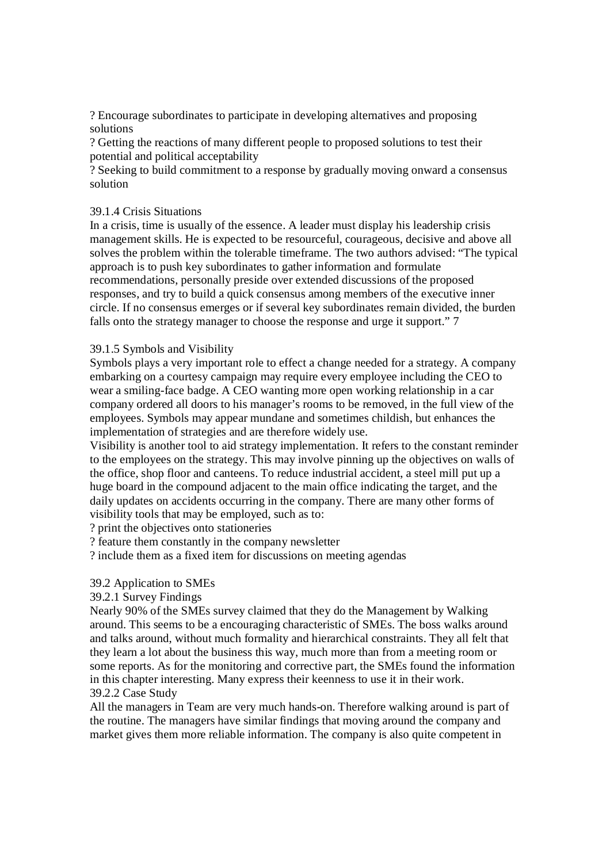? Encourage subordinates to participate in developing alternatives and proposing solutions

? Getting the reactions of many different people to proposed solutions to test their potential and political acceptability

? Seeking to build commitment to a response by gradually moving onward a consensus solution

## 39.1.4 Crisis Situations

In a crisis, time is usually of the essence. A leader must display his leadership crisis management skills. He is expected to be resourceful, courageous, decisive and above all solves the problem within the tolerable timeframe. The two authors advised: "The typical approach is to push key subordinates to gather information and formulate recommendations, personally preside over extended discussions of the proposed responses, and try to build a quick consensus among members of the executive inner circle. If no consensus emerges or if several key subordinates remain divided, the burden falls onto the strategy manager to choose the response and urge it support." 7

## 39.1.5 Symbols and Visibility

Symbols plays a very important role to effect a change needed for a strategy. A company embarking on a courtesy campaign may require every employee including the CEO to wear a smiling-face badge. A CEO wanting more open working relationship in a car company ordered all doors to his manager's rooms to be removed, in the full view of the employees. Symbols may appear mundane and sometimes childish, but enhances the implementation of strategies and are therefore widely use.

Visibility is another tool to aid strategy implementation. It refers to the constant reminder to the employees on the strategy. This may involve pinning up the objectives on walls of the office, shop floor and canteens. To reduce industrial accident, a steel mill put up a huge board in the compound adjacent to the main office indicating the target, and the daily updates on accidents occurring in the company. There are many other forms of visibility tools that may be employed, such as to:

? print the objectives onto stationeries

? feature them constantly in the company newsletter

? include them as a fixed item for discussions on meeting agendas

### 39.2 Application to SMEs

### 39.2.1 Survey Findings

Nearly 90% of the SMEs survey claimed that they do the Management by Walking around. This seems to be a encouraging characteristic of SMEs. The boss walks around and talks around, without much formality and hierarchical constraints. They all felt that they learn a lot about the business this way, much more than from a meeting room or some reports. As for the monitoring and corrective part, the SMEs found the information in this chapter interesting. Many express their keenness to use it in their work. 39.2.2 Case Study

All the managers in Team are very much hands-on. Therefore walking around is part of the routine. The managers have similar findings that moving around the company and market gives them more reliable information. The company is also quite competent in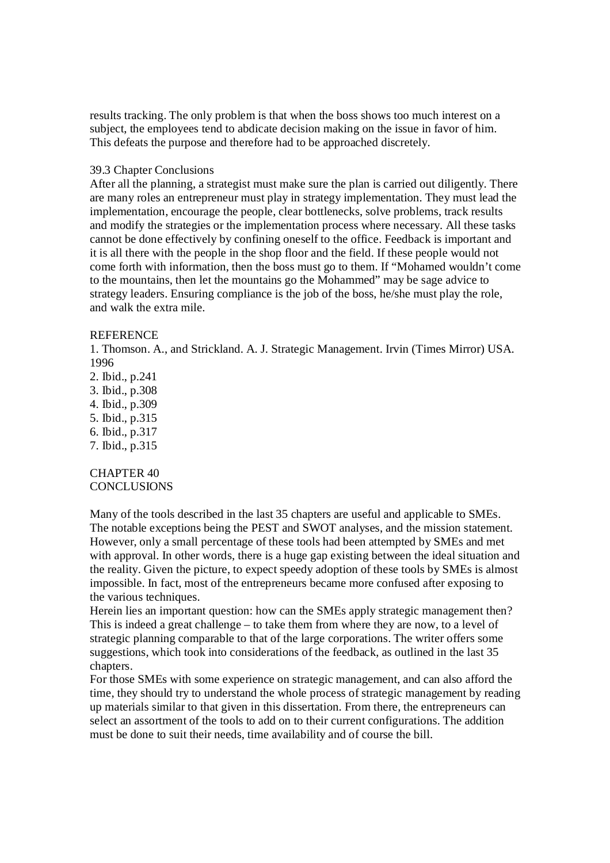results tracking. The only problem is that when the boss shows too much interest on a subject, the employees tend to abdicate decision making on the issue in favor of him. This defeats the purpose and therefore had to be approached discretely.

#### 39.3 Chapter Conclusions

After all the planning, a strategist must make sure the plan is carried out diligently. There are many roles an entrepreneur must play in strategy implementation. They must lead the implementation, encourage the people, clear bottlenecks, solve problems, track results and modify the strategies or the implementation process where necessary. All these tasks cannot be done effectively by confining oneself to the office. Feedback is important and it is all there with the people in the shop floor and the field. If these people would not come forth with information, then the boss must go to them. If "Mohamed wouldn't come to the mountains, then let the mountains go the Mohammed" may be sage advice to strategy leaders. Ensuring compliance is the job of the boss, he/she must play the role, and walk the extra mile.

#### REFERENCE

1. Thomson. A., and Strickland. A. J. Strategic Management. Irvin (Times Mirror) USA. 1996

2. Ibid., p.241 3. Ibid., p.308 4. Ibid., p.309 5. Ibid., p.315 6. Ibid., p.317 7. Ibid., p.315

CHAPTER 40 **CONCLUSIONS** 

Many of the tools described in the last 35 chapters are useful and applicable to SMEs. The notable exceptions being the PEST and SWOT analyses, and the mission statement. However, only a small percentage of these tools had been attempted by SMEs and met with approval. In other words, there is a huge gap existing between the ideal situation and the reality. Given the picture, to expect speedy adoption of these tools by SMEs is almost impossible. In fact, most of the entrepreneurs became more confused after exposing to the various techniques.

Herein lies an important question: how can the SMEs apply strategic management then? This is indeed a great challenge – to take them from where they are now, to a level of strategic planning comparable to that of the large corporations. The writer offers some suggestions, which took into considerations of the feedback, as outlined in the last 35 chapters.

For those SMEs with some experience on strategic management, and can also afford the time, they should try to understand the whole process of strategic management by reading up materials similar to that given in this dissertation. From there, the entrepreneurs can select an assortment of the tools to add on to their current configurations. The addition must be done to suit their needs, time availability and of course the bill.